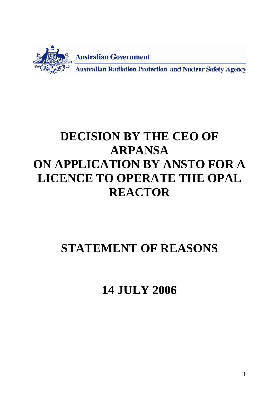

# **DECISION BY THE CEO OF ARPANSA ON APPLICATION BY ANSTO FOR A LICENCE TO OPERATE THE OPAL REACTOR**

# **STATEMENT OF REASONS**

**14 JULY 2006**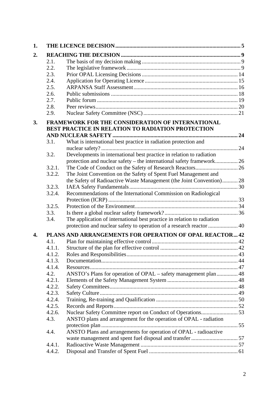| 1. |                                                                                                       |                                                                         |  |  |  |  |
|----|-------------------------------------------------------------------------------------------------------|-------------------------------------------------------------------------|--|--|--|--|
| 2. |                                                                                                       |                                                                         |  |  |  |  |
|    | 2.1.                                                                                                  |                                                                         |  |  |  |  |
|    | 2.2.                                                                                                  |                                                                         |  |  |  |  |
|    | 2.3.                                                                                                  |                                                                         |  |  |  |  |
|    | 2.4.                                                                                                  |                                                                         |  |  |  |  |
|    | 2.5.                                                                                                  |                                                                         |  |  |  |  |
|    | 2.6.                                                                                                  |                                                                         |  |  |  |  |
|    | 2.7.                                                                                                  |                                                                         |  |  |  |  |
|    | 2.8.                                                                                                  |                                                                         |  |  |  |  |
|    | 2.9.                                                                                                  |                                                                         |  |  |  |  |
| 3. | FRAMEWORK FOR THE CONSIDERATION OF INTERNATIONAL<br>BEST PRACTICE IN RELATION TO RADIATION PROTECTION |                                                                         |  |  |  |  |
|    | 3.1.                                                                                                  | What is international best practice in radiation protection and         |  |  |  |  |
|    |                                                                                                       |                                                                         |  |  |  |  |
|    | 3.2.                                                                                                  | Developments in international best practice in relation to radiation    |  |  |  |  |
|    |                                                                                                       |                                                                         |  |  |  |  |
|    | 3.2.1.                                                                                                |                                                                         |  |  |  |  |
|    | 3.2.2.                                                                                                | The Joint Convention on the Safety of Spent Fuel Management and         |  |  |  |  |
|    |                                                                                                       | the Safety of Radioactive Waste Management (the Joint Convention) 28    |  |  |  |  |
|    | 3.2.3.                                                                                                |                                                                         |  |  |  |  |
|    | 3.2.4.                                                                                                | Recommendations of the International Commission on Radiological         |  |  |  |  |
|    |                                                                                                       |                                                                         |  |  |  |  |
|    | 3.2.5.                                                                                                |                                                                         |  |  |  |  |
|    | 3.3.                                                                                                  |                                                                         |  |  |  |  |
|    | 3.4.                                                                                                  | The application of international best practice in relation to radiation |  |  |  |  |
|    |                                                                                                       | protection and nuclear safety to operation of a research reactor  40    |  |  |  |  |
| 4. | PLANS AND ARRANGEMENTS FOR OPERATION OF OPAL REACTOR 42                                               |                                                                         |  |  |  |  |
|    | 4.1.                                                                                                  |                                                                         |  |  |  |  |
|    | 4.1.1.                                                                                                |                                                                         |  |  |  |  |
|    | 4.1.2.                                                                                                |                                                                         |  |  |  |  |
|    | 4.1.3.                                                                                                |                                                                         |  |  |  |  |
|    | 4.1.4.                                                                                                |                                                                         |  |  |  |  |
|    | 4.2.                                                                                                  | ANSTO's Plans for operation of OPAL – safety management plan 48         |  |  |  |  |
|    | 4.2.1.                                                                                                |                                                                         |  |  |  |  |
|    | 4.2.2.                                                                                                |                                                                         |  |  |  |  |
|    | 4.2.3.                                                                                                |                                                                         |  |  |  |  |
|    | 4.2.4.                                                                                                |                                                                         |  |  |  |  |
|    | 4.2.5.                                                                                                |                                                                         |  |  |  |  |
|    | 4.2.6.                                                                                                |                                                                         |  |  |  |  |
|    | 4.3.                                                                                                  | ANSTO plans and arrangement for the operation of OPAL - radiation       |  |  |  |  |
|    |                                                                                                       |                                                                         |  |  |  |  |
|    | 4.4.                                                                                                  | ANSTO Plans and arrangements for operation of OPAL - radioactive        |  |  |  |  |
|    |                                                                                                       |                                                                         |  |  |  |  |
|    | 4.4.1.                                                                                                |                                                                         |  |  |  |  |
|    | 4.4.2.                                                                                                |                                                                         |  |  |  |  |
|    |                                                                                                       |                                                                         |  |  |  |  |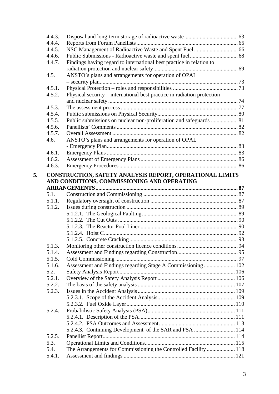|    | 4.4.3.           |                                                                         |  |
|----|------------------|-------------------------------------------------------------------------|--|
|    | 4.4.4.           |                                                                         |  |
|    | 4.4.5.           |                                                                         |  |
|    | 4.4.6.           |                                                                         |  |
|    | 4.4.7.           | Findings having regard to international best practice in relation to    |  |
|    |                  |                                                                         |  |
|    | 4.5.             | ANSTO's plans and arrangements for operation of OPAL                    |  |
|    |                  |                                                                         |  |
|    | 4.5.1.           |                                                                         |  |
|    | 4.5.2.           | Physical security – international best practice in radiation protection |  |
|    |                  |                                                                         |  |
|    | 4.5.3.           |                                                                         |  |
|    | 4.5.4.           |                                                                         |  |
|    | 4.5.5.           | Public submissions on nuclear non-proliferation and safeguards  81      |  |
|    | 4.5.6.           |                                                                         |  |
|    | 4.5.7.           |                                                                         |  |
|    | 4.6.             | ANSTO's plans and arrangements for operation of OPAL                    |  |
|    |                  |                                                                         |  |
|    | 4.6.1.           |                                                                         |  |
|    | 4.6.2.           |                                                                         |  |
|    | 4.6.3.           |                                                                         |  |
|    |                  |                                                                         |  |
| 5. |                  | CONSTRUCTION, SAFETY ANALYSIS REPORT, OPERATIONAL LIMITS                |  |
|    |                  | AND CONDITIONS, COMMISSIONING AND OPERATING                             |  |
|    | 5.1.             |                                                                         |  |
|    | 5.1.1.           |                                                                         |  |
|    | 5.1.2.           |                                                                         |  |
|    |                  |                                                                         |  |
|    |                  |                                                                         |  |
|    |                  |                                                                         |  |
|    |                  |                                                                         |  |
|    |                  |                                                                         |  |
|    | 5.1.3.           |                                                                         |  |
|    |                  |                                                                         |  |
|    | 5.1.4.           |                                                                         |  |
|    | 5.1.5.           |                                                                         |  |
|    | 5.1.6.<br>5.2.   | Assessment and Findings regarding Stage A Commissioning  102            |  |
|    |                  |                                                                         |  |
|    | 5.2.1.<br>5.2.2. |                                                                         |  |
|    |                  |                                                                         |  |
|    | 5.2.3.           |                                                                         |  |
|    |                  |                                                                         |  |
|    |                  |                                                                         |  |
|    | 5.2.4.           |                                                                         |  |
|    |                  |                                                                         |  |
|    |                  |                                                                         |  |
|    |                  | 5.2.4.3. Continuing Development of the SAR and PSA  114                 |  |
|    | 5.2.5.           |                                                                         |  |
|    | 5.3.             |                                                                         |  |
|    | 5.4.             | The Arrangements for Commissioning the Controlled Facility  118         |  |
|    | 5.4.1.           |                                                                         |  |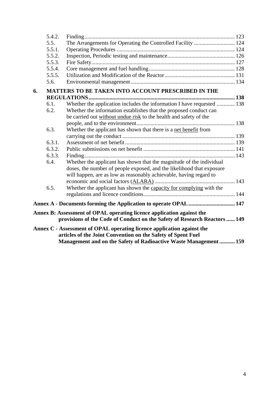|                                                                           | 5.4.2. |                                                                                                                                             |  |  |  |  |
|---------------------------------------------------------------------------|--------|---------------------------------------------------------------------------------------------------------------------------------------------|--|--|--|--|
|                                                                           | 5.5.   | The Arrangements for Operating the Controlled Facility  124                                                                                 |  |  |  |  |
|                                                                           | 5.5.1. |                                                                                                                                             |  |  |  |  |
|                                                                           | 5.5.2. |                                                                                                                                             |  |  |  |  |
|                                                                           | 5.5.3. |                                                                                                                                             |  |  |  |  |
|                                                                           | 5.5.4. |                                                                                                                                             |  |  |  |  |
|                                                                           | 5.5.5. |                                                                                                                                             |  |  |  |  |
|                                                                           | 5.6.   |                                                                                                                                             |  |  |  |  |
| 6.                                                                        |        | MATTERS TO BE TAKEN INTO ACCOUNT PRESCRIBED IN THE                                                                                          |  |  |  |  |
|                                                                           |        |                                                                                                                                             |  |  |  |  |
|                                                                           | 6.1.   | Whether the application includes the information I have requested  138                                                                      |  |  |  |  |
|                                                                           | 6.2.   | Whether the information establishes that the proposed conduct can                                                                           |  |  |  |  |
|                                                                           |        | be carried out without undue risk to the health and safety of the                                                                           |  |  |  |  |
|                                                                           |        |                                                                                                                                             |  |  |  |  |
|                                                                           | 6.3.   | Whether the applicant has shown that there is a net benefit from                                                                            |  |  |  |  |
|                                                                           |        |                                                                                                                                             |  |  |  |  |
|                                                                           | 6.3.1. |                                                                                                                                             |  |  |  |  |
|                                                                           | 6.3.2. |                                                                                                                                             |  |  |  |  |
|                                                                           | 6.3.3. |                                                                                                                                             |  |  |  |  |
|                                                                           | 6.4.   | Whether the applicant has shown that the magnitude of the individual                                                                        |  |  |  |  |
|                                                                           |        | doses, the number of people exposed, and the likelihood that exposure<br>will happen, are as low as reasonably achievable, having regard to |  |  |  |  |
|                                                                           |        |                                                                                                                                             |  |  |  |  |
|                                                                           | 6.5.   | Whether the applicant has shown the capacity for complying with the                                                                         |  |  |  |  |
|                                                                           |        |                                                                                                                                             |  |  |  |  |
|                                                                           |        | Annex A - Documents forming the Application to operate OPAL  147                                                                            |  |  |  |  |
|                                                                           |        | Annex B: Assessment of OPAL operating licence application against the                                                                       |  |  |  |  |
| provisions of the Code of Conduct on the Safety of Research Reactors  149 |        |                                                                                                                                             |  |  |  |  |
| Annex C - Assessment of OPAL operating licence application against the    |        |                                                                                                                                             |  |  |  |  |
| articles of the Joint Convention on the Safety of Spent Fuel              |        |                                                                                                                                             |  |  |  |  |
| Management and on the Safety of Radioactive Waste Management  159         |        |                                                                                                                                             |  |  |  |  |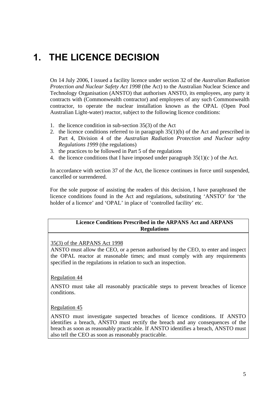## **1. THE LICENCE DECISION**

On 14 July 2006, I issued a facility licence under section 32 of the *Australian Radiation Protection and Nuclear Safety Act 1998* (the Act) to the Australian Nuclear Science and Technology Organisation (ANSTO) that authorises ANSTO, its employees, any party it contracts with (Commonwealth contractor) and employees of any such Commonwealth contractor, to operate the nuclear installation known as the OPAL (Open Pool Australian Light-water) reactor, subject to the following licence conditions:

- 1. the licence condition in sub-section 35(3) of the Act
- 2. the licence conditions referred to in paragraph 35(1)(b) of the Act and prescribed in Part 4, Division 4 of the *Australian Radiation Protection and Nuclear safety Regulations 1999* (the regulations)
- 3. the practices to be followed in Part 5 of the regulations
- 4. the licence conditions that I have imposed under paragraph  $35(1)(c)$  of the Act.

In accordance with section 37 of the Act, the licence continues in force until suspended, cancelled or surrendered.

For the sole purpose of assisting the readers of this decision, I have paraphrased the licence conditions found in the Act and regulations, substituting 'ANSTO' for 'the holder of a licence' and 'OPAL' in place of 'controlled facility' etc.

#### **Licence Conditions Prescribed in the ARPANS Act and ARPANS Regulations**

#### 35(3) of the ARPANS Act 1998

ANSTO must allow the CEO, or a person authorised by the CEO, to enter and inspect the OPAL reactor at reasonable times; and must comply with any requirements specified in the regulations in relation to such an inspection.

#### Regulation 44

ANSTO must take all reasonably practicable steps to prevent breaches of licence conditions.

#### Regulation 45

ANSTO must investigate suspected breaches of licence conditions. If ANSTO identifies a breach, ANSTO must rectify the breach and any consequences of the breach as soon as reasonably practicable. If ANSTO identifies a breach, ANSTO must also tell the CEO as soon as reasonably practicable.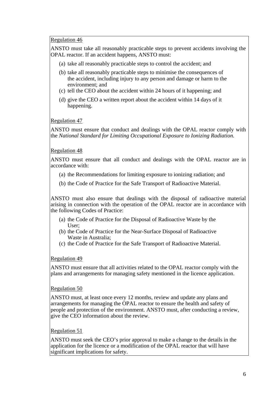#### Regulation 46

ANSTO must take all reasonably practicable steps to prevent accidents involving the OPAL reactor. If an accident happens, ANSTO must:

- (a) take all reasonably practicable steps to control the accident; and
- (b) take all reasonably practicable steps to minimise the consequences of the accident, including injury to any person and damage or harm to the environment; and
- (c) tell the CEO about the accident within 24 hours of it happening; and
- (d) give the CEO a written report about the accident within 14 days of it happening.

#### Regulation 47

ANSTO must ensure that conduct and dealings with the OPAL reactor comply with the *National Standard for Limiting Occupational Exposure to Ionizing Radiation.* 

#### Regulation 48

ANSTO must ensure that all conduct and dealings with the OPAL reactor are in accordance with:

- (a) the Recommendations for limiting exposure to ionizing radiation; and
- (b) the Code of Practice for the Safe Transport of Radioactive Material.

ANSTO must also ensure that dealings with the disposal of radioactive material arising in connection with the operation of the OPAL reactor are in accordance with the following Codes of Practice:

- (a) the Code of Practice for the Disposal of Radioactive Waste by the User;
- (b) the Code of Practice for the Near-Surface Disposal of Radioactive Waste in Australia;
- (c) the Code of Practice for the Safe Transport of Radioactive Material.

#### Regulation 49

ANSTO must ensure that all activities related to the OPAL reactor comply with the plans and arrangements for managing safety mentioned in the licence application.

#### Regulation 50

ANSTO must, at least once every 12 months, review and update any plans and arrangements for managing the OPAL reactor to ensure the health and safety of people and protection of the environment. ANSTO must, after conducting a review, give the CEO information about the review.

#### Regulation 51

ANSTO must seek the CEO's prior approval to make a change to the details in the application for the licence or a modification of the OPAL reactor that will have significant implications for safety.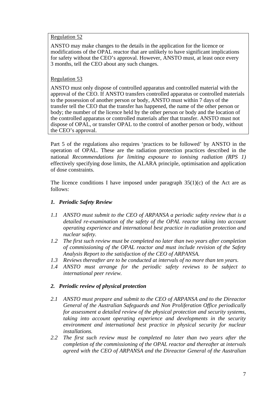#### Regulation 52

ANSTO may make changes to the details in the application for the licence or modifications of the OPAL reactor that are unlikely to have significant implications for safety without the CEO's approval. However, ANSTO must, at least once every 3 months, tell the CEO about any such changes.

#### Regulation 53

ANSTO must only dispose of controlled apparatus and controlled material with the approval of the CEO. If ANSTO transfers controlled apparatus or controlled materials to the possession of another person or body, ANSTO must within 7 days of the transfer tell the CEO that the transfer has happened, the name of the other person or body; the number of the licence held by the other person or body and the location of the controlled apparatus or controlled materials after that transfer. ANSTO must not dispose of OPAL, or transfer OPAL to the control of another person or body, without the CEO's approval.

Part 5 of the regulations also requires 'practices to be followed' by ANSTO in the operation of OPAL. These are the radiation protection practices described in the national *Recommendations for limiting exposure to ionising radiation (RPS 1)* effectively specifying dose limits, the ALARA principle, optimisation and application of dose constraints.

The licence conditions I have imposed under paragraph  $35(1)(c)$  of the Act are as follows:

#### *1. Periodic Safety Review*

- *1.1 ANSTO must submit to the CEO of ARPANSA a periodic safety review that is a detailed re-examination of the safety of the OPAL reactor taking into account operating experience and international best practice in radiation protection and nuclear safety.*
- *1.2 The first such review must be completed no later than two years after completion of commissioning of the OPAL reactor and must include revision of the Safety Analysis Report to the satisfaction of the CEO of ARPANSA.*
- *1.3 Reviews thereafter are to be conducted at intervals of no more than ten years.*
- *1.4 ANSTO must arrange for the periodic safety reviews to be subject to international peer review.*

#### *2. Periodic review of physical protection*

- *2.1 ANSTO must prepare and submit to the CEO of ARPANSA and to the Direactor General of the Australian Safeguards and Non Proliferation Office periodically for assessment a detailed review of the physical protection and security systems, taking into account operating experience and developments in the security environment and international best practice in physical security for nuclear installations.*
- *2.2 The first such review must be completed no later than two years after the completion of the commissioning of the OPAL reactor and thereafter at intervals agreed with the CEO of ARPANSA and the Direactor General of the Australian*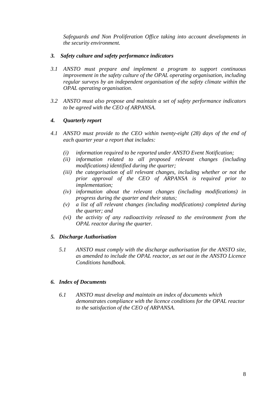*Safeguards and Non Proliferation Office taking into account developments in the security environment.* 

#### *3. Safety culture and safety performance indicators*

- *3.1 ANSTO must prepare and implement a program to support continuous improvement in the safety culture of the OPAL operating organisation, including regular surveys by an independent organisation of the safety climate within the OPAL operating organisation.*
- *3.2 ANSTO must also propose and maintain a set of safety performance indicators to be agreed with the CEO of ARPANSA.*

#### *4. Quarterly report*

- *4.1 ANSTO must provide to the CEO within twenty-eight (28) days of the end of each quarter year a report that includes:* 
	- *(i) information required to be reported under ANSTO Event Notification;*
	- *(ii) information related to all proposed relevant changes (including modifications) identified during the quarter;*
	- *(iii) the categorisation of all relevant changes, including whether or not the prior approval of the CEO of ARPANSA is required prior to implementation;*
	- *(iv) information about the relevant changes (including modifications) in progress during the quarter and their status;*
	- *(v) a list of all relevant changes (including modifications) completed during the quarter; and*
	- *(vi) the activity of any radioactivity released to the environment from the OPAL reactor during the quarter.*

#### *5. Discharge Authorisation*

*5.1 ANSTO must comply with the discharge authorisation for the ANSTO site, as amended to include the OPAL reactor, as set out in the ANSTO Licence Conditions handbook.* 

#### *6. Index of Documents*

*6.1 ANSTO must develop and maintain an index of documents which demonstrates compliance with the licence conditions for the OPAL reactor to the satisfaction of the CEO of ARPANSA.*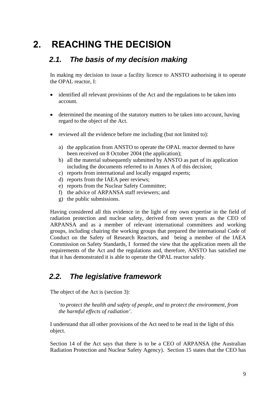## **2. REACHING THE DECISION**

### *2.1. The basis of my decision making*

In making my decision to issue a facility licence to ANSTO authorising it to operate the OPAL reactor, I:

- identified all relevant provisions of the Act and the regulations to be taken into account.
- determined the meaning of the statutory matters to be taken into account, having regard to the object of the Act.
- reviewed all the evidence before me including (but not limited to):
	- a) the application from ANSTO to operate the OPAL reactor deemed to have been received on 8 October 2004 (the application);
	- b) all the material subsequently submitted by ANSTO as part of its application including the documents referred to in Annex A of this decision;
	- c) reports from international and locally engaged experts;
	- d) reports from the IAEA peer reviews;
	- e) reports from the Nuclear Safety Committee;
	- f) the advice of ARPANSA staff reviewers; and
	- g) the public submissions.

Having considered all this evidence in the light of my own expertise in the field of radiation protection and nuclear safety, derived from seven years as the CEO of ARPANSA and as a member of relevant international committees and working groups, including chairing the working groups that prepared the international Code of Conduct on the Safety of Research Reactors, and being a member of the IAEA Commission on Safety Standards, I formed the view that the application meets all the requirements of the Act and the regulations and, therefore, ANSTO has satisfied me that it has demonstrated it is able to operate the OPAL reactor safely.

## *2.2. The legislative framework*

The object of the Act is (section 3):

'*to protect the health and safety of people, and to protect the environment, from the harmful effects of radiation'*.

I understand that all other provisions of the Act need to be read in the light of this object.

Section 14 of the Act says that there is to be a CEO of ARPANSA (the Australian Radiation Protection and Nuclear Safety Agency). Section 15 states that the CEO has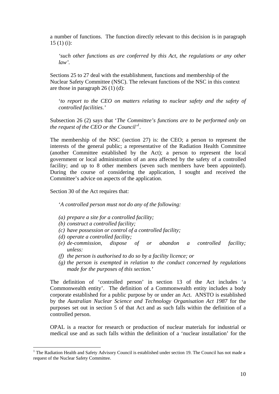a number of functions. The function directly relevant to this decision is in paragraph 15 (1) (i):

*'such other functions as are conferred by this Act, the regulations or any other law'.* 

Sections 25 to 27 deal with the establishment, functions and membership of the Nuclear Safety Committee (NSC). The relevant functions of the NSC in this context are those in paragraph 26 (1) (d):

'*to report to the CEO on matters relating to nuclear safety and the safety of controlled facilities.'*

Subsection 26 (2) says that '*The Committee's functions are to be performed only on the request of the CEO or the Council'1* .

The membership of the NSC (section 27) is: the CEO; a person to represent the interests of the general public; a representative of the Radiation Health Committee (another Committee established by the Act); a person to represent the local government or local administration of an area affected by the safety of a controlled facility; and up to 8 other members (seven such members have been appointed). During the course of considering the application, I sought and received the Committee's advice on aspects of the application.

Section 30 of the Act requires that:

'*A controlled person must not do any of the following:* 

- *(a) prepare a site for a controlled facility;*
- *(b) construct a controlled facility;*
- *(c) have possession or control of a controlled facility;*
- *(d) operate a controlled facility;*

 $\overline{a}$ 

- *(e) de-commission, dispose of or abandon a controlled facility; unless:*
- *(f) the person is authorised to do so by a facility licence; or*
- *(g) the person is exempted in relation to the conduct concerned by regulations made for the purposes of this section.'*

The definition of 'controlled person' in section 13 of the Act includes 'a Commonwealth entity'. The definition of a Commonwealth entity includes a body corporate established for a public purpose by or under an Act. ANSTO is established by the *Australian Nuclear Science and Technology Organisation Act 1987* for the purposes set out in section 5 of that Act and as such falls within the definition of a controlled person.

OPAL is a reactor for research or production of nuclear materials for industrial or medical use and as such falls within the definition of a 'nuclear installation' for the

<sup>&</sup>lt;sup>1</sup> The Radiation Health and Safety Advisory Council is established under section 19. The Council has not made a request of the Nuclear Safety Committee.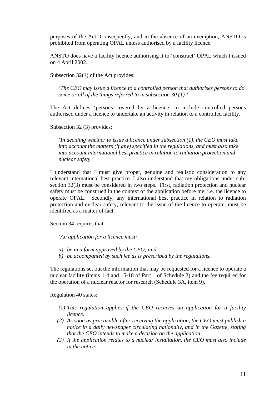purposes of the Act. Consequently, and in the absence of an exemption, ANSTO is prohibited from operating OPAL unless authorised by a facility licence.

ANSTO does have a facility licence authorising it to 'construct' OPAL which I issued on 4 April 2002.

Subsection 32(1) of the Act provides:

*'The CEO may issue a licence to a controlled person that authorises persons to do some or all of the things referred to in subsection 30 (1).'* 

The Act defines 'persons covered by a licence' to include controlled persons authorised under a licence to undertake an activity in relation to a controlled facility.

Subsection 32 (3) provides;

*'In deciding whether to issue a licence under subsection (1), the CEO must take into account the matters (if any) specified in the regulations, and must also take into account international best practice in relation to radiation protection and nuclear safety.'* 

I understand that I must give proper, genuine and realistic consideration to any relevant international best practice. I also understand that my obligations under subsection 32(3) must be considered in two steps. First, radiation protection and nuclear safety must be construed in the context of the application before me, i.e. the licence to operate OPAL. Secondly, any international best practice in relation to radiation protection and nuclear safety, relevant to the issue of the licence to operate, must be identified as a matter of fact.

Section 34 requires that:

'*An application for a licence must:* 

- *a) be in a form approved by the CEO; and*
- *b) be accompanied by such fee as is prescribed by the regulations.*

The regulations set out the information that may be requested for a licence to operate a nuclear facility (items 1-4 and 15-18 of Part 1 of Schedule 3) and the fee required for the operation of a nuclear reactor for research (Schedule 3A, item 9).

Regulation 40 states:

- *(1) This regulation applies if the CEO receives an application for a facility licence.*
- *(2) As soon as practicable after receiving the application, the CEO must publish a notice in a daily newspaper circulating nationally, and in the Gazette, stating that the CEO intends to make a decision on the application.*
- *(3) If the application relates to a nuclear installation, the CEO must also include in the notice:*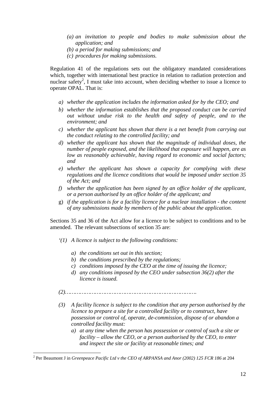- *(a) an invitation to people and bodies to make submission about the application; and*
- *(b) a period for making submissions; and*
- *(c) procedures for making submissions.*

Regulation 41 of the regulations sets out the obligatory mandated considerations which, together with international best practice in relation to radiation protection and nuclear safety<sup>2</sup>, I must take into account, when deciding whether to issue a licence to operate OPAL. That is:

- *a) whether the application includes the information asked for by the CEO; and*
- *b) whether the information establishes that the proposed conduct can be carried out without undue risk to the health and safety of people, and to the environment; and*
- *c) whether the applicant has shown that there is a net benefit from carrying out the conduct relating to the controlled facility; and*
- *d) whether the applicant has shown that the magnitude of individual doses, the number of people exposed, and the likelihood that exposure will happen, are as low as reasonably achievable, having regard to economic and social factors; and*
- *e) whether the applicant has shown a capacity for complying with these regulations and the licence conditions that would be imposed under section 35 of the Act; and*
- *f) whether the application has been signed by an office holder of the applicant, or a person authorised by an office holder of the applicant; and*
- g) *if the application is for a facility licence for a nuclear installation the content of any submissions made by members of the public about the application.*

Sections 35 and 36 of the Act allow for a licence to be subject to conditions and to be amended. The relevant subsections of section 35 are:

- *'(1) A licence is subject to the following conditions:*
	- *a) the conditions set out in this section;*
	- *b) the conditions prescribed by the regulations;*
	- *c) conditions imposed by the CEO at the time of issuing the licence;*
	- *d) any conditions imposed by the CEO under subsection 36(2) after the licence is issued.*
- *(2)…………………………………………………………………….*
- *(3) A facility licence is subject to the condition that any person authorised by the licence to prepare a site for a controlled facility or to construct, have possession or control of, operate, de-commission, dispose of or abandon a controlled facility must:*
	- *a) at any time when the person has possession or control of such a site or facility – allow the CEO, or a person authorised by the CEO, to enter and inspect the site or facility at reasonable times; and*

 $\overline{a}$ 

<sup>&</sup>lt;sup>2</sup> Per Beaumont J in *Greenpeace Pacific Ltd v the CEO of ARPANSA and Anor (2002) 125 FCR 186* at 204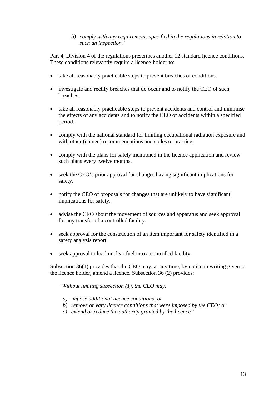#### *b) comply with any requirements specified in the regulations in relation to such an inspection.'*

Part 4, Division 4 of the regulations prescribes another 12 standard licence conditions. These conditions relevantly require a licence-holder to:

- take all reasonably practicable steps to prevent breaches of conditions.
- investigate and rectify breaches that do occur and to notify the CEO of such breaches.
- take all reasonably practicable steps to prevent accidents and control and minimise the effects of any accidents and to notify the CEO of accidents within a specified period.
- comply with the national standard for limiting occupational radiation exposure and with other (named) recommendations and codes of practice.
- comply with the plans for safety mentioned in the licence application and review such plans every twelve months.
- seek the CEO's prior approval for changes having significant implications for safety.
- notify the CEO of proposals for changes that are unlikely to have significant implications for safety.
- advise the CEO about the movement of sources and apparatus and seek approval for any transfer of a controlled facility.
- seek approval for the construction of an item important for safety identified in a safety analysis report.
- seek approval to load nuclear fuel into a controlled facility.

Subsection 36(1) provides that the CEO may, at any time, by notice in writing given to the licence holder, amend a licence. Subsection 36 (2) provides:

'*Without limiting subsection (1), the CEO may:*

- *a) impose additional licence conditions; or*
- *b) remove or vary licence conditions that were imposed by the CEO; or*
- *c) extend or reduce the authority granted by the licence.'*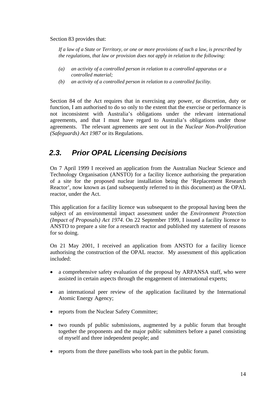Section 83 provides that:

*If a law of a State or Territory, or one or more provisions of such a law, is prescribed by the regulations, that law or provision does not apply in relation to the following:* 

- *(a) an activity of a controlled person in relation to a controlled apparatus or a controlled material;*
- *(b) an activity of a controlled person in relation to a controlled facility.*

Section 84 of the Act requires that in exercising any power, or discretion, duty or function, I am authorised to do so only to the extent that the exercise or performance is not inconsistent with Australia's obligations under the relevant international agreements, and that I must have regard to Australia's obligations under those agreements. The relevant agreements are sent out in the *Nuclear Non-Proliferation (Safeguards) Act 1987* or its Regulations.

## *2.3. Prior OPAL Licensing Decisions*

On 7 April 1999 I received an application from the Australian Nuclear Science and Technology Organisation (ANSTO) for a facility licence authorising the preparation of a site for the proposed nuclear installation being the 'Replacement Research Reactor', now known as (and subsequently referred to in this document) as the OPAL reactor, under the Act.

This application for a facility licence was subsequent to the proposal having been the subject of an environmental impact assessment under the *Environment Protection (Impact of Proposals) Act 1974*. On 22 September 1999, I issued a facility licence to ANSTO to prepare a site for a research reactor and published my statement of reasons for so doing.

On 21 May 2001, I received an application from ANSTO for a facility licence authorising the construction of the OPAL reactor. My assessment of this application included:

- a comprehensive safety evaluation of the proposal by ARPANSA staff, who were assisted in certain aspects through the engagement of international experts;
- an international peer review of the application facilitated by the International Atomic Energy Agency;
- reports from the Nuclear Safety Committee;
- two rounds pf public submissions, augmented by a public forum that brought together the proponents and the major public submitters before a panel consisting of myself and three independent people; and
- reports from the three panellists who took part in the public forum.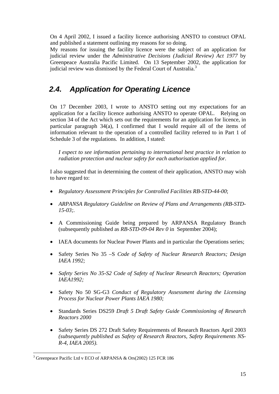On 4 April 2002, I issued a facility licence authorising ANSTO to construct OPAL and published a statement outlining my reasons for so doing.

My reasons for issuing the facility licence were the subject of an application for judicial review under the *Administrative Decisions (Judicial Review) Act 1977* by Greenpeace Australia Pacific Limited. On 13 September 2002, the application for judicial review was dismissed by the Federal Court of Australia.<sup>3</sup>

## *2.4. Application for Operating Licence*

On 17 December 2003, I wrote to ANSTO setting out my expectations for an application for a facility licence authorising ANSTO to operate OPAL. Relying on section 34 of the Act which sets out the requirements for an application for licence, in particular paragraph 34(a), I confirmed that I would require all of the items of information relevant to the operation of a controlled facility referred to in Part 1 of Schedule 3 of the regulations*.* In addition, I stated:

*I expect to see information pertaining to international best practice in relation to radiation protection and nuclear safety for each authorisation applied for.* 

I also suggested that in determining the content of their application, ANSTO may wish to have regard to:

- *Regulatory Assessment Principles for Controlled Facilities RB-STD-44-00*;
- *ARPANSA Regulatory Guideline on Review of Plans and Arrangements (RB-STD-15-03;.*
- A Commissioning Guide being prepared by ARPANSA Regulatory Branch (subsequently published as *RB-STD-09-04 Rev 0* in September 2004);
- IAEA documents for Nuclear Power Plants and in particular the Operations series;
- Safety Series No 35 –S *Code of Safety of Nuclear Research Reactors; Design IAEA 1992;*
- *Safety Series No 35-S2 Code of Safety of Nuclear Research Reactors; Operation IAEA1992;*
- Safety No 50 SG-G3 *Conduct of Regulatory Assessment during the Licensing Process for Nuclear Power Plants IAEA 1980;*
- Standards Series DS259 *Draft 5 Draft Safety Guide Commissioning of Research Reactors 2000*
- Safety Series DS 272 Draft Safety Requirements of Research Reactors April 2003 *(subsequently published as Safety of Research Reactors, Safety Requirements NS-R-4, IAEA 2005).*

 $\overline{a}$ 

<sup>&</sup>lt;sup>3</sup> Greenpeace Pacific Ltd v ECO of ARPANSA & Ors(2002) 125 FCR 186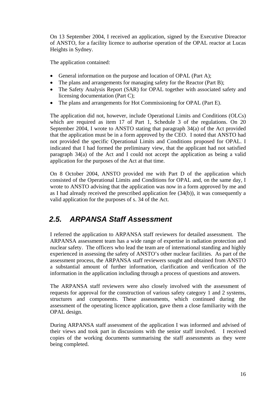On 13 September 2004, I received an application, signed by the Executive Direactor of ANSTO, for a facility licence to authorise operation of the OPAL reactor at Lucas Heights in Sydney.

The application contained:

- General information on the purpose and location of OPAL (Part A);
- The plans and arrangements for managing safety for the Reactor (Part B);
- The Safety Analysis Report (SAR) for OPAL together with associated safety and licensing documentation (Part C);
- The plans and arrangements for Hot Commissioning for OPAL (Part E).

The application did not, however, include Operational Limits and Conditions (OLCs) which are required as item 17 of Part 1, Schedule 3 of the regulations. On 20 September 2004, I wrote to ANSTO stating that paragraph 34(a) of the Act provided that the application must be in a form approved by the CEO. I noted that ANSTO had not provided the specific Operational Limits and Conditions proposed for OPAL. I indicated that I had formed the preliminary view, that the applicant had not satisfied paragraph 34(a) of the Act and I could not accept the application as being a valid application for the purposes of the Act at that time.

On 8 October 2004, ANSTO provided me with Part D of the application which consisted of the Operational Limits and Conditions for OPAL and, on the same day, I wrote to ANSTO advising that the application was now in a form approved by me and as I had already received the prescribed application fee (34(b)), it was consequently a valid application for the purposes of s. 34 of the Act.

## *2.5. ARPANSA Staff Assessment*

I referred the application to ARPANSA staff reviewers for detailed assessment. The ARPANSA assessment team has a wide range of expertise in radiation protection and nuclear safety. The officers who lead the team are of international standing and highly experienced in assessing the safety of ANSTO's other nuclear facilities. As part of the assessment process, the ARPANSA staff reviewers sought and obtained from ANSTO a substantial amount of further information, clarification and verification of the information in the application including through a process of questions and answers.

The ARPANSA staff reviewers were also closely involved with the assessment of requests for approval for the construction of various safety category 1 and 2 systems, structures and components. These assessments, which continued during the assessment of the operating licence application, gave them a close familiarity with the OPAL design.

During ARPANSA staff assessment of the application I was informed and advised of their views and took part in discussions with the senior staff involved. I received copies of the working documents summarising the staff assessments as they were being completed.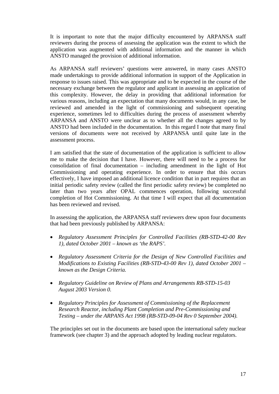It is important to note that the major difficulty encountered by ARPANSA staff reviewers during the process of assessing the application was the extent to which the application was augmented with additional information and the manner in which ANSTO managed the provision of additional information.

As ARPANSA staff reviewers' questions were answered, in many cases ANSTO made undertakings to provide additional information in support of the Application in response to issues raised. This was appropriate and to be expected in the course of the necessary exchange between the regulator and applicant in assessing an application of this complexity. However, the delay in providing that additional information for various reasons, including an expectation that many documents would, in any case, be reviewed and amended in the light of commissioning and subsequent operating experience, sometimes led to difficulties during the process of assessment whereby ARPANSA and ANSTO were unclear as to whether all the changes agreed to by ANSTO had been included in the documentation. In this regard I note that many final versions of documents were not received by ARPANSA until quite late in the assessment process.

I am satisfied that the state of documentation of the application is sufficient to allow me to make the decision that I have. However, there will need to be a process for consolidation of final documentation – including amendment in the light of Hot Commissioning and operating experience. In order to ensure that this occurs effectively, I have imposed an additional licence condition that in part requires that an initial periodic safety review (called the first periodic safety review) be completed no later than two years after OPAL commences operation, following successful completion of Hot Commissioning. At that time I will expect that all documentation has been reviewed and revised.

In assessing the application, the ARPANSA staff reviewers drew upon four documents that had been previously published by ARPANSA:

- *Regulatory Assessment Principles for Controlled Facilities (RB-STD-42-00 Rev 1), dated October 2001 – known as 'the RAPS'.*
- *Regulatory Assessment Criteria for the Design of New Controlled Facilities and Modifications to Existing Facilities (RB-STD-43-00 Rev 1), dated October 2001 – known as the Design Criteria.*
- *Regulatory Guideline on Review of Plans and Arrangements RB-STD-15-03 August 2003 Version 0.*
- *Regulatory Principles for Assessment of Commissioning of the Replacement Research Reactor, including Plant Completion and Pre-Commissioning and Testing – under the ARPANS Act 1998 (RB-STD-09-04 Rev 0 September 2004).*

The principles set out in the documents are based upon the international safety nuclear framework (see chapter 3) and the approach adopted by leading nuclear regulators.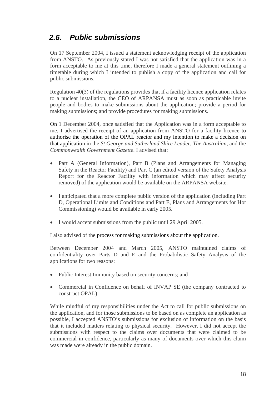## *2.6. Public submissions*

On 17 September 2004, I issued a statement acknowledging receipt of the application from ANSTO. As previously stated I was not satisfied that the application was in a form acceptable to me at this time, therefore I made a general statement outlining a timetable during which I intended to publish a copy of the application and call for public submissions.

Regulation 40(3) of the regulations provides that if a facility licence application relates to a nuclear installation, the CEO of ARPANSA must as soon as practicable invite people and bodies to make submissions about the application; provide a period for making submissions; and provide procedures for making submissions.

On 1 December 2004, once satisfied that the Application was in a form acceptable to me, I advertised the receipt of an application from ANSTO for a facility licence to authorise the operation of the OPAL reactor and my intention to make a decision on that application in the *St George and Sutherland Shire Leader, The Australian,* and the *Commonwealth Government Gazette*. I advised that:

- Part A (General Information), Part B (Plans and Arrangements for Managing Safety in the Reactor Facility) and Part C (an edited version of the Safety Analysis Report for the Reactor Facility with information which may affect security removed) of the application would be available on the ARPANSA website.
- I anticipated that a more complete public version of the application (including Part D, Operational Limits and Conditions and Part E, Plans and Arrangements for Hot Commissioning) would be available in early 2005.
- I would accept submissions from the public until 29 April 2005.

I also advised of the process for making submissions about the application.

Between December 2004 and March 2005, ANSTO maintained claims of confidentiality over Parts D and E and the Probabilistic Safety Analysis of the applications for two reasons:

- Public Interest Immunity based on security concerns; and
- Commercial in Confidence on behalf of INVAP SE (the company contracted to construct OPAL).

While mindful of my responsibilities under the Act to call for public submissions on the application, and for those submissions to be based on as complete an application as possible, I accepted ANSTO's submissions for exclusion of information on the basis that it included matters relating to physical security. However, I did not accept the submissions with respect to the claims over documents that were claimed to be commercial in confidence, particularly as many of documents over which this claim was made were already in the public domain.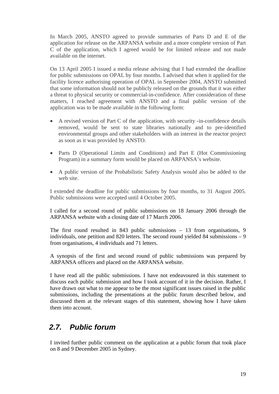In March 2005, ANSTO agreed to provide summaries of Parts D and E of the application for release on the ARPANSA website and a more complete version of Part C of the application, which I agreed would be for limited release and not made available on the internet.

On 13 April 2005 I issued a media release advising that I had extended the deadline for public submissions on OPAL by four months. I advised that when it applied for the facility licence authorising operation of OPAL in September 2004, ANSTO submitted that some information should not be publicly released on the grounds that it was either a threat to physical security or commercial-in-confidence. After consideration of these matters, I reached agreement with ANSTO and a final public version of the application was to be made available in the following form:

- A revised version of Part C of the application, with security -in-confidence details removed, would be sent to state libraries nationally and to pre-identified environmental groups and other stakeholders with an interest in the reactor project as soon as it was provided by ANSTO.
- Parts D (Operational Limits and Conditions) and Part E (Hot Commissioning Program) in a summary form would be placed on ARPANSA's website.
- A public version of the Probabilistic Safety Analysis would also be added to the web site.

I extended the deadline for public submissions by four months, to 31 August 2005. Public submissions were accepted until 4 October 2005.

I called for a second round of public submissions on 18 January 2006 through the ARPANSA website with a closing date of 17 March 2006.

The first round resulted in 843 public submissions – 13 from organisations, 9 individuals, one petition and 820 letters. The second round yielded 84 submissions – 9 from organisations, 4 individuals and 71 letters.

A synopsis of the first and second round of public submissions was prepared by ARPANSA officers and placed on the ARPANSA website.

I have read all the public submissions. I have not endeavoured in this statement to discuss each public submission and how I took account of it in the decision. Rather, I have drawn out what to me appear to be the most significant issues raised in the public submissions, including the presentations at the public forum described below, and discussed them at the relevant stages of this statement, showing how I have taken them into account.

## *2.7. Public forum*

I invited further public comment on the application at a public forum that took place on 8 and 9 December 2005 in Sydney.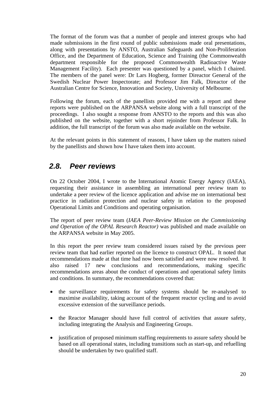The format of the forum was that a number of people and interest groups who had made submissions in the first round of public submissions made oral presentations, along with presentations by ANSTO, Australian Safeguards and Non-Proliferation Office, and the Department of Education, Science and Training (the Commonwealth department responsible for the proposed Commonwealth Radioactive Waste Management Facility). Each presenter was questioned by a panel, which I chaired. The members of the panel were: Dr Lars Hogberg, former Direactor General of the Swedish Nuclear Power Inspectorate; and Professor Jim Falk, Direactor of the Australian Centre for Science, Innovation and Society, University of Melbourne.

Following the forum, each of the panellists provided me with a report and these reports were published on the ARPANSA website along with a full transcript of the proceedings. I also sought a response from ANSTO to the reports and this was also published on the website, together with a short rejoinder from Professor Falk. In addition, the full transcript of the forum was also made available on the website.

At the relevant points in this statement of reasons, I have taken up the matters raised by the panellists and shown how I have taken them into account.

## *2.8. Peer reviews*

On 22 October 2004, I wrote to the International Atomic Energy Agency (IAEA), requesting their assistance in assembling an international peer review team to undertake a peer review of the licence application and advise me on international best practice in radiation protection and nuclear safety in relation to the proposed Operational Limits and Conditions and operating organisation.

The report of peer review team (*IAEA Peer-Review Mission on the Commissioning and Operation of the OPAL Research Reactor)* was published and made available on the ARPANSA website in May 2005.

In this report the peer review team considered issues raised by the previous peer review team that had earlier reported on the licence to construct OPAL. It noted that recommendations made at that time had now been satisfied and were now resolved. It also raised 17 new conclusions and recommendations, making specific recommendations areas about the conduct of operations and operational safety limits and conditions. In summary, the recommendations covered that:

- the surveillance requirements for safety systems should be re-analysed to maximise availability, taking account of the frequent reactor cycling and to avoid excessive extension of the surveillance periods.
- the Reactor Manager should have full control of activities that assure safety, including integrating the Analysis and Engineering Groups.
- justification of proposed minimum staffing requirements to assure safety should be based on all operational states, including transitions such as start-up, and refuelling should be undertaken by two qualified staff.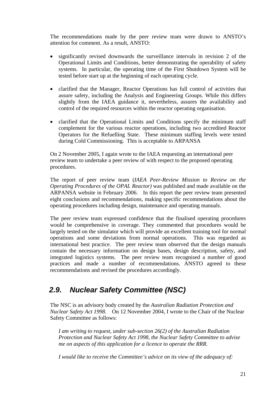The recommendations made by the peer review team were drawn to ANSTO's attention for comment. As a result, ANSTO:

- significantly revised downwards the surveillance intervals in revision 2 of the Operational Limits and Conditions, better demonstrating the operability of safety systems. In particular, the operating time of the First Shutdown System will be tested before start up at the beginning of each operating cycle.
- clarified that the Manager, Reactor Operations has full control of activities that assure safety, including the Analysis and Engineering Groups. While this differs slightly from the IAEA guidance it, nevertheless, assures the availability and control of the required resources within the reactor operating organisation.
- clarified that the Operational Limits and Conditions specify the minimum staff complement for the various reactor operations, including two accredited Reactor Operators for the Refuelling State. These minimum staffing levels were tested during Cold Commissioning. This is acceptable to ARPANSA

On 2 November 2005, I again wrote to the IAEA requesting an international peer review team to undertake a peer review of with respect to the proposed operating procedures.

The report of peer review team (*IAEA Peer-Review Mission to Review on the Operating Procedures of the OPAL Reactor)* was published and made available on the ARPANSA website in February 2006. In this report the peer review team presented eight conclusions and recommendations, making specific recommendations about the operating procedures including design, maintenance and operating manuals.

The peer review team expressed confidence that the finalised operating procedures would be comprehensive in coverage. They commented that procedures would be largely tested on the simulator which will provide an excellent training tool for normal operations and some deviations from normal operations. This was regarded as international best practice. The peer review team observed that the design manuals contain the necessary information on design bases, design description, safety, and integrated logistics systems. The peer review team recognised a number of good practices and made a number of recommendations. ANSTO agreed to these recommendations and revised the procedures accordingly.

## *2.9. Nuclear Safety Committee (NSC)*

The NSC is an advisory body created by the *Australian Radiation Protection and Nuclear Safety Act 1998*. On 12 November 2004, I wrote to the Chair of the Nuclear Safety Committee as follows:

*I am writing to request, under sub-section 26(2) of the Australian Radiation Protection and Nuclear Safety Act 1998, the Nuclear Safety Committee to advise me on aspects of this application for a licence to operate the RRR.* 

*I would like to receive the Committee's advice on its view of the adequacy of:*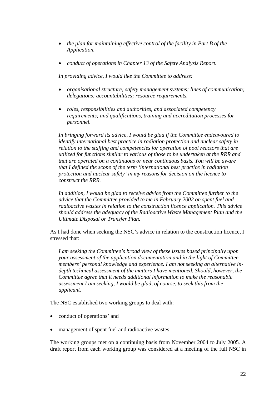- *the plan for maintaining effective control of the facility in Part B of the Application.*
- *conduct of operations in Chapter 13 of the Safety Analysis Report.*

*In providing advice, I would like the Committee to address:* 

- *organisational structure; safety management systems; lines of communication; delegations; accountabilities; resource requirements.*
- *roles, responsibilities and authorities, and associated competency requirements; and qualifications, training and accreditation processes for personnel.*

*In bringing forward its advice, I would be glad if the Committee endeavoured to identify international best practice in radiation protection and nuclear safety in relation to the staffing and competencies for operation of pool reactors that are utilized for functions similar to various of those to be undertaken at the RRR and that are operated on a continuous or near continuous basis. You will be aware that I defined the scope of the term 'international best practice in radiation protection and nuclear safety' in my reasons for decision on the licence to construct the RRR.* 

*In addition, I would be glad to receive advice from the Committee further to the advice that the Committee provided to me in February 2002 on spent fuel and radioactive wastes in relation to the construction licence application. This advice should address the adequacy of the Radioactive Waste Management Plan and the Ultimate Disposal or Transfer Plan.* 

As I had done when seeking the NSC's advice in relation to the construction licence, I stressed that:

*I am seeking the Committee's broad view of these issues based principally upon your assessment of the application documentation and in the light of Committee members' personal knowledge and experience. I am not seeking an alternative indepth technical assessment of the matters I have mentioned. Should, however, the Committee agree that it needs additional information to make the reasonable assessment I am seeking, I would be glad, of course, to seek this from the applicant.* 

The NSC established two working groups to deal with:

- conduct of operations' and
- management of spent fuel and radioactive wastes.

The working groups met on a continuing basis from November 2004 to July 2005. A draft report from each working group was considered at a meeting of the full NSC in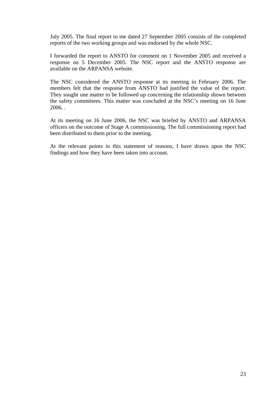July 2005. The final report to me dated 27 September 2005 consists of the completed reports of the two working groups and was endorsed by the whole NSC.

I forwarded the report to ANSTO for comment on 1 November 2005 and received a response on 5 December 2005. The NSC report and the ANSTO response are available on the ARPANSA website.

The NSC considered the ANSTO response at its meeting in February 2006. The members felt that the response from ANSTO had justified the value of the report. They sought one matter to be followed up concerning the relationship shown between the safety committees. This matter was concluded at the NSC's meeting on 16 June 2006. .

At its meeting on 16 June 2006, the NSC was briefed by ANSTO and ARPANSA officers on the outcome of Stage A commissioning. The full commissioning report had been distributed to them prior to the meeting.

At the relevant points in this statement of reasons, I have drawn upon the NSC findings and how they have been taken into account.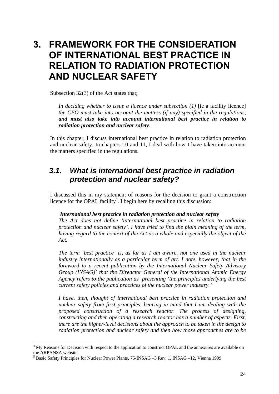## **3. FRAMEWORK FOR THE CONSIDERATION OF INTERNATIONAL BEST PRACTICE IN RELATION TO RADIATION PROTECTION AND NUCLEAR SAFETY**

Subsection 32(3) of the Act states that;

*In deciding whether to issue a licence under subsection (1)* [ie a facility licence] *the CEO must take into account the matters (if any) specified in the regulations, and must also take into account international best practice in relation to radiation protection and nuclear safety.* 

In this chapter, I discuss international best practice in relation to radiation protection and nuclear safety. In chapters 10 and 11, I deal with how I have taken into account the matters specified in the regulations.

## *3.1. What is international best practice in radiation protection and nuclear safety?*

I discussed this in my statement of reasons for the decision to grant a construction licence for the OPAL facility<sup>4</sup>. I begin here by recalling this discussion:

#### *International best practice in radiation protection and nuclear safety*

*The Act does not define 'international best practice in relation to radiation protection and nuclear safety'. I have tried to find the plain meaning of the term, having regard to the context of the Act as a whole and especially the object of the Act.* 

*The term 'best practice' is, as far as I am aware, not one used in the nuclear industry internationally as a particular term of art. I note, however, that in the foreword to a recent publication by the International Nuclear Safety Advisory Group (INSAG)5 that the Direactor General of the International Atomic Energy Agency refers to the publication as presenting 'the principles underlying the best current safety policies and practices of the nuclear power industry.'* 

*I have, then, thought of international best practice in radiation protection and nuclear safety from first principles, bearing in mind that I am dealing with the proposed construction of a research reactor. The process of designing, constructing and then operating a research reactor has a number of aspects. First, there are the higher-level decisions about the approach to be taken in the design to radiation protection and nuclear safety and then how those approaches are to be* 

 $\overline{a}$ 

<sup>&</sup>lt;sup>4</sup> My Reasons for Decision with respect to the application to construct OPAL and the annexures are available on the ARPANSA website.

<sup>&</sup>lt;sup>5</sup> Basic Safety Principles for Nuclear Power Plants, 75-INSAG -3 Rev. 1, INSAG -12, Vienna 1999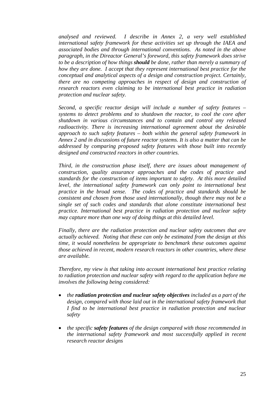*analysed and reviewed. I describe in Annex 2, a very well established international safety framework for these activities set up through the IAEA and associated bodies and through international conventions. As noted in the above paragraph, in the Direactor General's foreword, this safety framework does strive to be a description of how things should be done, rather than merely a summary of how they are done. I accept that they represent international best practice for the conceptual and analytical aspects of a design and construction project. Certainly, there are no competing approaches in respect of design and construction of research reactors even claiming to be international best practice in radiation protection and nuclear safety.* 

*Second, a specific reactor design will include a number of safety features – systems to detect problems and to shutdown the reactor, to cool the core after shutdown in various circumstances and to contain and control any released radioactivity. There is increasing international agreement about the desirable approach to such safety features – both within the general safety framework in Annex 2 and in discussions of future reactor systems. It is also a matter that can be addressed by comparing proposed safety features with those built into recently designed and constructed reactors in other countries.* 

*Third, in the construction phase itself, there are issues about management of construction, quality assurance approaches and the codes of practice and standards for the construction of items important to safety. At this more detailed*  level, the international safety framework can only point to international best *practice in the broad sense. The codes of practice and standards should be consistent and chosen from those used internationally, though there may not be a single set of such codes and standards that alone constitute international best practice. International best practice in radiation protection and nuclear safety may capture more than one way of doing things at this detailed level.* 

*Finally, there are the radiation protection and nuclear safety outcomes that are actually achieved. Noting that these can only be estimated from the design at this time, it would nonetheless be appropriate to benchmark these outcomes against those achieved in recent, modern research reactors in other countries, where these are available.* 

*Therefore, my view is that taking into account international best practice relating to radiation protection and nuclear safety with regard to the application before me involves the following being considered:* 

- *the radiation protection and nuclear safety objectives included as a part of the design, compared with those laid out in the international safety framework that I* find to be international best practice in radiation protection and nuclear *safety*
- *the specific safety features of the design compared with those recommended in the international safety framework and most successfully applied in recent research reactor designs*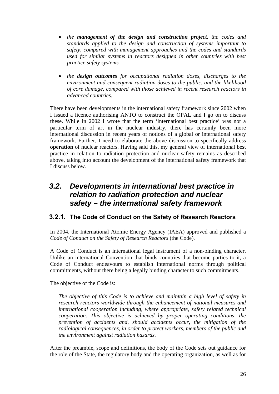- *the management of the design and construction project, the codes and standards applied to the design and construction of systems important to safety, compared with management approaches and the codes and standards used for similar systems in reactors designed in other countries with best practice safety systems*
- *the design outcomes for occupational radiation doses, discharges to the environment and consequent radiation doses to the public, and the likelihood of core damage, compared with those achieved in recent research reactors in advanced countries.*

There have been developments in the international safety framework since 2002 when I issued a licence authorising ANTO to construct the OPAL and I go on to discuss these. While in 2002 I wrote that the term 'international best practice' was not a particular term of art in the nuclear industry, there has certainly been more international discussion in recent years of notions of a global or international safety framework. Further, I need to elaborate the above discussion to specifically address **operation** of nuclear reactors. Having said this, my general view of international best practice in relation to radiation protection and nuclear safety remains as described above, taking into account the development of the international safety framework that I discuss below.

## *3.2. Developments in international best practice in relation to radiation protection and nuclear safety – the international safety framework*

#### **3.2.1. The Code of Conduct on the Safety of Research Reactors**

In 2004, the International Atomic Energy Agency (IAEA) approved and published a *Code of Conduct on the Safety of Research Reactors* (the Code)*.*

A Code of Conduct is an international legal instrument of a non-binding character. Unlike an international Convention that binds countries that become parties to it, a Code of Conduct endeavours to establish international norms through political commitments, without there being a legally binding character to such commitments.

The objective of the Code is:

*The objective of this Code is to achieve and maintain a high level of safety in research reactors worldwide through the enhancement of national measures and international cooperation including, where appropriate, safety related technical cooperation. This objective is achieved by proper operating conditions, the prevention of accidents and, should accidents occur, the mitigation of the radiological consequences, in order to protect workers, members of the public and the environment against radiation hazards.* 

After the preamble, scope and definitions, the body of the Code sets out guidance for the role of the State, the regulatory body and the operating organization, as well as for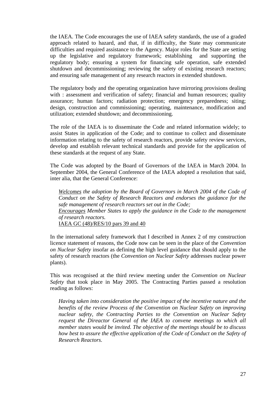the IAEA. The Code encourages the use of IAEA safety standards, the use of a graded approach related to hazard, and that, if in difficulty, the State may communicate difficulties and required assistance to the Agency. Major roles for the State are setting up the legislative and regulatory framework; establishing and supporting the regulatory body; ensuring a system for financing safe operation, safe extended shutdown and decommissioning; reviewing the safety of existing research reactors; and ensuring safe management of any research reactors in extended shutdown.

The regulatory body and the operating organization have mirroring provisions dealing with : assessment and verification of safety; financial and human resources; quality assurance; human factors; radiation protection; emergency preparedness; siting; design, construction and commissioning; operating, maintenance, modification and utilization; extended shutdown; and decommissioning.

The role of the IAEA is to disseminate the Code and related information widely; to assist States in application of the Code; and to continue to collect and disseminate information relating to the safety of research reactors, provide safety review services, develop and establish relevant technical standards and provide for the application of these standards at the request of any State.

The Code was adopted by the Board of Governors of the IAEA in March 2004. In September 2004, the General Conference of the IAEA adopted a resolution that said, inter alia, that the General Conference:

*Welcomes the adoption by the Board of Governors in March 2004 of the Code of Conduct on the Safety of Research Reactors and endorses the guidance for the safe management of research reactors set out in the Code; Encourages Member States to apply the guidance in the Code to the management of research reactors.*  IAEA GC (48)/RES/10 pars 39 and 40

In the international safety framework that I described in Annex 2 of my construction licence statement of reasons, the Code now can be seen in the place of the *Convention on Nuclear Safety* insofar as defining the high level guidance that should apply to the safety of research reactors (the *Convention on Nuclear Safety* addresses nuclear power plants).

This was recognised at the third review meeting under the *Convention on Nuclear Safety* that took place in May 2005. The Contracting Parties passed a resolution reading as follows:

*Having taken into consideration the positive impact of the incentive nature and the benefits of the review Process of the Convention on Nuclear Safety on improving nuclear safety, the Contracting Parties to the Convention on Nuclear Safety request the Direactor General of the IAEA to convene meetings to which all member states would be invited. The objective of the meetings should be to discuss how best to assure the effective application of the Code of Conduct on the Safety of Research Reactors.*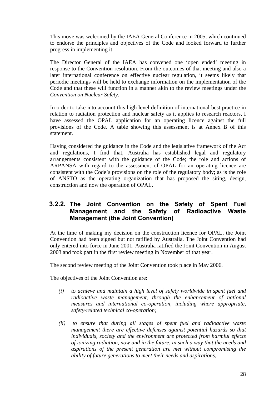This move was welcomed by the IAEA General Conference in 2005, which continued to endorse the principles and objectives of the Code and looked forward to further progress in implementing it.

The Director General of the IAEA has convened one 'open ended' meeting in response to the Convention resolution. From the outcomes of that meeting and also a later international conference on effective nuclear regulation, it seems likely that periodic meetings will be held to exchange information on the implementation of the Code and that these will function in a manner akin to the review meetings under the *Convention on Nuclear Safety*.

In order to take into account this high level definition of international best practice in relation to radiation protection and nuclear safety as it applies to research reactors, I have assessed the OPAL application for an operating licence against the full provisions of the Code*.* A table showing this assessment is at Annex B of this statement.

Having considered the guidance in the Code and the legislative framework of the Act and regulations, I find that, Australia has established legal and regulatory arrangements consistent with the guidance of the Code; the role and actions of ARPANSA with regard to the assessment of OPAL for an operating licence are consistent with the Code's provisions on the role of the regulatory body; as is the role of ANSTO as the operating organization that has proposed the siting, design, construction and now the operation of OPAL.

#### **3.2.2. The Joint Convention on the Safety of Spent Fuel Management and the Safety of Radioactive Waste Management (the Joint Convention)**

At the time of making my decision on the construction licence for OPAL, the Joint Convention had been signed but not ratified by Australia. The Joint Convention had only entered into force in June 2001. Australia ratified the Joint Convention in August 2003 and took part in the first review meeting in November of that year.

The second review meeting of the Joint Convention took place in May 2006.

The objectives of the Joint Convention are:

- *(i) to achieve and maintain a high level of safety worldwide in spent fuel and radioactive waste management, through the enhancement of national measures and international co-operation, including where appropriate, safety-related technical co-operation;*
- *(ii) to ensure that during all stages of spent fuel and radioactive waste management there are effective defenses against potential hazards so that individuals, society and the environment are protected from harmful effects of ionizing radiation, now and in the future, in such a way that the needs and aspirations of the present generation are met without compromising the ability of future generations to meet their needs and aspirations;*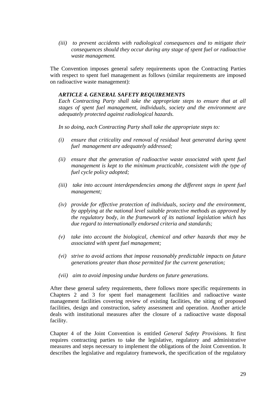*(iii) to prevent accidents with radiological consequences and to mitigate their consequences should they occur during any stage of spent fuel or radioactive waste management.* 

The Convention imposes general safety requirements upon the Contracting Parties with respect to spent fuel management as follows (similar requirements are imposed on radioactive waste management):

#### *ARTICLE 4. GENERAL SAFETY REQUIREMENTS*

*Each Contracting Party shall take the appropriate steps to ensure that at all stages of spent fuel management, individuals, society and the environment are adequately protected against radiological hazards.* 

*In so doing, each Contracting Party shall take the appropriate steps to:* 

- *(i) ensure that criticality and removal of residual heat generated during spent fuel management are adequately addressed;*
- *(ii) ensure that the generation of radioactive waste associated with spent fuel management is kept to the minimum practicable, consistent with the type of fuel cycle policy adopted;*
- *(iii) take into account interdependencies among the different steps in spent fuel management;*
- *(iv) provide for effective protection of individuals, society and the environment, by applying at the national level suitable protective methods as approved by the regulatory body, in the framework of its national legislation which has due regard to internationally endorsed criteria and standards;*
- *(v) take into account the biological, chemical and other hazards that may be associated with spent fuel management;*
- *(vi) strive to avoid actions that impose reasonably predictable impacts on future generations greater than those permitted for the current generation;*
- *(vii) aim to avoid imposing undue burdens on future generations.*

After these general safety requirements, there follows more specific requirements in Chapters 2 and 3 for spent fuel management facilities and radioactive waste management facilities covering review of existing facilities, the siting of proposed facilities, design and construction, safety assessment and operation. Another article deals with institutional measures after the closure of a radioactive waste disposal facility.

Chapter 4 of the Joint Convention is entitled *General Safety Provisions.* It first requires contracting parties to take the legislative, regulatory and administrative measures and steps necessary to implement the obligations of the Joint Convention. It describes the legislative and regulatory framework, the specification of the regulatory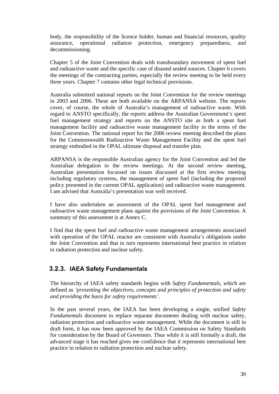body, the responsibility of the licence holder, human and financial resources, quality assurance, operational radiation protection, emergency preparedness, and decommissioning.

Chapter 5 of the Joint Convention deals with transboundary movement of spent fuel and radioactive waste and the specific case of disused sealed sources. Chapter 6 covers the meetings of the contracting parties, especially the review meeting to be held every three years. Chapter 7 contains other legal technical provisions.

Australia submitted national reports on the Joint Convention for the review meetings in 2003 and 2006. These are both available on the ARPANSA website. The reports cover, of course, the whole of Australia's management of radioactive waste. With regard to ANSTO specifically, the reports address the Australian Government's spent fuel management strategy and reports on the ANSTO site as both a spent fuel management facility and radioactive waste management facility in the terms of the Joint Convention. The national report for the 2006 review meeting described the plans for the Commonwealth Radioactive Waste Management Facility and the spent fuel strategy embodied in the OPAL ultimate disposal and transfer plan.

ARPANSA is the responsible Australian agency for the Joint Convention and led the Australian delegation to the review meetings. At the second review meeting, Australian presentation focussed on issues discussed at the first review meeting including regulatory systems, the management of spent fuel (including the proposed policy presented in the current OPAL application) and radioactive waste management. I am advised that Australia's presentation was well received.

I have also undertaken an assessment of the OPAL spent fuel management and radioactive waste management plans against the provisions of the Joint Convention. A summary of this assessment is at Annex C.

I find that the spent fuel and radioactive waste management arrangements associated with operation of the OPAL reactor are consistent with Australia's obligations under the Joint Convention and that in turn represents international best practice in relation to radiation protection and nuclear safety.

#### **3.2.3. IAEA Safety Fundamentals**

The hierarchy of IAEA safety standards begins with *Safety Fundamentals,* which are defined as *'presenting the objectives, concepts and principles of protection and safety and providing the basis for safety requirements'.*

In the past several years, the IAEA has been developing a single, unified *Safety Fundamentals* document to replace separate documents dealing with nuclear safety, radiation protection and radioactive waste management. While the document is still in draft form, it has now been approved by the IAEA Commission on Safety Standards for consideration by the Board of Governors. Thus while it is still formally a draft, the advanced stage it has reached gives me confidence that it represents international best practice in relation to radiation protection and nuclear safety.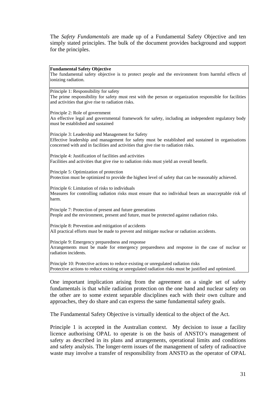The *Safety Fundamentals* are made up of a Fundamental Safety Objective and ten simply stated principles. The bulk of the document provides background and support for the principles.

#### **Fundamental Safety Objective**

The fundamental safety objective is to protect people and the environment from harmful effects of ionizing radiation.

Principle 1: Responsibility for safety

The prime responsibility for safety must rest with the person or organization responsible for facilities and activities that give rise to radiation risks.

Principle 2: Role of government An effective legal and governmental framework for safety, including an independent regulatory body must be established and sustained

Principle 3: Leadership and Management for Safety Effective leadership and management for safety must be established and sustained in organisations concerned with and in facilities and activities that give rise to radiation risks.

Principle 4: Justification of facilities and activities Facilities and activities that give rise to radiation risks must yield an overall benefit.

Principle 5: Optimization of protection Protection must be optimized to provide the highest level of safety that can be reasonably achieved.

Principle 6: Limitation of risks to individuals Measures for controlling radiation risks must ensure that no individual bears an unacceptable risk of harm.

Principle 7: Protection of present and future generations People and the environment, present and future, must be protected against radiation risks.

Principle 8: Prevention and mitigation of accidents All practical efforts must be made to prevent and mitigate nuclear or radiation accidents.

Principle 9: Emergency preparedness and response Arrangements must be made for emergency preparedness and response in the case of nuclear or radiation incidents.

Principle 10: Protective actions to reduce existing or unregulated radiation risks Protective actions to reduce existing or unregulated radiation risks must be justified and optimized.

One important implication arising from the agreement on a single set of safety fundamentals is that while radiation protection on the one hand and nuclear safety on the other are to some extent separable disciplines each with their own culture and approaches, they do share and can express the same fundamental safety goals.

The Fundamental Safety Objective is virtually identical to the object of the Act.

Principle 1 is accepted in the Australian context. My decision to issue a facility licence authorising OPAL to operate is on the basis of ANSTO's management of safety as described in its plans and arrangements, operational limits and conditions and safety analysis. The longer-term issues of the management of safety of radioactive waste may involve a transfer of responsibility from ANSTO as the operator of OPAL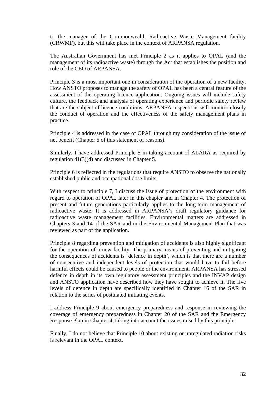to the manager of the Commonwealth Radioactive Waste Management facility (CRWMF), but this will take place in the context of ARPANSA regulation.

The Australian Government has met Principle 2 as it applies to OPAL (and the management of its radioactive waste) through the Act that establishes the position and role of the CEO of ARPANSA.

Principle 3 is a most important one in consideration of the operation of a new facility. How ANSTO proposes to manage the safety of OPAL has been a central feature of the assessment of the operating licence application. Ongoing issues will include safety culture, the feedback and analysis of operating experience and periodic safety review that are the subject of licence conditions. ARPANSA inspections will monitor closely the conduct of operation and the effectiveness of the safety management plans in practice.

Principle 4 is addressed in the case of OPAL through my consideration of the issue of net benefit (Chapter 5 of this statement of reasons).

Similarly, I have addressed Principle 5 in taking account of ALARA as required by regulation 41(3)(d) and discussed in Chapter 5.

Principle 6 is reflected in the regulations that require ANSTO to observe the nationally established public and occupational dose limits.

With respect to principle 7, I discuss the issue of protection of the environment with regard to operation of OPAL later in this chapter and in Chapter 4. The protection of present and future generations particularly applies to the long-term management of radioactive waste. It is addressed in ARPANSA's draft regulatory guidance for radioactive waste management facilities. Environmental matters are addressed in Chapters 3 and 14 of the SAR and in the Environmental Management Plan that was reviewed as part of the application.

Principle 8 regarding prevention and mitigation of accidents is also highly significant for the operation of a new facility. The primary means of preventing and mitigating the consequences of accidents is 'defence in depth', which is that there are a number of consecutive and independent levels of protection that would have to fail before harmful effects could be caused to people or the environment. ARPANSA has stressed defence in depth in its own regulatory assessment principles and the INVAP design and ANSTO application have described how they have sought to achieve it. The five levels of defence in depth are specifically identified in Chapter 16 of the SAR in relation to the series of postulated initiating events.

I address Principle 9 about emergency preparedness and response in reviewing the coverage of emergency preparedness in Chapter 20 of the SAR and the Emergency Response Plan in Chapter 4, taking into account the issues raised by this principle.

Finally, I do not believe that Principle 10 about existing or unregulated radiation risks is relevant in the OPAL context.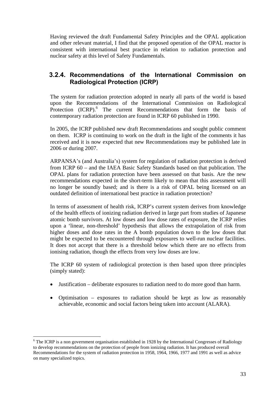Having reviewed the draft Fundamental Safety Principles and the OPAL application and other relevant material, I find that the proposed operation of the OPAL reactor is consistent with international best practice in relation to radiation protection and nuclear safety at this level of Safety Fundamentals.

#### **3.2.4. Recommendations of the International Commission on Radiological Protection (ICRP)**

The system for radiation protection adopted in nearly all parts of the world is based upon the Recommendations of the International Commission on Radiological Protection (ICRP).<sup>6</sup> The current Recommendations that form the basis of contemporary radiation protection are found in ICRP 60 published in 1990.

In 2005, the ICRP published new draft Recommendations and sought public comment on them. ICRP is continuing to work on the draft in the light of the comments it has received and it is now expected that new Recommendations may be published late in 2006 or during 2007.

ARPANSA's (and Australia's) system for regulation of radiation protection is derived from ICRP 60 – and the IAEA Basic Safety Standards based on that publication. The OPAL plans for radiation protection have been assessed on that basis. Are the new recommendations expected in the short-term likely to mean that this assessment will no longer be soundly based; and is there is a risk of OPAL being licensed on an outdated definition of international best practice in radiation protection?

In terms of assessment of health risk, ICRP's current system derives from knowledge of the health effects of ionizing radiation derived in large part from studies of Japanese atomic bomb survivors. At low doses and low dose rates of exposure, the ICRP relies upon a 'linear, non-threshold' hypothesis that allows the extrapolation of risk from higher doses and dose rates in the A bomb population down to the low doses that might be expected to be encountered through exposures to well-run nuclear facilities. It does not accept that there is a threshold below which there are no effects from ionising radiation, though the effects from very low doses are low.

The ICRP 60 system of radiological protection is then based upon three principles (simply stated):

- Justification deliberate exposures to radiation need to do more good than harm.
- Optimisation exposures to radiation should be kept as low as reasonably achievable, economic and social factors being taken into account (ALARA).

 $\overline{a}$ 

<sup>&</sup>lt;sup>6</sup> The ICRP is a non government organisation established in 1928 by the International Congresses of Radiology to develop recommendations on the protection of people from ionizing radiation. It has produced overall Recommendations for the system of radiation protection in 1958, 1964, 1966, 1977 and 1991 as well as advice on many specialized topics.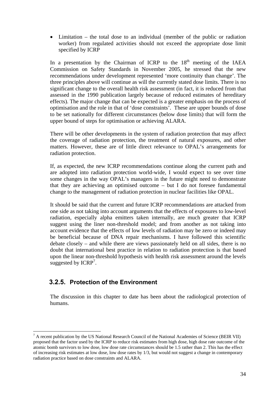• Limitation – the total dose to an individual (member of the public or radiation worker) from regulated activities should not exceed the appropriate dose limit specified by ICRP

In a presentation by the Chairman of ICRP to the  $18<sup>th</sup>$  meeting of the IAEA Commission on Safety Standards in November 2005, he stressed that the new recommendations under development represented 'more continuity than change'. The three principles above will continue as will the currently stated dose limits. There is no significant change to the overall health risk assessment (in fact, it is reduced from that assessed in the 1990 publication largely because of reduced estimates of hereditary effects). The major change that can be expected is a greater emphasis on the process of optimisation and the role in that of 'dose constraints'. These are upper bounds of dose to be set nationally for different circumstances (below dose limits) that will form the upper bound of steps for optimisation or achieving ALARA.

There will be other developments in the system of radiation protection that may affect the coverage of radiation protection, the treatment of natural exposures, and other matters. However, these are of little direct relevance to OPAL's arrangements for radiation protection.

If, as expected, the new ICRP recommendations continue along the current path and are adopted into radiation protection world-wide, I would expect to see over time some changes in the way OPAL's managers in the future might need to demonstrate that they are achieving an optimised outcome – but I do not foresee fundamental change to the management of radiation protection in nuclear facilities like OPAL.

It should be said that the current and future ICRP recommendations are attacked from one side as not taking into account arguments that the effects of exposures to low-level radiation, especially alpha emitters taken internally, are much greater that ICRP suggest using the liner non-threshold model; and from another as not taking into account evidence that the effects of low levels of radiation may be zero or indeed may be beneficial because of DNA repair mechanisms. I have followed this scientific debate closely – and while there are views passionately held on all sides, there is no doubt that international best practice in relation to radiation protection is that based upon the linear non-threshold hypothesis with health risk assessment around the levels suggested by  $ICRP^7$ .

#### **3.2.5. Protection of the Environment**

The discussion in this chapter to date has been about the radiological protection of humans.

 $\overline{a}$  $<sup>7</sup>$  A recent publication by the US National Research Council of the National Academies of Science (BEIR VII)</sup> proposed that the factor used by the ICRP to reduce risk estimates from high dose, high dose rate outcome of the atomic bomb survivors to low dose, low dose rate circumstances should be 1.5 rather than 2. This has the effect of increasing risk estimates at low dose, low dose rates by 1/3, but would not suggest a change in contemporary radiation practice based on dose constraints and ALARA.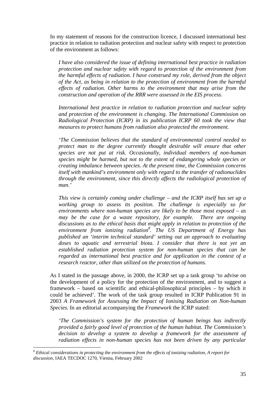In my statement of reasons for the construction licence, I discussed international best practice in relation to radiation protection and nuclear safety with respect to protection of the environment as follows:

*I have also considered the issue of defining international best practice in radiation protection and nuclear safety with regard to protection of the environment from the harmful effects of radiation. I have construed my role, derived from the object of the Act, as being in relation to the protection of environment from the harmful effects of radiation. Other harms to the environment that may arise from the construction and operation of the RRR were assessed in the EIS process.* 

*International best practice in relation to radiation protection and nuclear safety and protection of the environment is changing. The International Commission on Radiological Protection (ICRP) in its publication ICRP 60 took the view that measures to protect humans from radiation also protected the environment.* 

*'The Commission believes that the standard of environmental control needed to protect man to the degree currently thought desirable will ensure that other species are not put at risk. Occasionally, individual members of non-human species might be harmed, but not to the extent of endangering whole species or creating imbalance between species. At the present time, the Commission concerns itself with mankind's environment only with regard to the transfer of radionuclides through the environment, since this directly affects the radiological protection of man.'* 

*This view is certainly coming under challenge – and the ICRP itself has set up a working group to assess its position. The challenge is especially so for environments where non-human species are likely to be those most exposed – as may be the case for a waste repository, for example. There are ongoing discussions as to the ethical basis that might apply in relation to protection of the environment from ionizing radiation<sup>8</sup> . The US Department of Energy has published an 'interim technical standard' setting out an approach to evaluating doses to aquatic and terrestrial biota. I consider that there is not yet an established radiation protection system for non-human species that can be regarded as international best practice and for application in the context of a research reactor, other than utilized on the protection of humans.* 

As I stated in the passage above, in 2000, the ICRP set up a task group 'to advise on the development of a policy for the protection of the environment, and to suggest a framework – based on scientific and ethical-philosophical principles – by which it could be achieved'. The work of the task group resulted in ICRP Publication 91 in 2003 *A Framework for Assessing the Impact of Ionising Radiation on Non-human Species.* In an editorial accompanying the *Framework* the ICRP stated:

*'The Commission's system for the protection of human beings has indirectly provided a fairly good level of protection of the human habitat. The Commission's decision to develop a system to develop a framework for the assessment of radiation effects in non-human species has not been driven by any particular* 

 $\overline{a}$ 

<sup>8</sup> *Ethical considerations in protecting the environment from the effects of ionizing radiation, A report for discussion,* IAEA TECDOC 1270, Vienna, February 2002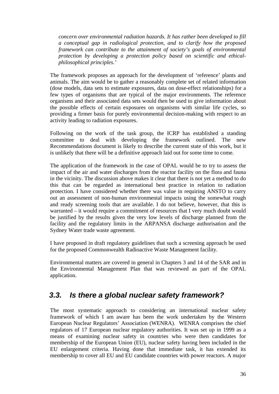*concern over environmental radiation hazards. It has rather been developed to fill a conceptual gap in radiological protection, and to clarify how the proposed framework can contribute to the attainment of society's goals of environmental protection by developing a protection policy based on scientific and ethicalphilosophical principles.'* 

The framework proposes an approach for the development of 'reference' plants and animals. The aim would be to gather a reasonably complete set of related information (dose models, data sets to estimate exposures, data on dose-effect relationships) for a few types of organisms that are typical of the major environments. The reference organisms and their associated data sets would then be used to give information about the possible effects of certain exposures on organisms with similar life cycles, so providing a firmer basis for purely environmental decision-making with respect to an activity leading to radiation exposures.

Following on the work of the task group, the ICRP has established a standing committee to deal with developing the framework outlined. The new Recommendations document is likely to describe the current state of this work, but it is unlikely that there will be a definitive approach laid out for some time to come.

The application of the framework in the case of OPAL would be to try to assess the impact of the air and water discharges from the reactor facility on the flora and fauna in the vicinity. The discussion above makes it clear that there is not yet a method to do this that can be regarded as international best practice in relation to radiation protection. I have considered whether there was value in requiring ANSTO to carry out an assessment of non-human environmental impacts using the somewhat rough and ready screening tools that are available. I do not believe, however, that this is warranted – it would require a commitment of resources that I very much doubt would be justified by the results given the very low levels of discharge planned from the facility and the regulatory limits in the ARPANSA discharge authorisation and the Sydney Water trade waste agreement.

I have proposed in draft regulatory guidelines that such a screening approach be used for the proposed Commonwealth Radioactive Waste Management facility.

Environmental matters are covered in general in Chapters 3 and 14 of the SAR and in the Environmental Management Plan that was reviewed as part of the OPAL application.

## *3.3. Is there a global nuclear safety framework?*

The most systematic approach to considering an international nuclear safety framework of which I am aware has been the work undertaken by the Western European Nuclear Regulators' Association (WENRA). WENRA comprises the chief regulators of 17 European nuclear regulatory authorities. It was set up in 1999 as a means of examining nuclear safety in countries who were then candidates for membership of the European Union (EU), nuclear safety having been included in the EU enlargement criteria. Having done that immediate task, it has extended its membership to cover all EU and EU candidate countries with power reactors. A major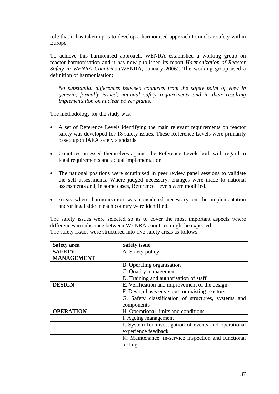role that it has taken up is to develop a harmonised approach to nuclear safety within Europe.

To achieve this harmonised approach, WENRA established a working group on reactor harmonisation and it has now published its report *Harmonization of Reactor Safety in WENRA Countries* (WENRA, January 2006). The working group used a definition of harmonisation:

*No substantial differences between countries from the safety point of view in generic, formally issued, national safety requirements and in their resulting implementation on nuclear power plants.* 

The methodology for the study was:

- A set of Reference Levels identifying the main relevant requirements on reactor safety was developed for 18 safety issues. These Reference Levels were primarily based upon IAEA safety standards.
- Countries assessed themselves against the Reference Levels both with regard to legal requirements and actual implementation.
- The national positions were scrutinised in peer review panel sessions to validate the self assessments. Where judged necessary, changes were made to national assessments and, in some cases, Reference Levels were modified.
- Areas where harmonisation was considered necessary on the implementation and/or legal side in each country were identified.

The safety issues were selected so as to cover the most important aspects where differences in substance between WENRA countries might be expected. The safety issues were structured into five safety areas as follows:

| <b>Safety</b> area | <b>Safety issue</b>                                   |
|--------------------|-------------------------------------------------------|
| <b>SAFETY</b>      | A. Safety policy                                      |
| <b>MANAGEMENT</b>  |                                                       |
|                    | B. Operating organisation                             |
|                    | C. Quality management                                 |
|                    | D. Training and authorisation of staff                |
| <b>DESIGN</b>      | E. Verification and improvement of the design         |
|                    | F. Design basis envelope for existing reactors        |
|                    | G. Safety classification of structures, systems and   |
|                    | components                                            |
| <b>OPERATION</b>   | H. Operational limits and conditions                  |
|                    | I. Ageing management                                  |
|                    | J. System for investigation of events and operational |
|                    | experience feedback                                   |
|                    | K. Maintenance, in-service inspection and functional  |
|                    | testing                                               |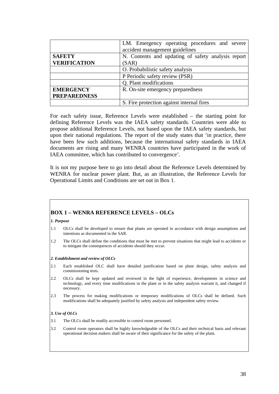|                     | LM. Emergency operating procedures and severe      |
|---------------------|----------------------------------------------------|
|                     | accident management guidelines                     |
| <b>SAFETY</b>       | N. Contents and updating of safety analysis report |
| <b>VERIFICATION</b> | (SAR)                                              |
|                     | O. Probabilistic safety analysis                   |
|                     | P Periodic safety review (PSR)                     |
|                     | Q. Plant modifications                             |
| <b>EMERGENCY</b>    | R. On-site emergency preparedness                  |
| <b>PREPAREDNESS</b> |                                                    |
|                     | S. Fire protection against internal fires          |

For each safety issue, Reference Levels were established – the starting point for defining Reference Levels was the IAEA safety standards. Countries were able to propose additional Reference Levels, not based upon the IAEA safety standards, but upon their national regulations. The report of the study states that 'in practice, there have been few such additions, because the international safety standards in IAEA documents are rising and many WENRA countries have participated in the work of IAEA committee, which has contributed to convergence'.

It is not my purpose here to go into detail about the Reference Levels determined by WENRA for nuclear power plant. But, as an illustration, the Reference Levels for Operational Limits and Conditions are set out in Box 1.

#### **BOX 1 – WENRA REFERENCE LEVELS – OLCs**

*1. Purpose* 

- 1.1 OLCs shall be developed to ensure that plants are operated in accordance with design assumptions and intentions as documented in the SAR.
- 1.2 The OLCs shall define the conditions that must be met to prevent situations that might lead to accidents or to mitigate the consequences of accidents should they occur.

#### *2. Establishment and review of OLCs*

- 2.1 Each established OLC shall have detailed justification based on plant design, safety analysis and commissioning tests.
- 2.2 OLCs shall be kept updated and reviewed in the light of experience, developments in science and technology, and every time modifications in the plant or in the safety analysis warrant it, and changed if necessary.
- 2.3 The process for making modifications or temporary modifications of OLCs shall be defined. Such modifications shall be adequately justified by safety analysis and independent safety review.

#### *3. Use of OLCs*

- 3.1 The OLCs shall be readily accessible to control room personnel.
- 3.2 Control room operators shall be highly knowledgeable of the OLCs and their technical basis and relevant operational decision makers shall be aware of their significance for the safety of the plant.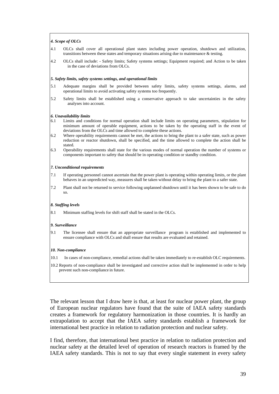#### *4. Scope of OLCs*

- 4.1 OLCs shall cover all operational plant states including power operation, shutdown and utilization, transitions between these states and temporary situations arising due to maintenance & testing.
- 4.2 OLCs shall include: Safety limits; Safety systems settings; Equipment required; and Action to be taken in the case of deviations from OLCs.

#### *5. Safety limits, safety systems settings, and operational limits*

- 5.1 Adequate margins shall be provided between safety limits, safety systems settings, alarms, and operational limits to avoid activating safety systems too frequently.
- 5.2 Safety limits shall be established using a conservative approach to take uncertainties in the safety analyses into account.

#### *6. Unavailability limits*

- 6.1 Limits and conditions for normal operation shall include limits on operating parameters, stipulation for minimum amount of operable equipment, actions to be taken by the operating staff in the event of deviations from the OLCs and time allowed to complete these actions.
- 6.2 Where operability requirements cannot be met, the actions to bring the plant to a safer state, such as power reduction or reactor shutdown, shall be specified, and the time allowed to complete the action shall be stated.
- 6.3 Operability requirements shall state for the various modes of normal operation the number of systems or components important to safety that should be in operating condition or standby condition.

#### *7. Unconditional requirements*

- 7.1 If operating personnel cannot ascertain that the power plant is operating within operating limits, or the plant behaves in an unpredicted way, measures shall be taken without delay to bring the plant to a safer state.
- 7.2 Plant shall not be returned to service following unplanned shutdown until it has been shown to be safe to do so.

#### *8. Staffing levels*

8.1 Minimum staffing levels for shift staff shall be stated in the OLCs.

#### *9. Surveillance*

9.1 The licensee shall ensure that an appropriate surveillance program is established and implemented to ensure compliance with OLCs and shall ensure that results are evaluated and retained.

#### *10. Non-compliance*

- 10.1 In cases of non-compliance, remedial actions shall be taken immediately to re-establish OLC requirements.
- 10.2 Reports of non-compliance shall be investigated and corrective action shall be implemented in order to help prevent such non-compliance in future.

The relevant lesson that I draw here is that, at least for nuclear power plant, the group of European nuclear regulators have found that the suite of IAEA safety standards creates a framework for regulatory harmonization in those countries. It is hardly an extrapolation to accept that the IAEA safety standards establish a framework for international best practice in relation to radiation protection and nuclear safety.

I find, therefore, that international best practice in relation to radiation protection and nuclear safety at the detailed level of operation of research reactors is framed by the IAEA safety standards. This is not to say that every single statement in every safety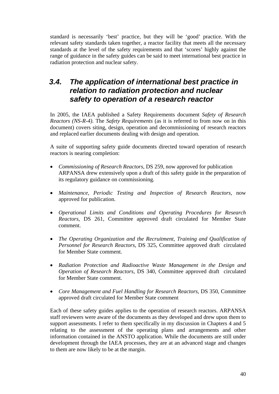standard is necessarily 'best' practice, but they will be 'good' practice. With the relevant safety standards taken together, a reactor facility that meets all the necessary standards at the level of the safety requirements and that 'scores' highly against the range of guidance in the safety guides can be said to meet international best practice in radiation protection and nuclear safety.

## *3.4. The application of international best practice in relation to radiation protection and nuclear safety to operation of a research reactor*

In 2005, the IAEA published a Safety Requirements document *Safety of Research Reactors (NS-R-4).* The *Safety Requirements* (as it is referred to from now on in this document) covers siting, design, operation and decommissioning of research reactors and replaced earlier documents dealing with design and operation.

A suite of supporting safety guide documents directed toward operation of research reactors is nearing completion:

- *Commissioning of Research Reactors,* DS 259, now approved for publication ARPANSA drew extensively upon a draft of this safety guide in the preparation of its regulatory guidance on commissioning.
- *Maintenance, Periodic Testing and Inspection of Research Reactors,* now approved for publication.
- *Operational Limits and Conditions and Operating Procedures for Research Reactors,* DS 261, Committee approved draft circulated for Member State comment.
- *The Operating Organization and the Recruitment, Training and Qualification of Personnel for Research Reactors,* DS 325, Committee approved draft circulated for Member State comment.
- *Radiation Protection and Radioactive Waste Management in the Design and Operation of Research Reactors,* DS 340, Committee approved draft circulated for Member State comment.
- *Core Management and Fuel Handling for Research Reactors, DS 350, Committee* approved draft circulated for Member State comment

Each of these safety guides applies to the operation of research reactors. ARPANSA staff reviewers were aware of the documents as they developed and drew upon them to support assessments. I refer to them specifically in my discussion in Chapters 4 and 5 relating to the assessment of the operating plans and arrangements and other information contained in the ANSTO application. While the documents are still under development through the IAEA processes, they are at an advanced stage and changes to them are now likely to be at the margin.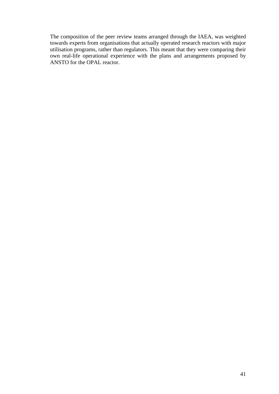The composition of the peer review teams arranged through the IAEA, was weighted towards experts from organisations that actually operated research reactors with major utilisation programs, rather than regulators. This meant that they were comparing their own real-life operational experience with the plans and arrangements proposed by ANSTO for the OPAL reactor.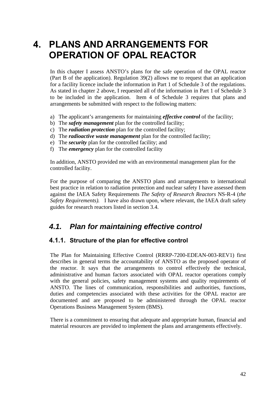# **4. PLANS AND ARRANGEMENTS FOR OPERATION OF OPAL REACTOR**

In this chapter I assess ANSTO's plans for the safe operation of the OPAL reactor (Part B of the application). Regulation 39(2) allows me to request that an application for a facility licence include the information in Part 1 of Schedule 3 of the regulations. As stated in chapter 2 above, I requested all of the information in Part 1 of Schedule 3 to be included in the application. Item 4 of Schedule 3 requires that plans and arrangements be submitted with respect to the following matters:

- a) The applicant's arrangements for maintaining *effective control* of the facility;
- b) The *safety management* plan for the controlled facility;
- c) The *radiation protection* plan for the controlled facility;
- d) The *radioactive waste management* plan for the controlled facility;
- e) The *security* plan for the controlled facility; and
- f) The *emergency* plan for the controlled facility

In addition, ANSTO provided me with an environmental management plan for the controlled facility.

For the purpose of comparing the ANSTO plans and arrangements to international best practice in relation to radiation protection and nuclear safety I have assessed them against the IAEA Safety Requirements *The Safety of Research Reactors* NS-R-4 (*the Safety Requirements).* I have also drawn upon, where relevant, the IAEA draft safety guides for research reactors listed in section 3.4.

## *4.1. Plan for maintaining effective control*

#### **4.1.1. Structure of the plan for effective control**

The Plan for Maintaining Effective Control (RRRP-7200-EDEAN-003-REV1) first describes in general terms the accountability of ANSTO as the proposed operator of the reactor. It says that the arrangements to control effectively the technical, administrative and human factors associated with OPAL reactor operations comply with the general policies, safety management systems and quality requirements of ANSTO. The lines of communication, responsibilities and authorities, functions, duties and competencies associated with these activities for the OPAL reactor are documented and are proposed to be administered through the OPAL reactor Operations Business Management System (BMS).

There is a commitment to ensuring that adequate and appropriate human, financial and material resources are provided to implement the plans and arrangements effectively.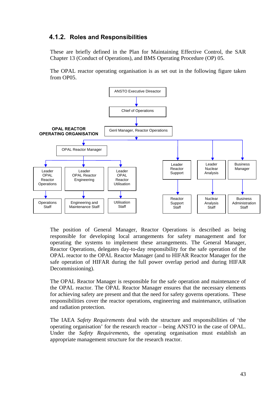### **4.1.2. Roles and Responsibilities**

These are briefly defined in the Plan for Maintaining Effective Control, the SAR Chapter 13 (Conduct of Operations), and BMS Operating Procedure (OP) 05.

The OPAL reactor operating organisation is as set out in the following figure taken from OP05.



The position of General Manager, Reactor Operations is described as being responsible for developing local arrangements for safety management and for operating the systems to implement these arrangements. The General Manager, Reactor Operations, delegates day-to-day responsibility for the safe operation of the OPAL reactor to the OPAL Reactor Manager (and to HIFAR Reactor Manager for the safe operation of HIFAR during the full power overlap period and during HIFAR Decommissioning).

The OPAL Reactor Manager is responsible for the safe operation and maintenance of the OPAL reactor. The OPAL Reactor Manager ensures that the necessary elements for achieving safety are present and that the need for safety governs operations. These responsibilities cover the reactor operations, engineering and maintenance, utilisation and radiation protection.

The IAEA *Safety Requirements* deal with the structure and responsibilities of 'the operating organisation' for the research reactor – being ANSTO in the case of OPAL. Under the *Safety Requirements,* the operating organisation must establish an appropriate management structure for the research reactor.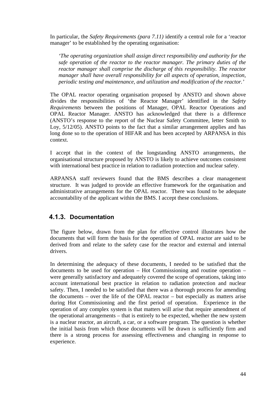In particular, the *Safety Requirements (para 7.11)* identify a central role for a 'reactor manager' to be established by the operating organisation:

*'The operating organization shall assign direct responsibility and authority for the safe operation of the reactor to the reactor manager. The primary duties of the reactor manager shall comprise the discharge of this responsibility. The reactor manager shall have overall responsibility for all aspects of operation, inspection, periodic testing and maintenance, and utilization and modification of the reactor.'* 

The OPAL reactor operating organisation proposed by ANSTO and shown above divides the responsibilities of 'the Reactor Manager' identified in the *Safety Requirements* between the positions of Manager, OPAL Reactor Operations and OPAL Reactor Manager. ANSTO has acknowledged that there is a difference (ANSTO's response to the report of the Nuclear Safety Committee, letter Smith to Loy, 5/12/05). ANSTO points to the fact that a similar arrangement applies and has long done so to the operation of HIFAR and has been accepted by ARPANSA in this context.

I accept that in the context of the longstanding ANSTO arrangements, the organisational structure proposed by ANSTO is likely to achieve outcomes consistent with international best practice in relation to radiation protection and nuclear safety.

ARPANSA staff reviewers found that the BMS describes a clear management structure. It was judged to provide an effective framework for the organisation and administrative arrangements for the OPAL reactor. There was found to be adequate accountability of the applicant within the BMS. I accept these conclusions.

### **4.1.3. Documentation**

The figure below, drawn from the plan for effective control illustrates how the documents that will form the basis for the operation of OPAL reactor are said to be derived from and relate to the safety case for the reactor and external and internal drivers.

In determining the adequacy of these documents, I needed to be satisfied that the documents to be used for operation – Hot Commissioning and routine operation – were generally satisfactory and adequately covered the scope of operations, taking into account international best practice in relation to radiation protection and nuclear safety. Then, I needed to be satisfied that there was a thorough process for amending the documents – over the life of the OPAL reactor – but especially as matters arise during Hot Commissioning and the first period of operation. Experience in the operation of any complex system is that matters will arise that require amendment of the operational arrangements – that is entirely to be expected, whether the new system is a nuclear reactor, an aircraft, a car, or a software program. The question is whether the initial basis from which those documents will be drawn is sufficiently firm and there is a strong process for assessing effectiveness and changing in response to experience.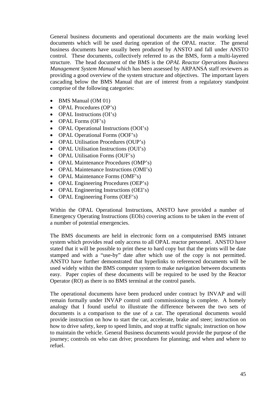General business documents and operational documents are the main working level documents which will be used during operation of the OPAL reactor. The general business documents have usually been produced by ANSTO and fall under ANSTO control. These documents, collectively referred to as the BMS, form a multi-layered structure. The head document of the BMS is the *OPAL Reactor Operations Business Management System Manual* which has been assessed by ARPANSA staff reviewers as providing a good overview of the system structure and objectives. The important layers cascading below the BMS Manual that are of interest from a regulatory standpoint comprise of the following categories:

- BMS Manual (OM 01)
- OPAL Procedures (OP's)
- OPAL Instructions (OI's)
- OPAL Forms (OF's)
- OPAL Operational Instructions (OOI's)
- OPAL Operational Forms (OOF's)
- OPAL Utilisation Procedures (OUP's)
- OPAL Utilisation Instructions (OUI's)
- OPAL Utilisation Forms (OUF's)
- OPAL Maintenance Procedures (OMP's)
- OPAL Maintenance Instructions (OMI's)
- OPAL Maintenance Forms (OMF's)
- OPAL Engineering Procedures (OEP's)
- OPAL Engineering Instructions (OEI's)
- OPAL Engineering Forms (OEF's)

Within the OPAL Operational Instructions, ANSTO have provided a number of Emergency Operating Instructions (EOIs) covering actions to be taken in the event of a number of potential emergencies.

The BMS documents are held in electronic form on a computerised BMS intranet system which provides read only access to all OPAL reactor personnel. ANSTO have stated that it will be possible to print these to hard copy but that the prints will be date stamped and with a "use-by" date after which use of the copy is not permitted. ANSTO have further demonstrated that hyperlinks to referenced documents will be used widely within the BMS computer system to make navigation between documents easy. Paper copies of these documents will be required to be used by the Reactor Operator (RO) as there is no BMS terminal at the control panels.

The operational documents have been produced under contract by INVAP and will remain formally under INVAP control until commissioning is complete. A homely analogy that I found useful to illustrate the difference between the two sets of documents is a comparison to the use of a car. The operational documents would provide instruction on how to start the car, accelerate, brake and steer; instruction on how to drive safety, keep to speed limits, and stop at traffic signals; instruction on how to maintain the vehicle. General Business documents would provide the purpose of the journey; controls on who can drive; procedures for planning; and when and where to refuel.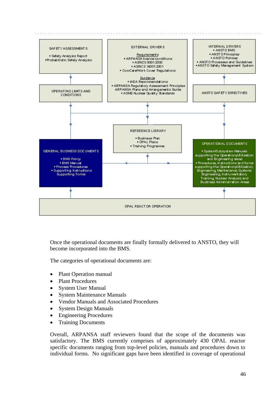

Once the operational documents are finally formally delivered to ANSTO, they will become incorporated into the BMS.

The categories of operational documents are:

- Plant Operation manual
- Plant Procedures
- System User Manual
- System Maintenance Manuals
- Vendor Manuals and Associated Procedures
- System Design Manuals
- Engineering Procedures
- Training Documents

Overall, ARPANSA staff reviewers found that the scope of the documents was satisfactory. The BMS currently comprises of approximately 430 OPAL reactor specific documents ranging from top-level policies, manuals and procedures down to individual forms. No significant gaps have been identified in coverage of operational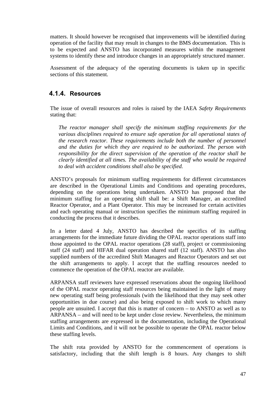matters. It should however be recognised that improvements will be identified during operation of the facility that may result in changes to the BMS documentation. This is to be expected and ANSTO has incorporated measures within the management systems to identify these and introduce changes in an appropriately structured manner.

Assessment of the adequacy of the operating documents is taken up in specific sections of this statement.

### **4.1.4. Resources**

The issue of overall resources and roles is raised by the IAEA *Safety Requirements*  stating that:

*The reactor manager shall specify the minimum staffing requirements for the various disciplines required to ensure safe operation for all operational states of the research reactor. These requirements include both the number of personnel and the duties for which they are required to be authorized. The person with responsibility for the direct supervision of the operation of the reactor shall be clearly identified at all times. The availability of the staff who would be required to deal with accident conditions shall also be specified.* 

ANSTO's proposals for minimum staffing requirements for different circumstances are described in the Operational Limits and Conditions and operating procedures, depending on the operations being undertaken. ANSTO has proposed that the minimum staffing for an operating shift shall be: a Shift Manager, an accredited Reactor Operator, and a Plant Operator. This may be increased for certain activities and each operating manual or instruction specifies the minimum staffing required in conducting the process that it describes.

In a letter dated 4 July, ANSTO has described the specifics of its staffing arrangements for the immediate future dividing the OPAL reactor operations staff into those appointed to the OPAL reactor operations (28 staff), project or commissioning staff (24 staff) and HIFAR dual operation shared staff (12 staff). ANSTO has also supplied numbers of the accredited Shift Managers and Reactor Operators and set out the shift arrangements to apply. I accept that the staffing resources needed to commence the operation of the OPAL reactor are available.

ARPANSA staff reviewers have expressed reservations about the ongoing likelihood of the OPAL reactor operating staff resources being maintained in the light of many new operating staff being professionals (with the likelihood that they may seek other opportunities in due course) and also being exposed to shift work to which many people are unsuited. I accept that this is matter of concern – to ANSTO as well as to ARPANSA – and will need to be kept under close review. Nevertheless, the minimum staffing arrangements are expressed in the documentation, including the Operational Limits and Conditions, and it will not be possible to operate the OPAL reactor below these staffing levels.

The shift rota provided by ANSTO for the commencement of operations is satisfactory, including that the shift length is 8 hours. Any changes to shift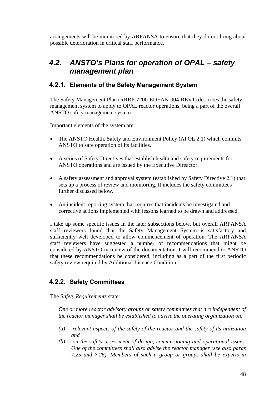arrangements will be monitored by ARPANSA to ensure that they do not bring about possible deterioration in critical staff performance.

## *4.2. ANSTO's Plans for operation of OPAL – safety management plan*

### **4.2.1. Elements of the Safety Management System**

The Safety Management Plan (RRRP-7200-EDEAN-004-REV1) describes the safety management system to apply to OPAL reactor operations, being a part of the overall ANSTO safety management system.

Important elements of the system are:

- The ANSTO Health, Safety and Environment Policy (APOL 2.1) which commits ANSTO to safe operation of its facilities.
- A series of Safety Directives that establish health and safety requirements for ANSTO operations and are issued by the Executive Direactor.
- A safety assessment and approval system (established by Safety Directive 2.1) that sets up a process of review and monitoring. It includes the safety committees further discussed below.
- An incident reporting system that requires that incidents be investigated and corrective actions implemented with lessons learned to be drawn and addressed.

I take up some specific issues in the later subsections below, but overall ARPANSA staff reviewers found that the Safety Management System is satisfactory and sufficiently well developed to allow commencement of operation. The ARPANSA staff reviewers have suggested a number of recommendations that might be considered by ANSTO in review of the documentation. I will recommend to ANSTO that these recommendations be considered, including as a part of the first periodic safety review required by Additional Licence Condition 1.

### **4.2.2. Safety Committees**

The S*afety Requirements* state:

*One or more reactor advisory groups or safety committees that are independent of the reactor manager shall be established to advise the operating organization on:* 

- *(a) relevant aspects of the safety of the reactor and the safety of its utilization and*
- *(b) on the safety assessment of design, commissioning and operational issues. One of the committees shall also advise the reactor manager (see also paras 7.25 and 7.26). Members of such a group or groups shall be experts in*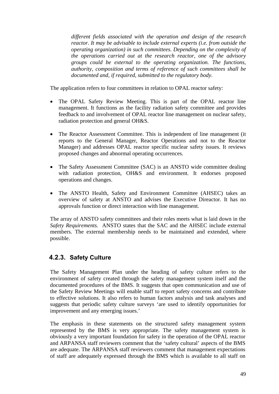*different fields associated with the operation and design of the research reactor. It may be advisable to include external experts (i.e. from outside the operating organization) in such committees. Depending on the complexity of the operations carried out at the research reactor, one of the advisory groups could be external to the operating organization. The functions, authority, composition and terms of reference of such committees shall be documented and, if required, submitted to the regulatory body.* 

The application refers to four committees in relation to OPAL reactor safety:

- The OPAL Safety Review Meeting. This is part of the OPAL reactor line management. It functions as the facility radiation safety committee and provides feedback to and involvement of OPAL reactor line management on nuclear safety, radiation protection and general OH&S.
- The Reactor Assessment Committee. This is independent of line management (it reports to the General Manager, Reactor Operations and not to the Reactor Manager) and addresses OPAL reactor specific nuclear safety issues. It reviews proposed changes and abnormal operating occurrences.
- The Safety Assessment Committee (SAC) is an ANSTO wide committee dealing with radiation protection, OH&S and environment. It endorses proposed operations and changes.
- The ANSTO Health, Safety and Environment Committee (AHSEC) takes an overview of safety at ANSTO and advises the Executive Direactor. It has no approvals function or direct interaction with line management.

The array of ANSTO safety committees and their roles meets what is laid down in the *Safety Requirements.* ANSTO states that the SAC and the AHSEC include external members. The external membership needs to be maintained and extended, where possible.

### **4.2.3. Safety Culture**

The Safety Management Plan under the heading of safety culture refers to the environment of safety created through the safety management system itself and the documented procedures of the BMS. It suggests that open communication and use of the Safety Review Meetings will enable staff to report safety concerns and contribute to effective solutions. It also refers to human factors analysis and task analyses and suggests that periodic safety culture surveys 'are used to identify opportunities for improvement and any emerging issues.'

The emphasis in these statements on the structured safety management system represented by the BMS is very appropriate. The safety management system is obviously a very important foundation for safety in the operation of the OPAL reactor and ARPANSA staff reviewers comment that the 'safety cultural' aspects of the BMS are adequate. The ARPANSA staff reviewers comment that management expectations of staff are adequately expressed through the BMS which is available to all staff on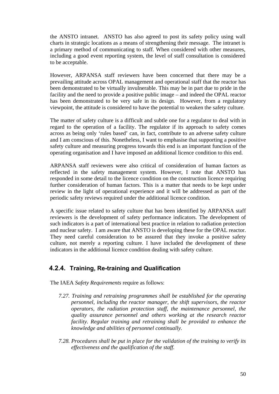the ANSTO intranet. ANSTO has also agreed to post its safety policy using wall charts in strategic locations as a means of strengthening their message. The intranet is a primary method of communicating to staff. When considered with other measures, including a good event reporting system, the level of staff consultation is considered to be acceptable.

However, ARPANSA staff reviewers have been concerned that there may be a prevailing attitude across OPAL management and operational staff that the reactor has been demonstrated to be virtually invulnerable. This may be in part due to pride in the facility and the need to provide a positive public image – and indeed the OPAL reactor has been demonstrated to be very safe in its design. However, from a regulatory viewpoint, the attitude is considered to have the potential to weaken the safety culture.

The matter of safety culture is a difficult and subtle one for a regulator to deal with in regard to the operation of a facility. The regulator if its approach to safety comes across as being only 'rules based' can, in fact, contribute to an adverse safety culture and I am conscious of this. Nonetheless, I want to emphasise that supporting a positive safety culture and measuring progress towards this end is an important function of the operating organisation and I have imposed an additional licence condition to this end.

ARPANSA staff reviewers were also critical of consideration of human factors as reflected in the safety management system. However, I note that ANSTO has responded in some detail to the licence condition on the construction licence requiring further consideration of human factors. This is a matter that needs to be kept under review in the light of operational experience and it will be addressed as part of the periodic safety reviews required under the additional licence condition.

A specific issue related to safety culture that has been identified by ARPANSA staff reviewers is the development of safety performance indicators. The development of such indicators is a part of international best practice in relation to radiation protection and nuclear safety. I am aware that ANSTO is developing these for the OPAL reactor. They need careful consideration to be assured that they invoke a positive safety culture, not merely a reporting culture. I have included the development of these indicators in the additional licence condition dealing with safety culture.

### **4.2.4. Training, Re-training and Qualification**

The IAEA *Safety Requirements* require as follows:

- *7.27. Training and retraining programmes shall be established for the operating personnel, including the reactor manager, the shift supervisors, the reactor*  <sup>1</sup> *operators, the radiation protection staff, the maintenance personnel, the quality assurance personnel and others working at the research reactor facility. Regular training and retraining shall be provided to enhance the knowledge and abilities of personnel continually.*
- *7.28. Procedures shall be put in place for the validation of the training to verify its effectiveness and the qualification of the staff.*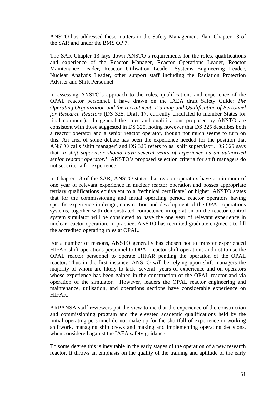ANSTO has addressed these matters in the Safety Management Plan, Chapter 13 of the SAR and under the BMS OP 7.

The SAR Chapter 13 lays down ANSTO's requirements for the roles, qualifications and experience of the Reactor Manager, Reactor Operations Leader, Reactor Maintenance Leader, Reactor Utilisation Leader, Systems Engineering Leader, Nuclear Analysis Leader, other support staff including the Radiation Protection Adviser and Shift Personnel.

In assessing ANSTO's approach to the roles, qualifications and experience of the OPAL reactor personnel, I have drawn on the IAEA draft Safety Guide: *The Operating Organization and the recruitment, Training and Qualification of Personnel for Research Reactors* (DS 325, Draft 17, currently circulated to member States for final comment). In general the roles and qualifications proposed by ANSTO are consistent with those suggested in DS 325, noting however that DS 325 describes both a reactor operator and a senior reactor operator, though not much seems to turn on this. An area of some debate has been the experience needed for the position that ANSTO calls 'shift manager' and DS 325 refers to as 'shift supervisor'. DS 325 says that '*a shift supervisor should have several years of experience as an authorized senior reactor operator.'* ANSTO's proposed selection criteria for shift managers do not set criteria for experience.

In Chapter 13 of the SAR, ANSTO states that reactor operators have a minimum of one year of relevant experience in nuclear reactor operation and posses appropriate tertiary qualifications equivalent to a 'technical certificate' or higher. ANSTO states that for the commissioning and initial operating period, reactor operators having specific experience in design, construction and development of the OPAL operations systems, together with demonstrated competence in operation on the reactor control system simulator will be considered to have the one year of relevant experience in nuclear reactor operation. In practice, ANSTO has recruited graduate engineers to fill the accredited operating roles at OPAL.

For a number of reasons, ANSTO generally has chosen not to transfer experienced HIFAR shift operations personnel to OPAL reactor shift operations and not to use the OPAL reactor personnel to operate HIFAR pending the operation of the OPAL reactor. Thus in the first instance, ANSTO will be relying upon shift managers the majority of whom are likely to lack 'several' years of experience and on operators whose experience has been gained in the construction of the OPAL reactor and via operation of the simulator. However, leaders the OPAL reactor engineering and maintenance, utilisation, and operations sections have considerable experience on HIFAR.

ARPANSA staff reviewers put the view to me that the experience of the construction and commissioning program and the elevated academic qualifications held by the initial operating personnel do not make up for the shortfall of experience in working shiftwork, managing shift crews and making and implementing operating decisions, when considered against the IAEA safety guidance.

To some degree this is inevitable in the early stages of the operation of a new research reactor. It throws an emphasis on the quality of the training and aptitude of the early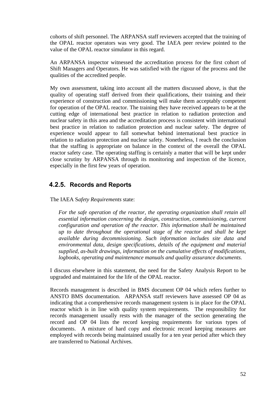cohorts of shift personnel. The ARPANSA staff reviewers accepted that the training of the OPAL reactor operators was very good. The IAEA peer review pointed to the value of the OPAL reactor simulator in this regard.

An ARPANSA inspector witnessed the accreditation process for the first cohort of Shift Managers and Operators. He was satisfied with the rigour of the process and the qualities of the accredited people.

My own assessment, taking into account all the matters discussed above, is that the quality of operating staff derived from their qualifications, their training and their experience of construction and commissioning will make them acceptably competent for operation of the OPAL reactor. The training they have received appears to be at the cutting edge of international best practice in relation to radiation protection and nuclear safety in this area and the accreditation process is consistent with international best practice in relation to radiation protection and nuclear safety. The degree of experience would appear to fall somewhat behind international best practice in relation to radiation protection and nuclear safety. Nonetheless, I reach the conclusion that the staffing is appropriate on balance in the context of the overall the OPAL reactor safety case. The operating staffing is certainly a matter that will be kept under close scrutiny by ARPANSA through its monitoring and inspection of the licence, especially in the first few years of operation.

#### **4.2.5. Records and Reports**

The IAEA S*afety Requirements* state:

For the safe operation of the reactor, the operating organization shall retain all *essential information concerning the design, construction, commissioning, current configuration and operation of the reactor. This information shall be maintained up to date throughout the operational stage of the reactor and shall be kept available during decommissioning. Such information includes site data and environmental data, design specifications, details of the equipment and material supplied, as-built drawings, information on the cumulative effects of modifications, logbooks, operating and maintenance manuals and quality assurance documents.* 

I discuss elsewhere in this statement, the need for the Safety Analysis Report to be upgraded and maintained for the life of the OPAL reactor.

Records management is described in BMS document OP 04 which refers further to ANSTO BMS documentation. ARPANSA staff reviewers have assessed OP 04 as indicating that a comprehensive records management system is in place for the OPAL reactor which is in line with quality system requirements. The responsibility for records management usually rests with the manager of the section generating the record and OP 04 lists the record keeping requirements for various types of documents. A mixture of hard copy and electronic record keeping measures are employed with records being maintained usually for a ten year period after which they are transferred to National Archives.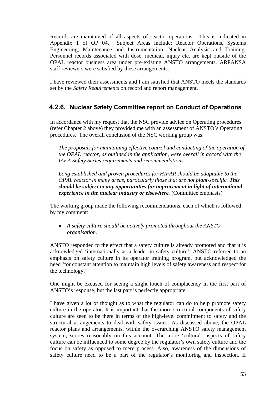Records are maintained of all aspects of reactor operations. This is indicated in Appendix 1 of OP 04. Subject Areas include; Reactor Operations, Systems Engineering, Maintenance and Instrumentation, Nuclear Analysis and Training. Personnel records associated with dose, medical, injury etc. are kept outside of the OPAL reactor business area under pre-existing ANSTO arrangements. ARPANSA staff reviewers were satisfied by these arrangements.

I have reviewed their assessments and I am satisfied that ANSTO meets the standards set by the *Safety Requirements* on record and report management.

### **4.2.6. Nuclear Safety Committee report on Conduct of Operations**

In accordance with my request that the NSC provide advice on Operating procedures (refer Chapter 2 above) they provided me with an assessment of ANSTO's Operating procedures. The overall conclusion of the NSC working group was:

*The proposals for maintaining effective control and conducting of the operation of the OPAL reactor, as outlined in the application, were overall in accord with the IAEA Safety Series requirements and recommendations.*

*Long established and proven procedures for HIFAR should be adaptable to the OPAL reactor in many areas, particularly those that are not plant-specific. This should be subject to any opportunities for improvement in light of international experience in the nuclear industry or elsewhere.* (Committee emphasis)

The working group made the following recommendations, each of which is followed by my comment:

• *A safety culture should be actively promoted throughout the ANSTO organisation.* 

ANSTO responded to the effect that a safety culture is already promoted and that it is acknowledged 'internationally as a leader in safety culture'. ANSTO referred to an emphasis on safety culture in its operator training program, but acknowledged the need 'for constant attention to maintain high levels of safety awareness and respect for the technology.'

One might be excused for seeing a slight touch of complacency in the first part of ANSTO's response, but the last part is perfectly appropriate.

I have given a lot of thought as to what the regulator can do to help promote safety culture in the operator. It is important that the more structural components of safety culture are seen to be there in terms of the high-level commitment to safety and the structural arrangements to deal with safety issues. As discussed above, the OPAL reactor plans and arrangements, within the overarching ANSTO safety management system, scores reasonably on this account. The more 'cultural' aspects of safety culture can be influenced to some degree by the regulator's own safety culture and the focus on safety as opposed to mere process. Also, awareness of the dimensions of safety culture need to be a part of the regulator's monitoring and inspection. If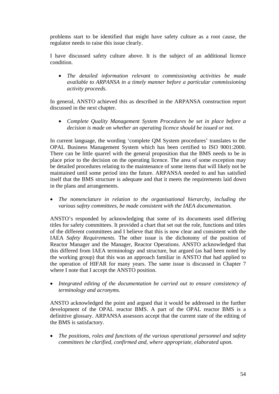problems start to be identified that might have safety culture as a root cause, the regulator needs to raise this issue clearly.

I have discussed safety culture above. It is the subject of an additional licence condition.

• *The detailed information relevant to commissioning activities be made available to ARPANSA in a timely manner before a particular commissioning activity proceeds.*

In general, ANSTO achieved this as described in the ARPANSA construction report discussed in the next chapter.

• *Complete Quality Management System Procedures be set in place before a decision is made on whether an operating licence should be issued or not.*

In current language, the wording 'complete QM System procedures' translates to the OPAL Business Management System which has been certified to ISO 9001:2000. There can be little quarrel with the general proposition that the BMS needs to be in place prior to the decision on the operating licence. The area of some exception may be detailed procedures relating to the maintenance of some items that will likely not be maintained until some period into the future. ARPANSA needed to and has satisfied itself that the BMS structure is adequate and that it meets the requirements laid down in the plans and arrangements.

• *The nomenclature in relation to the organisational hierarchy, including the various safety committees, be made consistent with the IAEA documentation.* 

ANSTO's responded by acknowledging that some of its documents used differing titles for safety committees. It provided a chart that set out the role, functions and titles of the different committees and I believe that this is now clear and consistent with the IAEA *Safety Requirements*. The other issue is the dichotomy of the position of Reactor Manager and the Manager, Reactor Operations. ANSTO acknowledged that this differed from IAEA terminology and structure, but argued (as had been noted by the working group) that this was an approach familiar in ANSTO that had applied to the operation of HIFAR for many years. The same issue is discussed in Chapter 7 where I note that I accept the ANSTO position.

• Integrated editing of the documentation be carried out to ensure consistency of *terminology and acronyms.*

ANSTO acknowledged the point and argued that it would be addressed in the further development of the OPAL reactor BMS. A part of the OPAL reactor BMS is a definitive glossary. ARPANSA assessors accept that the current state of the editing of the BMS is satisfactory.

• *The positions, roles and functions of the various operational personnel and safety committees be clarified, confirmed and, where appropriate, elaborated upon.*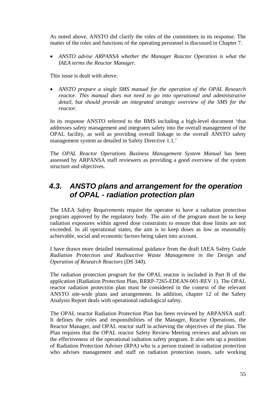As noted above, ANSTO did clarify the roles of the committees in its response. The matter of the roles and functions of the operating personnel is discussed in Chapter 7.

• *ANSTO advise ARPANSA whether the Manager Reactor Operation is what the IAEA terms the Reactor Manager.*

This issue is dealt with above.

• *ANSTO prepare a single SMS manual for the operation of the OPAL Research reactor. This manual does not need to go into operational and administrative detail, but should provide an integrated strategic overview of the SMS for the reactor.*

In its response ANSTO referred to the BMS including a high-level document 'that addresses safety management and integrates safety into the overall management of the OPAL facility, as well as providing overall linkage to the overall ANSTO safety management system as detailed in Safety Directive 1.1.'

The *OPAL Reactor Operations Business Management System Manual* has been assessed by ARPANSA staff reviewers as providing a good overview of the system structure and objectives.

## *4.3. ANSTO plans and arrangement for the operation of OPAL - radiation protection plan*

The IAEA *Safety Requirements* require the operator to have a radiation protection program approved by the regulatory body. The aim of the program must be to keep radiation exposures within agreed dose constraints to ensure that dose limits are not exceeded. In all operational states, the aim is to keep doses as low as reasonably achievable, social and economic factors being taken into account.

I have drawn more detailed international guidance from the draft IAEA Safety Guide *Radiation Protection and Radioactive Waste Management in the Design and Operation of Research Reactors* (DS 340)*.*

The radiation protection program for the OPAL reactor is included in Part B of the application (Radiation Protection Plan, RRRP-7265-EDEAN-001-REV 1). The OPAL reactor radiation protection plan must be considered in the context of the relevant ANSTO site-wide plans and arrangements. In addition, chapter 12 of the Safety Analysis Report deals with operational radiological safety.

The OPAL reactor Radiation Protection Plan has been reviewed by ARPANSA staff. It defines the roles and responsibilities of the Manager, Reactor Operations, the Reactor Manager, and OPAL reactor staff in achieving the objectives of the plan. The Plan requires that the OPAL reactor Safety Review Meeting reviews and advises on the effectiveness of the operational radiation safety program. It also sets up a position of Radiation Protection Adviser (RPA) who is a person trained in radiation protection who advises management and staff on radiation protection issues, safe working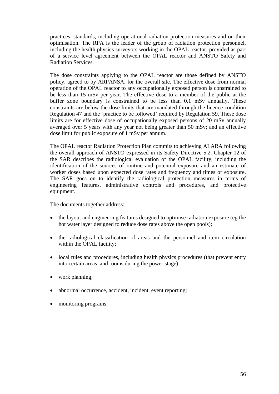practices, standards, including operational radiation protection measures and on their optimisation. The RPA is the leader of the group of radiation protection personnel, including the health physics surveyors working in the OPAL reactor, provided as part of a service level agreement between the OPAL reactor and ANSTO Safety and Radiation Services.

The dose constraints applying to the OPAL reactor are those defined by ANSTO policy, agreed to by ARPANSA, for the overall site. The effective dose from normal operation of the OPAL reactor to any occupationally exposed person is constrained to be less than 15 mSv per year. The effective dose to a member of the public at the buffer zone boundary is constrained to be less than 0.1 mSv annually. These constraints are below the dose limits that are mandated through the licence condition Regulation 47 and the 'practice to be followed' required by Regulation 59. These dose limits are for effective dose of occupationally exposed persons of 20 mSv annually averaged over 5 years with any year not being greater than 50 mSv; and an effective dose limit for public exposure of 1 mSv per annum.

The OPAL reactor Radiation Protection Plan commits to achieving ALARA following the overall approach of ANSTO expressed in its Safety Directive 5.2. Chapter 12 of the SAR describes the radiological evaluation of the OPAL facility, including the identification of the sources of routine and potential exposure and an estimate of worker doses based upon expected dose rates and frequency and times of exposure. The SAR goes on to identify the radiological protection measures in terms of engineering features, administrative controls and procedures, and protective equipment.

The documents together address:

- the layout and engineering features designed to optimise radiation exposure (eg the hot water layer designed to reduce dose rates above the open pools);
- the radiological classification of areas and the personnel and item circulation within the OPAL facility;
- local rules and procedures, including health physics procedures (that prevent entry into certain areas and rooms during the power stage);
- work planning;
- abnormal occurrence, accident, incident, event reporting;
- monitoring programs;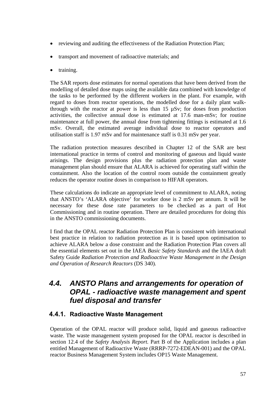- reviewing and auditing the effectiveness of the Radiation Protection Plan;
- transport and movement of radioactive materials; and
- training.

The SAR reports dose estimates for normal operations that have been derived from the modelling of detailed dose maps using the available data combined with knowledge of the tasks to be performed by the different workers in the plant. For example, with regard to doses from reactor operations, the modelled dose for a daily plant walkthrough with the reactor at power is less than  $15 \mu Sv$ ; for doses from production activities, the collective annual dose is estimated at 17.6 man-mSv; for routine maintenance at full power, the annual dose from tightening fittings is estimated at 1.6 mSv. Overall, the estimated average individual dose to reactor operators and utilisation staff is 1.97 mSv and for maintenance staff is 0.31 mSv per year.

The radiation protection measures described in Chapter 12 of the SAR are best international practice in terms of control and monitoring of gaseous and liquid waste arisings. The design provisions plus the radiation protection plan and waste management plan should ensure that ALARA is achieved for operating staff within the containment. Also the location of the control room outside the containment greatly reduces the operator routine doses in comparison to HIFAR operators.

These calculations do indicate an appropriate level of commitment to ALARA, noting that ANSTO's 'ALARA objective' for worker dose is 2 mSv per annum. It will be necessary for these dose rate parameters to be checked as a part of Hot Commissioning and in routine operation. There are detailed procedures for doing this in the ANSTO commissioning documents.

I find that the OPAL reactor Radiation Protection Plan is consistent with international best practice in relation to radiation protection as it is based upon optimisation to achieve ALARA below a dose constraint and the Radiation Protection Plan covers all the essential elements set out in the IAEA *Basic Safety Standards* and the IAEA draft Safety Guide *Radiation Protection and Radioactive Waste Management in the Design and Operation of Research Reactors* (DS 340)*.* 

## *4.4. ANSTO Plans and arrangements for operation of OPAL - radioactive waste management and spent fuel disposal and transfer*

### **4.4.1. Radioactive Waste Management**

Operation of the OPAL reactor will produce solid, liquid and gaseous radioactive waste. The waste management system proposed for the OPAL reactor is described in section 12.4 of the *Safety Analysis Report.* Part B of the Application includes a plan entitled Management of Radioactive Waste (RRRP-7272-EDEAN-001) and the OPAL reactor Business Management System includes OP15 Waste Management.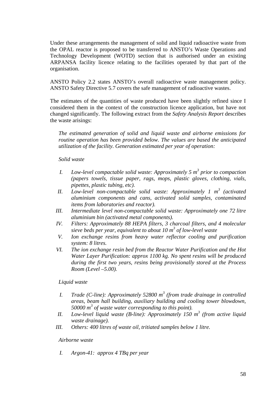Under these arrangements the management of solid and liquid radioactive waste from the OPAL reactor is proposed to be transferred to ANSTO's Waste Operations and Technology Development (WOTD) section that is authorised under an existing ARPANSA facility licence relating to the facilities operated by that part of the organisation.

ANSTO Policy 2.2 states ANSTO's overall radioactive waste management policy. ANSTO Safety Directive 5.7 covers the safe management of radioactive wastes.

The estimates of the quantities of waste produced have been slightly refined since I considered them in the context of the construction licence application, but have not changed significantly. The following extract from the *Safety Analysis Report* describes the waste arisings:

*The estimated generation of solid and liquid waste and airborne emissions for routine operation has been provided below. The values are based the anticipated utilization of the facility. Generation estimated per year of operation:* 

#### *Solid waste*

- *I.* Low-level compactable solid waste: Approximately 5 m<sup>3</sup> prior to compaction *(papers towels, tissue paper, rags, mops, plastic gloves, clothing, vials, pipettes, plastic tubing, etc).*
- II. Low-level non-compactable solid waste: Approximately 1 m<sup>3</sup> (activated *aluminium components and cans, activated solid samples, contaminated items from laboratories and reactor).*
- *III. Intermediate level non-compactable solid waste: Approximately one 72 litre aluminium bin (activated metal components).*
- *IV. Filters: Approximately 88 HEPA filters, 3 charcoal filters, and 4 molecular sieve beds per year, equivalent to about 10 m<sup>3</sup> of low-level waste*
- *V. Ion exchange resins from heavy water reflector cooling and purification system: 8 litres.*
- *VI. The ion exchange resin bed from the Reactor Water Purification and the Hot Water Layer Purification: approx 1100 kg. No spent resins will be produced during the first two years, resins being provisionally stored at the Process Room (Level –5.00).*

#### *Liquid waste*

- *I. Trade* (C-line): Approximately 52800 m<sup>3</sup> (from trade drainage in controlled *areas, beam hall building, auxiliary building and cooling tower blowdown, 50000 m3 of waste water corresponding to this point).*
- *II.* Low-level liquid waste (B-line): Approximately 150 m<sup>3</sup> (from active liquid *waste drainage).*
- *III. Others: 400 litres of waste oil, tritiated samples below 1 litre.*

#### *Airborne waste*

*I. Argon-41: approx 4 TBq per year*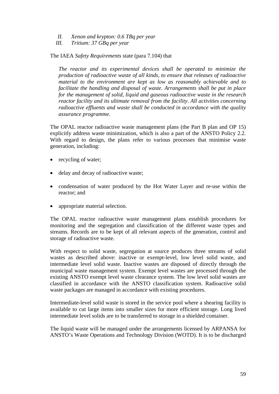- *II. Xenon and krypton: 0.6 TBq per year*
- *III. Tritium: 37 GBq per year*

The IAEA *Safety Requirements* state (para 7.104) that

*The reactor and its experimental devices shall be operated to minimize the production of radioactive waste of all kinds, to ensure that releases of radioactive material to the environment are kept as low as reasonably achievable and to facilitate the handling and disposal of waste. Arrangements shall be put in place for the management of solid, liquid and gaseous radioactive waste in the research reactor facility and its ultimate removal from the facility. All activities concerning radioactive effluents and waste shall be conducted in accordance with the quality assurance programme.* 

The OPAL reactor radioactive waste management plans (the Part B plan and OP 15) explicitly address waste minimization, which is also a part of the ANSTO Policy 2.2. With regard to design, the plans refer to various processes that minimise waste generation, including:

- recycling of water;
- delay and decay of radioactive waste;
- condensation of water produced by the Hot Water Layer and re-use within the reactor; and
- appropriate material selection.

The OPAL reactor radioactive waste management plans establish procedures for monitoring and the segregation and classification of the different waste types and streams. Records are to be kept of all relevant aspects of the generation, control and storage of radioactive waste.

With respect to solid waste, segregation at source produces three streams of solid wastes as described above: inactive or exempt-level, low level solid waste, and intermediate level solid waste. Inactive wastes are disposed of directly through the municipal waste management system. Exempt level wastes are processed through the existing ANSTO exempt level waste clearance system. The low level solid wastes are classified in accordance with the ANSTO classification system. Radioactive solid waste packages are managed in accordance with existing procedures.

Intermediate-level solid waste is stored in the service pool where a shearing facility is available to cut large items into smaller sizes for more efficient storage. Long lived intermediate level solids are to be transferred to storage in a shielded container.

The liquid waste will be managed under the arrangements licensed by ARPANSA for ANSTO's Waste Operations and Technology Division (WOTD). It is to be discharged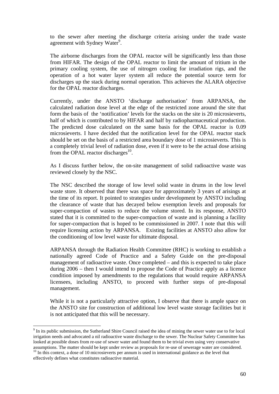to the sewer after meeting the discharge criteria arising under the trade waste agreement with Sydney Water<sup>9</sup>.

The airborne discharges from the OPAL reactor will be significantly less than those from HIFAR. The design of the OPAL reactor to limit the amount of tritium in the primary cooling system, the use of nitrogen cooling for irradiation rigs, and the operation of a hot water layer system all reduce the potential source term for discharges up the stack during normal operation. This achieves the ALARA objective for the OPAL reactor discharges.

Currently, under the ANSTO 'discharge authorisation' from ARPANSA, the calculated radiation dose level at the edge of the restricted zone around the site that form the basis of the 'notification' levels for the stacks on the site is 20 microsieverts, half of which is contributed to by HIFAR and half by radiopharmaceutical production. The predicted dose calculated on the same basis for the OPAL reactor is 0.09 microsieverts. I have decided that the notification level for the OPAL reactor stack should be set on the basis of a restricted area boundary dose of 1 microsieverts. This is a completely trivial level of radiation dose, even if it were to be the actual dose arising from the OPAL reactor discharges $^{10}$ .

As I discuss further below, the on-site management of solid radioactive waste was reviewed closely by the NSC.

The NSC described the storage of low level solid waste in drums in the low level waste store. It observed that there was space for approximately 3 years of arisings at the time of its report. It pointed to strategies under development by ANSTO including the clearance of waste that has decayed below exemption levels and proposals for super-compaction of wastes to reduce the volume stored. In its response, ANSTO stated that it is committed to the super-compaction of waste and is planning a facility for super-compaction that is hoped to be commissioned in 2007. I note that this will require licensing action by ARPANSA. Existing facilities at ANSTO also allow for the conditioning of low level waste for ultimate disposal.

ARPANSA through the Radiation Health Committee (RHC) is working to establish a nationally agreed Code of Practice and a Safety Guide on the pre-disposal management of radioactive waste. Once completed – and this is expected to take place during 2006 – then I would intend to propose the Code of Practice apply as a licence condition imposed by amendments to the regulations that would require ARPANSA licensees, including ANSTO, to proceed with further steps of pre-disposal management.

While it is not a particularly attractive option, I observe that there is ample space on the ANSTO site for construction of additional low level waste storage facilities but it is not anticipated that this will be necessary.

 $\overline{a}$ 

<sup>&</sup>lt;sup>9</sup> In its public submission, the Sutherland Shire Council raised the idea of mining the sewer water use to for local irrigation needs and advocated a nil radioactive waste discharge to the sewer. The Nuclear Safety Committee has looked at possible doses from re-use of sewer water and found them to be trivial even using very conservative assumptions. The matter should be kept under review as proposals for re-use of sewerage water are considered. <sup>10</sup> In this context, a dose of 10 microsieverts per annum is used in international guidance as the level that

effectively defines what constitutes radioactive material.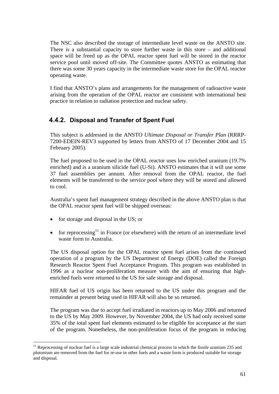The NSC also described the storage of intermediate level waste on the ANSTO site. There is a substantial capacity to store further waste in this store – and additional space will be freed up as the OPAL reactor spent fuel will be stored in the reactor service pool until moved off-site. The Committee quotes ANSTO as estimating that there was some 30 years capacity in the intermediate waste store for the OPAL reactor operating waste.

I find that ANSTO's plans and arrangements for the management of radioactive waste arising from the operation of the OPAL reactor are consistent with international best practice in relation to radiation protection and nuclear safety.

### **4.4.2. Disposal and Transfer of Spent Fuel**

This subject is addressed in the ANSTO *Ultimate Disposal or Transfer Plan* (RRRP-7200-EDEIN-REV3 supported by letters from ANSTO of 17 December 2004 and 15 February 2005).

The fuel proposed to be used in the OPAL reactor uses low enriched uranium (19.7% enriched) and is a uranium silicide fuel (U-Si). ANSTO estimates that it will use some 37 fuel assemblies per annum. After removal from the OPAL reactor, the fuel elements will be transferred to the service pool where they will be stored and allowed to cool.

Australia's spent fuel management strategy described in the above ANSTO plan is that the OPAL reactor spent fuel will be shipped overseas:

• for storage and disposal in the US; or

 $\overline{a}$ 

• for reprocessing<sup>11</sup> in France (or elsewhere) with the return of an intermediate level waste form to Australia.

The US disposal option for the OPAL reactor spent fuel arises from the continued operation of a program by the US Department of Energy (DOE) called the Foreign Research Reactor Spent Fuel Acceptance Program. This program was established in 1996 as a nuclear non-proliferation measure with the aim of ensuring that highenriched fuels were returned to the US for safe storage and disposal.

HIFAR fuel of US origin has been returned to the US under this program and the remainder at present being used in HIFAR will also be so returned.

The program was due to accept fuel irradiated in reactors up to May 2006 and returned to the US by May 2009. However, by November 2004, the US had only received some 35% of the total spent fuel elements estimated to be eligible for acceptance at the start of the program. Nonetheless, the non-proliferation focus of the program in reducing

 $11$  Reprocessing of nuclear fuel is a large scale industrial chemical process in which the fissile uranium 235 and plutonium are removed from the fuel for re-use in other fuels and a waste form is produced suitable for storage and disposal.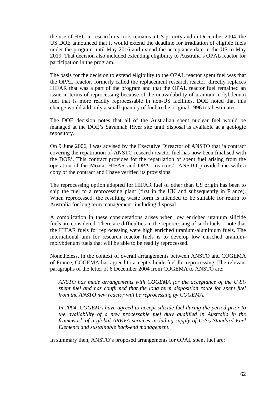the use of HEU in research reactors remains a US priority and in December 2004, the US DOE announced that it would extend the deadline for irradiation of eligible fuels under the program until May 2016 and extend the acceptance date in the US to May 2019. That decision also included extending eligibility to Australia's OPAL reactor for participation in the program.

The basis for the decision to extend eligibility to the OPAL reactor spent fuel was that the OPAL reactor, formerly called the replacement research reactor, directly replaces HIFAR that was a part of the program and that the OPAL reactor fuel remained an issue in terms of reprocessing because of the unavailability of uranium-molybdenum fuel that is more readily reprocessable in non-US facilities. DOE noted that this change would add only a small quantity of fuel to the original 1996 total estimates.

The DOE decision notes that all of the Australian spent nuclear fuel would be managed at the DOE's Savannah River site until disposal is available at a geologic repository.

On 9 June 2006, I was advised by the Executive Direactor of ANSTO that 'a contract covering the repatriation of ANSTO research reactor fuel has now been finalised with the DOE'. This contract provides for the repatriation of spent fuel arising from the operation of the Moata, HIFAR and OPAL reactors'. ANSTO provided me with a copy of the contract and I have verified its provisions.

The reprocessing option adopted for HIFAR fuel of other than US origin has been to ship the fuel to a reprocessing plant (first in the UK and subsequently in France). When reprocessed, the resulting waste form is intended to be suitable for return to Australia for long term management, including disposal.

A complication in these considerations arises when low enriched uranium silicide fuels are considered. There are difficulties in the reprocessing of such fuels – note that the HIFAR fuels for reprocessing were high enriched uranium-aluminium fuels. The international aim for research reactor fuels is to develop low enriched uraniummolybdenum fuels that will be able to be readily reprocessed.

Nonetheless, in the context of overall arrangements between ANSTO and COGEMA of France, COGEMA has agreed to accept silicide fuel for reprocessing. The relevant paragraphs of the letter of 6 December 2004 from COGEMA to ANSTO are:

*ANSTO has made arrangements with COGEMA for the acceptance of the U3Si2 spent fuel and has confirmed that the long term disposition route for spent fuel from the ANSTO new reactor will be reprocessing by COGEMA.* 

*In 2004, COGEMA have agreed to accept silicide fuel during the period prior to the availability of a new processable fuel duly qualified in Australia in the framework of a global AREVA services including supply of U<sub>3</sub>Si<sub>2</sub> Standard Fuel Elements and sustainable back-end management.* 

In summary then, ANSTO's proposed arrangements for OPAL spent fuel are: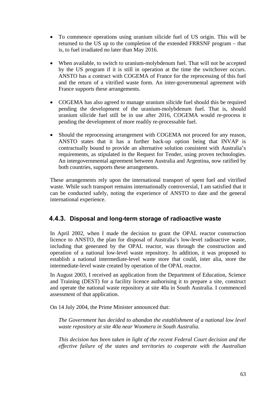- To commence operations using uranium silicide fuel of US origin. This will be returned to the US up to the completion of the extended FRRSNF program – that is, to fuel irradiated no later than May 2016.
- When available, to switch to uranium-molybdenum fuel. That will not be accepted by the US program if it is still in operation at the time the switchover occurs. ANSTO has a contract with COGEMA of France for the reprocessing of this fuel and the return of a vitrified waste form. An inter-governmental agreement with France supports these arrangements.
- COGEMA has also agreed to manage uranium silicide fuel should this be required pending the development of the uranium-molybdenum fuel. That is, should uranium silicide fuel still be in use after 2016, COGEMA would re-process it pending the development of more readily re-processable fuel.
- Should the reprocessing arrangement with COGEMA not proceed for any reason, ANSTO states that it has a further back-up option being that INVAP is contractually bound to provide an alternative solution consistent with Australia's requirements, as stipulated in the Request for Tender, using proven technologies. An intergovernmental agreement between Australia and Argentina, now ratified by both countries, supports these arrangements.

These arrangements rely upon the international transport of spent fuel and vitrified waste. While such transport remains internationally controversial, I am satisfied that it can be conducted safely, noting the experience of ANSTO to date and the general international experience.

### **4.4.3. Disposal and long-term storage of radioactive waste**

In April 2002, when I made the decision to grant the OPAL reactor construction licence to ANSTO, the plan for disposal of Australia's low-level radioactive waste, including that generated by the OPAL reactor, was through the construction and operation of a national low-level waste repository. In addition, it was proposed to establish a national intermediate-level waste store that could, inter alia, store the intermediate-level waste created by operation of the OPAL reactor.

In August 2003, I received an application from the Department of Education, Science and Training (DEST) for a facility licence authorising it to prepare a site, construct and operate the national waste repository at site 40a in South Australia. I commenced assessment of that application.

On 14 July 2004, the Prime Minister announced that:

*The Government has decided to abandon the establishment of a national low level waste repository at site 40a near Woomera in South Australia.* 

*This decision has been taken in light of the recent Federal Court decision and the effective failure of the states and territories to cooperate with the Australian*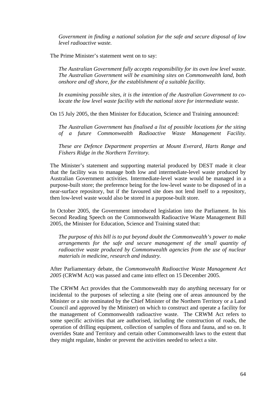*Government in finding a national solution for the safe and secure disposal of low level radioactive waste.* 

The Prime Minister's statement went on to say:

*The Australian Government fully accepts responsibility for its own low level waste. The Australian Government will be examining sites on Commonwealth land, both onshore and off shore, for the establishment of a suitable facility.* 

*In examining possible sites, it is the intention of the Australian Government to colocate the low level waste facility with the national store for intermediate waste.* 

On 15 July 2005, the then Minister for Education, Science and Training announced:

*The Australian Government has finalised a list of possible locations for the siting of a future Commonwealth Radioactive Waste Management Facility.* 

*These are Defence Department properties at Mount Everard, Harts Range and Fishers Ridge in the Northern Territory.* 

The Minister's statement and supporting material produced by DEST made it clear that the facility was to manage both low and intermediate-level waste produced by Australian Government activities. Intermediate-level waste would be managed in a purpose-built store; the preference being for the low-level waste to be disposed of in a near-surface repository, but if the favoured site does not lend itself to a repository, then low-level waste would also be stored in a purpose-built store.

In October 2005, the Government introduced legislation into the Parliament. In his Second Reading Speech on the Commonwealth Radioactive Waste Management Bill 2005, the Minister for Education, Science and Training stated that:

*The purpose of this bill is to put beyond doubt the Commonwealth's power to make arrangements for the safe and secure management of the small quantity of radioactive waste produced by Commonwealth agencies from the use of nuclear materials in medicine, research and industry.* 

After Parliamentary debate, the *Commonwealth Radioactive Waste Management Act 2005* (CRWM Act) was passed and came into effect on 15 December 2005.

The CRWM Act provides that the Commonwealth may do anything necessary for or incidental to the purposes of selecting a site (being one of areas announced by the Minister or a site nominated by the Chief Minister of the Northern Territory or a Land Council and approved by the Minister) on which to construct and operate a facility for the management of Commonwealth radioactive waste. The CRWM Act refers to some specific activities that are authorised, including the construction of roads, the operation of drilling equipment, collection of samples of flora and fauna, and so on. It overrides State and Territory and certain other Commonwealth laws to the extent that they might regulate, hinder or prevent the activities needed to select a site.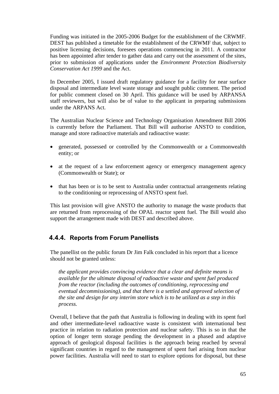Funding was initiated in the 2005-2006 Budget for the establishment of the CRWMF. DEST has published a timetable for the establishment of the CRWMF that, subject to positive licensing decisions, foresees operations commencing in 2011. A contractor has been appointed after tender to gather data and carry out the assessment of the sites, prior to submission of applications under the *Environment Protection Biodiversity Conservation Act 1999* and the Act.

In December 2005, I issued draft regulatory guidance for a facility for near surface disposal and intermediate level waste storage and sought public comment. The period for public comment closed on 30 April. This guidance will be used by ARPANSA staff reviewers, but will also be of value to the applicant in preparing submissions under the ARPANS Act.

The Australian Nuclear Science and Technology Organisation Amendment Bill 2006 is currently before the Parliament. That Bill will authorise ANSTO to condition, manage and store radioactive materials and radioactive waste:

- generated, possessed or controlled by the Commonwealth or a Commonwealth entity; or
- at the request of a law enforcement agency or emergency management agency (Commonwealth or State); or
- that has been or is to be sent to Australia under contractual arrangements relating to the conditioning or reprocessing of ANSTO spent fuel.

This last provision will give ANSTO the authority to manage the waste products that are returned from reprocessing of the OPAL reactor spent fuel. The Bill would also support the arrangement made with DEST and described above.

### **4.4.4. Reports from Forum Panellists**

The panellist on the public forum Dr Jim Falk concluded in his report that a licence should not be granted unless:

*the applicant provides convincing evidence that a clear and definite means is available for the ultimate disposal of radioactive waste and spent fuel produced from the reactor (including the outcomes of conditioning, reprocessing and eventual decommissioning), and that there is a settled and approved selection of the site and design for any interim store which is to be utilized as a step in this process.* 

Overall, I believe that the path that Australia is following in dealing with its spent fuel and other intermediate-level radioactive waste is consistent with international best practice in relation to radiation protection and nuclear safety. This is so in that the option of longer term storage pending the development in a phased and adaptive approach of geological disposal facilities is the approach being reached by several significant countries in regard to the management of spent fuel arising from nuclear power facilities. Australia will need to start to explore options for disposal, but these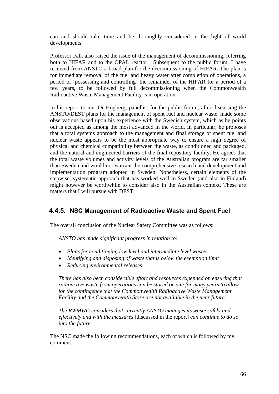can and should take time and be thoroughly considered in the light of world developments.

Professor Falk also raised the issue of the management of decommissioning, referring both to HIFAR and to the OPAL reactor. Subsequent to the public forum, I have received from ANSTO a broad plan for the decommissioning of HIFAR. The plan is for immediate removal of the fuel and heavy water after completion of operations, a period of 'possessing and controlling' the remainder of the HIFAR for a period of a few years, to be followed by full decommissioning when the Commonwealth Radioactive Waste Management Facility is in operation.

In his report to me, Dr Hogberg, panellist for the public forum, after discussing the ANSTO/DEST plans for the management of spent fuel and nuclear waste, made some observations based upon his experience with the Swedish system, which as he points out is accepted as among the most advanced in the world. In particular, he proposes that a total systems approach to the management and final storage of spent fuel and nuclear waste appears to be the most appropriate way to ensure a high degree of physical and chemical compatibility between the waste, as conditioned and packaged, and the natural and engineered barriers of the final repository facility. He agrees that the total waste volumes and activity levels of the Australian program are far smaller than Sweden and would not warrant the comprehensive research and development and implementation program adopted in Sweden. Nonetheless, certain elements of the stepwise, systematic approach that has worked well in Sweden (and also in Finland) might however be worthwhile to consider also in the Australian context. These are matters that I will pursue with DEST.

### **4.4.5. NSC Management of Radioactive Waste and Spent Fuel**

The overall conclusion of the Nuclear Safety Committee was as follows:

*ANSTO has made significant progress in relation to:* 

- *Plans for conditioning low level and intermediate level wastes*
- *Identifying and disposing of waste that is below the exemption limit*
- *Reducing environmental releases.*

*There has also been considerable effort and resources expended on ensuring that radioactive waste from operations can be stored on site for many years to allow for the contingency that the Commonwealth Radioactive Waste Management Facility and the Commonwealth Store are not available in the near future.* 

*The RWMWG considers that currently ANSTO manages its waste safely and effectively and with the measures* [discussed in the report] *can continue to do so into the future.* 

The NSC made the following recommendations, each of which is followed by my comment: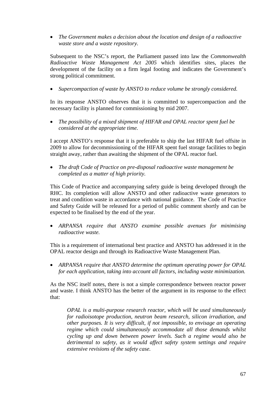• *The Government makes a decision about the location and design of a radioactive waste store and a waste repository.*

Subsequent to the NSC's report, the Parliament passed into law the *Commonwealth Radioactive Waste Management Act 2005* which identifies sites, places the development of the facility on a firm legal footing and indicates the Government's strong political commitment.

• *Supercompaction of waste by ANSTO to reduce volume be strongly considered.*

In its response ANSTO observes that it is committed to supercompaction and the necessary facility is planned for commissioning by mid 2007.

• *The possibility of a mixed shipment of HIFAR and OPAL reactor spent fuel be considered at the appropriate time.*

I accept ANSTO's response that it is preferable to ship the last HIFAR fuel offsite in 2009 to allow for decommissioning of the HIFAR spent fuel storage facilities to begin straight away, rather than awaiting the shipment of the OPAL reactor fuel.

• *The draft Code of Practice on pre-disposal radioactive waste management be completed as a matter of high priority.*

This Code of Practice and accompanying safety guide is being developed through the RHC. Its completion will allow ANSTO and other radioactive waste generators to treat and condition waste in accordance with national guidance. The Code of Practice and Safety Guide will be released for a period of public comment shortly and can be expected to be finalised by the end of the year.

• *ARPANSA require that ANSTO examine possible avenues for minimising radioactive waste.*

This is a requirement of international best practice and ANSTO has addressed it in the OPAL reactor design and through its Radioactive Waste Management Plan.

• *ARPANSA require that ANSTO determine the optimum operating power for OPAL for each application, taking into account all factors, including waste minimization.*

As the NSC itself notes, there is not a simple correspondence between reactor power and waste. I think ANSTO has the better of the argument in its response to the effect that:

*OPAL is a multi-purpose research reactor, which will be used simultaneously for radioisotope production, neutron beam research, silicon irradiation, and other purposes. It is very difficult, if not impossible, to envisage an operating regime which could simultaneously accommodate all those demands whilst cycling up and down between power levels. Such a regime would also be detrimental to safety, as it would affect safety system settings and require extensive revisions of the safety case.*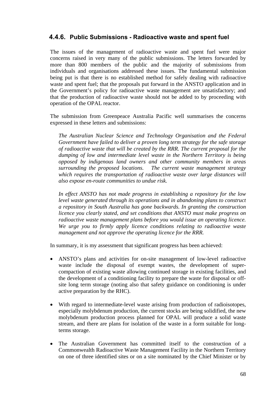#### **4.4.6. Public Submissions - Radioactive waste and spent fuel**

The issues of the management of radioactive waste and spent fuel were major concerns raised in very many of the public submissions. The letters forwarded by more than 800 members of the public and the majority of submissions from individuals and organisations addressed these issues. The fundamental submission being put is that there is no established method for safely dealing with radioactive waste and spent fuel; that the proposals put forward in the ANSTO application and in the Government's policy for radioactive waste management are unsatisfactory; and that the production of radioactive waste should not be added to by proceeding with operation of the OPAL reactor.

The submission from Greenpeace Australia Pacific well summarises the concerns expressed in these letters and submissions:

*The Australian Nuclear Science and Technology Organisation and the Federal Government have failed to deliver a proven long term strategy for the safe storage of radioactive waste that will be created by the RRR. The current proposal for the dumping of low and intermediate level waste in the Northern Territory is being opposed by indigenous land owners and other community members in areas surrounding the proposed locations. The current waste management strategy which requires the transportation of radioactive waste over large distances will also expose en-route communities to undue risk.* 

*In effect ANSTO has not made progress in establishing a repository for the low level waste generated through its operations and in abandoning plans to construct a repository in South Australia has gone backwards. In granting the construction licence you clearly stated, and set conditions that ANSTO must make progress on radioactive waste management plans before you would issue an operating licence. We urge you to firmly apply licence conditions relating to radioactive waste management and not approve the operating licence for the RRR.* 

In summary, it is my assessment that significant progress has been achieved:

- ANSTO's plans and activities for on-site management of low-level radioactive waste include the disposal of exempt wastes, the development of supercompaction of existing waste allowing continued storage in existing facilities, and the development of a conditioning facility to prepare the waste for disposal or offsite long term storage (noting also that safety guidance on conditioning is under active preparation by the RHC).
- With regard to intermediate-level waste arising from production of radioisotopes, especially molybdenum production, the current stocks are being solidified, the new molybdenum production process planned for OPAL will produce a solid waste stream, and there are plans for isolation of the waste in a form suitable for longterms storage.
- The Australian Government has committed itself to the construction of a Commonwealth Radioactive Waste Management Facility in the Northern Territory on one of three identified sites or on a site nominated by the Chief Minister or by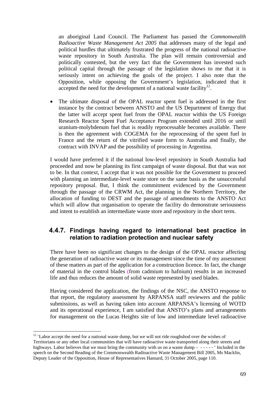an aboriginal Land Council. The Parliament has passed the *Commonwealth Radioactive Waste Management Act 2005* that addresses many of the legal and political hurdles that ultimately frustrated the progress of the national radioactive waste repository in South Australia. The plan will remain controversial and politically contested, but the very fact that the Government has invested such political capital through the passage of the legislation shows to me that it is seriously intent on achieving the goals of the project. I also note that the Opposition, while opposing the Government's legislation, indicated that it accepted the need for the development of a national waste facility<sup>12</sup>.

• The ultimate disposal of the OPAL reactor spent fuel is addressed in the first instance by the contract between ANSTO and the US Department of Energy that the latter will accept spent fuel from the OPAL reactor within the US Foreign Research Reactor Spent Fuel Acceptance Program extended until 2016 or until uranium-molybdenum fuel that is readily reprocessable becomes available. There is then the agreement with COGEMA for the reprocessing of the spent fuel in France and the return of the vitrified waste form to Australia and finally, the contract with INVAP and the possibility of processing in Argentina.

I would have preferred it if the national low-level repository in South Australia had proceeded and now be planning its first campaign of waste disposal. But that was not to be. In that context, I accept that it was not possible for the Government to proceed with planning an intermediate-level waste store on the same basis as the unsuccessful repository proposal. But, I think the commitment evidenced by the Government through the passage of the CRWM Act, the planning in the Northern Territory, the allocation of funding to DEST and the passage of amendments to the ANSTO Act which will allow that organisation to operate the facility do demonstrate seriousness and intent to establish an intermediate waste store and repository in the short term.

### **4.4.7. Findings having regard to international best practice in relation to radiation protection and nuclear safety**

There have been no significant changes to the design of the OPAL reactor affecting the generation of radioactive waste or its management since the time of my assessment of these matters as part of the application for a construction licence. In fact, the change of material in the control blades (from cadmium to hafnium) results in an increased life and thus reduces the amount of solid waste represented by used blades.

Having considered the application, the findings of the NSC, the ANSTO response to that report, the regulatory assessment by ARPANSA staff reviewers and the public submissions, as well as having taken into account ARPANSA's licensing of WOTD and its operational experience, I am satisfied that ANSTO's plans and arrangements for management on the Lucas Heights site of low and intermediate level radioactive

 $\overline{a}$ 

 $12$  'Labor accept the need for a national waste dump, but we will not ride roughshod over the wishes of Territorians or any other local communities that will have radioactive waste transported along their streets and highways. Labor believes that we must bring the community with us on a waste dump – ----- ' Included in the speech on the Second Reading of the Commonwealth Radioactive Waste Management Bill 2005, Ms Macklin, Deputy Leader of the Opposition, House of Representatives Hansard, 31 October 2005, page 110.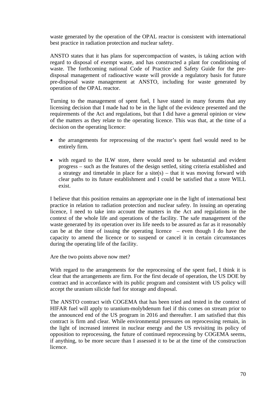waste generated by the operation of the OPAL reactor is consistent with international best practice in radiation protection and nuclear safety.

ANSTO states that it has plans for supercompaction of wastes, is taking action with regard to disposal of exempt waste, and has constructed a plant for conditioning of waste. The forthcoming national Code of Practice and Safety Guide for the predisposal management of radioactive waste will provide a regulatory basis for future pre-disposal waste management at ANSTO, including for waste generated by operation of the OPAL reactor.

Turning to the management of spent fuel, I have stated in many forums that any licensing decision that I made had to be in the light of the evidence presented and the requirements of the Act and regulations, but that I did have a general opinion or view of the matters as they relate to the operating licence. This was that, at the time of a decision on the operating licence:

- the arrangements for reprocessing of the reactor's spent fuel would need to be entirely firm.
- with regard to the ILW store, there would need to be substantial and evident progress – such as the features of the design settled, siting criteria established and a strategy and timetable in place for a site(s) – that it was moving forward with clear paths to its future establishment and I could be satisfied that a store WILL exist.

I believe that this position remains an appropriate one in the light of international best practice in relation to radiation protection and nuclear safety. In issuing an operating licence, I need to take into account the matters in the Act and regulations in the context of the whole life and operations of the facility. The safe management of the waste generated by its operation over its life needs to be assured as far as it reasonably can be at the time of issuing the operating licence  $-$  even though I do have the capacity to amend the licence or to suspend or cancel it in certain circumstances during the operating life of the facility.

Are the two points above now met?

With regard to the arrangements for the reprocessing of the spent fuel, I think it is clear that the arrangements are firm. For the first decade of operation, the US DOE by contract and in accordance with its public program and consistent with US policy will accept the uranium silicide fuel for storage and disposal.

The ANSTO contract with COGEMA that has been tried and tested in the context of HIFAR fuel will apply to uranium-molybdenum fuel if this comes on stream prior to the announced end of the US program in 2016 and thereafter. I am satisfied that this contract is firm and clear. While environmental pressures on reprocessing remain, in the light of increased interest in nuclear energy and the US revisiting its policy of opposition to reprocessing, the future of continued reprocessing by COGEMA seems, if anything, to be more secure than I assessed it to be at the time of the construction licence.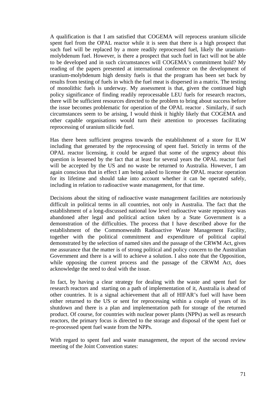A qualification is that I am satisfied that COGEMA will reprocess uranium silicide spent fuel from the OPAL reactor while it is seen that there is a high prospect that such fuel will be replaced by a more readily reprocessed fuel, likely the uraniummolybdenum fuel. However, is there a prospect that such fuel in fact will not be able to be developed and in such circumstances will COGEMA's commitment hold? My reading of the papers presented at international conference on the development of uranium-molybdenum high density fuels is that the program has been set back by results from testing of fuels in which the fuel meat is dispersed in a matrix. The testing of monolithic fuels is underway. My assessment is that, given the continued high policy significance of finding readily reprocessable LEU fuels for research reactors, there will be sufficient resources directed to the problem to bring about success before the issue becomes problematic for operation of the OPAL reactor . Similarly, if such circumstances seem to be arising, I would think it highly likely that COGEMA and other capable organisations would turn their attention to processes facilitating reprocessing of uranium silicide fuel.

Has there been sufficient progress towards the establishment of a store for ILW including that generated by the reprocessing of spent fuel. Strictly in terms of the OPAL reactor licensing, it could be argued that some of the urgency about this question is lessened by the fact that at least for several years the OPAL reactor fuel will be accepted by the US and no waste be returned to Australia. However, I am again conscious that in effect I am being asked to license the OPAL reactor operation for its lifetime and should take into account whether it can be operated safely, including in relation to radioactive waste management, for that time.

Decisions about the siting of radioactive waste management facilities are notoriously difficult in political terms in all countries, not only in Australia. The fact that the establishment of a long-discussed national low level radioactive waste repository was abandoned after legal and political action taken by a State Government is a demonstration of the difficulties. The process that I have described above for the establishment of the Commonwealth Radioactive Waste Management Facility, together with the political commitment and expenditure of political capital demonstrated by the selection of named sites and the passage of the CRWM Act, gives me assurance that the matter is of strong political and policy concern to the Australian Government and there is a will to achieve a solution. I also note that the Opposition, while opposing the current process and the passage of the CRWM Act, does acknowledge the need to deal with the issue.

In fact, by having a clear strategy for dealing with the waste and spent fuel for research reactors and starting on a path of implementation of it, Australia is ahead of other countries. It is a signal achievement that all of HIFAR's fuel will have been either returned to the US or sent for reprocessing within a couple of years of its shutdown and there is a plan and implementation path for storage of the returned product. Of course, for countries with nuclear power plants (NPPs) as well as research reactors, the primary focus is directed to the storage and disposal of the spent fuel or re-processed spent fuel waste from the NPPs.

With regard to spent fuel and waste management, the report of the second review meeting of the Joint Convention states: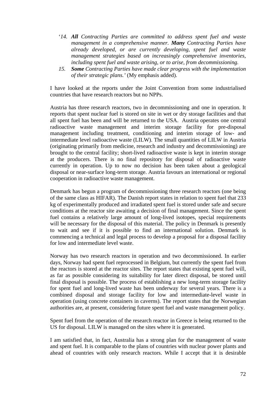- '*14. All Contracting Parties are committed to address spent fuel and waste management in a comprehensive manner. Many Contracting Parties have already developed, or are currently developing, spent fuel and waste management strategies based on increasingly comprehensive inventories, including spent fuel and waste arising, or to arise, from decommissioning.*
- *15. Some Contracting Parties have made clear progress with the implementation of their strategic plans.'* (My emphasis added).

I have looked at the reports under the Joint Convention from some industrialised countries that have research reactors but no NPPs.

Austria has three research reactors, two in decommissioning and one in operation. It reports that spent nuclear fuel is stored on site in wet or dry storage facilities and that all spent fuel has been and will be returned to the USA. Austria operates one central radioactive waste management and interim storage facility for pre-disposal management including treatment, conditioning and interim storage of low- and intermediate level radioactive waste (LILW). The small quantities of LILW in Austria (originating primarily from medicine, research and industry and decommissioning) are brought to the central facility; short-lived radioactive waste is kept in interim storage at the producers. There is no final repository for disposal of radioactive waste currently in operation. Up to now no decision has been taken about a geological disposal or near-surface long-term storage. Austria favours an international or regional cooperation in radioactive waste management.

Denmark has begun a program of decommissioning three research reactors (one being of the same class as HIFAR). The Danish report states in relation to spent fuel that 233 kg of experimentally produced and irradiated spent fuel is stored under safe and secure conditions at the reactor site awaiting a decision of final management. Since the spent fuel contains a relatively large amount of long-lived isotopes, special requirements will be necessary for the disposal of this material. The policy in Denmark is presently to wait and see if it is possible to find an international solution. Denmark is commencing a technical and legal process to develop a proposal for a disposal facility for low and intermediate level waste.

Norway has two research reactors in operation and two decommissioned. In earlier days, Norway had spent fuel reprocessed in Belgium, but currently the spent fuel from the reactors is stored at the reactor sites. The report states that existing spent fuel will, as far as possible considering its suitability for later direct disposal, be stored until final disposal is possible. The process of establishing a new long-term storage facility for spent fuel and long-lived waste has been underway for several years. There is a combined disposal and storage facility for low and intermediate-level waste in operation (using concrete containers in caverns). The report states that the Norwegian authorities are, at present, considering future spent fuel and waste management policy.

Spent fuel from the operation of the research reactor in Greece is being returned to the US for disposal. LILW is managed on the sites where it is generated.

I am satisfied that, in fact, Australia has a strong plan for the management of waste and spent fuel. It is comparable to the plans of countries with nuclear power plants and ahead of countries with only research reactors. While I accept that it is desirable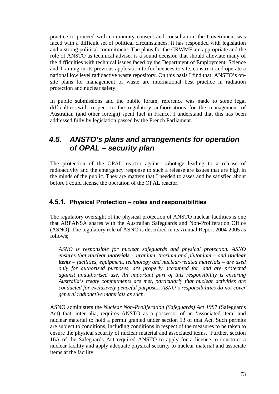practice to proceed with community consent and consultation, the Government was faced with a difficult set of political circumstances. It has responded with legislation and a strong political commitment. The plans for the CRWMF are appropriate and the role of ANSTO as technical adviser is a sound decision that should alleviate many of the difficulties with technical issues faced by the Department of Employment, Science and Training in its previous application to for licences to site, construct and operate a national low level radioactive waste repository. On this basis I find that. ANSTO's onsite plans for management of waste are international best practice in radiation protection and nuclear safety.

In public submissions and the public forum, reference was made to some legal difficulties with respect to the regulatory authorisations for the management of Australian (and other foreign) spent fuel in France. I understand that this has been addressed fully by legislation passed by the French Parliament.

# *4.5. ANSTO's plans and arrangements for operation of OPAL – security plan*

The protection of the OPAL reactor against sabotage leading to a release of radioactivity and the emergency response to such a release are issues that are high in the minds of the public. They are matters that I needed to asses and be satisfied about before I could license the operation of the OPAL reactor.

## **4.5.1. Physical Protection – roles and responsibilities**

The regulatory oversight of the physical protection of ANSTO nuclear facilities is one that ARPANSA shares with the Australian Safeguards and Non-Proliferation Office (ASNO). The regulatory role of ASNO is described in its Annual Report 2004-2005 as follows;

*ASNO is responsible for nuclear safeguards and physical protection. ASNO ensures that nuclear materials – uranium, thorium and plutonium – and nuclear items – facilities, equipment, technology and nuclear-related materials – are used only for authorised purposes, are properly accounted for, and are protected against unauthorised use. An important part of this responsibility is ensuring Australia's treaty commitments are met, particularly that nuclear activities are conducted for exclusively peaceful purposes. ASNO's responsibilities do not cover general radioactive materials as such.*

ASNO administers the *Nuclear Non-Proliferation (Safeguards) Act 1987* (Safeguards Act) that, inter alia, requires ANSTO as a possessor of an 'associated item' and nuclear material to hold a permit granted under section 13 of that Act. Such permits are subject to conditions, including conditions in respect of the measures to be taken to ensure the physical security of nuclear material and associated items. Further, section 16A of the Safeguards Act required ANSTO to apply for a licence to construct a nuclear facility and apply adequate physical security to nuclear material and associate items at the facility.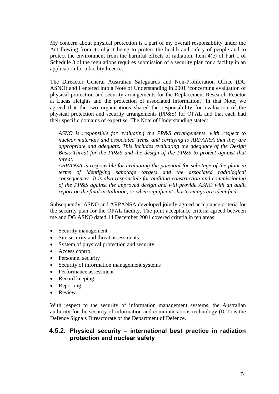My concern about physical protection is a part of my overall responsibility under the Act flowing from its object being to protect the health and safety of people and to protect the environment from the harmful effects of radiation. Item 4(e) of Part 1 of Schedule 3 of the regulations requires submission of a security plan for a facility in an application for a facility licence.

The Direactor General Australian Safeguards and Non-Proliferation Office (DG ASNO) and I entered into a Note of Understanding in 2001 'concerning evaluation of physical protection and security arrangements for the Replacement Research Reactor at Lucas Heights and the protection of associated information.' In that Note, we agreed that the two organisations shared the responsibility for evaluation of the physical protection and security arrangements (PP&S) for OPAL and that each had their specific domains of expertise. The Note of Understanding stated:

*ASNO is responsible for evaluating the PP&S arrangements, with respect to nuclear materials and associated items, and certifying to ARPANSA that they are appropriate and adequate. This includes evaluating the adequacy of the Design Basis Threat for the PP&S and the design of the PP&S to protect against that threat.* 

*ARPANSA is responsible for evaluating the potential for sabotage of the plant in terms of identifying sabotage targets and the associated radiological consequences. It is also responsible for auditing construction and commissioning of the PP&S against the approved design and will provide ASNO with an audit report on the final installation, or when significant shortcomings are identified.* 

Subsequently, ASNO and ARPANSA developed jointly agreed acceptance criteria for the security plan for the OPAL facility. The joint acceptance criteria agreed between me and DG ASNO dated 14 December 2001 covered criteria in ten areas:

- Security management
- Site security and threat assessments
- System of physical protection and security
- Access control
- Personnel security
- Security of information management systems
- Performance assessment
- Record keeping
- Reporting
- Review.

With respect to the security of information management systems, the Australian authority for the security of information and communications technology (ICT) is the Defence Signals Direactorate of the Department of Defence.

#### **4.5.2. Physical security – international best practice in radiation protection and nuclear safety**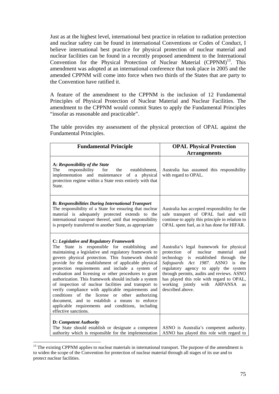Just as at the highest level, international best practice in relation to radiation protection and nuclear safety can be found in international Conventions or Codes of Conduct, I believe international best practice for physical protection of nuclear material and nuclear facilities can be found in a recently proposed amendment to the International Convention for the Physical Protection of Nuclear Material  $(CPPNM)^{13}$ . This amendment was adopted at an international conference that took place in 2005 and the amended CPPNM will come into force when two thirds of the States that are party to the Convention have ratified it.

A feature of the amendment to the CPPNM is the inclusion of 12 Fundamental Principles of Physical Protection of Nuclear Material and Nuclear Facilities. The amendment to the CPPNM would commit States to apply the Fundamental Principles "insofar as reasonable and practicable".

| <b>Fundamental Principle</b>                                                                                                                                                                                                                                                                                                                                                                                                                                                                                                                                                                                                                                                                                                         | <b>OPAL Physical Protection</b>                                                                                                                                                                                                                                                                                                                                                      |
|--------------------------------------------------------------------------------------------------------------------------------------------------------------------------------------------------------------------------------------------------------------------------------------------------------------------------------------------------------------------------------------------------------------------------------------------------------------------------------------------------------------------------------------------------------------------------------------------------------------------------------------------------------------------------------------------------------------------------------------|--------------------------------------------------------------------------------------------------------------------------------------------------------------------------------------------------------------------------------------------------------------------------------------------------------------------------------------------------------------------------------------|
|                                                                                                                                                                                                                                                                                                                                                                                                                                                                                                                                                                                                                                                                                                                                      | <b>Arrangements</b>                                                                                                                                                                                                                                                                                                                                                                  |
| A: Responsibility of the State<br>The<br>responsibility<br>the establishment,<br>for<br>implementation and maintenance of a physical<br>protection regime within a State rests entirely with that<br>State.                                                                                                                                                                                                                                                                                                                                                                                                                                                                                                                          | Australia has assumed this responsibility<br>with regard to OPAL.                                                                                                                                                                                                                                                                                                                    |
| <b>B: Responsibilities During International Transport</b><br>The responsibility of a State for ensuring that nuclear<br>material is adequately protected extends to the<br>international transport thereof, until that responsibility<br>is properly transferred to another State, as appropriate                                                                                                                                                                                                                                                                                                                                                                                                                                    | Australia has accepted responsibility for the<br>safe transport of OPAL fuel and will<br>continue to apply this principle in relation to<br>OPAL spent fuel, as it has done for HIFAR.                                                                                                                                                                                               |
| C: Legislative and Regulatory Framework<br>The State is responsible for establishing<br>and<br>maintaining a legislative and regulatory framework to<br>govern physical protection. This framework should<br>provide for the establishment of applicable physical<br>protection requirements and include a system of<br>evaluation and licensing or other procedures to grant<br>authorization. This framework should include a system<br>of inspection of nuclear facilities and transport to<br>verify compliance with applicable requirements and<br>conditions of the license or other authorizing<br>document, and to establish a means to enforce<br>applicable requirements and conditions, including<br>effective sanctions. | Australia's legal framework for physical<br>protection<br>nuclear<br>of<br>material<br>and<br>technology<br>is established through<br>the<br>Safeguards Act 1987. ASNO is<br>the<br>regulatory agency to apply the system<br>through permits, audits and reviews. ASNO<br>has played this role with regard to OPAL,<br>working jointly with ARPANSA<br><b>as</b><br>described above. |
| D: Competent Authority<br>The State should establish or designate a competent<br>authority which is responsible for the implementation                                                                                                                                                                                                                                                                                                                                                                                                                                                                                                                                                                                               | ASNO is Australia's competent authority.<br>ASNO has played this role with regard to                                                                                                                                                                                                                                                                                                 |

The table provides my assessment of the physical protection of OPAL against the Fundamental Principles.

 $\overline{a}$ 

<sup>&</sup>lt;sup>13</sup> The existing CPPNM applies to nuclear materials in international transport. The purpose of the amendment is to widen the scope of the Convention for protection of nuclear material through all stages of its use and to protect nuclear facilities.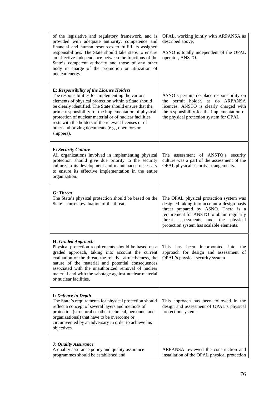| of the legislative and regulatory framework, and is<br>provided with adequate authority, competence and<br>financial and human resources to fulfill its assigned<br>responsibilities. The State should take steps to ensure<br>an effective independence between the functions of the<br>State's competent authority and those of any other<br>body in charge of the promotion or utilization of<br>nuclear energy.                                                      | OPAL, working jointly with ARPANSA as<br>described above.<br>ASNO is totally independent of the OPAL<br>operator, ANSTO.                                                                                                                                            |
|--------------------------------------------------------------------------------------------------------------------------------------------------------------------------------------------------------------------------------------------------------------------------------------------------------------------------------------------------------------------------------------------------------------------------------------------------------------------------|---------------------------------------------------------------------------------------------------------------------------------------------------------------------------------------------------------------------------------------------------------------------|
| <b>E: Responsibility of the License Holders</b><br>The responsibilities for implementing the various<br>elements of physical protection within a State should<br>be clearly identified. The State should ensure that the<br>prime responsibility for the implementation of physical<br>protection of nuclear material or of nuclear facilities<br>rests with the holders of the relevant licenses or of<br>other authorizing documents (e.g., operators or<br>shippers). | ASNO's permits do place responsibility on<br>the permit holder, as do ARPANSA<br>licences. ANSTO is clearly charged with<br>the responsibility for the implementation of<br>the physical protection system for OPAL.                                                |
| <b>F: Security Culture</b><br>All organizations involved in implementing physical<br>protection should give due priority to the security<br>culture, to its development and maintenance necessary<br>to ensure its effective implementation in the entire<br>organization.                                                                                                                                                                                               | The assessment of ANSTO's security<br>culture was a part of the assessment of the<br>OPAL physical security arrangements.                                                                                                                                           |
| <b>G:</b> Threat<br>The State's physical protection should be based on the<br>State's current evaluation of the threat.                                                                                                                                                                                                                                                                                                                                                  | The OPAL physical protection system was<br>designed taking into account a design basis<br>threat prepared by ASNO. There is a<br>requirement for ANSTO to obtain regularly<br>threat assessments<br>and the<br>physical<br>protection system has scalable elements. |
| H: Graded Approach<br>Physical protection requirements should be based on a<br>graded approach, taking into account the current<br>evaluation of the threat, the relative attractiveness, the<br>nature of the material and potential consequences<br>associated with the unauthorized removal of nuclear<br>material and with the sabotage against nuclear material<br>or nuclear facilities.                                                                           | This has been incorporated into the<br>approach for design and assessment of<br>OPAL's physical security system                                                                                                                                                     |
| <b>I:</b> Defence in Depth<br>The State's requirements for physical protection should<br>reflect a concept of several layers and methods of<br>protection (structural or other technical, personnel and<br>organizational) that have to be overcome or<br>circumvented by an adversary in order to achieve his<br>objectives.                                                                                                                                            | This approach has been followed in the<br>design and assessment of OPAL's physical<br>protection system.                                                                                                                                                            |
| <b>J:</b> Quality Assurance<br>A quality assurance policy and quality assurance<br>programmes should be established and                                                                                                                                                                                                                                                                                                                                                  | ARPANSA reviewed the construction and<br>installation of the OPAL physical protection                                                                                                                                                                               |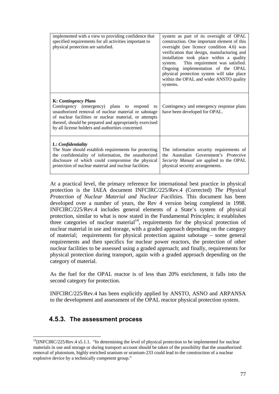| implemented with a view to providing confidence that<br>specified requirements for all activities important to<br>physical protection are satisfied.                                                                                                                                                         | system as part of its oversight of OPAL<br>construction. One important element of this<br>oversight (see licence condition 4.6) was<br>verification that design, manufacturing and<br>installation took place within a quality<br>This requirement was satisfied.<br>system.<br>Ongoing implementation of the OPAL<br>physical protection system will take place<br>within the OPAL and wider ANSTO quality<br>systems. |
|--------------------------------------------------------------------------------------------------------------------------------------------------------------------------------------------------------------------------------------------------------------------------------------------------------------|-------------------------------------------------------------------------------------------------------------------------------------------------------------------------------------------------------------------------------------------------------------------------------------------------------------------------------------------------------------------------------------------------------------------------|
| <b>K:</b> Contingency Plans<br>Contingency (emergency) plans to respond to<br>unauthorized removal of nuclear material or sabotage<br>of nuclear facilities or nuclear material, or attempts<br>thereof, should be prepared and appropriately exercised<br>by all license holders and authorities concerned. | Contingency and emergency response plans<br>have been developed for OPAL.                                                                                                                                                                                                                                                                                                                                               |
| L: Confidentiality<br>The State should establish requirements for protecting<br>the confidentiality of information, the unauthorized<br>disclosure of which could compromise the physical<br>protection of nuclear material and nuclear facilities.                                                          | The information security requirements of<br>the Australian Government's <i>Protective</i><br>Security Manual are applied to the OPAL<br>physical security arrangements.                                                                                                                                                                                                                                                 |

At a practical level, the primary reference for international best practice in physical protection is the IAEA document INFCIRC/225/Rev.4 (Corrected) *The Physical Protection of Nuclear Material and Nuclear Facilities*. This document has been developed over a number of years, the Rev 4 version being completed in 1998. INFCIRC/225/Rev.4 includes general elements of a State's system of physical protection, similar to what is now stated in the Fundamental Principles; it establishes three categories of nuclear material<sup>14</sup>, requirements for the physical protection of nuclear material in use and storage, with a graded approach depending on the category of material; requirements for physical protection against sabotage – some general requirements and then specifics for nuclear power reactors, the protection of other nuclear facilities to be assessed using a graded approach; and finally, requirements for physical protection during transport, again with a graded approach depending on the category of material.

As the fuel for the OPAL reactor is of less than 20% enrichment, it falls into the second category for protection.

INFCIRC/225/Rev.4 has been explicitly applied by ANSTO, ASNO and ARPANSA to the development and assessment of the OPAL reactor physical protection system.

## **4.5.3. The assessment process**

 $\overline{a}$ 

<sup>&</sup>lt;sup>14</sup>(INFCIRC/225/Rev.4 s5.1.1. "In determining the level of physical protection to be implemented for nuclear materials in use and storage or during transport account should be taken of the possibility that the unauthorized removal of plutonium, highly enriched uranium or uranium-233 could lead to the construction of a nuclear explosive device by a technically competent group."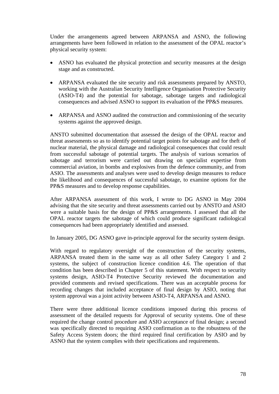Under the arrangements agreed between ARPANSA and ASNO, the following arrangements have been followed in relation to the assessment of the OPAL reactor's physical security system:

- ASNO has evaluated the physical protection and security measures at the design stage and as constructed.
- ARPANSA evaluated the site security and risk assessments prepared by ANSTO, working with the Australian Security Intelligence Organisation Protective Security (ASIO-T4) and the potential for sabotage, sabotage targets and radiological consequences and advised ASNO to support its evaluation of the PP&S measures.
- ARPANSA and ASNO audited the construction and commissioning of the security systems against the approved design.

ANSTO submitted documentation that assessed the design of the OPAL reactor and threat assessments so as to identify potential target points for sabotage and for theft of nuclear material, the physical damage and radiological consequences that could result from successful sabotage of potential targets. The analysis of various scenarios of sabotage and terrorism were carried out drawing on specialist expertise from commercial aviation, in bombs and explosives from the defence community, and from ASIO. The assessments and analyses were used to develop design measures to reduce the likelihood and consequences of successful sabotage, to examine options for the PP&S measures and to develop response capabilities.

After ARPANSA assessment of this work, I wrote to DG ASNO in May 2004 advising that the site security and threat assessments carried out by ANSTO and ASIO were a suitable basis for the design of PP&S arrangements. I assessed that all the OPAL reactor targets the sabotage of which could produce significant radiological consequences had been appropriately identified and assessed.

In January 2005, DG ASNO gave in-principle approval for the security system design.

With regard to regulatory oversight of the construction of the security systems, ARPANSA treated them in the same way as all other Safety Category 1 and 2 systems, the subject of construction licence condition 4.6. The operation of that condition has been described in Chapter 5 of this statement. With respect to security systems design, ASIO-T4 Protective Security reviewed the documentation and provided comments and revised specifications. There was an acceptable process for recording changes that included acceptance of final design by ASIO, noting that system approval was a joint activity between ASIO-T4, ARPANSA and ASNO.

There were three additional licence conditions imposed during this process of assessment of the detailed requests for Approval of security systems. One of these required the change control procedure and ASIO acceptance of final design; a second was specifically directed to requiring ASIO confirmation as to the robustness of the Safety Access System doors; the third required final certification by ASIO and by ASNO that the system complies with their specifications and requirements.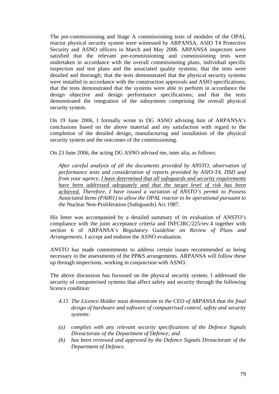The pre-commissioning and Stage A commissioning tests of modules of the OPAL reactor physical security system were witnessed by ARPANSA, ASIO T4 Protective Security and ASNO officers in March and May 2006. ARPANSA inspectors were satisfied that the relevant pre-commissioning and commissioning tests were undertaken in accordance with the overall commissioning plans, individual specific inspection and test plans and the associated quality systems; that the tests were detailed and thorough; that the tests demonstrated that the physical security systems were installed in accordance with the construction approvals and ASIO specifications; that the tests demonstrated that the systems were able to perform in accordance the design objective and design performance specifications; and that the tests demonstrated the integration of the subsystems comprising the overall physical security system.

On 19 June 2006, I formally wrote to DG ASNO advising him of ARPANSA's conclusions based on the above material and my satisfaction with regard to the completion of the detailed design, manufacturing and installation of the physical security system and the outcomes of the commissioning.

On 23 June 2006, the acting DG ASNO advised me, inter alia, as follows:

*After careful analysis of all the documents provided by ANSTO, observation of performance tests and consideration of reports provided by ASIO-T4, DSD and from your agency, I have determined that all safeguards and security requirements have been addressed adequately and that the target level of risk has been achieved. Therefore, I have issued a variation of ANSTO's permit to Possess Associated Items (PA001) to allow the OPAL reactor to be operational pursuant to the* Nuclear Non-Proliferation (Safeguards) Act 1987.

His letter was accompanied by a detailed summary of its evaluation of ANSTO's compliance with the joint acceptance criteria and INFCIRC/225/rev.4 together with section 6 of ARPANSA's *Regulatory Guideline on Review of Plans and Arrangements*. I accept and endorse the ASNO evaluation.

ANSTO has made commitments to address certain issues recommended as being necessary in the assessments of the PP&S arrangements. ARPANSA will follow these up through inspections, working in conjunction with ASNO.

The above discussion has focussed on the physical security system. I addressed the security of computerised systems that affect safety and security through the following licence condition:

- *4.15 The Licence Holder must demonstrate to the CEO of ARPANSA that the final design of hardware and software of computerised control, safety and security systems:*
- *(a) complies with any relevant security specifications of the Defence Signals Direactorate of the Department of Defence; and*
- *(b) has been reviewed and approved by the Defence Signals Direactorate of the Department of Defence.*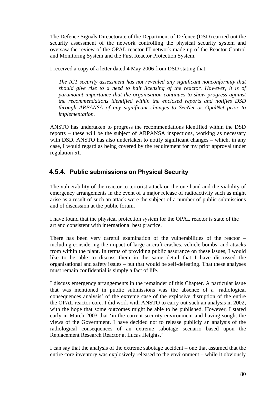The Defence Signals Direactorate of the Department of Defence (DSD) carried out the security assessment of the network controlling the physical security system and oversaw the review of the OPAL reactor IT network made up of the Reactor Control and Monitoring System and the First Reactor Protection System.

I received a copy of a letter dated 4 May 2006 from DSD stating that:

*The ICT security assessment has not revealed any significant nonconformity that should give rise to a need to halt licensing of the reactor. However, it is of paramount importance that the organisation continues to show progress against the recommendations identified within the enclosed reports and notifies DSD through ARPANSA of any significant changes to SecNet or OpalNet prior to implementation.* 

ANSTO has undertaken to progress the recommendations identified within the DSD reports – these will be the subject of ARPANSA inspections, working as necessary with DSD. ANSTO has also undertaken to notify significant changes – which, in any case, I would regard as being covered by the requirement for my prior approval under regulation 51.

## **4.5.4. Public submissions on Physical Security**

The vulnerability of the reactor to terrorist attack on the one hand and the viability of emergency arrangements in the event of a major release of radioactivity such as might arise as a result of such an attack were the subject of a number of public submissions and of discussion at the public forum.

I have found that the physical protection system for the OPAL reactor is state of the art and consistent with international best practice.

There has been very careful examination of the vulnerabilities of the reactor – including considering the impact of large aircraft crashes, vehicle bombs, and attacks from within the plant. In terms of providing public assurance on these issues, I would like to be able to discuss them in the same detail that I have discussed the organisational and safety issues – but that would be self-defeating. That these analyses must remain confidential is simply a fact of life.

I discuss emergency arrangements in the remainder of this Chapter. A particular issue that was mentioned in public submissions was the absence of a 'radiological consequences analysis' of the extreme case of the explosive disruption of the entire the OPAL reactor core. I did work with ANSTO to carry out such an analysis in 2002, with the hope that some outcomes might be able to be published. However, I stated early in March 2003 that 'in the current security environment and having sought the views of the Government, I have decided not to release publicly an analysis of the radiological consequences of an extreme sabotage scenario based upon the Replacement Research Reactor at Lucas Heights.'

I can say that the analysis of the extreme sabotage accident – one that assumed that the entire core inventory was explosively released to the environment – while it obviously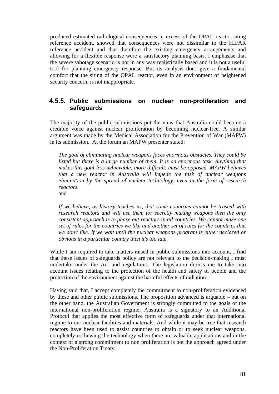produced estimated radiological consequences in excess of the OPAL reactor siting reference accident, showed that consequences were not dissimilar to the HIFAR reference accident and that therefore the existing emergency arrangements and allowing for a flexible response were a satisfactory planning basis. I emphasise that the severe sabotage scenario is not in any way realistically based and it is not a useful tool for planning emergency response. But its analysis does give a fundamental comfort that the siting of the OPAL reactor, even in an environment of heightened security concern, is not inappropriate.

#### **4.5.5. Public submissions on nuclear non-proliferation and safeguards**

The majority of the public submissions put the view that Australia could become a credible voice against nuclear proliferation by becoming nuclear-free. A similar argument was made by the Medical Association for the Prevention of War (MAPW) in its submission. At the forum an MAPW presenter stated:

*The goal of eliminating nuclear weapons faces enormous obstacles. They could be*  listed but there is a large number of them. It is an enormous task. Anything that *makes this goal less achievable, more difficult, must be opposed. MAPW believes that a new reactor in Australia will impede the task of nuclear weapons elimination by the spread of nuclear technology, even in the form of research reactors.*  and

*If we believe, as history teaches us, that some countries cannot be trusted with research reactors and will use them for secretly making weapons then the only consistent approach is to phase out reactors in all countries. We cannot make one set of rules for the countries we like and another set of rules for the countries that we don't like. If we wait until the nuclear weapons program is either declared or obvious in a particular country then it's too late.* 

While I am required to take matters raised in public submissions into account, I find that these issues of safeguards policy are not relevant to the decision-making I must undertake under the Act and regulations. The legislation directs me to take into account issues relating to the protection of the health and safety of people and the protection of the environment against the harmful effects of radiation.

Having said that, I accept completely the commitment to non-proliferation evidenced by these and other public submissions. The proposition advanced is arguable – but on the other hand, the Australian Government is strongly committed to the goals of the international non-proliferation regime; Australia is a signatory to an Additional Protocol that applies the most effective form of safeguards under that international regime to our nuclear facilities and materials. And while it may be true that research reactors have been used to assist countries to obtain or to seek nuclear weapons, completely eschewing the technology when there are valuable applications and in the context of a strong commitment to non proliferation is not the approach agreed under the Non-Proliferation Treaty.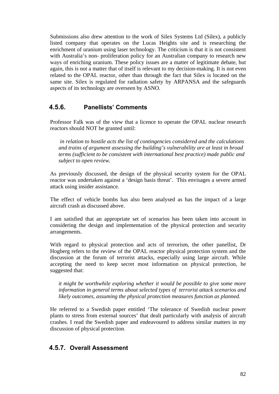Submissions also drew attention to the work of Silex Systems Ltd (Silex), a publicly listed company that operates on the Lucas Heights site and is researching the enrichment of uranium using laser technology. The criticism is that it is not consistent with Australia's non- proliferation policy for an Australian company to research new ways of enriching uranium. These policy issues are a matter of legitimate debate, but again, this is not a matter that of itself is relevant to my decision-making. It is not even related to the OPAL reactor, other than through the fact that Silex is located on the same site. Silex is regulated for radiation safety by ARPANSA and the safeguards aspects of its technology are overseen by ASNO.

#### **4.5.6. Panellists' Comments**

Professor Falk was of the view that a licence to operate the OPAL nuclear research reactors should NOT be granted until:

 *in relation to hostile acts the list of contingencies considered and the calculations and trains of argument assessing the building's vulnerability are at least in broad terms (sufficient to be consistent with international best practice) made public and subject to open review.* 

As previously discussed, the design of the physical security system for the OPAL reactor was undertaken against a 'design basis threat'. This envisages a severe armed attack using insider assistance.

The effect of vehicle bombs has also been analysed as has the impact of a large aircraft crash as discussed above.

I am satisfied that an appropriate set of scenarios has been taken into account in considering the design and implementation of the physical protection and security arrangements.

With regard to physical protection and acts of terrorism, the other panellist, Dr Hogberg refers to the review of the OPAL reactor physical protection system and the discussion at the forum of terrorist attacks, especially using large aircraft. While accepting the need to keep secret most information on physical protection, he suggested that:

*it might be worthwhile exploring whether it would be possible to give some more information in general terms about selected types of terrorist attack scenarios and likely outcomes, assuming the physical protection measures function as planned.* 

He referred to a Swedish paper entitled 'The tolerance of Swedish nuclear power plants to stress from external sources' that dealt particularly with analysis of aircraft crashes. I read the Swedish paper and endeavoured to address similar matters in my discussion of physical protection.

#### **4.5.7. Overall Assessment**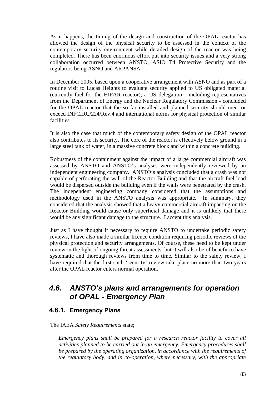As it happens, the timing of the design and construction of the OPAL reactor has allowed the design of the physical security to be assessed in the context of the contemporary security environment while detailed design of the reactor was being completed. There has been enormous effort put into security issues and a very strong collaboration occurred between ANSTO, ASIO T4 Protective Security and the regulators being ASNO and ARPANSA.

In December 2005, based upon a cooperative arrangement with ASNO and as part of a routine visit to Lucas Heights to evaluate security applied to US obligated material (currently fuel for the HIFAR reactor), a US delegation - including representatives from the Department of Energy and the Nuclear Regulatory Commission - concluded for the OPAL reactor that the so far installed and planned security should meet or exceed INFCIRC/224/Rev.4 and international norms for physical protection of similar facilities.

It is also the case that much of the contemporary safety design of the OPAL reactor also contributes to its security. The core of the reactor is effectively below ground in a large steel tank of water, in a massive concrete block and within a concrete building.

Robustness of the containment against the impact of a large commercial aircraft was assessed by ANSTO and ANSTO's analyses were independently reviewed by an independent engineering company. ANSTO's analysis concluded that a crash was not capable of perforating the wall of the Reactor Building and that the aircraft fuel load would be dispersed outside the building even if the walls were penetrated by the crash. The independent engineering company considered that the assumptions and methodology used in the ANSTO analysis was appropriate. In summary, they considered that the analysis showed that a heavy commercial aircraft impacting on the Reactor Building would cause only superficial damage and it is unlikely that there would be any significant damage to the structure. I accept this analysis.

Just as I have thought it necessary to require ANSTO to undertake periodic safety reviews, I have also made a similar licence condition requiring periodic reviews of the physical protection and security arrangements. Of course, these need to be kept under review in the light of ongoing threat assessments, but it will also be of benefit to have systematic and thorough reviews from time to time. Similar to the safety review, I have required that the first such 'security' review take place no more than two years after the OPAL reactor enters normal operation.

# *4.6. ANSTO's plans and arrangements for operation of OPAL - Emergency Plan*

## **4.6.1. Emergency Plans**

The IAEA *Safety Requirements* state;

*Emergency plans shall be prepared for a research reactor facility to cover all activities planned to be carried out in an emergency. Emergency procedures shall be prepared by the operating organization, in accordance with the requirements of the regulatory body, and in co-operation, where necessary, with the appropriate*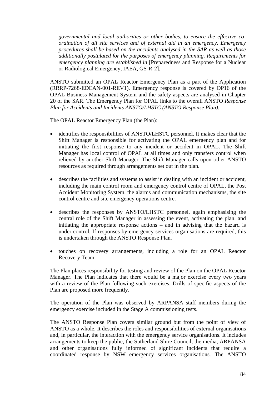*governmental and local authorities or other bodies, to ensure the effective coordination of all site services and of external aid in an emergency. Emergency procedures shall be based on the accidents analysed in the SAR as well as those additionally postulated for the purposes of emergency planning. Requirements for emergency planning are established in* [Preparedness and Response for a Nuclear or Radiological Emergency, IAEA, GS-R-2].

ANSTO submitted an OPAL Reactor Emergency Plan as a part of the Application (RRRP-7268-EDEAN-001-REV1). Emergency response is covered by OP16 of the OPAL Business Management System and the safety aspects are analysed in Chapter 20 of the SAR. The Emergency Plan for OPAL links to the overall ANSTO *Response Plan for Accidents and Incidents ANSTO/LHSTC (ANSTO Response Plan)*.

The OPAL Reactor Emergency Plan (the Plan):

- identifies the responsibilities of ANSTO/LHSTC personnel. It makes clear that the Shift Manager is responsible for activating the OPAL emergency plan and for initiating the first response to any incident or accident in OPAL. The Shift Manager has local control of OPAL at all times and only transfers control when relieved by another Shift Manager. The Shift Manager calls upon other ANSTO resources as required through arrangements set out in the plan.
- describes the facilities and systems to assist in dealing with an incident or accident, including the main control room and emergency control centre of OPAL, the Post Accident Monitoring System, the alarms and communication mechanisms, the site control centre and site emergency operations centre.
- describes the responses by ANSTO/LHSTC personnel, again emphasising the central role of the Shift Manager in assessing the event, activating the plan, and initiating the appropriate response actions – and in advising that the hazard is under control. If responses by emergency services organisations are required, this is undertaken through the ANSTO Response Plan.
- touches on recovery arrangements, including a role for an OPAL Reactor Recovery Team.

The Plan places responsibility for testing and review of the Plan on the OPAL Reactor Manager. The Plan indicates that there would be a major exercise every two years with a review of the Plan following such exercises. Drills of specific aspects of the Plan are proposed more frequently.

The operation of the Plan was observed by ARPANSA staff members during the emergency exercise included in the Stage A commissioning tests.

The ANSTO Response Plan covers similar ground but from the point of view of ANSTO as a whole. It describes the roles and responsibilities of external organisations and, in particular, the interaction with the emergency service organisations. It includes arrangements to keep the public, the Sutherland Shire Council, the media, ARPANSA and other organisations fully informed of significant incidents that require a coordinated response by NSW emergency services organisations. The ANSTO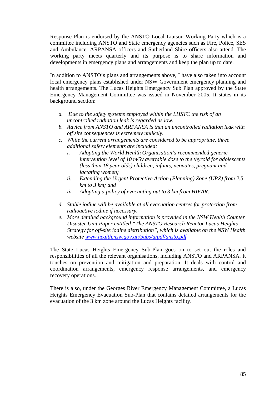Response Plan is endorsed by the ANSTO Local Liaison Working Party which is a committee including ANSTO and State emergency agencies such as Fire, Police, SES and Ambulance. ARPANSA officers and Sutherland Shire officers also attend. The working party meets quarterly and its purpose is to share information and developments in emergency plans and arrangements and keep the plan up to date.

In addition to ANSTO's plans and arrangements above, I have also taken into account local emergency plans established under NSW Government emergency planning and health arrangements. The Lucas Heights Emergency Sub Plan approved by the State Emergency Management Committee was issued in November 2005. It states in its background section:

- *a. Due to the safety systems employed within the LHSTC the risk of an uncontrolled radiation leak is regarded as low.*
- *b. Advice from ANSTO and ARPANSA is that an uncontrolled radiation leak with off site consequences is extremely unlikely.*
- *c. While the current arrangements are considered to be appropriate, three additional safety elements are included:* 
	- *i. Adopting the World Health Organisation's recommended generic intervention level of 10 mGy avertable dose to the thyroid for adolescents (less than 18 year olds) children, infants, neonates, pregnant and lactating women;*
	- *ii. Extending the Urgent Protective Action (Planning) Zone (UPZ) from 2.5 km to 3 km; and*
	- *iii. Adopting a policy of evacuating out to 3 km from HIFAR.*
- *d. Stable iodine will be available at all evacuation centres for protection from radioactive iodine if necessary.*
- *e. More detailed background information is provided in the NSW Health Counter Disaster Unit Paper entitled "The ANSTO Research Reactor Lucas Heights – Strategy for off-site iodine distribution", which is available on the NSW Health website www.health.nsw.gov.au/pubs/a/pdf/ansto.pdf*

The State Lucas Heights Emergency Sub-Plan goes on to set out the roles and responsibilities of all the relevant organisations, including ANSTO and ARPANSA. It touches on prevention and mitigation and preparation. It deals with control and coordination arrangements, emergency response arrangements, and emergency recovery operations.

There is also, under the Georges River Emergency Management Committee, a Lucas Heights Emergency Evacuation Sub-Plan that contains detailed arrangements for the evacuation of the 3 km zone around the Lucas Heights facility.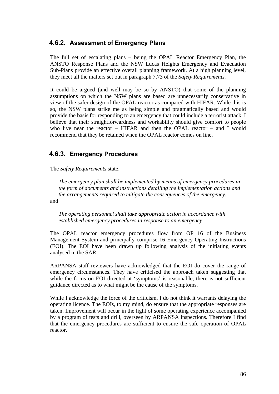## **4.6.2. Assessment of Emergency Plans**

The full set of escalating plans – being the OPAL Reactor Emergency Plan, the ANSTO Response Plans and the NSW Lucas Heights Emergency and Evacuation Sub-Plans provide an effective overall planning framework. At a high planning level, they meet all the matters set out in paragraph 7.73 of the *Safety Requirements.* 

It could be argued (and well may be so by ANSTO) that some of the planning assumptions on which the NSW plans are based are unnecessarily conservative in view of the safer design of the OPAL reactor as compared with HIFAR. While this is so, the NSW plans strike me as being simple and pragmatically based and would provide the basis for responding to an emergency that could include a terrorist attack. I believe that their straightforwardness and workability should give comfort to people who live near the reactor – HIFAR and then the OPAL reactor – and I would recommend that they be retained when the OPAL reactor comes on line.

## **4.6.3. Emergency Procedures**

The *Safety Requirements* state:

*The emergency plan shall be implemented by means of emergency procedures in the form of documents and instructions detailing the implementation actions and the arrangements required to mitigate the consequences of the emergency.*  and

*The operating personnel shall take appropriate action in accordance with established emergency procedures in response to an emergency.* 

The OPAL reactor emergency procedures flow from OP 16 of the Business Management System and principally comprise 16 Emergency Operating Instructions (EOI). The EOI have been drawn up following analysis of the initiating events analysed in the SAR.

ARPANSA staff reviewers have acknowledged that the EOI do cover the range of emergency circumstances. They have criticised the approach taken suggesting that while the focus on EOI directed at 'symptoms' is reasonable, there is not sufficient guidance directed as to what might be the cause of the symptoms.

While I acknowledge the force of the criticism, I do not think it warrants delaying the operating licence. The EOIs, to my mind, do ensure that the appropriate responses are taken. Improvement will occur in the light of some operating experience accompanied by a program of tests and drill, overseen by ARPANSA inspections. Therefore I find that the emergency procedures are sufficient to ensure the safe operation of OPAL reactor.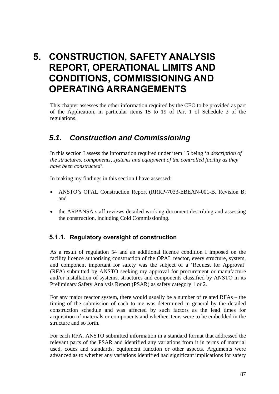# **5. CONSTRUCTION, SAFETY ANALYSIS REPORT, OPERATIONAL LIMITS AND CONDITIONS, COMMISSIONING AND OPERATING ARRANGEMENTS**

This chapter assesses the other information required by the CEO to be provided as part of the Application, in particular items 15 to 19 of Part 1 of Schedule 3 of the regulations.

# *5.1. Construction and Commissioning*

In this section I assess the information required under item 15 being '*a description of the structures, components, systems and equipment of the controlled facility as they have been constructed'.* 

In making my findings in this section I have assessed:

- ANSTO's OPAL Construction Report (RRRP-7033-EBEAN-001-B, Revision B; and
- the ARPANSA staff reviews detailed working document describing and assessing the construction, including Cold Commissioning.

# **5.1.1. Regulatory oversight of construction**

As a result of regulation 54 and an additional licence condition I imposed on the facility licence authorising construction of the OPAL reactor, every structure, system, and component important for safety was the subject of a 'Request for Approval' (RFA) submitted by ANSTO seeking my approval for procurement or manufacture and/or installation of systems, structures and components classified by ANSTO in its Preliminary Safety Analysis Report (PSAR) as safety category 1 or 2.

For any major reactor system, there would usually be a number of related RFAs – the timing of the submission of each to me was determined in general by the detailed construction schedule and was affected by such factors as the lead times for acquisition of materials or components and whether items were to be embedded in the structure and so forth.

For each RFA, ANSTO submitted information in a standard format that addressed the relevant parts of the PSAR and identified any variations from it in terms of material used, codes and standards, equipment function or other aspects. Arguments were advanced as to whether any variations identified had significant implications for safety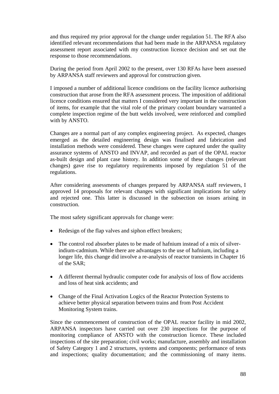and thus required my prior approval for the change under regulation 51. The RFA also identified relevant recommendations that had been made in the ARPANSA regulatory assessment report associated with my construction licence decision and set out the response to those recommendations.

During the period from April 2002 to the present, over 130 RFAs have been assessed by ARPANSA staff reviewers and approval for construction given.

I imposed a number of additional licence conditions on the facility licence authorising construction that arose from the RFA assessment process. The imposition of additional licence conditions ensured that matters I considered very important in the construction of items, for example that the vital role of the primary coolant boundary warranted a complete inspection regime of the butt welds involved, were reinforced and complied with by ANSTO.

Changes are a normal part of any complex engineering project. As expected, changes emerged as the detailed engineering design was finalised and fabrication and installation methods were considered. These changes were captured under the quality assurance systems of ANSTO and INVAP, and recorded as part of the OPAL reactor as-built design and plant case history. In addition some of these changes (relevant changes) gave rise to regulatory requirements imposed by regulation 51 of the regulations.

After considering assessments of changes prepared by ARPANSA staff reviewers, I approved 14 proposals for relevant changes with significant implications for safety and rejected one. This latter is discussed in the subsection on issues arising in construction.

The most safety significant approvals for change were:

- Redesign of the flap valves and siphon effect breakers;
- The control rod absorber plates to be made of hafnium instead of a mix of silverindium-cadmium. While there are advantages to the use of hafnium, including a longer life, this change did involve a re-analysis of reactor transients in Chapter 16 of the SAR;
- A different thermal hydraulic computer code for analysis of loss of flow accidents and loss of heat sink accidents; and
- Change of the Final Activation Logics of the Reactor Protection Systems to achieve better physical separation between trains and from Post Accident Monitoring System trains.

Since the commencement of construction of the OPAL reactor facility in mid 2002, ARPANSA inspectors have carried out over 230 inspections for the purpose of monitoring compliance of ANSTO with the construction licence. These included inspections of the site preparation; civil works; manufacture, assembly and installation of Safety Category 1 and 2 structures, systems and components; performance of tests and inspections; quality documentation; and the commissioning of many items.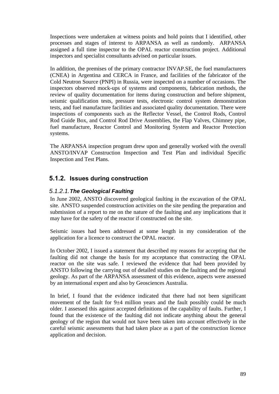Inspections were undertaken at witness points and hold points that I identified, other processes and stages of interest to ARPANSA as well as randomly. ARPANSA assigned a full time inspector to the OPAL reactor construction project. Additional inspectors and specialist consultants advised on particular issues.

In addition, the premises of the primary contractor INVAP.SE, the fuel manufacturers (CNEA) in Argentina and CERCA in France, and facilities of the fabricator of the Cold Neutron Source (PNPI) in Russia, were inspected on a number of occasions. The inspectors observed mock-ups of systems and components, fabrication methods, the review of quality documentation for items during construction and before shipment, seismic qualification tests, pressure tests, electronic control system demonstration tests, and fuel manufacture facilities and associated quality documentation. There were inspections of components such as the Reflector Vessel, the Control Rods, Control Rod Guide Box, and Control Rod Drive Assemblies, the Flap Valves, Chimney pipe, fuel manufacture, Reactor Control and Monitoring System and Reactor Protection systems.

The ARPANSA inspection program drew upon and generally worked with the overall ANSTO/INVAP Construction Inspection and Test Plan and individual Specific Inspection and Test Plans.

## **5.1.2. Issues during construction**

#### *5.1.2.1. The Geological Faulting*

In June 2002, ANSTO discovered geological faulting in the excavation of the OPAL site. ANSTO suspended construction activities on the site pending the preparation and submission of a report to me on the nature of the faulting and any implications that it may have for the safety of the reactor if constructed on the site.

Seismic issues had been addressed at some length in my consideration of the application for a licence to construct the OPAL reactor.

In October 2002, I issued a statement that described my reasons for accepting that the faulting did not change the basis for my acceptance that constructing the OPAL reactor on the site was safe. I reviewed the evidence that had been provided by ANSTO following the carrying out of detailed studies on the faulting and the regional geology. As part of the ARPANSA assessment of this evidence, aspects were assessed by an international expert and also by Geosciences Australia.

In brief, I found that the evidence indicated that there had not been significant movement of the fault for  $9\pm 4$  million years and the fault possibly could be much older. I assessed this against accepted definitions of the capability of faults. Further, I found that the existence of the faulting did not indicate anything about the general geology of the region that would not have been taken into account effectively in the careful seismic assessments that had taken place as a part of the construction licence application and decision.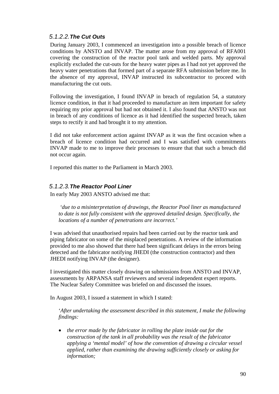#### *5.1.2.2. The Cut Outs*

During January 2003, I commenced an investigation into a possible breach of licence conditions by ANSTO and INVAP. The matter arose from my approval of RFA001 covering the construction of the reactor pool tank and welded parts. My approval explicitly excluded the cut-outs for the heavy water pipes as I had not yet approved the heavy water penetrations that formed part of a separate RFA submission before me. In the absence of my approval, INVAP instructed its subcontractor to proceed with manufacturing the cut outs.

Following the investigation, I found INVAP in breach of regulation 54, a statutory licence condition, in that it had proceeded to manufacture an item important for safety requiring my prior approval but had not obtained it. I also found that ANSTO was not in breach of any conditions of licence as it had identified the suspected breach, taken steps to rectify it and had brought it to my attention.

I did not take enforcement action against INVAP as it was the first occasion when a breach of licence condition had occurred and I was satisfied with commitments INVAP made to me to improve their processes to ensure that that such a breach did not occur again.

I reported this matter to the Parliament in March 2003.

#### *5.1.2.3. The Reactor Pool Liner*

In early May 2003 ANSTO advised me that:

 *'due to a misinterpretation of drawings, the Reactor Pool liner as manufactured to date is not fully consistent with the approved detailed design. Specifically, the locations of a number of penetrations are incorrect.'* 

I was advised that unauthorised repairs had been carried out by the reactor tank and piping fabricator on some of the misplaced penetrations. A review of the information provided to me also showed that there had been significant delays in the errors being detected and the fabricator notifying JHEDI (the construction contractor) and then JHEDI notifying INVAP (the designer).

I investigated this matter closely drawing on submissions from ANSTO and INVAP, assessments by ARPANSA staff reviewers and several independent expert reports. The Nuclear Safety Committee was briefed on and discussed the issues.

In August 2003, I issued a statement in which I stated:

'*After undertaking the assessment described in this statement, I make the following findings:* 

• *the error made by the fabricator in rolling the plate inside out for the construction of the tank in all probability was the result of the fabricator applying a 'mental model' of how the convention of drawing a circular vessel applied, rather than examining the drawing sufficiently closely or asking for information;*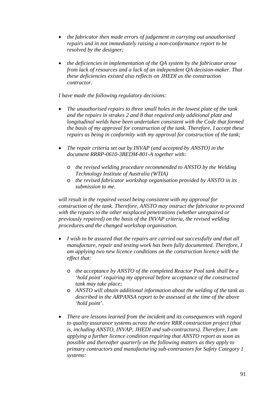- *the fabricator then made errors of judgement in carrying out unauthorised repairs and in not immediately raising a non-conformance report to be resolved by the designer;*
- *the deficiencies in implementation of the QA system by the fabricator arose from lack of resources and a lack of an independent QA decision-maker. That these deficiencies existed also reflects on JHEDI as the construction contractor.*

*I have made the following regulatory decisions:* 

- *The unauthorised repairs to three small holes in the lowest plate of the tank and the repairs in strakes 2 and 8 that required only additional plate and longitudinal welds have been undertaken consistent with the Code that formed the basis of my approval for construction of the tank. Therefore, I accept these repairs as being in conformity with my approval for construction of the tank;*
- *The repair criteria set out by INVAP (and accepted by ANSTO) in the document RRRP-0610-3BEDM-801-A together with:* 
	- o *the revised welding procedure recommended to ANSTO by the Welding Technology Institute of Australia (WTIA)*
	- o *the revised fabricator workshop organisation provided by ANSTO in its submission to me.*

*will result in the repaired vessel being consistent with my approval for construction of the tank. Therefore, ANSTO may instruct the fabricator to proceed with the repairs to the other misplaced penetrations (whether unrepaired or previously repaired) on the basis of the INVAP criteria, the revised welding procedures and the changed workshop organisation.* 

- *I wish to be assured that the repairs are carried out successfully and that all manufacture, repair and testing work has been fully documented. Therefore, I am applying two new licence conditions on the construction licence with the effect that:* 
	- o *the acceptance by ANSTO of the completed Reactor Pool tank shall be a 'hold point' requiring my approval before acceptance of the constructed tank may take place;*
	- o *ANSTO will obtain additional information about the welding of the tank as described in the ARPANSA report to be assessed at the time of the above 'hold point'.*
- *There are lessons learned from the incident and its consequences with regard to quality assurance systems across the entire RRR construction project (that is, including ANSTO, INVAP, JHEDI and sub-contractors). Therefore, I am applying a further licence condition requiring that ANSTO report as soon as possible and thereafter quarterly on the following matters as they apply to primary contractors and manufacturing sub-contractors for Safety Category 1 systems:*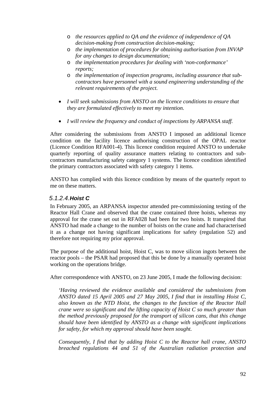- o *the resources applied to QA and the evidence of independence of QA decision-making from construction decision-making;*
- o *the implementation of procedures for obtaining authorisation from INVAP for any changes to design documentation;*
- o *the implementation procedures for dealing with 'non-conformance' reports;*
- o *the implementation of inspection programs, including assurance that subcontractors have personnel with a sound engineering understanding of the relevant requirements of the project.*
- *I will seek submissions from ANSTO on the licence conditions to ensure that they are formulated effectively to meet my intention.*
- *I will review the frequency and conduct of inspections by ARPANSA staff.*

After considering the submissions from ANSTO I imposed an additional licence condition on the facility licence authorising construction of the OPAL reactor (Licence Condition RFA001-4). This licence condition required ANSTO to undertake quarterly reporting of quality assurance matters relating to contractors and subcontractors manufacturing safety category 1 systems. The licence condition identified the primary contractors associated with safety category 1 items.

ANSTO has complied with this licence condition by means of the quarterly report to me on these matters.

#### *5.1.2.4. Hoist C*

In February 2005, an ARPANSA inspector attended pre-commissioning testing of the Reactor Hall Crane and observed that the crane contained three hoists, whereas my approval for the crane set out in RFA028 had been for two hoists. It transpired that ANSTO had made a change to the number of hoists on the crane and had characterised it as a change not having significant implications for safety (regulation 52) and therefore not requiring my prior approval.

The purpose of the additional hoist, Hoist C, was to move silicon ingots between the reactor pools – the PSAR had proposed that this be done by a manually operated hoist working on the operations bridge.

After correspondence with ANSTO, on 23 June 2005, I made the following decision:

*'Having reviewed the evidence available and considered the submissions from ANSTO dated 15 April 2005 and 27 May 2005, I find that in installing Hoist C, also known as the NTD Hoist, the changes to the function of the Reactor Hall crane were so significant and the lifting capacity of Hoist C so much greater than the method previously proposed for the transport of silicon cans, that this change should have been identified by ANSTO as a change with significant implications for safety, for which my approval should have been sought.* 

*Consequently, I find that by adding Hoist C to the Reactor hall crane, ANSTO breached regulations 44 and 51 of the Australian radiation protection and*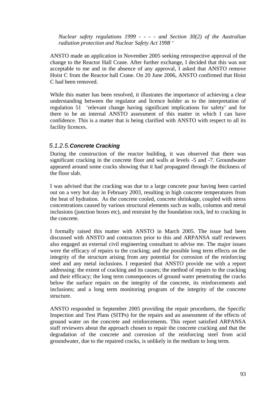*Nuclear safety regulations 1999 - - - - and Section 30(2) of the Australian radiation protection and Nuclear Safety Act 1998 '* 

ANSTO made an application in November 2005 seeking retrospective approval of the change to the Reactor Hall Crane. After further exchange, I decided that this was not acceptable to me and in the absence of any approval, I asked that ANSTO remove Hoist C from the Reactor hall Crane. On 20 June 2006, ANSTO confirmed that Hoist C had been removed.

While this matter has been resolved, it illustrates the importance of achieving a clear understanding between the regulator and licence holder as to the interpretation of regulation 51 'relevant change having significant implications for safety' and for there to be an internal ANSTO assessment of this matter in which I can have confidence. This is a matter that is being clarified with ANSTO with respect to all its facility licences.

#### *5.1.2.5. Concrete Cracking*

During the construction of the reactor building, it was observed that there was significant cracking in the concrete floor and walls at levels -5 and -7. Groundwater appeared around some cracks showing that it had propagated through the thickness of the floor slab.

I was advised that the cracking was due to a large concrete pour having been carried out on a very hot day in February 2003, resulting in high concrete temperatures from the heat of hydration. As the concrete cooled, concrete shrinkage, coupled with stress concentrations caused by various structural elements such as walls, columns and metal inclusions (junction boxes etc), and restraint by the foundation rock, led to cracking in the concrete.

I formally raised this matter with ANSTO in March 2005. The issue had been discussed with ANSTO and contractors prior to this and ARPANSA staff reviewers also engaged an external civil engineering consultant to advise me. The major issues were the efficacy of repairs to the cracking; and the possible long term effects on the integrity of the structure arising from any potential for corrosion of the reinforcing steel and any metal inclusions. I requested that ANSTO provide me with a report addressing: the extent of cracking and its causes; the method of repairs to the cracking and their efficacy; the long term consequences of ground water penetrating the cracks below the surface repairs on the integrity of the concrete, its reinforcements and inclusions; and a long term monitoring program of the integrity of the concrete structure.

ANSTO responded in September 2005 providing the repair procedures, the Specific Inspection and Test Plans (SITPs) for the repairs and an assessment of the effects of ground water on the concrete and reinforcements. This report satisfied ARPANSA staff reviewers about the approach chosen to repair the concrete cracking and that the degradation of the concrete and corrosion of the reinforcing steel from acid groundwater, due to the repaired cracks, is unlikely in the medium to long term.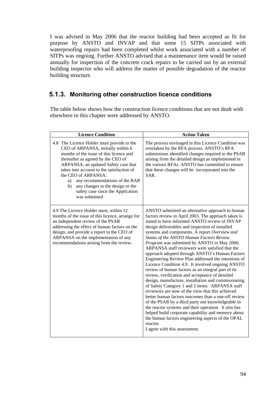I was advised in May 2006 that the reactor building had been accepted as fit for purpose by ANSTO and INVAP and that some 15 SITPs associated with waterproofing repairs had been completed whilst work associated with a number of SITPs was ongoing. Further ANSTO advised that a maintenance item would be raised annually for inspection of the concrete crack repairs to be carried out by an external building inspector who will address the matter of possible degradation of the reactor building structure.

## **5.1.3. Monitoring other construction licence conditions**

The table below shows how the construction licence conditions that are not dealt with elsewhere in this chapter were addressed by ANSTO.

| <b>Licence Condition</b>                                                                                                                                                                                                                                                                                                                                                                                              | <b>Action Taken</b>                                                                                                                                                                                                                                                                                                                                                                                                                                                                                                                                                                                                                                                                                                                                                                                                                                                                                                                                                                                                                                                                                                                                                        |
|-----------------------------------------------------------------------------------------------------------------------------------------------------------------------------------------------------------------------------------------------------------------------------------------------------------------------------------------------------------------------------------------------------------------------|----------------------------------------------------------------------------------------------------------------------------------------------------------------------------------------------------------------------------------------------------------------------------------------------------------------------------------------------------------------------------------------------------------------------------------------------------------------------------------------------------------------------------------------------------------------------------------------------------------------------------------------------------------------------------------------------------------------------------------------------------------------------------------------------------------------------------------------------------------------------------------------------------------------------------------------------------------------------------------------------------------------------------------------------------------------------------------------------------------------------------------------------------------------------------|
| 4.8 The Licence Holder must provide to the<br>CEO of ARPANSA, initially within 6<br>months of the issue of this licence and<br>thereafter as agreed by the CEO of<br>ARPANSA, an updated Safety case that<br>takes into account to the satisfaction of<br>the CEO of ARPANSA:<br>any recommendations of the RAR<br>a)<br>any changes to the design or the<br>b)<br>safety case since the Application<br>was submitted | The process envisaged in this Licence Condition was<br>overtaken by the RFA process. ANSTO's RFA<br>submissions identified changes required to the PSAR<br>arising from the detailed design as implemented in<br>the various RFAs. ANSTO has committed to ensure<br>that these changes will be incorporated into the<br>SAR.                                                                                                                                                                                                                                                                                                                                                                                                                                                                                                                                                                                                                                                                                                                                                                                                                                               |
| 4.9 The Licence Holder must, within 12<br>months of the issue of this licence, arrange for<br>an independent review of the PSAR<br>addressing the effect of human factors on the<br>design, and provide a report to the CEO of<br>ARPANSA on the implementation of any<br>recommendations arising from the review.                                                                                                    | ANSTO submitted an alternative approach to human<br>factors review in April 2003. The approach taken is<br>stated to have informed ANSTO review of INVAP<br>design deliverables and inspection of installed<br>systems and components. A report Overview and<br>Status of the ANSTO Human Factors Review<br>Program was submitted by ANSTO in May 2006.<br>ARPANSA staff reviewers were satisfied that the<br>approach adopted through ANSTO's Human Factors<br>Engineering Review Plan addressed the intentions of<br>Licence Condition 4.9. It involved ongoing ANSTO<br>review of human factors as an integral part of its<br>review, verification and acceptance of detailed<br>design, manufacture, installation and commissioning<br>of Safety Category 1 and 2 items. ARPANSA staff<br>reviewers are now of the view that this achieved<br>better human factors outcomes than a one-off review<br>of the PSAR by a third party not knowledgeable in<br>the reactor systems and their operation. It also has<br>helped build corporate capability and memory about<br>the human factors engineering aspects of the OPAL<br>reactor.<br>I agree with this assessment. |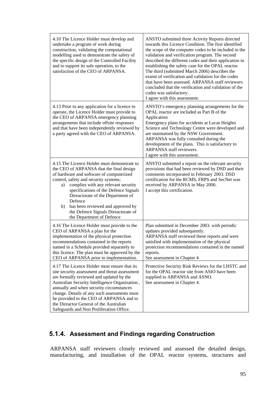| 4.10 The Licence Holder must develop and<br>undertake a program of work during<br>construction, validating the computational<br>modelling used to demonstrate the safety of<br>the specific design of the Controlled Facility<br>and to support its safe operation, to the<br>satisfaction of the CEO of ARPANSA.                                                                                                                 | ANSTO submitted three Activity Reports directed<br>towards this Licence Condition. The first identified<br>the scope of the computer codes to be included in the<br>validation and verification program. The second<br>described the different codes and their application in<br>establishing the safety case for the OPAL reactor.<br>The third (submitted March 2006) describes the<br>extent of verification and validation for the codes<br>that have been assessed. ARPANSA staff reviewers<br>concluded that the verification and validation of the<br>codes was satisfactory.<br>I agree with this assessment. |
|-----------------------------------------------------------------------------------------------------------------------------------------------------------------------------------------------------------------------------------------------------------------------------------------------------------------------------------------------------------------------------------------------------------------------------------|-----------------------------------------------------------------------------------------------------------------------------------------------------------------------------------------------------------------------------------------------------------------------------------------------------------------------------------------------------------------------------------------------------------------------------------------------------------------------------------------------------------------------------------------------------------------------------------------------------------------------|
| 4.13 Prior to any application for a licence to<br>operate, the Licence Holder must provide to<br>the CEO of ARPANSA emergency planning<br>arrangements that include offsite responses<br>and that have been independently reviewed by<br>a party agreed with the CEO of ARPANSA.                                                                                                                                                  | ANSTO's emergency planning arrangements for the<br>OPAL reactor are included as Part B of the<br>Application<br>Emergency plans for accidents at Lucas Heights<br>Science and Technology Centre were developed and<br>are maintained by the NSW Government.<br>ARPANSA was fully consulted during the<br>development of the plans. This is satisfactory to<br>ARPANSA staff reviewers.<br>I agree with this assessment.                                                                                                                                                                                               |
| 4.15 The Licence Holder must demonstrate to<br>the CEO of ARPANSA that the final design<br>of hardware and software of computerized<br>control, safety and security systems;<br>complies with any relevant security<br>a)<br>specifications of the Defence Signals<br>Direactorate of the Department of<br>Defence<br>has been reviewed and approved by<br>b)<br>the Defence Signals Direactorate of<br>the Department of Defence | ANSTO submitted a report on the relevant security<br>provisions that had been reviewed by DSD and their<br>comments incorporated in February 2003. DSD<br>certification for the RCMS, FRPS and SecNet was<br>received by ARPANSA in May 2006.<br>I accept this certification.                                                                                                                                                                                                                                                                                                                                         |
| 4.16 The Licence Holder must provide to the<br>CEO of ARPANSA a plan for the<br>implementation of the physical protection<br>recommendations contained in the reports<br>named in a Schedule provided separately to<br>this licence. The plan must be approved by the<br>CEO of ARPANSA prior to implementation.                                                                                                                  | Plan submitted in December 2003. with periodic<br>updates provided subsequently.<br>ARPANSA staff reviewed these reports and were<br>satisfied with implementation of the physical<br>protection recommendations contained in the named<br>reports.<br>See assessment in Chapter 4                                                                                                                                                                                                                                                                                                                                    |
| 4.17 The Licence Holder must ensure that its<br>site security assessment and threat assessment<br>are formally reviewed and updated by the<br>Australian Security Intelligence Organisation,<br>annually and when security circumstances<br>change. Details of any such assessments must<br>be provided to the CEO of ARPANSA and to<br>the Direactor General of the Australian<br>Safeguards and Non Proliferation Office.       | Protective Security Risk Reviews for the LHSTC and<br>for the OPAL reactor site from ASIO have been<br>supplied to ARPANSA and ASNO.<br>See assessment in Chapter 4.                                                                                                                                                                                                                                                                                                                                                                                                                                                  |

# **5.1.4. Assessment and Findings regarding Construction**

ARPANSA staff reviewers closely reviewed and assessed the detailed design, manufacturing, and installation of the OPAL reactor systems, structures and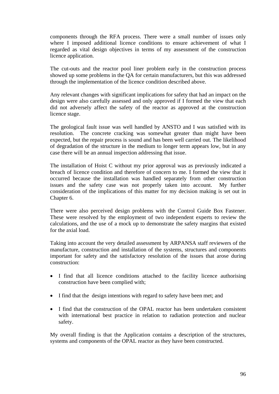components through the RFA process. There were a small number of issues only where I imposed additional licence conditions to ensure achievement of what I regarded as vital design objectives in terms of my assessment of the construction licence application.

The cut-outs and the reactor pool liner problem early in the construction process showed up some problems in the QA for certain manufacturers, but this was addressed through the implementation of the licence condition described above.

Any relevant changes with significant implications for safety that had an impact on the design were also carefully assessed and only approved if I formed the view that each did not adversely affect the safety of the reactor as approved at the construction licence stage.

The geological fault issue was well handled by ANSTO and I was satisfied with its resolution. The concrete cracking was somewhat greater than might have been expected, but the repair process is sound and has been well carried out. The likelihood of degradation of the structure in the medium to longer term appears low, but in any case there will be an annual inspection addressing that issue.

The installation of Hoist C without my prior approval was as previously indicated a breach of licence condition and therefore of concern to me. I formed the view that it occurred because the installation was handled separately from other construction issues and the safety case was not properly taken into account. My further consideration of the implications of this matter for my decision making is set out in Chapter 6.

There were also perceived design problems with the Control Guide Box Fastener. These were resolved by the employment of two independent experts to review the calculations, and the use of a mock up to demonstrate the safety margins that existed for the axial load.

Taking into account the very detailed assessment by ARPANSA staff reviewers of the manufacture, construction and installation of the systems, structures and components important for safety and the satisfactory resolution of the issues that arose during construction:

- I find that all licence conditions attached to the facility licence authorising construction have been complied with;
- I find that the design intentions with regard to safety have been met; and
- I find that the construction of the OPAL reactor has been undertaken consistent with international best practice in relation to radiation protection and nuclear safety.

My overall finding is that the Application contains a description of the structures, systems and components of the OPAL reactor as they have been constructed.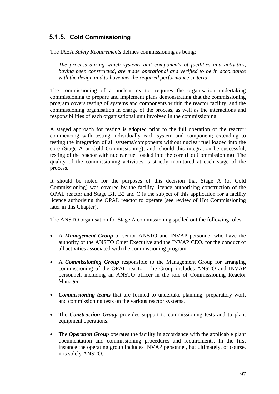# **5.1.5. Cold Commissioning**

The IAEA *Safety Requirements* defines commissioning as being:

*The process during which systems and components of facilities and activities, having been constructed, are made operational and verified to be in accordance with the design and to have met the required performance criteria.* 

The commissioning of a nuclear reactor requires the organisation undertaking commissioning to prepare and implement plans demonstrating that the commissioning program covers testing of systems and components within the reactor facility, and the commissioning organisation in charge of the process, as well as the interactions and responsibilities of each organisational unit involved in the commissioning.

A staged approach for testing is adopted prior to the full operation of the reactor: commencing with testing individually each system and component; extending to testing the integration of all systems/components without nuclear fuel loaded into the core (Stage A or Cold Commissioning); and, should this integration be successful, testing of the reactor with nuclear fuel loaded into the core (Hot Commissioning). The quality of the commissioning activities is strictly monitored at each stage of the process.

It should be noted for the purposes of this decision that Stage A (or Cold Commissioning) was covered by the facility licence authorising construction of the OPAL reactor and Stage B1, B2 and C is the subject of this application for a facility licence authorising the OPAL reactor to operate (see review of Hot Commissioning later in this Chapter).

The ANSTO organisation for Stage A commissioning spelled out the following roles:

- A *Management Group* of senior ANSTO and INVAP personnel who have the authority of the ANSTO Chief Executive and the INVAP CEO, for the conduct of all activities associated with the commissioning program.
- A *Commissioning Group* responsible to the Management Group for arranging commissioning of the OPAL reactor. The Group includes ANSTO and INVAP personnel, including an ANSTO officer in the role of Commissioning Reactor Manager.
- *Commissioning teams* that are formed to undertake planning, preparatory work and commissioning tests on the various reactor systems.
- The *Construction Group* provides support to commissioning tests and to plant equipment operations.
- The *Operation Group* operates the facility in accordance with the applicable plant documentation and commissioning procedures and requirements. In the first instance the operating group includes INVAP personnel, but ultimately, of course, it is solely ANSTO.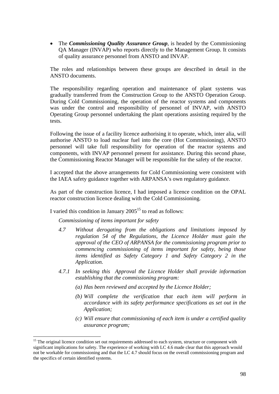• The *Commissioning Quality Assurance Group*, is headed by the Commissioning QA Manager (INVAP) who reports directly to the Management Group. It consists of quality assurance personnel from ANSTO and INVAP.

The roles and relationships between these groups are described in detail in the ANSTO documents.

The responsibility regarding operation and maintenance of plant systems was gradually transferred from the Construction Group to the ANSTO Operation Group. During Cold Commissioning, the operation of the reactor systems and components was under the control and responsibility of personnel of INVAP, with ANSTO Operating Group personnel undertaking the plant operations assisting required by the tests.

Following the issue of a facility licence authorising it to operate, which, inter alia, will authorise ANSTO to load nuclear fuel into the core (Hot Commissioning), ANSTO personnel will take full responsibility for operation of the reactor systems and components, with INVAP personnel present for assistance. During this second phase, the Commissioning Reactor Manager will be responsible for the safety of the reactor.

I accepted that the above arrangements for Cold Commissioning were consistent with the IAEA safety guidance together with ARPANSA's own regulatory guidance.

As part of the construction licence, I had imposed a licence condition on the OPAL reactor construction licence dealing with the Cold Commissioning.

I varied this condition in January  $2005<sup>15</sup>$  to read as follows:

#### *Commissioning of items important for safety*

 $\overline{a}$ 

- *4.7 Without derogating from the obligations and limitations imposed by regulation 54 of the Regulations, the Licence Holder must gain the approval of the CEO of ARPANSA for the commissioning program prior to commencing commissioning of items important for safety, being those items identified as Safety Category 1 and Safety Category 2 in the Application.*
- *4.7.1 In seeking this Approval the Licence Holder shall provide information establishing that the commissioning program:* 
	- *(a) Has been reviewed and accepted by the Licence Holder;*
	- *(b) Will complete the verification that each item will perform in accordance with its safety performance specifications as set out in the Application;*
	- *(c) Will ensure that commissioning of each item is under a certified quality assurance program;*

<sup>&</sup>lt;sup>15</sup> The original licence condition set out requirements addressed to each system, structure or component with significant implications for safety. The experience of working with LC 4.6 made clear that this approach would not be workable for commissioning and that the LC 4.7 should focus on the overall commissioning program and the specifics of certain identified systems.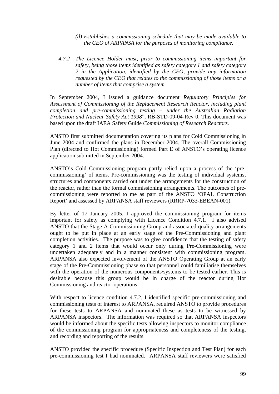- *(d) Establishes a commissioning schedule that may be made available to the CEO of ARPANSA for the purposes of monitoring compliance.*
- *4.7.2 The Licence Holder must, prior to commissioning items important for safety, being those items identified as safety category 1 and safety category 2 in the Application, identified by the CEO, provide any information requested by the CEO that relates to the commissioning of those items or a number of items that comprise a system.*

In September 2004, I issued a guidance document *Regulatory Principles for Assessment of Commissioning of the Replacement Research Reactor, including plant completion and pre-commissioning testing – under the Australian Radiation Protection and Nuclear Safety Act 1998*", RB-STD-09-04-Rev 0. This document was based upon the draft IAEA Safety Guide *Commissioning of Research Reactors*.

ANSTO first submitted documentation covering its plans for Cold Commissioning in June 2004 and confirmed the plans in December 2004. The overall Commissioning Plan (directed to Hot Commissioning) formed Part E of ANSTO's operating licence application submitted in September 2004.

ANSTO's Cold Commissioning program partly relied upon a process of the 'precommissioning' of items. Pre-commissioning was the testing of individual systems, structures and components carried out under the arrangements for the construction of the reactor, rather than the formal commissioning arrangements. The outcomes of precommissioning were reported to me as part of the ANSTO 'OPAL Construction Report' and assessed by ARPANSA staff reviewers (RRRP-7033-EBEAN-001).

By letter of 17 January 2005, I approved the commissioning program for items important for safety as complying with Licence Condition 4.7.1. I also advised ANSTO that the Stage A Commissioning Group and associated quality arrangements ought to be put in place at an early stage of the Pre-Commissioning and plant completion activities. The purpose was to give confidence that the testing of safety category 1 and 2 items that would occur only during Pre-Commissioning were undertaken adequately and in a manner consistent with commissioning program. ARPANSA also expected involvement of the ANSTO Operating Group at an early stage of the Pre-Commissioning phase so that personnel could familiarise themselves with the operation of the numerous components/systems to be tested earlier. This is desirable because this group would be in charge of the reactor during Hot Commissioning and reactor operations.

With respect to licence condition 4.7.2, I identified specific pre-commissioning and commissioning tests of interest to ARPANSA, required ANSTO to provide procedures for these tests to ARPANSA and nominated these as tests to be witnessed by ARPANSA inspectors. The information was required so that ARPANSA inspectors would be informed about the specific tests allowing inspectors to monitor compliance of the commissioning program for appropriateness and completeness of the testing, and recording and reporting of the results.

ANSTO provided the specific procedure (Specific Inspection and Test Plan) for each pre-commissioning test I had nominated. ARPANSA staff reviewers were satisfied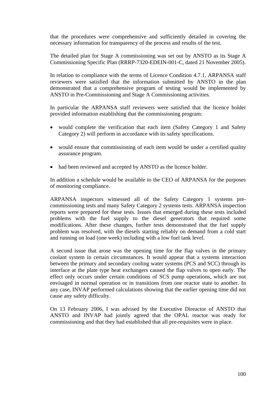that the procedures were comprehensive and sufficiently detailed in covering the necessary information for transparency of the process and results of the test.

The detailed plan for Stage A commissioning was set out by ANSTO as its Stage A Commissioning Specific Plan (RRRP-7320-EDEIN-001-C, dated 21 November 2005).

In relation to compliance with the terms of Licence Condition 4.7.1, ARPANSA staff reviewers were satisfied that the information submitted by ANSTO in the plan demonstrated that a comprehensive program of testing would be implemented by ANSTO in Pre-Commissioning and Stage A Commissioning activities.

In particular the ARPANSA staff reviewers were satisfied that the licence holder provided information establishing that the commissioning program:

- would complete the verification that each item (Safety Category 1 and Safety Category 2) will perform in accordance with its safety specifications.
- would ensure that commissioning of each item would be under a certified quality assurance program.
- had been reviewed and accepted by ANSTO as the licence holder.

In addition a schedule would be available to the CEO of ARPANSA for the purposes of monitoring compliance.

ARPANSA inspectors witnessed all of the Safety Category 1 systems precommissioning tests and many Safety Category 2 systems tests. ARPANSA inspection reports were prepared for these tests. Issues that emerged during these tests included problems with the fuel supply to the diesel generators that required some modifications. After these changes, further tests demonstrated that the fuel supply problem was resolved, with the diesels starting reliably on demand from a cold start and running on load (one week) including with a low fuel tank level.

A second issue that arose was the opening time for the flap valves in the primary coolant system in certain circumstances. It would appear that a systems interaction between the primary and secondary cooling water systems (PCS and SCC) through its interface at the plate type heat exchangers caused the flap valves to open early. The effect only occurs under certain conditions of SCS pump operations, which are not envisaged in normal operation or in transitions from one reactor state to another. In any case, INVAP performed calculations showing that the earlier opening time did not cause any safety difficulty.

On 13 February 2006, I was advised by the Executive Direactor of ANSTO that ANSTO and INVAP had jointly agreed that the OPAL reactor was ready for commissioning and that they had established that all pre-requisites were in place.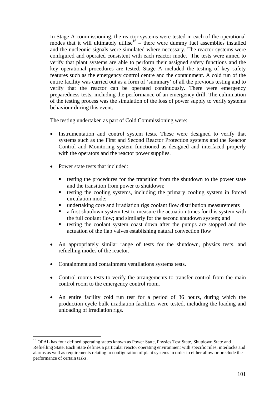In Stage A commissioning, the reactor systems were tested in each of the operational modes that it will ultimately utilise<sup>16</sup> – there were dummy fuel assemblies installed and the nucleonic signals were simulated where necessary. The reactor systems were configured and operated consistent with each reactor mode. The tests were aimed to verify that plant systems are able to perform their assigned safety functions and the key operational procedures are tested. Stage A included the testing of key safety features such as the emergency control centre and the containment. A cold run of the entire facility was carried out as a form of 'summary' of all the previous testing and to verify that the reactor can be operated continuously. There were emergency preparedness tests, including the performance of an emergency drill. The culmination of the testing process was the simulation of the loss of power supply to verify systems behaviour during this event.

The testing undertaken as part of Cold Commissioning were:

- Instrumentation and control system tests. These were designed to verify that systems such as the First and Second Reactor Protection systems and the Reactor Control and Monitoring system functioned as designed and interfaced properly with the operators and the reactor power supplies.
- Power state tests that included:

 $\overline{a}$ 

- $\blacksquare$  testing the procedures for the transition from the shutdown to the power state and the transition from power to shutdown;
- testing the cooling systems, including the primary cooling system in forced circulation mode;
- undertaking core and irradiation rigs coolant flow distribution measurements
- a first shutdown system test to measure the actuation times for this system with the full coolant flow; and similarly for the second shutdown system; and
- testing the coolant system coast down after the pumps are stopped and the actuation of the flap valves establishing natural convection flow
- An appropriately similar range of tests for the shutdown, physics tests, and refuelling modes of the reactor.
- Containment and containment ventilations systems tests.
- Control rooms tests to verify the arrangements to transfer control from the main control room to the emergency control room.
- An entire facility cold run test for a period of 36 hours, during which the production cycle bulk irradiation facilities were tested, including the loading and unloading of irradiation rigs.

<sup>&</sup>lt;sup>16</sup> OPAL has four defined operating states known as Power State, Physics Test State, Shutdown State and Refuelling State. Each State defines a particular reactor operating environment with specific rules, interlocks and alarms as well as requirements relating to configuration of plant systems in order to either allow or preclude the performance of certain tasks.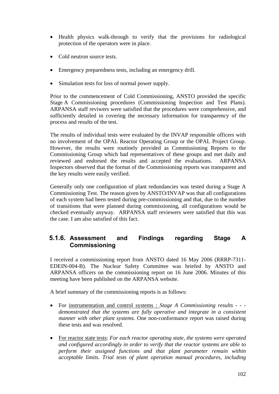- Health physics walk-through to verify that the provisions for radiological protection of the operators were in place.
- Cold neutron source tests.
- Emergency preparedness tests, including an emergency drill.
- Simulation tests for loss of normal power supply.

Prior to the commencement of Cold Commissioning, ANSTO provided the specific Stage A Commissioning procedures (Commissioning Inspection and Test Plans). ARPANSA staff reviwers were satisfied that the procedures were comprehensive, and sufficiently detailed in covering the necessary information for transparency of the process and results of the test.

The results of individual tests were evaluated by the INVAP responsible officers with no involvement of the OPAL Reactor Operating Group or the OPAL Project Group. However, the results were routinely provided as Commissioning Reports to the Commissioning Group which had representatives of these groups and met daily and reviewed and endorsed the results and accepted the evaluations. ARPANSA Inspectors observed that the format of the Commissioning reports was transparent and the key results were easily verified.

Generally only one configuration of plant redundancies was tested during a Stage A Commissioning Test. The reason given by ANSTO/INVAP was that all configurations of each system had been tested during pre-commissioning and that, due to the number of transitions that were planned during commissioning, all configurations would be checked eventually anyway. ARPANSA staff reviewers were satisfied that this was the case. I am also satisfied of this fact.

## **5.1.6. Assessment and Findings regarding Stage A Commissioning**

I received a commissioning report from ANSTO dated 16 May 2006 (RRRP-7311- EDEIN-004-B). The Nuclear Safety Committee was briefed by ANSTO and ARPANSA officers on the commissioning report on 16 June 2006. Minutes of this meeting have been published on the ARPANSA website.

A brief summary of the commissioning reports is as follows:

- For instrumentation and control systems : *Stage A Commissioning results - demonstrated that the systems are fully operative and integrate in a consistent manner with other plant systems.* One non-conformance report was raised during these tests and was resolved.
- For reactor state tests: *For each reactor operating state, the systems were operated and configured accordingly in order to verify that the reactor systems are able to perform their assigned functions and that plant parameter remain within acceptable limits. Trial tests of plant operation manual procedures, including*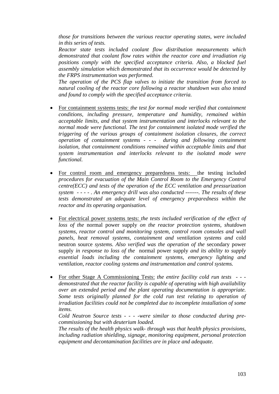*those for transitions between the various reactor operating states, were included in this series of tests.*

 *Reactor state tests included coolant flow distribution measurements which demonstrated that coolant flow rates within the reactor core and irradiation rig positions comply with the specified acceptance criteria. Also, a blocked fuel assembly simulation which demonstrated that its occurrence would be detected by the FRPS instrumentation was performed.* 

 *The operation of the PCS flap valves to initiate the transition from forced to natural cooling of the reactor core following a reactor shutdown was also tested and found to comply with the specified acceptance criteria.* 

- For containment systems tests: *the test for normal mode verified that containment conditions, including pressure, temperature and humidity, remained within acceptable limits, and that system instrumentation and interlocks relevant to the normal mode were functional. The test for containment isolated mode verified the triggering of the various groups of containment isolation closures, the correct operation of containment systems - - - during and following containment isolation, that containment conditions remained within acceptable limits and that system instrumentation and interlocks relevant to the isolated mode were functional.*
- For control room and emergency preparedness tests: the testing included *procedures for evacuation of the Main Control Room to the Emergency Control centre(ECC) and tests of the operation of the ECC ventilation and pressurization system - - - - . An emergency drill was also conducted -------. The results of these tests demonstrated an adequate level of emergency preparedness within the reactor and its operating organisation.*
- For electrical power systems tests: *the tests included verification of the effect of loss of the* normal power supply *on the reactor protection systems, shutdown systems, reactor control and monitoring system, control room consoles and wall panels, heat removal systems, containment and ventilation systems and* cold neutron source *systems. Also verified was the operation of the* secondary power supply *in response to loss of the* normal power supply *and its ability to supply essential loads including the containment systems, emergency lighting and ventilation, reactor cooling systems and instrumentation and control systems.*
- For other Stage A Commissioning Tests: *the entire facility cold run tests - demonstrated that the reactor facility is capable of operating with high availability over an extended period and the plant operating documentation is appropriate. Some tests originally planned for the cold run test relating to operation of irradiation facilities could not be completed due to incomplete installation of some items.*

*Cold Neutron Source tests - - - -were similar to those conducted during precommissioning but with deuterium loaded.* 

 *The results of the health physics walk- through was that health physics provisions, including radiation shielding, signage, monitoring equipment, personal protection equipment and decontamination facilities are in place and adequate.*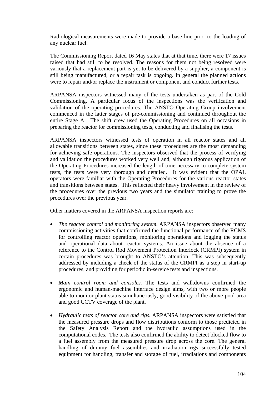Radiological measurements were made to provide a base line prior to the loading of any nuclear fuel.

The Commissioning Report dated 16 May states that at that time, there were 17 issues raised that had still to be resolved. The reasons for them not being resolved were variously that a replacement part is yet to be delivered by a supplier, a component is still being manufactured, or a repair task is ongoing. In general the planned actions were to repair and/or replace the instrument or component and conduct further tests.

ARPANSA inspectors witnessed many of the tests undertaken as part of the Cold Commissioning. A particular focus of the inspections was the verification and validation of the operating procedures. The ANSTO Operating Group involvement commenced in the latter stages of pre-commissioning and continued throughout the entire Stage A. The shift crew used the Operating Procedures on all occasions in preparing the reactor for commissioning tests, conducting and finalising the tests.

ARPANSA inspectors witnessed tests of operation in all reactor states and all allowable transitions between states, since these procedures are the most demanding for achieving safe operations. The inspectors observed that the process of verifying and validation the procedures worked very well and, although rigorous application of the Operating Procedures increased the length of time necessary to complete system tests, the tests were very thorough and detailed. It was evident that the OPAL operators were familiar with the Operating Procedures for the various reactor states and transitions between states. This reflected their heavy involvement in the review of the procedures over the previous two years and the simulator training to prove the procedures over the previous year.

Other matters covered in the ARPANSA inspection reports are:

- *The reactor control and monitoring system*. ARPANSA inspectors observed many commissioning activities that confirmed the functional performance of the RCMS for controlling reactor operations, monitoring operations and logging the status and operational data about reactor systems. An issue about the absence of a reference to the Control Rod Movement Protection Interlock (CRMPI) system in certain procedures was brought to ANSTO's attention. This was subsequently addressed by including a check of the status of the CRMPI as a step in start-up procedures, and providing for periodic in-service tests and inspections.
- *Main control room and consoles.* The tests and walkdowns confirmed the ergonomic and human-machine interface design aims, with two or more people able to monitor plant status simultaneously, good visibility of the above-pool area and good CCTV coverage of the plant.
- *Hydraulic tests of reactor core and rigs.* ARPANSA inspectors were satisfied that the measured pressure drops and flow distributions conform to those predicted in the Safety Analysis Report and the hydraulic assumptions used in the computational codes. The tests also confirmed the ability to detect blocked flow to a fuel assembly from the measured pressure drop across the core. The general handling of dummy fuel assemblies and irradiation rigs successfully tested equipment for handling, transfer and storage of fuel, irradiations and components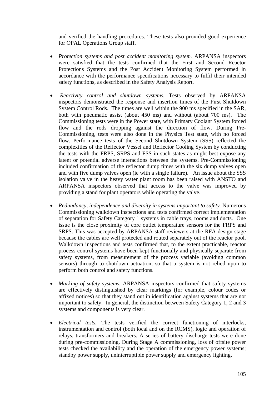and verified the handling procedures. These tests also provided good experience for OPAL Operations Group staff.

- *Protection systems and post accident monitoring system.* ARPANSA inspectors were satisfied that the tests confirmed that the First and Second Reactor Protections Systems and the Post Accident Monitoring System performed in accordance with the performance specifications necessary to fulfil their intended safety functions, as described in the Safety Analysis Report.
- *Reactivity control and shutdown systems*. Tests observed by ARPANSA inspectors demonstrated the response and insertion times of the First Shutdown System Control Rods. The times are well within the 900 ms specified in the SAR, both with pneumatic assist (about 450 ms) and without (about 700 ms). The Commissioning tests were in the Power state, with Primary Coolant System forced flow and the rods dropping against the direction of flow. During Pre-Commissioning, tests were also done in the Physics Test state, with no forced flow. Performance tests of the Second Shutdown System (SSS) reflected the complexities of the Reflector Vessel and Reflector Cooling System by conducting the tests with the FRPS, SRPS and FSS in such states as might best expose any latent or potential adverse interactions between the systems. Pre-Commissioning included confirmation of the reflector dump times with the six dump valves open and with five dump valves open (ie with a single failure). An issue about the SSS isolation valve in the heavy water plant room has been raised with ANSTO and ARPANSA inspectors observed that access to the valve was improved by providing a stand for plant operators while operating the valve.
- *Redundancy, independence and diversity in systems important to safety.* Numerous Commissioning walkdown inspections and tests confirmed correct implementation of separation for Safety Category 1 systems in cable trays, rooms and ducts. One issue is the close proximity of core outlet temperature sensors for the FRPS and SRPS. This was accepted by ARPANSA staff reviewers at the RFA design stage because the cables are well protected and routed separately out of the reactor pool. Walkdown inspections and tests confirmed that, to the extent practicable, reactor process control systems have been kept functionally and physically separate from safety systems, from measurement of the process variable (avoiding common sensors) through to shutdown actuation, so that a system is not relied upon to perform both control and safety functions.
- *Marking of safety systems.* ARPANSA inspectors confirmed that safety systems are effectively distinguished by clear markings (for example, colour codes or affixed notices) so that they stand out in identification against systems that are not important to safety. In general, the distinction between Safety Category 1, 2 and 3 systems and components is very clear.
- *Electrical tests.* The tests verified the correct functioning of interlocks, instrumentation and control (both local and on the RCMS), logic and operation of relays, transformers and breakers. A series of battery discharge tests were done during pre-commissioning. During Stage A commissioning, loss of offsite power tests checked the availability and the operation of the emergency power systems; standby power supply, uninterruptible power supply and emergency lighting.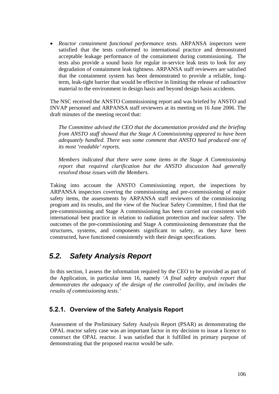• *Reactor containment functional performance tests.* ARPANSA inspectors were satisfied that the tests conformed to international practice and demonstrated acceptable leakage performance of the containment during commissioning. The tests also provide a sound basis for regular in-service leak tests to look for any degradation of containment leak tightness. ARPANSA staff reviewers are satisfied that the containment system has been demonstrated to provide a reliable, longterm, leak-tight barrier that would be effective in limiting the release of radioactive material to the environment in design basis and beyond design basis accidents.

The NSC received the ANSTO Commissioning report and was briefed by ANSTO and INVAP personnel and ARPANSA staff reviewers at its meeting on 16 June 2006. The draft minutes of the meeting record that:

*The Committee advised the CEO that the documentation provided and the briefing from ANSTO staff showed that the Stage A Commissioning appeared to have been adequately handled. There was some comment that ANSTO had produced one of its most 'readable' reports.* 

*Members indicated that there were some items in the Stage A Commissioning report that required clarification but the ANSTO discussion had generally resolved those issues with the Members.* 

Taking into account the ANSTO Commissioning report, the inspections by ARPANSA inspectors covering the commissioning and pre-commissioning of major safety items, the assessments by ARPANSA staff reviewers of the commissioning program and its results, and the view of the Nuclear Safety Committee, I find that the pre-commissioning and Stage A commissioning has been carried out consistent with international best practice in relation to radiation protection and nuclear safety. The outcomes of the pre-commissioning and Stage A commissioning demonstrate that the structures, systems, and components significant to safety, as they have been constructed, have functioned consistently with their design specifications.

# *5.2. Safety Analysis Report*

In this section, I assess the information required by the CEO to be provided as part of the Application, in particular item 16, namely '*A final safety analysis report that demonstrates the adequacy of the design of the controlled facility, and includes the results of commissioning tests.'*

## **5.2.1. Overview of the Safety Analysis Report**

Assessment of the Preliminary Safety Analysis Report (PSAR) as demonstrating the OPAL reactor safety case was an important factor in my decision to issue a licence to construct the OPAL reactor. I was satisfied that it fulfilled its primary purpose of demonstrating that the proposed reactor would be safe.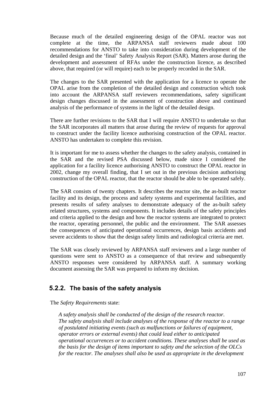Because much of the detailed engineering design of the OPAL reactor was not complete at the time, the ARPANSA staff reviewers made about 100 recommendations for ANSTO to take into consideration during development of the detailed design and the 'final' Safety Analysis Report (SAR). Matters arose during the development and assessment of RFAs under the construction licence, as described above, that required (or will require) each to be properly recorded in the SAR.

The changes to the SAR presented with the application for a licence to operate the OPAL arise from the completion of the detailed design and construction which took into account the ARPANSA staff reviewers recommendations, safety significant design changes discussed in the assessment of construction above and continued analysis of the performance of systems in the light of the detailed design.

There are further revisions to the SAR that I will require ANSTO to undertake so that the SAR incorporates all matters that arose during the review of requests for approval to construct under the facility licence authorising construction of the OPAL reactor. ANSTO has undertaken to complete this revision.

It is important for me to assess whether the changes to the safety analysis, contained in the SAR and the revised PSA discussed below, made since I considered the application for a facility licence authorising ANSTO to construct the OPAL reactor in 2002, change my overall finding, that I set out in the previous decision authorising construction of the OPAL reactor, that the reactor should be able to be operated safely.

The SAR consists of twenty chapters. It describes the reactor site, the as-built reactor facility and its design, the process and safety systems and experimental facilities, and presents results of safety analyses to demonstrate adequacy of the as-built safety related structures, systems and components. It includes details of the safety principles and criteria applied to the design and how the reactor systems are integrated to protect the reactor, operating personnel, the public and the environment. The SAR assesses the consequences of anticipated operational occurrences, design basis accidents and severe accidents to show that the design safety limits and radiological criteria are met.

The SAR was closely reviewed by ARPANSA staff reviewers and a large number of questions were sent to ANSTO as a consequence of that review and subsequently ANSTO responses were considered by ARPANSA staff. A summary working document assessing the SAR was prepared to inform my decision.

## **5.2.2. The basis of the safety analysis**

The *Safety Requirements* state:

*A safety analysis shall be conducted of the design of the research reactor. The safety analysis shall include analyses of the response of the reactor to a range of postulated initiating events (such as malfunctions or failures of equipment, operator errors or external events) that could lead either to anticipated operational occurrences or to accident conditions. These analyses shall be used as the basis for the design of items important to safety and the selection of the OLCs for the reactor. The analyses shall also be used as appropriate in the development*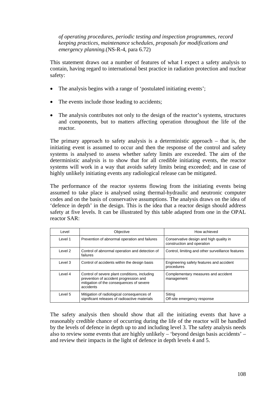*of operating procedures, periodic testing and inspection programmes, record keeping practices, maintenance schedules, proposals for modifications and emergency planning.*(NS-R-4, para 6.72)

This statement draws out a number of features of what I expect a safety analysis to contain, having regard to international best practice in radiation protection and nuclear safety:

- The analysis begins with a range of 'postulated initiating events';
- The events include those leading to accidents;
- The analysis contributes not only to the design of the reactor's systems, structures and components, but to matters affecting operation throughout the life of the reactor.

The primary approach to safety analysis is a deterministic approach – that is, the initiating event is assumed to occur and then the response of the control and safety systems is analysed to assess whether safety limits are exceeded. The aim of the deterministic analysis is to show that for all credible initiating events, the reactor systems will work in a way that avoids safety limits being exceeded; and in case of highly unlikely initiating events any radiological release can be mitigated.

The performance of the reactor systems flowing from the initiating events being assumed to take place is analysed using thermal-hydraulic and neutronic computer codes and on the basis of conservative assumptions. The analysis draws on the idea of 'defence in depth' in the design. This is the idea that a reactor design should address safety at five levels. It can be illustrated by this table adapted from one in the OPAL reactor SAR:

| Level    | Objective                                                                                                                                        | How achieved                                                          |
|----------|--------------------------------------------------------------------------------------------------------------------------------------------------|-----------------------------------------------------------------------|
| Level 1  | Prevention of abnormal operation and failures                                                                                                    | Conservative design and high quality in<br>construction and operation |
| Level 2  | Control of abnormal operation and detection of<br>failures                                                                                       | Control, limiting and other surveillance features                     |
| Level 3  | Control of accidents within the design basis                                                                                                     | Engineering safety features and accident<br>procedures                |
| I evel 4 | Control of severe plant conditions, including<br>prevention of accident progression and<br>mitigation of the consequences of severe<br>accidents | Complementary measures and accident<br>management                     |
| Level 5  | Mitigation of radiological consequences of<br>significant releases of radioactive materials                                                      | Siting<br>Off-site emergency response                                 |

The safety analysis then should show that all the initiating events that have a reasonably credible chance of occurring during the life of the reactor will be handled by the levels of defence in depth up to and including level 3. The safety analysis needs also to review some events that are highly unlikely – 'beyond design basis accidents' – and review their impacts in the light of defence in depth levels 4 and 5.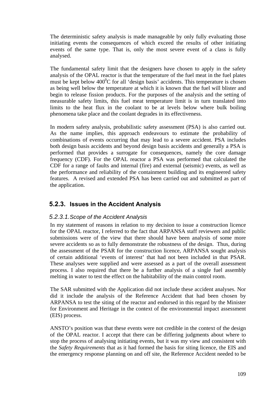The deterministic safety analysis is made manageable by only fully evaluating those initiating events the consequences of which exceed the results of other initiating events of the same type. That is, only the most severe event of a class is fully analysed.

The fundamental safety limit that the designers have chosen to apply in the safety analysis of the OPAL reactor is that the temperature of the fuel meat in the fuel plates must be kept below  $400^{\circ}$ C for all 'design basis' accidents. This temperature is chosen as being well below the temperature at which it is known that the fuel will blister and begin to release fission products. For the purposes of the analysis and the setting of measurable safety limits, this fuel meat temperature limit is in turn translated into limits to the heat flux in the coolant to be at levels below where bulk boiling phenomena take place and the coolant degrades in its effectiveness.

In modern safety analysis, probabilistic safety assessment (PSA) is also carried out. As the name implies, this approach endeavours to estimate the probability of combinations of events occurring that may lead to a severe accident. PSA includes both design basis accidents and beyond design basis accidents and generally a PSA is performed that provides a surrogate for consequences, namely the core damage frequency (CDF). For the OPAL reactor a PSA was performed that calculated the CDF for a range of faults and internal (fire) and external (seismic) events, as well as the performance and reliability of the containment building and its engineered safety features. A revised and extended PSA has been carried out and submitted as part of the application.

## **5.2.3. Issues in the Accident Analysis**

#### *5.2.3.1. Scope of the Accident Analysis*

In my statement of reasons in relation to my decision to issue a construction licence for the OPAL reactor, I referred to the fact that ARPANSA staff reviewers and public submissions were of the view that there should have been analysis of some more severe accidents so as to fully demonstrate the robustness of the design. Thus, during the assessment of the PSAR for the construction licence, ARPANSA sought analysis of certain additional 'events of interest' that had not been included in that PSAR. These analyses were supplied and were assessed as a part of the overall assessment process. I also required that there be a further analysis of a single fuel assembly melting in water to test the effect on the habitability of the main control room.

The SAR submitted with the Application did not include these accident analyses. Nor did it include the analysis of the Reference Accident that had been chosen by ARPANSA to test the siting of the reactor and endorsed in this regard by the Minister for Environment and Heritage in the context of the environmental impact assessment (EIS) process.

ANSTO's position was that these events were not credible in the context of the design of the OPAL reactor. I accept that there can be differing judgments about where to stop the process of analysing initiating events, but it was my view and consistent with the *Safety Requirements* that as it had formed the basis for siting licence, the EIS and the emergency response planning on and off site, the Reference Accident needed to be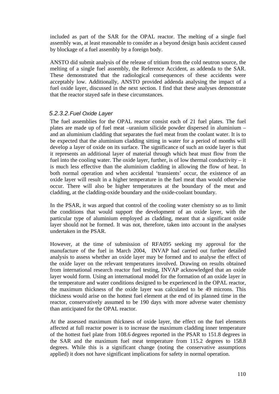included as part of the SAR for the OPAL reactor. The melting of a single fuel assembly was, at least reasonable to consider as a beyond design basis accident caused by blockage of a fuel assembly by a foreign body.

ANSTO did submit analysis of the release of tritium from the cold neutron source, the melting of a single fuel assembly, the Reference Accident, as addenda to the SAR. These demonstrated that the radiological consequences of these accidents were acceptably low. Additionally, ANSTO provided addenda analysing the impact of a fuel oxide layer, discussed in the next section. I find that these analyses demonstrate that the reactor stayed safe in these circumstances.

#### *5.2.3.2. Fuel Oxide Layer*

The fuel assemblies for the OPAL reactor consist each of 21 fuel plates. The fuel plates are made up of fuel meat –uranium silicide powder dispersed in aluminium – and an aluminium cladding that separates the fuel meat from the coolant water. It is to be expected that the aluminium cladding sitting in water for a period of months will develop a layer of oxide on its surface. The significance of such an oxide layer is that it represents an additional layer of material through which heat must flow from the fuel into the cooling water. The oxide layer, further, is of low thermal conductivity – it is much less effective than the aluminium cladding in allowing the flow of heat. In both normal operation and when accidental 'transients' occur, the existence of an oxide layer will result in a higher temperature in the fuel meat than would otherwise occur. There will also be higher temperatures at the boundary of the meat and cladding, at the cladding-oxide boundary and the oxide-coolant boundary.

In the PSAR, it was argued that control of the cooling water chemistry so as to limit the conditions that would support the development of an oxide layer, with the particular type of aluminium employed as cladding, meant that a significant oxide layer should not be formed. It was not, therefore, taken into account in the analyses undertaken in the PSAR.

However, at the time of submission of RFA095 seeking my approval for the manufacture of the fuel in March 2004, INVAP had carried out further detailed analysis to assess whether an oxide layer may be formed and to analyse the effect of the oxide layer on the relevant temperatures involved. Drawing on results obtained from international research reactor fuel testing, INVAP acknowledged that an oxide layer would form. Using an international model for the formation of an oxide layer in the temperature and water conditions designed to be experienced in the OPAL reactor, the maximum thickness of the oxide layer was calculated to be 49 microns. This thickness would arise on the hottest fuel element at the end of its planned time in the reactor, conservatively assumed to be 190 days with more adverse water chemistry than anticipated for the OPAL reactor.

At the assessed maximum thickness of oxide layer, the effect on the fuel elements affected at full reactor power is to increase the maximum cladding inner temperature of the hottest fuel plate from 108.6 degrees reported in the PSAR to 151.8 degrees in the SAR and the maximum fuel meat temperature from 115.2 degrees to 158.8 degrees. While this is a significant change (noting the conservative assumptions applied) it does not have significant implications for safety in normal operation.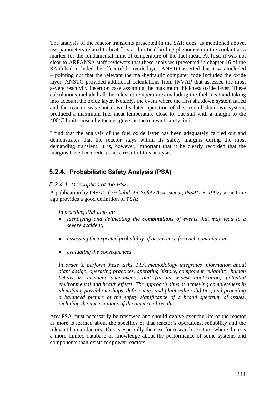The analysis of the reactor transients presented in the SAR does, as mentioned above, use parameters related to heat flux and critical boiling phenomena in the coolant as a marker for the fundamental limit of temperature of the fuel meat. At first, it was not clear to ARPANSA staff reviewers that these analyses (presented in chapter 16 of the SAR) had included the effect of the oxide layer. ANSTO asserted that it was included – pointing out that the relevant thermal-hydraulic computer code included the oxide layer. ANSTO provided additional calculations from INVAP that assessed the most severe reactivity insertion case assuming the maximum thickness oxide layer. These calculations included all the relevant temperatures including the fuel meat and taking into account the oxide layer. Notably, the event where the first shutdown system failed and the reactor was shut down by later operation of the second shutdown system, produced a maximum fuel meat temperature close to, but still with a margin to the  $400^{\circ}$ C limit chosen by the designers as the relevant safety limit.

I find that the analysis of the fuel oxide layer has been adequately carried out and demonstrates that the reactor stays within its safety margins during the most demanding transient. It is, however, important that it be clearly recorded that the margins have been reduced as a result of this analysis.

## **5.2.4. Probabilistic Safety Analysis (PSA)**

#### *5.2.4.1.Description of the PSA*

A publication by INSAG (*Probabilistic Safety Assessment, INSAG-6, 1992)* some time ago provides a good definition of PSA:

*In practice, PSA aims at:* 

- *identifying and delineating the combinations of events that may lead to a severe accident;*
- *assessing the expected probability of occurrence for each combination;*
- *evaluating the consequences.*

*In order to perform these tasks, PSA methodology integrates information about plant design, operating practices, operating history, component reliability, human behaviour, accident phenomena, and (in its widest application) potential environmental and health effects. The approach aims at achieving completeness in identifying possible mishaps, deficiencies and plant vulnerabilities, and providing a balanced picture of the safety significance of a broad spectrum of issues, including the uncertainties of the numerical results.* 

Any PSA must necessarily be reviewed and should evolve over the life of the reactor as more is learned about the specifics of that reactor's operations, reliability and the relevant human factors. This is especially the case for research reactors, where there is a more limited database of knowledge about the performance of some systems and components than exists for power reactors.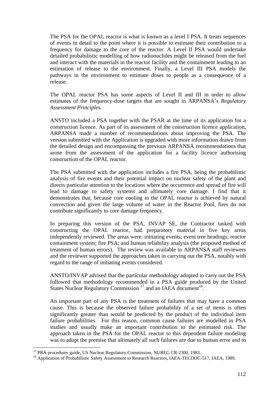The PSA for the OPAL reactor is what is known as a level I PSA. It treats sequences of events in detail to the point where it is possible to estimate their contribution to a frequency for damage to the core of the reactor. A Level II PSA would undertake detailed probabilistic modelling of how radionuclides might be released from the fuel and interact with the materials in the reactor facility and the containment leading to an estimation of release to the environment. Finally, a Level III PSA models the pathways in the environment to estimate doses to people as a consequence of a release.

The OPAL reactor PSA has some aspects of Level II and III in order to allow estimates of the frequency-dose targets that are sought in ARPANSA's *Regulatory Assessment Principles.* 

ANSTO included a PSA together with the PSAR at the time of its application for a construction licence. As part of its assessment of the construction licence application, ARPANSA made a number of recommendations about improving the PSA. The version submitted with the Application is upgraded with more information drawn from the detailed design and encompassing the previous ARPANSA recommendations that arose from the assessment of the application for a facility licence authorising construction of the OPAL reactor.

The PSA submitted with the application includes a fire PSA, being the probabilistic analysis of fire events and their potential impact on nuclear safety of the plant and directs particular attention to the locations where the occurrence and spread of fire will lead to damage to safety systems and ultimately core damage. I find that it demonstrates that, because core cooling in the OPAL reactor is achieved by natural convection and given the large volume of water in the Reactor Pool, fires do not contribute significantly to core damage frequency.

In preparing this version of the PSA, INVAP SE, the Contractor tasked with constructing the OPAL reactor, had preparatory material in five key areas independently reviewed. The areas were: initiating events; event tree headings; reactor containment system; fire PSA; and human reliability analysis (the proposed method of treatment of human errors). The review was available to ARPANSA staff reviewers and the reviewer supported the approaches taken in carrying out the PSA, notably with regard to the range of initiating events considered.

ANSTO/INVAP advised that the particular methodology adopted to carry out the PSA followed that methodology recommended in a PSA guide produced by the United States Nuclear Regulatory Commission<sup>17</sup> and an IAEA document<sup>18</sup>.

An important part of any PSA is the treatment of failures that may have a common cause. This is because the observed failure probability of a set of items is often significantly greater than would be predicted by the product of the individual item failure probabilities. For this reason, common cause failures are modelled in PSA studies and usually make an important contribution to the estimated risk. The approach taken in the PSA for the OPAL reactor to this dependent failure modeling was to adopt the premise that ultimately all such failures are due to human error and to

 $\overline{a}$ 

<sup>&</sup>lt;sup>17</sup> PRA procedures guide, US Nuclear Regulatory Commission, NUREG CR-2300, 1983.

<sup>&</sup>lt;sup>18</sup> Application of Probabilistic Safety Assessment to Research Reactors, IAEA-TECDOC-517, IAEA, 1989.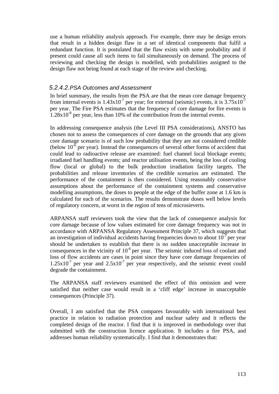use a human reliability analysis approach. For example, there may be design errors that result in a hidden design flaw in a set of identical components that fulfil a redundant function. It is postulated that the flaw exists with some probability and if present could cause all such items to fail simultaneously on demand. The process of reviewing and checking the design is modelled, with probabilities assigned to the design flaw not being found at each stage of the review and checking.

#### *5.2.4.2. PSA Outcomes and Assessment*

In brief summary, the results from the PSA are that the mean core damage frequency from internal events is  $1.43x10^{7}$  per year; for external (seismic) events, it is  $3.75x10^{7}$ per year. The Fire PSA estimates that the frequency of core damage for fire events is  $1.28x10^{-8}$  per year, less than 10% of the contribution from the internal events.

In addressing consequence analysis (the Level III PSA considerations), ANSTO has chosen not to assess the consequences of core damage on the grounds that any given core damage scenario is of such low probability that they are not considered credible (below  $10^{-6}$  per year). Instead the consequences of several other forms of accident that could lead to radioactive release are examined: fuel channel local blockage events; irradiated fuel handling events; and reactor utilisation events, being the loss of cooling flow (local or global) to the bulk production irradiation facility targets. The probabilities and release inventories of the credible scenarios are estimated. The performance of the containment is then considered. Using reasonably conservative assumptions about the performance of the containment systems and conservative modelling assumptions, the doses to people at the edge of the buffer zone at 1.6 km is calculated for each of the scenarios. The results demonstrate doses well below levels of regulatory concern, at worst in the region of tens of microsieverts.

ARPANSA staff reviewers took the view that the lack of consequence analysis for core damage because of low values estimated for core damage frequency was not in accordance with ARPANSA Regulatory Assessment Principle 37, which suggests that an investigation of individual accidents having frequencies down to about  $10^{-7}$  per year should be undertaken to establish that there is no sudden unacceptable increase in consequences in the vicinity of  $10^{-6}$  per year. The seismic induced loss of coolant and loss of flow accidents are cases in point since they have core damage frequencies of  $1.25x10<sup>-7</sup>$  per year and  $2.5x10<sup>-7</sup>$  per year respectively, and the seismic event could degrade the containment.

The ARPANSA staff reviewers examined the effect of this omission and were satisfied that neither case would result in a 'cliff edge' increase in unacceptable consequences (Principle 37).

Overall, I am satisfied that the PSA compares favourably with international best practice in relation to radiation protection and nuclear safety and it reflects the completed design of the reactor. I find that it is improved in methodology over that submitted with the construction licence application. It includes a fire PSA, and addresses human reliability systematically. I find that it demonstrates that: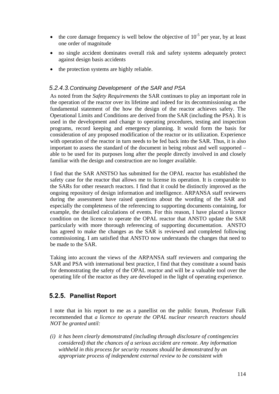- the core damage frequency is well below the objective of  $10^{-5}$  per year, by at least one order of magnitude
- no single accident dominates overall risk and safety systems adequately protect against design basis accidents
- the protection systems are highly reliable.

#### *5.2.4.3. Continuing Development of the SAR and PSA*

As noted from the *Safety Requirements* the SAR continues to play an important role in the operation of the reactor over its lifetime and indeed for its decommissioning as the fundamental statement of the how the design of the reactor achieves safety. The Operational Limits and Conditions are derived from the SAR (including the PSA). It is used in the development and change to operating procedures, testing and inspection programs, record keeping and emergency planning. It would form the basis for consideration of any proposed modification of the reactor or its utilization. Experience with operation of the reactor in turn needs to be fed back into the SAR. Thus, it is also important to assess the standard of the document in being robust and well supported – able to be used for its purposes long after the people directly involved in and closely familiar with the design and construction are no longer available.

I find that the SAR ANSTSO has submitted for the OPAL reactor has established the safety case for the reactor that allows me to license its operation. It is comparable to the SARs for other research reactors. I find that it could be distinctly improved as the ongoing repository of design information and intelligence. ARPANSA staff reviewers during the assessment have raised questions about the wording of the SAR and especially the completeness of the referencing to supporting documents containing, for example, the detailed calculations of events. For this reason, I have placed a licence condition on the licence to operate the OPAL reactor that ANSTO update the SAR particularly with more thorough referencing of supporting documentation. ANSTO has agreed to make the changes as the SAR is reviewed and completed following commissioning. I am satisfied that ANSTO now understands the changes that need to be made to the SAR.

Taking into account the views of the ARPANSA staff reviewers and comparing the SAR and PSA with international best practice, I find that they constitute a sound basis for demonstrating the safety of the OPAL reactor and will be a valuable tool over the operating life of the reactor as they are developed in the light of operating experience*.*

#### **5.2.5. Panellist Report**

I note that in his report to me as a panellist on the public forum, Professor Falk recommended that *a licence to operate the OPAL nuclear research reactors should NOT be granted until:*

*(i) it has been clearly demonstrated (including through disclosure of contingencies considered) that the chances of a serious accident are remote. Any information withheld in this process for security reasons should be demonstrated by an appropriate process of independent external review to be consistent with*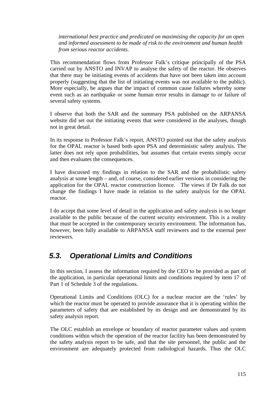*international best practice and predicated on maximising the capacity for an open and informed assessment to be made of risk to the environment and human health from serious reactor accidents.* 

This recommendation flows from Professor Falk's critique principally of the PSA carried out by ANSTO and INVAP to analyse the safety of the reactor. He observes that there may be initiating events of accidents that have not been taken into account properly (suggesting that the list of initiating events was not available to the public). More especially, he argues that the impact of common cause failures whereby some event such as an earthquake or some human error results in damage to or failure of several safety systems.

I observe that both the SAR and the summary PSA published on the ARPANSA website did set out the initiating events that were considered in the analyses, though not in great detail.

In its response to Professor Falk's report, ANSTO pointed out that the safety analysis for the OPAL reactor is based both upon PSA and deterministic safety analysis. The latter does not rely upon probabilities, but assumes that certain events simply occur and then evaluates the consequences.

I have discussed my findings in relation to the SAR and the probabilistic safety analysis at some length – and, of course, considered earlier versions in considering the application for the OPAL reactor construction licence. The views if Dr Falk do not change the findings I have made in relation to the safety analysis for the OPAL reactor.

I do accept that some level of detail in the application and safety analysis is no longer available to the public because of the current security environment. This is a reality that must be accepted in the contemporary security environment. The information has, however, been fully available to ARPANSA staff reviewers and to the external peer reviewers.

## *5.3. Operational Limits and Conditions*

In this section, I assess the information required by the CEO to be provided as part of the application, in particular operational limits and conditions required by item 17 of Part 1 of Schedule 3 of the regulations.

Operational Limits and Conditions (OLC) for a nuclear reactor are the 'rules' by which the reactor must be operated to provide assurance that it is operating within the parameters of safety that are established by its design and are demonstrated by its safety analysis report.

The OLC establish an envelope or boundary of reactor parameter values and system conditions within which the operation of the reactor facility has been demonstrated by the safety analysis report to be safe, and that the site personnel, the public and the environment are adequately protected from radiological hazards. Thus the OLC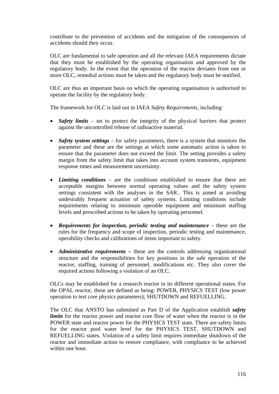contribute to the prevention of accidents and the mitigation of the consequences of accidents should they occur.

OLC are fundamental to safe operation and all the relevant IAEA requirements dictate that they must be established by the operating organisation and approved by the regulatory body. In the event that the operation of the reactor deviates from one or more OLC, remedial actions must be taken and the regulatory body must be notified.

OLC are thus an important basis on which the operating organisation is authorised to operate the facility by the regulatory body.

The framework for OLC is laid out in IAEA *Safety Requirements,* including:

- *Safety limits* set to protect the integrity of the physical barriers that protect against the uncontrolled release of radioactive material.
- *Safety system settings* for safety parameters, there is a system that monitors the parameter and these are the settings at which some automatic action is taken to ensure that the parameter does not exceed the limit. The setting provides a safety margin from the safety limit that takes into account system transients, equipment response times and measurement uncertainty.
- *Limiting conditions*  are the conditions established to ensure that there are acceptable margins between normal operating values and the safety system settings consistent with the analyses in the SAR.. This is aimed at avoiding undesirably frequent actuation of safety systems. Limiting conditions include requirements relating to minimum operable equipment and minimum staffing levels and prescribed actions to be taken by operating personnel.
- *Requirements for inspection, periodic testing and maintenance* these are the rules for the frequency and scope of inspection, periodic testing and maintenance, operability checks and calibrations of items important to safety.
- *Administrative requirements* these are the controls addressing organisational structure and the responsibilities for key positions in the safe operation of the reactor, staffing, training of personnel, modifications etc. They also cover the required actions following a violation of an OLC.

OLCs may be established for a research reactor in its different operational states. For the OPAL reactor, these are defined as being: POWER, PHYSICS TEST (low power operation to test core physics parameters); SHUTDOWN and REFUELLING.

The OLC that ANSTO has submitted as Part D of the Application establish *safety limits* for the reactor power and reactor core flow of water when the reactor is in the POWER state and reactor power for the PHYSICS TEST state. There are safety limits for the reactor pool water level for the PHYSICS TEST, SHUTDOWN and REFUELLING states. Violation of a safety limit requires immediate shutdown of the reactor and immediate action to restore compliance, with compliance to be achieved within one hour.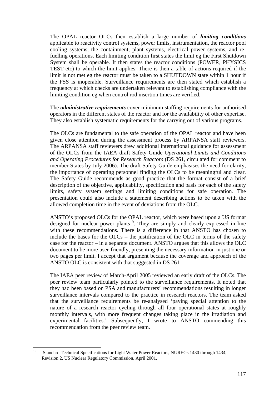The OPAL reactor OLCs then establish a large number of *limiting conditions* applicable to reactivity control systems, power limits, instrumentation, the reactor pool cooling systems, the containment, plant systems, electrical power systems, and refuelling operations. Each limiting condition first states the limit eg the First Shutdown System shall be operable. It then states the reactor conditions (POWER, PHYSICS TEST etc) to which the limit applies. There is then a table of actions required if the limit is not met eg the reactor must be taken to a SHUTDOWN state within 1 hour if the FSS is inoperable. Surveillance requirements are then stated which establish a frequency at which checks are undertaken relevant to establishing compliance with the limiting condition eg when control rod insertion times are verified.

The *administrative requirements* cover minimum staffing requirements for authorised operators in the different states of the reactor and for the availability of other expertise. They also establish systematic requirements for the carrying out of various programs.

The OLCs are fundamental to the safe operation of the OPAL reactor and have been given close attention during the assessment process by ARPANSA staff reviewers. The ARPANSA staff reviewers drew additional international guidance for assessment of the OLCs from the IAEA draft Safety Guide *Operational Limits and Conditions and Operating Procedures for Research Reactors* (DS 261, circulated for comment to member States by July 2006). The draft Safety Guide emphasises the need for clarity, the importance of operating personnel finding the OLCs to be meaningful and clear. The Safety Guide recommends as good practice that the format consist of a brief description of the objective, applicability, specification and basis for each of the safety limits, safety system settings and limiting conditions for safe operation. The presentation could also include a statement describing actions to be taken with the allowed completion time in the event of deviations from the OLC.

ANSTO's proposed OLCs for the OPAL reactor, which were based upon a US format designed for nuclear power plants<sup>19</sup>. They are simply and clearly expressed in line with these recommendations. There is a difference in that ANSTO has chosen to include the bases for the  $OLCs$  – the justification of the OLC in terms of the safety case for the reactor – in a separate document. ANSTO argues that this allows the OLC document to be more user-friendly, presenting the necessary information in just one or two pages per limit. I accept that argument because the coverage and approach of the ANSTO OLC is consistent with that suggested in DS 261

The IAEA peer review of March-April 2005 reviewed an early draft of the OLCs. The peer review team particularly pointed to the surveillance requirements. It noted that they had been based on PSA and manufacturers' recommendations resulting in longer surveillance intervals compared to the practice in research reactors. The team asked that the surveillance requirements be re-analysed 'paying special attention to the nature of a research reactor cycling through all four operational states at roughly monthly intervals, with more frequent changes taking place in the irradiation and experimental facilities.' Subsequently, I wrote to ANSTO commending this recommendation from the peer review team.

 $19$ 19 Standard Technical Specifications for Light Water Power Reactors, NUREGs 1430 through 1434, Revision 2, US Nuclear Regulatory Commission, April 2001,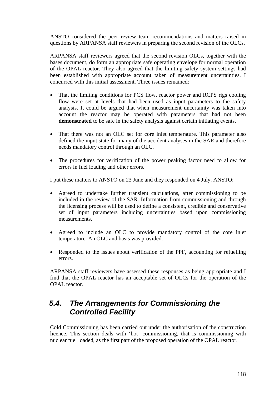ANSTO considered the peer review team recommendations and matters raised in questions by ARPANSA staff reviewers in preparing the second revision of the OLCs.

ARPANSA staff reviewers agreed that the second revision OLCs, together with the bases document, do form an appropriate safe operating envelope for normal operation of the OPAL reactor. They also agreed that the limiting safety system settings had been established with appropriate account taken of measurement uncertainties. I concurred with this initial assessment. Three issues remained:

- That the limiting conditions for PCS flow, reactor power and RCPS rigs cooling flow were set at levels that had been used as input parameters to the safety analysis. It could be argued that when measurement uncertainty was taken into account the reactor may be operated with parameters that had not been **demonstrated** to be safe in the safety analysis against certain initiating events.
- That there was not an OLC set for core inlet temperature. This parameter also defined the input state for many of the accident analyses in the SAR and therefore needs mandatory control through an OLC.
- The procedures for verification of the power peaking factor need to allow for errors in fuel loading and other errors.

I put these matters to ANSTO on 23 June and they responded on 4 July. ANSTO:

- Agreed to undertake further transient calculations, after commissioning to be included in the review of the SAR. Information from commissioning and through the licensing process will be used to define a consistent, credible and conservative set of input parameters including uncertainties based upon commissioning measurements.
- Agreed to include an OLC to provide mandatory control of the core inlet temperature. An OLC and basis was provided.
- Responded to the issues about verification of the PPF, accounting for refuelling errors.

ARPANSA staff reviewers have assessed these responses as being appropriate and I find that the OPAL reactor has an acceptable set of OLCs for the operation of the OPAL reactor.

# *5.4. The Arrangements for Commissioning the Controlled Facility*

Cold Commissioning has been carried out under the authorisation of the construction licence. This section deals with 'hot' commissioning, that is commissioning with nuclear fuel loaded, as the first part of the proposed operation of the OPAL reactor.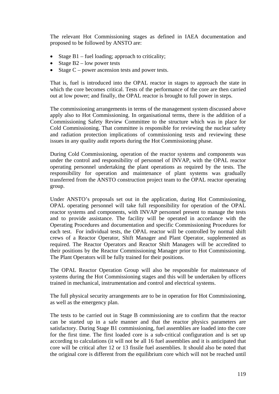The relevant Hot Commissioning stages as defined in IAEA documentation and proposed to be followed by ANSTO are:

- Stage B1 fuel loading; approach to criticality;
- Stage  $B2$  low power tests
- Stage  $C$  power ascension tests and power tests.

That is, fuel is introduced into the OPAL reactor in stages to approach the state in which the core becomes critical. Tests of the performance of the core are then carried out at low power; and finally, the OPAL reactor is brought to full power in steps.

The commissioning arrangements in terms of the management system discussed above apply also to Hot Commissioning. In organisational terms, there is the addition of a Commissioning Safety Review Committee to the structure which was in place for Cold Commissioning. That committee is responsible for reviewing the nuclear safety and radiation protection implications of commissioning tests and reviewing these issues in any quality audit reports during the Hot Commissioning phase.

During Cold Commissioning, operation of the reactor systems and components was under the control and responsibility of personnel of INVAP, with the OPAL reactor operating personnel undertaking the plant operations as required by the tests. The responsibility for operation and maintenance of plant systems was gradually transferred from the ANSTO construction project team to the OPAL reactor operating group.

Under ANSTO's proposals set out in the application, during Hot Commissioning, OPAL operating personnel will take full responsibility for operation of the OPAL reactor systems and components, with INVAP personnel present to manage the tests and to provide assistance. The facility will be operated in accordance with the Operating Procedures and documentation and specific Commissioning Procedures for each test. For individual tests, the OPAL reactor will be controlled by normal shift crews of a Reactor Operator, Shift Manager and Plant Operator, supplemented as required. The Reactor Operators and Reactor Shift Managers will be accredited to their positions by the Reactor Commissioning Manager prior to Hot Commissioning. The Plant Operators will be fully trained for their positions.

The OPAL Reactor Operation Group will also be responsible for maintenance of systems during the Hot Commissioning stages and this will be undertaken by officers trained in mechanical, instrumentation and control and electrical systems.

The full physical security arrangements are to be in operation for Hot Commissioning, as well as the emergency plan.

The tests to be carried out in Stage B commissioning are to confirm that the reactor can be started up in a safe manner and that the reactor physics parameters are satisfactory. During Stage B1 commissioning, fuel assemblies are loaded into the core for the first time. The first loaded core is a sub-critical configuration and is set up according to calculations (it will not be all 16 fuel assemblies and it is anticipated that core will be critical after 12 or 13 fissile fuel assemblies. It should also be noted that the original core is different from the equilibrium core which will not be reached until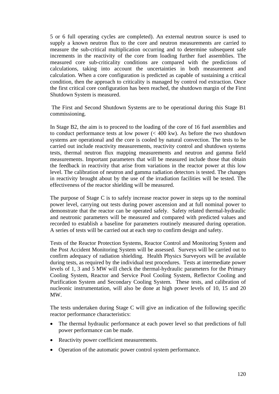5 or 6 full operating cycles are completed). An external neutron source is used to supply a known neutron flux to the core and neutron measurements are carried to measure the sub-critical multiplication occurring and to determine subsequent safe increments in the reactivity of the core from loading further fuel assemblies. The measured core sub-criticality conditions are compared with the predictions of calculations, taking into account the uncertainties in both measurement and calculation. When a core configuration is predicted as capable of sustaining a critical condition, then the approach to criticality is managed by control rod extraction. Once the first critical core configuration has been reached, the shutdown margin of the First Shutdown System is measured.

 The First and Second Shutdown Systems are to be operational during this Stage B1 commissioning.

In Stage B2, the aim is to proceed to the loading of the core of 16 fuel assemblies and to conduct performance tests at low power (< 400 kw). As before the two shutdown systems are operational and the core is cooled by natural convection. The tests to be carried out include reactivity measurements, reactivity control and shutdown systems tests, thermal neutron flux mapping measurements and neutron and gamma field measurements. Important parameters that will be measured include those that obtain the feedback in reactivity that arise from variations in the reactor power at this low level. The calibration of neutron and gamma radiation detectors is tested. The changes in reactivity brought about by the use of the irradiation facilities will be tested. The effectiveness of the reactor shielding will be measured.

The purpose of Stage C is to safely increase reactor power in steps up to the nominal power level, carrying out tests during power ascension and at full nominal power to demonstrate that the reactor can be operated safely. Safety related thermal-hydraulic and neutronic parameters will be measured and compared with predicted values and recorded to establish a baseline for parameters routinely measured during operation. A series of tests will be carried out at each step to confirm design and safety.

Tests of the Reactor Protection Systems, Reactor Control and Monitoring System and the Post Accident Monitoring System will be assessed. Surveys will be carried out to confirm adequacy of radiation shielding. Health Physics Surveyors will be available during tests, as required by the individual test procedures. Tests at intermediate power levels of 1, 3 and 5 MW will check the thermal-hydraulic parameters for the Primary Cooling System, Reactor and Service Pool Cooling System, Reflector Cooling and Purification System and Secondary Cooling System. These tests, and calibration of nucleonic instrumentation, will also be done at high power levels of 10, 15 and 20 MW.

The tests undertaken during Stage C will give an indication of the following specific reactor performance characteristics:

- The thermal hydraulic performance at each power level so that predictions of full power performance can be made.
- Reactivity power coefficient measurements.
- Operation of the automatic power control system performance.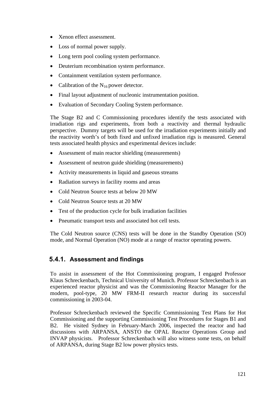- Xenon effect assessment.
- Loss of normal power supply.
- Long term pool cooling system performance.
- Deuterium recombination system performance.
- Containment ventilation system performance.
- Calibration of the  $N_{16}$  power detector.
- Final layout adjustment of nucleonic instrumentation position.
- Evaluation of Secondary Cooling System performance.

The Stage B2 and C Commissioning procedures identify the tests associated with irradiation rigs and experiments, from both a reactivity and thermal hydraulic perspective. Dummy targets will be used for the irradiation experiments initially and the reactivity worth's of both fixed and unfixed irradiation rigs is measured. General tests associated health physics and experimental devices include:

- Assessment of main reactor shielding (measurements)
- Assessment of neutron guide shielding (measurements)
- Activity measurements in liquid and gaseous streams
- Radiation surveys in facility rooms and areas
- Cold Neutron Source tests at below 20 MW
- Cold Neutron Source tests at 20 MW
- Test of the production cycle for bulk irradiation facilities
- Pneumatic transport tests and associated hot cell tests.

The Cold Neutron source (CNS) tests will be done in the Standby Operation (SO) mode, and Normal Operation (NO) mode at a range of reactor operating powers.

#### **5.4.1. Assessment and findings**

To assist in assessment of the Hot Commissioning program, I engaged Professor Klaus Schreckenbach, Technical University of Munich. Professor Schreckenbach is an experienced reactor physicist and was the Commissioning Reactor Manager for the modern, pool-type, 20 MW FRM-II research reactor during its successful commissioning in 2003-04.

Professor Schreckenbach reviewed the Specific Commissioning Test Plans for Hot Commissioning and the supporting Commissioning Test Procedures for Stages B1 and B2. He visited Sydney in February-March 2006, inspected the reactor and had discussions with ARPANSA, ANSTO the OPAL Reactor Operations Group and INVAP physicists. Professor Schreckenbach will also witness some tests, on behalf of ARPANSA, during Stage B2 low power physics tests.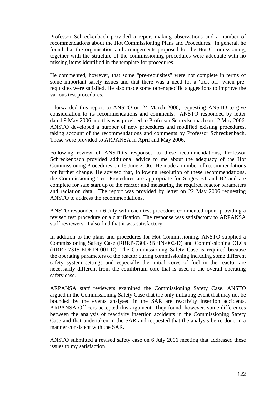Professor Schreckenbach provided a report making observations and a number of recommendations about the Hot Commissioning Plans and Procedures. In general, he found that the organisation and arrangements proposed for the Hot Commissioning, together with the structure of the commissioning procedures were adequate with no missing items identified in the template for procedures.

He commented, however, that some "pre-requisites" were not complete in terms of some important safety issues and that there was a need for a 'tick off' when prerequisites were satisfied. He also made some other specific suggestions to improve the various test procedures.

I forwarded this report to ANSTO on 24 March 2006, requesting ANSTO to give consideration to its recommendations and comments. ANSTO responded by letter dated 9 May 2006 and this was provided to Professor Schreckenbach on 12 May 2006. ANSTO developed a number of new procedures and modified existing procedures, taking account of the recommendations and comments by Professor Schreckenbach. These were provided to ARPANSA in April and May 2006.

Following review of ANSTO's responses to these recommendations, Professor Schreckenbach provided additional advice to me about the adequacy of the Hot Commissioning Procedures on 18 June 2006. He made a number of recommendations for further change. He advised that, following resolution of these recommendations, the Commissioning Test Procedures are appropriate for Stages B1 and B2 and are complete for safe start up of the reactor and measuring the required reactor parameters and radiation data. The report was provided by letter on 22 May 2006 requesting ANSTO to address the recommendations.

ANSTO responded on 6 July with each test procedure commented upon, providing a revised test procedure or a clarification. The response was satisfactory to ARPANSA staff reviewers. I also find that it was satisfactory.

In addition to the plans and procedures for Hot Commissioning, ANSTO supplied a Commissioning Safety Case (RRRP-7300-3BEIN-002-D) and Commissioning OLCs (RRRP-7315-EDEIN-001-D). The Commissioning Safety Case is required because the operating parameters of the reactor during commissioning including some different safety system settings and especially the initial cores of fuel in the reactor are necessarily different from the equilibrium core that is used in the overall operating safety case.

ARPANSA staff reviewers examined the Commissioning Safety Case. ANSTO argued in the Commissioning Safety Case that the only initiating event that may not be bounded by the events analysed in the SAR are reactivity insertion accidents. ARPANSA Officers accepted this argument. They found, however, some differences between the analysis of reactivity insertion accidents in the Commissioning Safety Case and that undertaken in the SAR and requested that the analysis be re-done in a manner consistent with the SAR.

ANSTO submitted a revised safety case on 6 July 2006 meeting that addressed these issues to my satisfaction.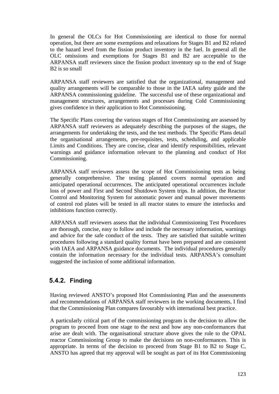In general the OLCs for Hot Commissioning are identical to those for normal operation, but there are some exemptions and relaxations for Stages B1 and B2 related to the hazard level from the fission product inventory in the fuel. In general all the OLC omissions and exemptions for Stages B1 and B2 are acceptable to the ARPANSA staff reviewers since the fission product inventory up to the end of Stage B2 is so small

ARPANSA staff reviewers are satisfied that the organizational, management and quality arrangements will be comparable to those in the IAEA safety guide and the ARPANSA commissioning guideline. The successful use of these organizational and management structures, arrangements and processes during Cold Commissioning gives confidence in their application to Hot Commissioning.

The Specific Plans covering the various stages of Hot Commissioning are assessed by ARPANSA staff reviewers as adequately describing the purposes of the stages, the arrangements for undertaking the tests, and the test methods. The Specific Plans detail the organisational arrangements, pre-requisites, tests, scheduling, and applicable Limits and Conditions. They are concise, clear and identify responsibilities, relevant warnings and guidance information relevant to the planning and conduct of Hot Commissioning.

ARPANSA staff reviewers assess the scope of Hot Commissioning tests as being generally comprehensive. The testing planned covers normal operation and anticipated operational occurrences. The anticipated operational occurrences include loss of power and First and Second Shutdown System trips. In addition, the Reactor Control and Monitoring System for automatic power and manual power movements of control rod plates will be tested in all reactor states to ensure the interlocks and inhibitions function correctly.

ARPANSA staff reviewers assess that the individual Commissioning Test Procedures are thorough, concise, easy to follow and include the necessary information, warnings and advice for the safe conduct of the tests. They are satisfied that suitable written procedures following a standard quality format have been prepared and are consistent with IAEA and ARPANSA guidance documents. The individual procedures generally contain the information necessary for the individual tests. ARPANSA's consultant suggested the inclusion of some additional information.

## **5.4.2. Finding**

Having reviewed ANSTO's proposed Hot Commissioning Plan and the assessments and recommendations of ARPANSA staff reviewers in the working documents, I find that the Commissioning Plan compares favourably with international best practice.

A particularly critical part of the commissioning program is the decision to allow the program to proceed from one stage to the next and how any non-conformances that arise are dealt with. The organisational structure above gives the role to the OPAL reactor Commissioning Group to make the decisions on non-conformances. This is appropriate. In terms of the decision to proceed from Stage B1 to B2 to Stage C, ANSTO has agreed that my approval will be sought as part of its Hot Commissioning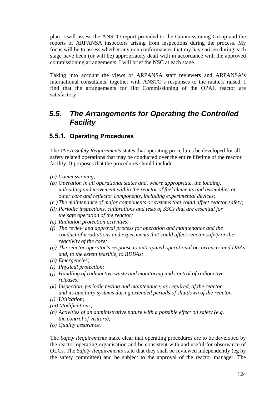plan. I will assess the ANSTO report provided to the Commissioning Group and the reports of ARPANSA inspectors arising from inspections during the process. My focus will be to assess whether any non conformances that my have arisen during each stage have been (or will be) appropriately dealt with in accordance with the approved commissioning arrangements. I will brief the NSC at each stage.

Taking into account the views of ARPANSA staff reviewers and ARPANSA's international consultants, together with ANSTO's responses to the matters raised, I find that the arrangements for Hot Commissioning of the OPAL reactor are satisfactory.

# *5.5. The Arrangements for Operating the Controlled Facility*

## **5.5.1. Operating Procedures**

The IAEA *Safety Requirements* states that operating procedures be developed for all safety related operations that may be conducted over the entire lifetime of the reactor facility. It proposes that the procedures should include:

- *(a) Commissioning;*
- *(b) Operation in all operational states and, where appropriate, the loading, unloading and movement within the reactor of fuel elements and assemblies or other core and reflector components, including experimental devices;*
- *(c ) The maintenance of major components or systems that could affect reactor safety;*
- *(d) Periodic inspections, calibrations and tests of SSCs that are essential for the safe operation of the reactor;*
- *(e) Radiation protection activities;*
- *(f) The review and approval process for operation and maintenance and the conduct of irradiations and experiments that could affect reactor safety or the reactivity of the core;*
- *(g) The reactor operator's response to anticipated operational occurrences and DBAs and, to the extent feasible, to BDBAs;*
- *(h) Emergencies;*
- *(i) Physical protection;*
- *(j) Handling of radioactive waste and monitoring and control of radioactive releases;*
- *(k) Inspection, periodic testing and maintenance, as required, of the reactor and its auxiliary systems during extended periods of shutdown of the reactor;*
- *(l) Utilization;*
- *(m) Modifications;*
- *(n) Activities of an administrative nature with a possible effect on safety (e.g. the control of visitors);*
- *(o) Quality assurance.*

The *Safety Requirements* make clear that operating procedures are to be developed by the reactor operating organisation and be consistent with and useful for observance of OLCs. The *Safety Requirements* state that they shall be reviewed independently (eg by the safety committee) and be subject to the approval of the reactor manager. The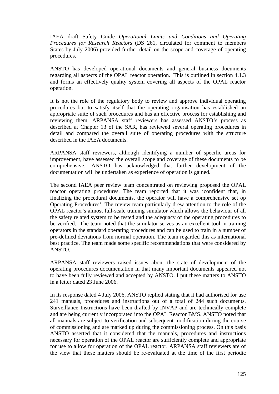IAEA draft Safety Guide *Operational Limits and Conditions and Operating Procedures for Research Reactors* (DS 261, circulated for comment to members States by July 2006) provided further detail on the scope and coverage of operating procedures.

ANSTO has developed operational documents and general business documents regarding all aspects of the OPAL reactor operation. This is outlined in section 4.1.3 and forms an effectively quality system covering all aspects of the OPAL reactor operation.

It is not the role of the regulatory body to review and approve individual operating procedures but to satisfy itself that the operating organisation has established an appropriate suite of such procedures and has an effective process for establishing and reviewing them. ARPANSA staff reviewers has assessed ANSTO's process as described at Chapter 13 of the SAR, has reviewed several operating procedures in detail and compared the overall suite of operating procedures with the structure described in the IAEA documents.

ARPANSA staff reviewers, although identifying a number of specific areas for improvement, have assessed the overall scope and coverage of these documents to be comprehensive. ANSTO has acknowledged that further development of the documentation will be undertaken as experience of operation is gained.

The second IAEA peer review team concentrated on reviewing proposed the OPAL reactor operating procedures. The team reported that it was 'confident that, in finalizing the procedural documents, the operator will have a comprehensive set op Operating Procedures'. The review team particularly drew attention to the role of the OPAL reactor's almost full-scale training simulator which allows the behaviour of all the safety related system to be tested and the adequacy of the operating procedures to be verified. The team noted that the simulator serves as an excellent tool in training operators in the standard operating procedures and can be used to train in a number of pre-defined deviations from normal operation. The team regarded this as international best practice. The team made some specific recommendations that were considered by ANSTO.

ARPANSA staff reviewers raised issues about the state of development of the operating procedures documentation in that many important documents appeared not to have been fully reviewed and accepted by ANSTO. I put these matters to ANSTO in a letter dated 23 June 2006.

In its response dated 4 July 2006, ANSTO replied stating that it had authorised for use 241 manuals, procedures and instructions out of a total of 244 such documents. Surveillance Instructions have been drafted by INVAP and are technically complete and are being currently incorporated into the OPAL Reactor BMS. ANSTO noted that all manuals are subject to verification and subsequent modification during the course of commissioning and are marked up during the commissioning process. On this basis ANSTO asserted that it considered that the manuals, procedures and instructions necessary for operation of the OPAL reactor are sufficiently complete and appropriate for use to allow for operation of the OPAL reactor. ARPANSA staff reviewers are of the view that these matters should be re-evaluated at the time of the first periodic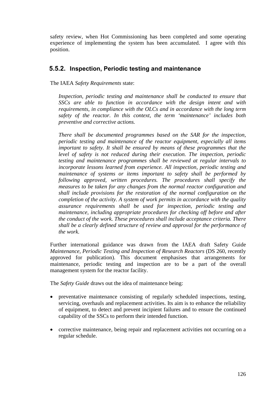safety review, when Hot Commissioning has been completed and some operating experience of implementing the system has been accumulated. I agree with this position.

#### **5.5.2. Inspection, Periodic testing and maintenance**

The IAEA *Safety Requirements* state:

*Inspection, periodic testing and maintenance shall be conducted to ensure that SSCs are able to function in accordance with the design intent and with requirements, in compliance with the OLCs and in accordance with the long term safety of the reactor. In this context, the term 'maintenance' includes both preventive and corrective actions.* 

*There shall be documented programmes based on the SAR for the inspection, periodic testing and maintenance of the reactor equipment, especially all items important to safety. It shall be ensured by means of these programmes that the level of safety is not reduced during their execution. The inspection, periodic testing and maintenance programmes shall be reviewed at regular intervals to incorporate lessons learned from experience. All inspection, periodic testing and maintenance of systems or items important to safety shall be performed by following approved, written procedures. The procedures shall specify the measures to be taken for any changes from the normal reactor configuration and shall include provisions for the restoration of the normal configuration on the completion of the activity. A system of work permits in accordance with the quality assurance requirements shall be used for inspection, periodic testing and maintenance, including appropriate procedures for checking off before and after the conduct of the work. These procedures shall include acceptance criteria. There shall be a clearly defined structure of review and approval for the performance of the work.* 

Further international guidance was drawn from the IAEA draft Safety Guide *Maintenance, Periodic Testing and Inspection of Research Reactors (DS 260, recently* approved for publication). This document emphasises that arrangements for maintenance, periodic testing and inspection are to be a part of the overall management system for the reactor facility.

The *Safety Guide* draws out the idea of maintenance being:

- preventative maintenance consisting of regularly scheduled inspections, testing, servicing, overhauls and replacement activities. Its aim is to enhance the reliability of equipment, to detect and prevent incipient failures and to ensure the continued capability of the SSCs to perform their intended function.
- corrective maintenance, being repair and replacement activities not occurring on a regular schedule.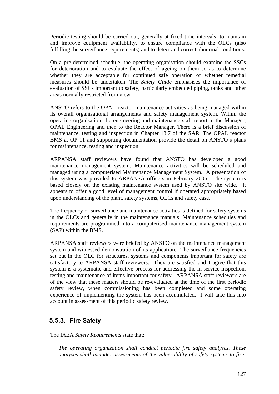Periodic testing should be carried out, generally at fixed time intervals, to maintain and improve equipment availability, to ensure compliance with the OLCs (also fulfilling the surveillance requirements) and to detect and correct abnormal conditions.

On a pre-determined schedule, the operating organisation should examine the SSCs for deterioration and to evaluate the effect of ageing on them so as to determine whether they are acceptable for continued safe operation or whether remedial measures should be undertaken. The *Safety Guide* emphasises the importance of evaluation of SSCs important to safety, particularly embedded piping, tanks and other areas normally restricted from view.

ANSTO refers to the OPAL reactor maintenance activities as being managed within its overall organisational arrangements and safety management system. Within the operating organisation, the engineering and maintenance staff report to the Manager, OPAL Engineering and then to the Reactor Manager. There is a brief discussion of maintenance, testing and inspection in Chapter 13.7 of the SAR. The OPAL reactor BMS at OP 11 and supporting documentation provide the detail on ANSTO's plans for maintenance, testing and inspection.

ARPANSA staff reviewers have found that ANSTO has developed a good maintenance management system. Maintenance activities will be scheduled and managed using a computerised Maintenance Management System. A presentation of this system was provided to ARPANSA officers in February 2006. The system is based closely on the existing maintenance system used by ANSTO site wide. It appears to offer a good level of management control if operated appropriately based upon understanding of the plant, safety systems, OLCs and safety case.

The frequency of surveillance and maintenance activities is defined for safety systems in the OLCs and generally in the maintenance manuals. Maintenance schedules and requirements are programmed into a computerised maintenance management system (SAP) within the BMS.

ARPANSA staff reviewers were briefed by ANSTO on the maintenance management system and witnessed demonstration of its application. The surveillance frequencies set out in the OLC for structures, systems and components important for safety are satisfactory to ARPANSA staff reviewers. They are satisfied and I agree that this system is a systematic and effective process for addressing the in-service inspection, testing and maintenance of items important for safety. ARPANSA staff reviewers are of the view that these matters should be re-evaluated at the time of the first periodic safety review, when commissioning has been completed and some operating experience of implementing the system has been accumulated. I will take this into account in assessment of this periodic safety review.

## **5.5.3. Fire Safety**

The IAEA *Safety Requirements* state that:

*The operating organization shall conduct periodic fire safety analyses. These analyses shall include: assessments of the vulnerability of safety systems to fire;*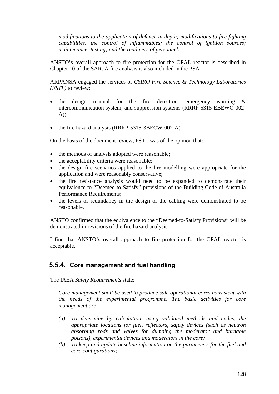*modifications to the application of defence in depth; modifications to fire fighting capabilities; the control of inflammables; the control of ignition sources; maintenance; testing; and the readiness of personnel.* 

ANSTO's overall approach to fire protection for the OPAL reactor is described in Chapter 10 of the SAR. A fire analysis is also included in the PSA.

ARPANSA engaged the services of *CSIRO Fire Science & Technology Laboratories (FSTL)* to review:

- the design manual for the fire detection, emergency warning & intercommunication system, and suppression systems (RRRP-5315-EBEWO-002-  $A$ :
- the fire hazard analysis (RRRP-5315-3BECW-002-A).

On the basis of the document review, FSTL was of the opinion that:

- the methods of analysis adopted were reasonable;
- the acceptability criteria were reasonable;
- the design fire scenarios applied to the fire modelling were appropriate for the application and were reasonably conservative;
- the fire resistance analysis would need to be expanded to demonstrate their equivalence to "Deemed to Satisfy" provisions of the Building Code of Australia Performance Requirements;
- the levels of redundancy in the design of the cabling were demonstrated to be reasonable.

ANSTO confirmed that the equivalence to the "Deemed-to-Satisfy Provisions" will be demonstrated in revisions of the fire hazard analysis.

I find that ANSTO's overall approach to fire protection for the OPAL reactor is acceptable.

#### **5.5.4. Core management and fuel handling**

The IAEA *Safety Requirements* state:

*Core management shall be used to produce safe operational cores consistent with the needs of the experimental programme. The basic activities for core management are:* 

- *(a) To determine by calculation, using validated methods and codes, the appropriate locations for fuel, reflectors, safety devices (such as neutron absorbing rods and valves for dumping the moderator and burnable poisons), experimental devices and moderators in the core;*
- *(b) To keep and update baseline information on the parameters for the fuel and core configurations;*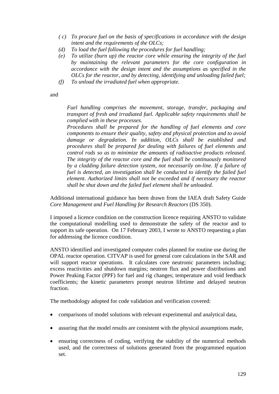- *( c) To procure fuel on the basis of specifications in accordance with the design intent and the requirements of the OLCs;*
- *(d) To load the fuel following the procedures for fuel handling;*
- *(e) To utilize (burn up) the reactor core while ensuring the integrity of the fuel by maintaining the relevant parameters for the core configuration in accordance with the design intent and the assumptions as specified in the OLCs for the reactor, and by detecting, identifying and unloading failed fuel;*
- *(f) To unload the irradiated fuel when appropriate.*

and

*Fuel handling comprises the movement, storage, transfer, packaging and transport of fresh and irradiated fuel. Applicable safety requirements shall be complied with in these processes.* 

*Procedures shall be prepared for the handling of fuel elements and core components to ensure their quality, safety and physical protection and to avoid damage or degradation. In addition, OLCs shall be established and procedures shall be prepared for dealing with failures of fuel elements and control rods so as to minimize the amounts of radioactive products released. The integrity of the reactor core and the fuel shall be continuously monitored by a cladding failure detection system, not necessarily on-line. If a failure of fuel is detected, an investigation shall be conducted to identify the failed fuel element. Authorized limits shall not be exceeded and if necessary the reactor shall be shut down and the failed fuel element shall be unloaded.* 

Additional international guidance has been drawn from the IAEA draft Safety Guide *Core Management and Fuel Handling for Research Reactors* (DS 350).

I imposed a licence condition on the construction licence requiring ANSTO to validate the computational modelling used to demonstrate the safety of the reactor and to support its safe operation. On 17 February 2003, I wrote to ANSTO requesting a plan for addressing the licence condition.

ANSTO identified and investigated computer codes planned for routine use during the OPAL reactor operation. CITVAP is used for general core calculations in the SAR and will support reactor operations. It calculates core neutronic parameters including; excess reactivities and shutdown margins; neutron flux and power distributions and Power Peaking Factor (PPF) for fuel and rig changes; temperature and void feedback coefficients; the kinetic parameters prompt neutron lifetime and delayed neutron fraction.

The methodology adopted for code validation and verification covered:

- comparisons of model solutions with relevant experimental and analytical data,
- assuring that the model results are consistent with the physical assumptions made,
- ensuring correctness of coding, verifying the stability of the numerical methods used, and the correctness of solutions generated from the programmed equation set.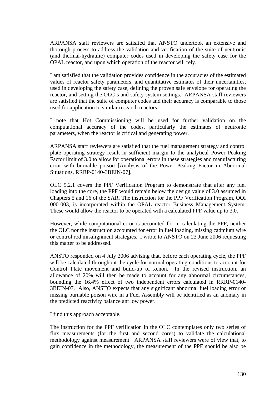ARPANSA staff reviewers are satisfied that ANSTO undertook an extensive and thorough process to address the validation and verification of the suite of neutronic (and thermal-hydraulic) computer codes used in developing the safety case for the OPAL reactor, and upon which operation of the reactor will rely.

I am satisfied that the validation provides confidence in the accuracies of the estimated values of reactor safety parameters, and quantitative estimates of their uncertainties, used in developing the safety case, defining the proven safe envelope for operating the reactor, and setting the OLC's and safety system settings. ARPANSA staff reviewers are satisfied that the suite of computer codes and their accuracy is comparable to those used for application to similar research reactors.

I note that Hot Commissioning will be used for further validation on the computational accuracy of the codes, particularly the estimates of neutronic parameters, when the reactor is critical and generating power.

ARPANSA staff reviewers are satisfied that the fuel management strategy and control plate operating strategy result in sufficient margin to the analytical Power Peaking Factor limit of 3.0 to allow for operational errors in these strategies and manufacturing error with burnable poison [Analysis of the Power Peaking Factor in Abnormal Situations, RRRP-0140-3BEIN-07].

OLC 5.2.1 covers the PPF Verification Program to demonstrate that after any fuel loading into the core, the PPF would remain below the design value of 3.0 assumed in Chapters 5 and 16 of the SAR. The instruction for the PPF Verification Program, OOI 000-003, is incorporated within the OPAL reactor Business Management System. These would allow the reactor to be operated with a calculated PPF value up to 3.0.

However, while computational error is accounted for in calculating the PPF, neither the OLC nor the instruction accounted for error in fuel loading, missing cadmium wire or control rod misalignment strategies. I wrote to ANSTO on 23 June 2006 requesting this matter to be addressed.

ANSTO responded on 4 July 2006 advising that, before each operating cycle, the PPF will be calculated throughout the cycle for normal operating conditions to account for Control Plate movement and build-up of xenon. In the revised instruction, an allowance of 20% will then be made to account for any abnormal circumstances, bounding the 16.4% effect of two independent errors calculated in RRRP-0140- 3BEIN-07. Also, ANSTO expects that any significant abnormal fuel loading error or missing burnable poison wire in a Fuel Assembly will be identified as an anomaly in the predicted reactivity balance ant low power.

I find this approach acceptable.

The instruction for the PPF verification in the OLC contemplates only two series of flux measurements (for the first and second cores) to validate the calculational methodology against measurement. ARPANSA staff reviewers were of view that, to gain confidence in the methodology, the measurement of the PPF should be also be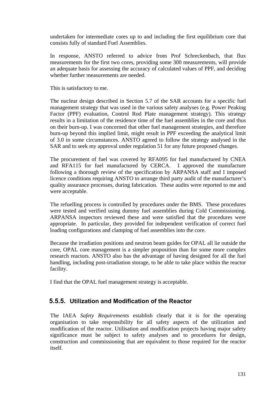undertaken for intermediate cores up to and including the first equilibrium core that consists fully of standard Fuel Assemblies.

In response, ANSTO referred to advice from Prof Schreckenbach, that flux measurements for the first two cores, providing some 300 measurements, will provide an adequate basis for assessing the accuracy of calculated values of PPF, and deciding whether further measurements are needed.

This is satisfactory to me.

The nuclear design described in Section 5.7 of the SAR accounts for a specific fuel management strategy that was used in the various safety analyses (e.g. Power Peaking Factor (PPF) evaluation, Control Rod Plate management strategy). This strategy results in a limitation of the residence time of the fuel assemblies in the core and thus on their burn-up. I was concerned that other fuel management strategies, and therefore burn-up beyond this implied limit, might result in PPF exceeding the analytical limit of 3.0 in some circumstances. ANSTO agreed to follow the strategy analysed in the SAR and to seek my approval under regulation 51 for any future proposed changes.

The procurement of fuel was covered by RFA095 for fuel manufactured by CNEA and RFA115 for fuel manufactured by CERCA. I approved the manufacture following a thorough review of the specification by ARPANSA staff and I imposed licence conditions requiring ANSTO to arrange third party audit of the manufacturer's quality assurance processes, during fabrication. These audits were reported to me and were acceptable.

The refuelling process is controlled by procedures under the BMS. These procedures were tested and verified using dummy fuel assemblies during Cold Commissioning. ARPANSA inspectors reviewed these and were satisfied that the procedures were appropriate. In particular, they provided for independent verification of correct fuel loading configurations and clamping of fuel assemblies into the core.

Because the irradiation positions and neutron beam guides for OPAL all lie outside the core, OPAL core management is a simpler proposition than for some more complex research reactors. ANSTO also has the advantage of having designed for all the fuel handling, including post-irradiation storage, to be able to take place within the reactor facility.

I find that the OPAL fuel management strategy is acceptable.

## **5.5.5. Utilization and Modification of the Reactor**

The IAEA *Safety Requirements* establish clearly that it is for the operating organisation to take responsibility for all safety aspects of the utilization and modification of the reactor. Utilisation and modification projects having major safety significance must be subject to safety analyses and to procedures for design, construction and commissioning that are equivalent to those required for the reactor itself.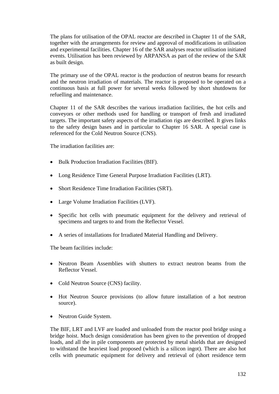The plans for utilisation of the OPAL reactor are described in Chapter 11 of the SAR, together with the arrangements for review and approval of modifications in utilisation and experimental facilities. Chapter 16 of the SAR analyses reactor utilisation initiated events. Utilisation has been reviewed by ARPANSA as part of the review of the SAR as built design.

The primary use of the OPAL reactor is the production of neutron beams for research and the neutron irradiation of materials. The reactor is proposed to be operated on a continuous basis at full power for several weeks followed by short shutdowns for refuelling and maintenance.

Chapter 11 of the SAR describes the various irradiation facilities, the hot cells and conveyors or other methods used for handling or transport of fresh and irradiated targets. The important safety aspects of the irradiation rigs are described. It gives links to the safety design bases and in particular to Chapter 16 SAR. A special case is referenced for the Cold Neutron Source (CNS).

The irradiation facilities are:

- Bulk Production Irradiation Facilities (BIF).
- Long Residence Time General Purpose Irradiation Facilities (LRT).
- Short Residence Time Irradiation Facilities (SRT).
- Large Volume Irradiation Facilities (LVF).
- Specific hot cells with pneumatic equipment for the delivery and retrieval of specimens and targets to and from the Reflector Vessel.
- A series of installations for Irradiated Material Handling and Delivery.

The beam facilities include:

- Neutron Beam Assemblies with shutters to extract neutron beams from the Reflector Vessel.
- Cold Neutron Source (CNS) facility.
- Hot Neutron Source provisions (to allow future installation of a hot neutron source).
- Neutron Guide System.

The BIF, LRT and LVF are loaded and unloaded from the reactor pool bridge using a bridge hoist. Much design consideration has been given to the prevention of dropped loads, and all the in pile components are protected by metal shields that are designed to withstand the heaviest load proposed (which is a silicon ingot). There are also hot cells with pneumatic equipment for delivery and retrieval of (short residence term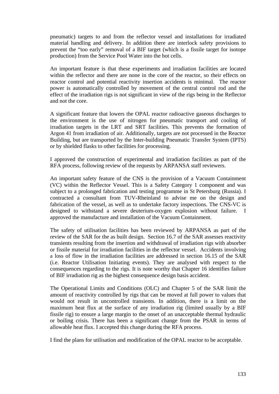pneumatic) targets to and from the reflector vessel and installations for irradiated material handling and delivery. In addition there are interlock safety provisions to prevent the "too early" removal of a BIF target (which is a fissile target for isotope production) from the Service Pool Water into the hot cells.

An important feature is that these experiments and irradiation facilities are located within the reflector and there are none in the core of the reactor, so their effects on reactor control and potential reactivity insertion accidents is minimal. The reactor power is automatically controlled by movement of the central control rod and the effect of the irradiation rigs is not significant in view of the rigs being in the Reflector and not the core.

A significant feature that lowers the OPAL reactor radioactive gaseous discharges to the environment is the use of nitrogen for pneumatic transport and cooling of irradiation targets in the LRT and SRT facilities. This prevents the formation of Argon 41 from irradiation of air. Additionally, targets are not processed in the Reactor Building, but are transported by the Inter-building Pneumatic Transfer System (IPTS) or by shielded flasks to other facilities for processing.

I approved the construction of experimental and irradiation facilities as part of the RFA process, following review of the requests by ARPANSA staff reviewers.

An important safety feature of the CNS is the provision of a Vacuum Containment (VC) within the Reflector Vessel. This is a Safety Category 1 component and was subject to a prolonged fabrication and testing programme in St Petersburg (Russia). I contracted a consultant from TUV-Rheinland to advise me on the design and fabrication of the vessel, as well as to undertake factory inspections. The CNS-VC is designed to withstand a severe deuterium-oxygen explosion without failure. I approved the manufacture and installation of the Vacuum Containment.

The safety of utilisation facilities has been reviewed by ARPANSA as part of the review of the SAR for the as built design. Section 16.7 of the SAR assesses reactivity transients resulting from the insertion and withdrawal of irradiation rigs with absorber or fissile material for irradiation facilities in the reflector vessel. Accidents involving a loss of flow in the irradiation facilities are addressed in section 16.15 of the SAR (i.e. Reactor Utilisation Initiating events). They are analysed with respect to the consequences regarding to the rigs. It is note worthy that Chapter 16 identifies failure of BIF irradiation rig as the highest consequence design basis accident.

The Operational Limits and Conditions (OLC) and Chapter 5 of the SAR limit the amount of reactivity controlled by rigs that can be moved at full power to values that would not result in uncontrolled transients. In addition, there is a limit on the maximum heat flux at the surface of any irradiation rig (limited usually by a BIF fissile rig) to ensure a large margin to the onset of an unacceptable thermal hydraulic or boiling crisis. There has been a significant change from the PSAR in terms of allowable heat flux. I accepted this change during the RFA process.

I find the plans for utilisation and modification of the OPAL reactor to be acceptable.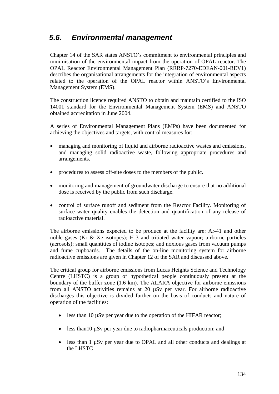# *5.6. Environmental management*

Chapter 14 of the SAR states ANSTO's commitment to environmental principles and minimisation of the environmental impact from the operation of OPAL reactor. The OPAL Reactor Environmental Management Plan (RRRP-7270-EDEAN-001-REV1) describes the organisational arrangements for the integration of environmental aspects related to the operation of the OPAL reactor within ANSTO's Environmental Management System (EMS).

The construction licence required ANSTO to obtain and maintain certified to the ISO 14001 standard for the Environmental Management System (EMS) and ANSTO obtained accreditation in June 2004.

A series of Environmental Management Plans (EMPs) have been documented for achieving the objectives and targets, with control measures for:

- managing and monitoring of liquid and airborne radioactive wastes and emissions, and managing solid radioactive waste, following appropriate procedures and arrangements.
- procedures to assess off-site doses to the members of the public.
- monitoring and management of groundwater discharge to ensure that no additional dose is received by the public from such discharge.
- control of surface runoff and sediment from the Reactor Facility. Monitoring of surface water quality enables the detection and quantification of any release of radioactive material.

The airborne emissions expected to be produce at the facility are: Ar-41 and other noble gases (Kr & Xe isotopes); H-3 and tritiated water vapour; airborne particles (aerosols); small quantities of iodine isotopes; and noxious gases from vacuum pumps and fume cupboards. The details of the on-line monitoring system for airborne radioactive emissions are given in Chapter 12 of the SAR and discussed above.

The critical group for airborne emissions from Lucas Heights Science and Technology Centre (LHSTC) is a group of hypothetical people continuously present at the boundary of the buffer zone (1.6 km). The ALARA objective for airborne emissions from all ANSTO activities remains at 20 µSv per year. For airborne radioactive discharges this objective is divided further on the basis of conducts and nature of operation of the facilities:

- less than 10 uSv per year due to the operation of the HIFAR reactor;
- less than 10  $\mu$ Sv per year due to radiopharmaceuticals production; and
- less than 1  $\mu$ Sv per year due to OPAL and all other conducts and dealings at the LHSTC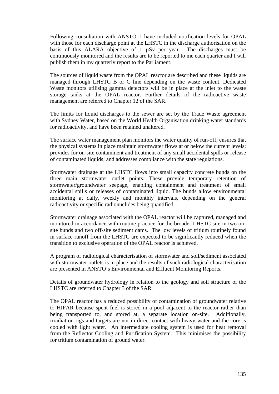Following consultation with ANSTO, I have included notification levels for OPAL with those for each discharge point at the LHSTC in the discharge authorisation on the basis of this ALARA objective of 1 µSv per year. The discharges must be continuously monitored and the results are to be reported to me each quarter and I will publish them in my quarterly report to the Parliament.

The sources of liquid waste from the OPAL reactor are described and these liquids are managed through LHSTC B or C line depending on the waste content. Dedicated Waste monitors utilising gamma detectors will be in place at the inlet to the waste storage tanks at the OPAL reactor. Further details of the radioactive waste management are referred to Chapter 12 of the SAR.

The limits for liquid discharges to the sewer are set by the Trade Waste agreement with Sydney Water, based on the World Health Organisation drinking water standards for radioactivity, and have been retained unaltered.

The surface water management plan monitors the water quality of run-off; ensures that the physical systems in place maintain stormwater flows at or below the current levels; provides for on-site containment and treatment of any small accidental spills or release of contaminated liquids; and addresses compliance with the state regulations.

Stormwater drainage at the LHSTC flows into small capacity concrete bunds on the three main stormwater outlet points. These provide temporary retention of stormwater/groundwater seepage, enabling containment and treatment of small accidental spills or releases of contaminated liquid. The bunds allow environmental monitoring at daily, weekly and monthly intervals, depending on the general radioactivity or specific radionuclides being quantified.

Stormwater drainage associated with the OPAL reactor will be captured, managed and monitored in accordance with routine practice for the broader LHSTC site in two onsite bunds and two off-site sediment dams. The low levels of tritium routinely found in surface runoff from the LHSTC are expected to be significantly reduced when the transition to exclusive operation of the OPAL reactor is achieved.

A program of radiological characterisation of stormwater and soil/sediment associated with stormwater outlets is in place and the results of such radiological characterisation are presented in ANSTO's Environmental and Effluent Monitoring Reports.

Details of groundwater hydrology in relation to the geology and soil structure of the LHSTC are referred to Chapter 3 of the SAR.

The OPAL reactor has a reduced possibility of contamination of groundwater relative to HIFAR because spent fuel is stored in a pool adjacent to the reactor rather than being transported to, and stored at, a separate location on-site. Additionally, irradiation rigs and targets are not in direct contact with heavy water and the core is cooled with light water. An intermediate cooling system is used for heat removal from the Reflector Cooling and Purification System. This minimises the possibility for tritium contamination of ground water.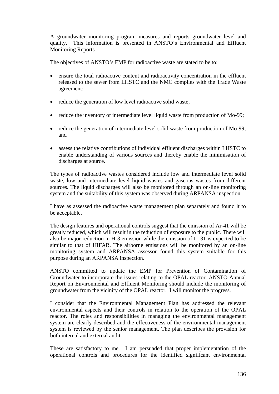A groundwater monitoring program measures and reports groundwater level and quality. This information is presented in ANSTO's Environmental and Effluent Monitoring Reports

The objectives of ANSTO's EMP for radioactive waste are stated to be to:

- ensure the total radioactive content and radioactivity concentration in the effluent released to the sewer from LHSTC and the NMC complies with the Trade Waste agreement;
- reduce the generation of low level radioactive solid waste;
- reduce the inventory of intermediate level liquid waste from production of Mo-99;
- reduce the generation of intermediate level solid waste from production of Mo-99; and
- assess the relative contributions of individual effluent discharges within LHSTC to enable understanding of various sources and thereby enable the minimisation of discharges at source.

The types of radioactive wastes considered include low and intermediate level solid waste, low and intermediate level liquid wastes and gaseous wastes from different sources. The liquid discharges will also be monitored through an on-line monitoring system and the suitability of this system was observed during ARPANSA inspection.

I have as assessed the radioactive waste management plan separately and found it to be acceptable.

The design features and operational controls suggest that the emission of Ar-41 will be greatly reduced, which will result in the reduction of exposure to the public. There will also be major reduction in H-3 emission while the emission of I-131 is expected to be similar to that of HIFAR. The airborne emissions will be monitored by an on-line monitoring system and ARPANSA assessor found this system suitable for this purpose during an ARPANSA inspection.

ANSTO committed to update the EMP for Prevention of Contamination of Groundwater to incorporate the issues relating to the OPAL reactor. ANSTO Annual Report on Environmental and Effluent Monitoring should include the monitoring of groundwater from the vicinity of the OPAL reactor. I will monitor the progress.

I consider that the Environmental Management Plan has addressed the relevant environmental aspects and their controls in relation to the operation of the OPAL reactor. The roles and responsibilities in managing the environmental management system are clearly described and the effectiveness of the environmental management system is reviewed by the senior management. The plan describes the provision for both internal and external audit.

These are satisfactory to me. I am persuaded that proper implementation of the operational controls and procedures for the identified significant environmental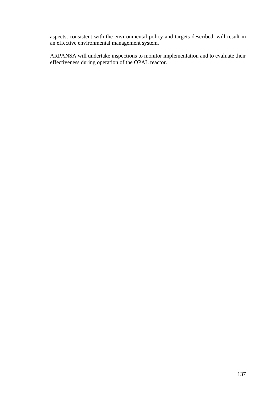aspects, consistent with the environmental policy and targets described, will result in an effective environmental management system.

ARPANSA will undertake inspections to monitor implementation and to evaluate their effectiveness during operation of the OPAL reactor.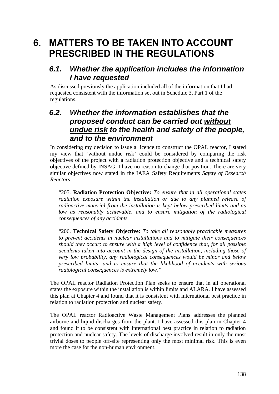# **6. MATTERS TO BE TAKEN INTO ACCOUNT PRESCRIBED IN THE REGULATIONS**

## *6.1. Whether the application includes the information I have requested*

As discussed previously the application included all of the information that I had requested consistent with the information set out in Schedule 3, Part 1 of the regulations.

## *6.2. Whether the information establishes that the proposed conduct can be carried out without undue risk to the health and safety of the people, and to the environment*

In considering my decision to issue a licence to construct the OPAL reactor, I stated my view that 'without undue risk' could be considered by comparing the risk objectives of the project with a radiation protection objective and a technical safety objective defined by INSAG. I have no reason to change that position. There are very similar objectives now stated in the IAEA Safety Requirements *Safety of Research Reactors*.

"205. **Radiation Protection Objective:** *To ensure that in all operational states radiation exposure within the installation or due to any planned release of radioactive material from the installation is kept below prescribed limits and as*  low as reasonably achievable, and to ensure mitigation of the radiological *consequences of any accidents.* 

"206. **Technical Safety Objective:** *To take all reasonably practicable measures to prevent accidents in nuclear installations and to mitigate their consequences should they occur; to ensure with a high level of confidence that, for all possible accidents taken into account in the design of the installation, including those of very low probability, any radiological consequences would be minor and below prescribed limits; and to ensure that the likelihood of accidents with serious radiological consequences is extremely low."* 

The OPAL reactor Radiation Protection Plan seeks to ensure that in all operational states the exposure within the installation is within limits and ALARA. I have assessed this plan at Chapter 4 and found that it is consistent with international best practice in relation to radiation protection and nuclear safety.

The OPAL reactor Radioactive Waste Management Plans addresses the planned airborne and liquid discharges from the plant. I have assessed this plan in Chapter 4 and found it to be consistent with international best practice in relation to radiation protection and nuclear safety. The levels of discharge involved result in only the most trivial doses to people off-site representing only the most minimal risk. This is even more the case for the non-human environment.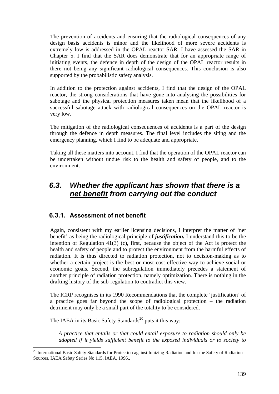The prevention of accidents and ensuring that the radiological consequences of any design basis accidents is minor and the likelihood of more severe accidents is extremely low is addressed in the OPAL reactor SAR. I have assessed the SAR in Chapter 5. I find that the SAR does demonstrate that for an appropriate range of initiating events, the defence in depth of the design of the OPAL reactor results in there not being any significant radiological consequences. This conclusion is also supported by the probabilistic safety analysis.

In addition to the protection against accidents, I find that the design of the OPAL reactor, the strong considerations that have gone into analysing the possibilities for sabotage and the physical protection measures taken mean that the likelihood of a successful sabotage attack with radiological consequences on the OPAL reactor is very low.

The mitigation of the radiological consequences of accidents is a part of the design through the defence in depth measures. The final level includes the siting and the emergency planning, which I find to be adequate and appropriate.

Taking all these matters into account, I find that the operation of the OPAL reactor can be undertaken without undue risk to the health and safety of people, and to the environment.

# *6.3. Whether the applicant has shown that there is a net benefit from carrying out the conduct*

## **6.3.1. Assessment of net benefit**

Again, consistent with my earlier licensing decisions, I interpret the matter of 'net benefit' as being the radiological principle of *justification.* I understand this to be the intention of Regulation 41(3) (c), first, because the object of the Act is protect the health and safety of people and to protect the environment from the harmful effects of radiation. It is thus directed to radiation protection, not to decision-making as to whether a certain project is the best or most cost effective way to achieve social or economic goals. Second, the subregulation immediately precedes a statement of another principle of radiation protection, namely optimization. There is nothing in the drafting history of the sub-regulation to contradict this view.

The ICRP recognises in its 1990 Recommendations that the complete 'justification' of a practice goes far beyond the scope of radiological protection – the radiation detriment may only be a small part of the totality to be considered.

The IAEA in its Basic Safety Standards<sup>20</sup> puts it this way:

 $\overline{a}$ 

*A practice that entails or that could entail exposure to radiation should only be adopted if it yields sufficient benefit to the exposed individuals or to society to* 

<sup>&</sup>lt;sup>20</sup> International Basic Safety Standards for Protection against Ionizing Radiation and for the Safety of Radiation Sources, IAEA Safety Series No 115, IAEA, 1996.,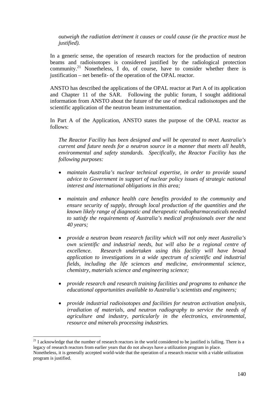*outweigh the radiation detriment it causes or could cause (ie the practice must be justified).*

In a generic sense, the operation of research reactors for the production of neutron beams and radioisotopes is considered justified by the radiological protection community.<sup>21</sup> Nonetheless, I do, of course, have to consider whether there is justification – net benefit- of the operation of the OPAL reactor.

ANSTO has described the applications of the OPAL reactor at Part A of its application and Chapter 11 of the SAR. Following the public forum, I sought additional information from ANSTO about the future of the use of medical radioisotopes and the scientific application of the neutron beam instrumentation.

In Part A of the Application, ANSTO states the purpose of the OPAL reactor as follows:

*The Reactor Facility has been designed and will be operated to meet Australia's current and future needs for a neutron source in a manner that meets all health, environmental and safety standards. Specifically, the Reactor Facility has the following purposes:* 

- *maintain Australia's nuclear technical expertise, in order to provide sound advice to Government in support of nuclear policy issues of strategic national interest and international obligations in this area;*
- *maintain and enhance health care benefits provided to the community and ensure security of supply, through local production of the quantities and the known likely range of diagnostic and therapeutic radiopharmaceuticals needed to satisfy the requirements of Australia's medical professionals over the next 40 years;*
- *provide a neutron beam research facility which will not only meet Australia's own scientific and industrial needs, but will also be a regional centre of excellence. Research undertaken using this facility will have broad application to investigations in a wide spectrum of scientific and industrial fields, including the life sciences and medicine, environmental science, chemistry, materials science and engineering science;*
- *provide research and research training facilities and programs to enhance the educational opportunities available to Australia's scientists and engineers;*
- *provide industrial radioisotopes and facilities for neutron activation analysis, irradiation of materials, and neutron radiography to service the needs of agriculture and industry, particularly in the electronics, environmental, resource and minerals processing industries.*

 $\overline{a}$ 

 $21$  I acknowledge that the number of research reactors in the world considered to be justified is falling. There is a legacy of research reactors from earlier years that do not always have a utilization program in place.

Nonetheless, it is generally accepted world-wide that the operation of a research reactor with a viable utilization program is justified.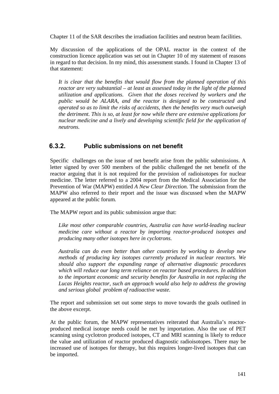Chapter 11 of the SAR describes the irradiation facilities and neutron beam facilities.

My discussion of the applications of the OPAL reactor in the context of the construction licence application was set out in Chapter 10 of my statement of reasons in regard to that decision. In my mind, this assessment stands. I found in Chapter 13 of that statement:

*It is clear that the benefits that would flow from the planned operation of this reactor are very substantial – at least as assessed today in the light of the planned utilization and applications. Given that the doses received by workers and the public would be ALARA, and the reactor is designed to be constructed and operated so as to limit the risks of accidents, then the benefits very much outweigh the detriment. This is so, at least for now while there are extensive applications for nuclear medicine and a lively and developing scientific field for the application of neutrons.* 

#### **6.3.2. Public submissions on net benefit**

Specific challenges on the issue of net benefit arise from the public submissions. A letter signed by over 500 members of the public challenged the net benefit of the reactor arguing that it is not required for the provision of radioisotopes for nuclear medicine. The letter referred to a 2004 report from the Medical Association for the Prevention of War (MAPW) entitled *A New Clear Direction.* The submission from the MAPW also referred to their report and the issue was discussed when the MAPW appeared at the public forum.

The MAPW report and its public submission argue that:

*Like most other comparable countries, Australia can have world-leading nuclear medicine care without a reactor by importing reactor-produced isotopes and producing many other isotopes here in cyclotrons.* 

*Australia can do even better than other countries by working to develop new methods of producing key isotopes currently produced in nuclear reactors. We should also support the expanding range of alternative diagnostic procedures which will reduce our long term reliance on reactor based procedures. In addition to the important economic and security benefits for Australia in not replacing the Lucas Heights reactor, such an approach would also help to address the growing and serious global problem of radioactive waste.* 

The report and submission set out some steps to move towards the goals outlined in the above excerpt.

At the public forum, the MAPW representatives reiterated that Australia's reactorproduced medical isotope needs could be met by importation. Also the use of PET scanning using cyclotron produced isotopes, CT and MRI scanning is likely to reduce the value and utilization of reactor produced diagnostic radioisotopes. There may be increased use of isotopes for therapy, but this requires longer-lived isotopes that can be imported.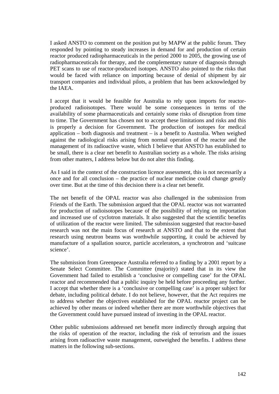I asked ANSTO to comment on the position put by MAPW at the public forum. They responded by pointing to steady increases in demand for and production of certain reactor produced radiopharmaceuticals in the period 2000 to 2005, the growing use of radiopharmaceuticals for therapy, and the complementary nature of diagnosis through PET scans to use of reactor-produced isotopes. ANSTO also pointed to the risks that would be faced with reliance on importing because of denial of shipment by air transport companies and individual pilots, a problem that has been acknowledged by the IAEA.

I accept that it would be feasible for Australia to rely upon imports for reactorproduced radioisotopes. There would be some consequences in terms of the availability of some pharmaceuticals and certainly some risks of disruption from time to time. The Government has chosen not to accept these limitations and risks and this is properly a decision for Government. The production of isotopes for medical application – both diagnosis and treatment – is a benefit to Australia. When weighed against the radiological risks arising from normal operation of the reactor and the management of its radioactive waste, which I believe that ANSTO has established to be small, there is a clear net benefit to Australian society as a whole. The risks arising from other matters, I address below but do not alter this finding.

As I said in the context of the construction licence assessment, this is not necessarily a once and for all conclusion – the practice of nuclear medicine could change greatly over time. But at the time of this decision there is a clear net benefit.

The net benefit of the OPAL reactor was also challenged in the submission from Friends of the Earth. The submission argued that the OPAL reactor was not warranted for production of radioisotopes because of the possibility of relying on importation and increased use of cyclotron materials. It also suggested that the scientific benefits of utilization of the reactor were limited. The submission suggested that reactor-based research was not the main focus of research at ANSTO and that to the extent that research using neutron beams was worthwhile supporting, it could be achieved by manufacture of a spallation source, particle accelerators, a synchrotron and 'suitcase science'.

The submission from Greenpeace Australia referred to a finding by a 2001 report by a Senate Select Committee. The Committee (majority) stated that in its view the Government had failed to establish a 'conclusive or compelling case' for the OPAL reactor and recommended that a public inquiry be held before proceeding any further. I accept that whether there is a 'conclusive or compelling case' is a proper subject for debate, including political debate. I do not believe, however, that the Act requires me to address whether the objectives established for the OPAL reactor project can be achieved by other means or indeed whether there are more worthwhile objectives that the Government could have pursued instead of investing in the OPAL reactor.

Other public submissions addressed net benefit more indirectly through arguing that the risks of operation of the reactor, including the risk of terrorism and the issues arising from radioactive waste management, outweighed the benefits. I address these matters in the following sub-sections.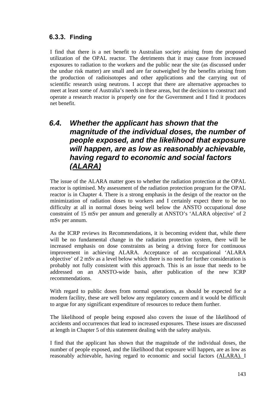## **6.3.3. Finding**

I find that there is a net benefit to Australian society arising from the proposed utilization of the OPAL reactor. The detriments that it may cause from increased exposures to radiation to the workers and the public near the site (as discussed under the undue risk matter) are small and are far outweighed by the benefits arising from the production of radioisotopes and other applications and the carrying out of scientific research using neutrons. I accept that there are alternative approaches to meet at least some of Australia's needs in these areas, but the decision to construct and operate a research reactor is properly one for the Government and I find it produces net benefit.

# *6.4. Whether the applicant has shown that the magnitude of the individual doses, the number of people exposed, and the likelihood that exposure will happen, are as low as reasonably achievable, having regard to economic and social factors (ALARA)*

The issue of the ALARA matter goes to whether the radiation protection at the OPAL reactor is optimised. My assessment of the radiation protection program for the OPAL reactor is in Chapter 4. There is a strong emphasis in the design of the reactor on the minimization of radiation doses to workers and I certainly expect there to be no difficulty at all in normal doses being well below the ANSTO occupational dose constraint of 15 mSv per annum and generally at ANSTO's 'ALARA objective' of 2 mSv per annum.

As the ICRP reviews its Recommendations, it is becoming evident that, while there will be no fundamental change in the radiation protection system, there will be increased emphasis on dose constraints as being a driving force for continuous improvement in achieving ALARA. Acceptance of an occupational 'ALARA objective' of 2 mSv as a level below which there is no need for further consideration is probably not fully consistent with this approach. This is an issue that needs to be addressed on an ANSTO-wide basis, after publication of the new ICRP recommendations.

With regard to public doses from normal operations, as should be expected for a modern facility, these are well below any regulatory concern and it would be difficult to argue for any significant expenditure of resources to reduce them further.

The likelihood of people being exposed also covers the issue of the likelihood of accidents and occurrences that lead to increased exposures. These issues are discussed at length in Chapter 5 of this statement dealing with the safety analysis.

I find that the applicant has shown that the magnitude of the individual doses, the number of people exposed, and the likelihood that exposure will happen, are as low as reasonably achievable, having regard to economic and social factors (ALARA). I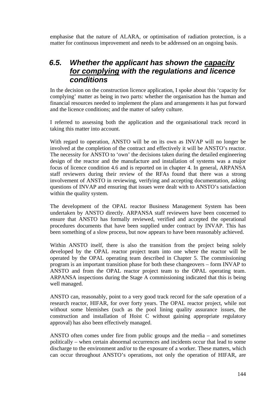emphasise that the nature of ALARA, or optimisation of radiation protection, is a matter for continuous improvement and needs to be addressed on an ongoing basis.

## *6.5. Whether the applicant has shown the capacity for complying with the regulations and licence conditions*

In the decision on the construction licence application, I spoke about this 'capacity for complying' matter as being in two parts: whether the organisation has the human and financial resources needed to implement the plans and arrangements it has put forward and the licence conditions; and the matter of safety culture.

I referred to assessing both the application and the organisational track record in taking this matter into account.

With regard to operation, ANSTO will be on its own as INVAP will no longer be involved at the completion of the contract and effectively it will be ANSTO's reactor. The necessity for ANSTO to 'own' the decisions taken during the detailed engineering design of the reactor and the manufacture and installation of systems was a major focus of licence condition 4.6 and is reported on in chapter 4. In general, ARPANSA staff reviewers during their review of the RFAs found that there was a strong involvement of ANSTO in reviewing, verifying and accepting documentation, asking questions of INVAP and ensuring that issues were dealt with to ANSTO's satisfaction within the quality system.

The development of the OPAL reactor Business Management System has been undertaken by ANSTO directly. ARPANSA staff reviewers have been concerned to ensure that ANSTO has formally reviewed, verified and accepted the operational procedures documents that have been supplied under contract by INVAP. This has been something of a slow process, but now appears to have been reasonably achieved.

Within ANSTO itself, there is also the transition from the project being solely developed by the OPAL reactor project team into one where the reactor will be operated by the OPAL operating team described in Chapter 5. The commissioning program is an important transition phase for both these changeovers – form INVAP to ANSTO and from the OPAL reactor project team to the OPAL operating team. ARPANSA inspections during the Stage A commissioning indicated that this is being well managed.

ANSTO can, reasonably, point to a very good track record for the safe operation of a research reactor, HIFAR, for over forty years. The OPAL reactor project, while not without some blemishes (such as the pool lining quality assurance issues, the construction and installation of Hoist C without gaining appropriate regulatory approval) has also been effectively managed.

ANSTO often comes under fire from public groups and the media – and sometimes politically – when certain abnormal occurrences and incidents occur that lead to some discharge to the environment and/or to the exposure of a worker. These matters, which can occur throughout ANSTO's operations, not only the operation of HIFAR, are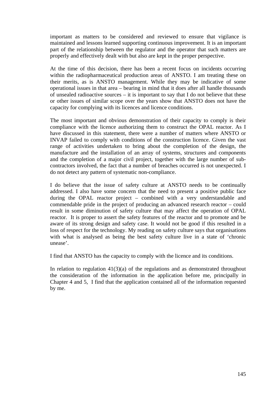important as matters to be considered and reviewed to ensure that vigilance is maintained and lessons learned supporting continuous improvement. It is an important part of the relationship between the regulator and the operator that such matters are properly and effectively dealt with but also are kept in the proper perspective.

At the time of this decision, there has been a recent focus on incidents occurring within the radiopharmaceutical production areas of ANSTO. I am treating these on their merits, as is ANSTO management. While they may be indicative of some operational issues in that area – bearing in mind that it does after all handle thousands of unsealed radioactive sources – it is important to say that I do not believe that these or other issues of similar scope over the years show that ANSTO does not have the capacity for complying with its licences and licence conditions.

The most important and obvious demonstration of their capacity to comply is their compliance with the licence authorizing them to construct the OPAL reactor. As I have discussed in this statement, there were a number of matters where ANSTO or INVAP failed to comply with conditions of the construction licence. Given the vast range of activities undertaken to bring about the completion of the design, the manufacture and the installation of an array of systems, structures and components and the completion of a major civil project, together with the large number of subcontractors involved, the fact that a number of breaches occurred is not unexpected. I do not detect any pattern of systematic non-compliance.

I do believe that the issue of safety culture at ANSTO needs to be continually addressed. I also have some concern that the need to present a positive public face during the OPAL reactor project – combined with a very understandable and commendable pride in the project of producing an advanced research reactor – could result in some diminution of safety culture that may affect the operation of OPAL reactor. It is proper to assert the safety features of the reactor and to promote and be aware of its strong design and safety case. It would not be good if this resulted in a loss of respect for the technology. My reading on safety culture says that organisations with what is analysed as being the best safety culture live in a state of 'chronic unease'.

I find that ANSTO has the capacity to comply with the licence and its conditions.

In relation to regulation  $41(3)(a)$  of the regulations and as demonstrated throughout the consideration of the information in the application before me, principally in Chapter 4 and 5, I find that the application contained all of the information requested by me.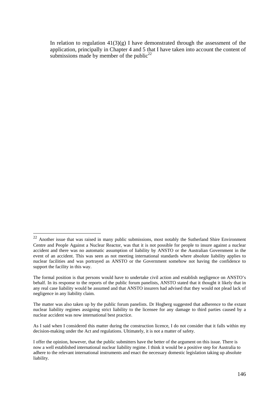In relation to regulation  $41(3)(g)$  I have demonstrated through the assessment of the application, principally in Chapter 4 and 5 that I have taken into account the content of submissions made by member of the public<sup>22</sup>

 $\overline{a}$ 

 $22$  Another issue that was raised in many public submissions, most notably the Sutherland Shire Environment Centre and People Against a Nuclear Reactor, was that it is not possible for people to insure against a nuclear accident and there was no automatic assumption of liability by ANSTO or the Australian Government in the event of an accident. This was seen as not meeting international standards where absolute liability applies to nuclear facilities and was portrayed as ANSTO or the Government somehow not having the confidence to support the facility in this way.

The formal position is that persons would have to undertake civil action and establish negligence on ANSTO's behalf. In its response to the reports of the public forum panelists, ANSTO stated that it thought it likely that in any real case liability would be assumed and that ANSTO insurers had advised that they would not plead lack of negligence in any liability claim.

The matter was also taken up by the public forum panelists. Dr Hogberg suggested that adherence to the extant nuclear liability regimes assigning strict liability to the licensee for any damage to third parties caused by a nuclear accident was now international best practice.

As I said when I considered this matter during the construction licence, I do not consider that it falls within my decision-making under the Act and regulations. Ultimately, it is not a matter of safety.

I offer the opinion, however, that the public submitters have the better of the argument on this issue. There is now a well established international nuclear liability regime. I think it would be a positive step for Australia to adhere to the relevant international instruments and enact the necessary domestic legislation taking up absolute liability.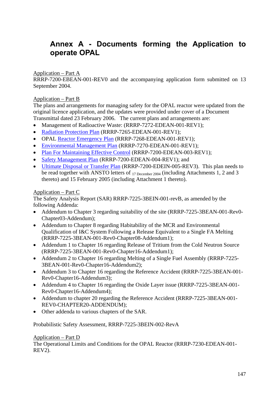# **Annex A - Documents forming the Application to operate OPAL**

## Application – Part A

RRRP-7200-EBEAN-001-REV0 and the accompanying application form submitted on 13 September 2004.

## Application – Part B

The plans and arrangements for managing safety for the OPAL reactor were updated from the original licence application, and the updates were provided under cover of a Document Transmittal dated 23 February 2006. The current plans and arrangements are:

- Management of Radioactive Waste: (RRRP-7272-EDEAN-001-REV1);
- Radiation Protection Plan (RRRP-7265-EDEAN-001-REV1);
- OPAL Reactor Emergency Plan (RRRP-7268-EDEAN-001-REV1);
- Environmental Management Plan (RRRP-7270-EDEAN-001-REV1);
- Plan For Maintaining Effective Control (RRRP-7200-EDEAN-003-REV1);
- Safety Management Plan (RRRP-7200-EDEAN-004-REV1); and
- Ultimate Disposal or Transfer Plan (RRRP-7200-EDEIN-005-REV3). This plan needs to be read together with ANSTO letters of 17 December 2004 (including Attachments 1, 2 and 3 thereto) and 15 February 2005 (including Attachment 1 thereto).

### Application – Part C

The Safety Analysis Report (SAR) RRRP-7225-3BEIN-001-revB, as amended by the following Addenda:

- Addendum to Chapter 3 regarding suitability of the site (RRRP-7225-3BEAN-001-Rev0-Chapter03-Addendum);
- Addendum to Chapter 8 regarding Habitability of the MCR and Environmental Qualification of I&C System Following a Release Equivalent to a Single FA Melting (RRRP-7225-3BEAN-001-Rev0-Chapter08-Addendum1);
- Addendum 1 to Chapter 16 regarding Release of Tritium from the Cold Neutron Source (RRRP-7225-3BEAN-001-Rev0-Chapter16-Addendum1);
- Addendum 2 to Chapter 16 regarding Melting of a Single Fuel Assembly (RRRP-7225-3BEAN-001-Rev0-Chapter16-Addendum2);
- Addendum 3 to Chapter 16 regarding the Reference Accident (RRRP-7225-3BEAN-001-Rev0-Chapter16-Addendum3);
- Addendum 4 to Chapter 16 regarding the Oxide Layer issue (RRRP-7225-3BEAN-001-Rev0-Chapter16-Addendum4);
- Addendum to chapter 20 regarding the Reference Accident (RRRP-7225-3BEAN-001-REV0-CHAPTER20-ADDENDUM);
- Other addenda to various chapters of the SAR.

Probabilistic Safety Assessment, RRRP-7225-3BEIN-002-RevA

## Application – Part D

The Operational Limits and Conditions for the OPAL Reactor (RRRP-7230-EDEAN-001- REV2).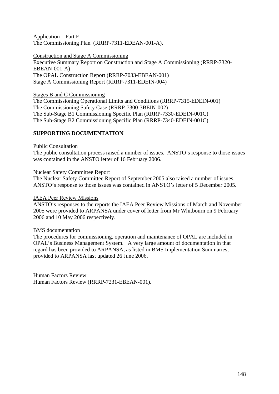Application – Part E The Commissioning Plan (RRRP-7311-EDEAN-001-A).

Construction and Stage A Commissioning Executive Summary Report on Construction and Stage A Commissioning (RRRP-7320- EBEAN-001-A) The OPAL Construction Report (RRRP-7033-EBEAN-001) Stage A Commissioning Report (RRRP-7311-EDEIN-004)

Stages B and C Commissioning

The Commissioning Operational Limits and Conditions (RRRP-7315-EDEIN-001) The Commissioning Safety Case (RRRP-7300-3BEIN-002) The Sub-Stage B1 Commissioning Specific Plan (RRRP-7330-EDEIN-001C) The Sub-Stage B2 Commissioning Specific Plan (RRRP-7340-EDEIN-001C)

## **SUPPORTING DOCUMENTATION**

### Public Consultation

The public consultation process raised a number of issues. ANSTO's response to those issues was contained in the ANSTO letter of 16 February 2006.

### Nuclear Safety Committee Report

The Nuclear Safety Committee Report of September 2005 also raised a number of issues. ANSTO's response to those issues was contained in ANSTO's letter of 5 December 2005.

#### IAEA Peer Review Missions

ANSTO's responses to the reports the IAEA Peer Review Missions of March and November 2005 were provided to ARPANSA under cover of letter from Mr Whitbourn on 9 February 2006 and 10 May 2006 respectively.

### BMS documentation

The procedures for commissioning, operation and maintenance of OPAL are included in OPAL's Business Management System. A very large amount of documentation in that regard has been provided to ARPANSA, as listed in BMS Implementation Summaries, provided to ARPANSA last updated 26 June 2006.

Human Factors Review Human Factors Review (RRRP-7231-EBEAN-001).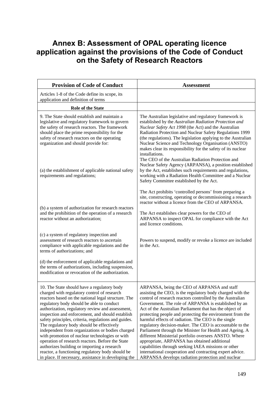# **Annex B: Assessment of OPAL operating licence application against the provisions of the Code of Conduct on the Safety of Research Reactors**

| <b>Provision of Code of Conduct</b>                                                                                                                                                                                                                                                                                                                                                                                                                                                                                                                                                                                                                                                                                              | <b>Assessment</b>                                                                                                                                                                                                                                                                                                                                                                                                                                                                                                                                                                                                                                                                                                                                                                                                      |
|----------------------------------------------------------------------------------------------------------------------------------------------------------------------------------------------------------------------------------------------------------------------------------------------------------------------------------------------------------------------------------------------------------------------------------------------------------------------------------------------------------------------------------------------------------------------------------------------------------------------------------------------------------------------------------------------------------------------------------|------------------------------------------------------------------------------------------------------------------------------------------------------------------------------------------------------------------------------------------------------------------------------------------------------------------------------------------------------------------------------------------------------------------------------------------------------------------------------------------------------------------------------------------------------------------------------------------------------------------------------------------------------------------------------------------------------------------------------------------------------------------------------------------------------------------------|
| Articles 1-8 of the Code define its scope, its<br>application and definition of terms                                                                                                                                                                                                                                                                                                                                                                                                                                                                                                                                                                                                                                            |                                                                                                                                                                                                                                                                                                                                                                                                                                                                                                                                                                                                                                                                                                                                                                                                                        |
| Role of the State                                                                                                                                                                                                                                                                                                                                                                                                                                                                                                                                                                                                                                                                                                                |                                                                                                                                                                                                                                                                                                                                                                                                                                                                                                                                                                                                                                                                                                                                                                                                                        |
| 9. The State should establish and maintain a<br>legislative and regulatory framework to govern<br>the safety of research reactors. The framework<br>should place the prime responsibility for the<br>safety of research reactors on the operating<br>organization and should provide for:                                                                                                                                                                                                                                                                                                                                                                                                                                        | The Australian legislative and regulatory framework is<br>established by the Australian Radiation Protection and<br>Nuclear Safety Act 1998 (the Act) and the Australian<br>Radiation Protection and Nuclear Safety Regulations 1999<br>(the regulations). The legislation applying to the Australian<br>Nuclear Science and Technology Organisation (ANSTO)<br>makes clear its responsibility for the safety of its nuclear<br>installations.                                                                                                                                                                                                                                                                                                                                                                         |
| (a) the establishment of applicable national safety<br>requirements and regulations;                                                                                                                                                                                                                                                                                                                                                                                                                                                                                                                                                                                                                                             | The CEO of the Australian Radiation Protection and<br>Nuclear Safety Agency (ARPANSA), a position established<br>by the Act, establishes such requirements and regulations,<br>working with a Radiation Health Committee and a Nuclear<br>Safety Committee established by the Act.                                                                                                                                                                                                                                                                                                                                                                                                                                                                                                                                     |
| (b) a system of authorization for research reactors<br>and the prohibition of the operation of a research<br>reactor without an authorization;                                                                                                                                                                                                                                                                                                                                                                                                                                                                                                                                                                                   | The Act prohibits 'controlled persons' from preparing a<br>site, constructing, operating or decommissioning a research<br>reactor without a licence from the CEO of ARPANSA.<br>The Act establishes clear powers for the CEO of<br>ARPANSA to inspect OPAL for compliance with the Act<br>and licence conditions.                                                                                                                                                                                                                                                                                                                                                                                                                                                                                                      |
| (c) a system of regulatory inspection and<br>assessment of research reactors to ascertain<br>compliance with applicable regulations and the<br>terms of authorizations; and                                                                                                                                                                                                                                                                                                                                                                                                                                                                                                                                                      | Powers to suspend, modify or revoke a licence are included<br>in the Act.                                                                                                                                                                                                                                                                                                                                                                                                                                                                                                                                                                                                                                                                                                                                              |
| (d) the enforcement of applicable regulations and<br>the terms of authorizations, including suspension,<br>modification or revocation of the authorization.                                                                                                                                                                                                                                                                                                                                                                                                                                                                                                                                                                      |                                                                                                                                                                                                                                                                                                                                                                                                                                                                                                                                                                                                                                                                                                                                                                                                                        |
| 10. The State should have a regulatory body<br>charged with regulatory control of research<br>reactors based on the national legal structure. The<br>regulatory body should be able to conduct<br>authorization, regulatory review and assessment,<br>inspection and enforcement, and should establish<br>safety principles, criteria, regulations and guides.<br>The regulatory body should be effectively<br>independent from organizations or bodies charged<br>with promotion of nuclear technologies or with<br>operation of research reactors. Before the State<br>authorizes building or importing a research<br>reactor, a functioning regulatory body should be<br>in place. If necessary, assistance in developing the | ARPANSA, being the CEO of ARPANSA and staff<br>assisting the CEO, is the regulatory body charged with the<br>control of research reactors controlled by the Australian<br>Government. The role of ARPANSA is established by an<br>Act of the Australian Parliament that has the object of<br>protecting people and protecting the environment from the<br>harmful effects of radiation. The CEO is the single<br>regulatory decision-maker. The CEO is accountable to the<br>Parliament through the Minister for Health and Ageing. A<br>different Ministerial portfolio oversees ANSTO. Where<br>appropriate, ARPANSA has obtained additional<br>capabilities through seeking IAEA missions or other<br>international cooperation and contracting expert advice.<br>ARPANSA develops radiation protection and nuclear |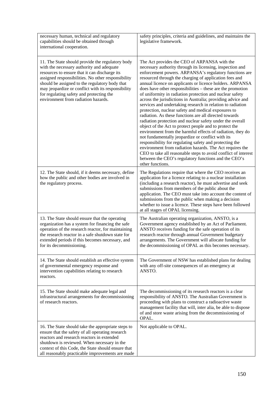| necessary human, technical and regulatory<br>capabilities should be obtained through<br>international cooperation.                                                                                                                                                                                                                                                                              | safety principles, criteria and guidelines, and maintains the<br>legislative framework.                                                                                                                                                                                                                                                                                                                                                                                                                                                                                                                                                                                                                                                                                                                                                                                                                                                                                                                                                                                                                                                                                          |
|-------------------------------------------------------------------------------------------------------------------------------------------------------------------------------------------------------------------------------------------------------------------------------------------------------------------------------------------------------------------------------------------------|----------------------------------------------------------------------------------------------------------------------------------------------------------------------------------------------------------------------------------------------------------------------------------------------------------------------------------------------------------------------------------------------------------------------------------------------------------------------------------------------------------------------------------------------------------------------------------------------------------------------------------------------------------------------------------------------------------------------------------------------------------------------------------------------------------------------------------------------------------------------------------------------------------------------------------------------------------------------------------------------------------------------------------------------------------------------------------------------------------------------------------------------------------------------------------|
| 11. The State should provide the regulatory body<br>with the necessary authority and adequate<br>resources to ensure that it can discharge its<br>assigned responsibilities. No other responsibility<br>should be assigned to the regulatory body that<br>may jeopardize or conflict with its responsibility<br>for regulating safety and protecting the<br>environment from radiation hazards. | The Act provides the CEO of ARPANSA with the<br>necessary authority through its licensing, inspection and<br>enforcement powers. ARPANSA's regulatory functions are<br>resourced through the charging of application fees and<br>annual licence on applicants or licence holders. ARPANSA<br>does have other responsibilities – these are the promotion<br>of uniformity in radiation protection and nuclear safety<br>across the jurisdictions in Australia; providing advice and<br>services and undertaking research in relation to radiation<br>protection, nuclear safety and medical exposures to<br>radiation. As these functions are all directed towards<br>radiation protection and nuclear safety under the overall<br>object of the Act to protect people and to protect the<br>environment from the harmful effects of radiation, they do<br>not fundamentally jeopardize or conflict with its<br>responsibility for regulating safety and protecting the<br>environment from radiation hazards. The Act requires the<br>CEO to take all reasonable steps to avoid conflict of interest<br>between the CEO's regulatory functions and the CEO's<br>other functions. |
| 12. The State should, if it deems necessary, define<br>how the public and other bodies are involved in<br>the regulatory process.                                                                                                                                                                                                                                                               | The Regulations require that where the CEO receives an<br>application for a licence relating to a nuclear installation<br>(including a research reactor), he must advertise and seek<br>submissions from members of the public about the<br>application. The CEO must take into account the content of<br>submissions from the public when making a decision<br>whether to issue a licence. These steps have been followed<br>at all stages of OPAL licensing.                                                                                                                                                                                                                                                                                                                                                                                                                                                                                                                                                                                                                                                                                                                   |
| 13. The State should ensure that the operating<br>organization has a system for financing the safe<br>operation of the research reactor, for maintaining<br>the research reactor in a safe shutdown state for<br>extended periods if this becomes necessary, and<br>for its decommissioning.                                                                                                    | The Australian operating organization, ANSTO, is a<br>Government agency established by an Act of Parliament.<br>ANSTO receives funding for the safe operation of its<br>research reactor through annual Government budgetary<br>arrangements. The Government will allocate funding for<br>the decommissioning of OPAL as this becomes necessary.                                                                                                                                                                                                                                                                                                                                                                                                                                                                                                                                                                                                                                                                                                                                                                                                                                 |
| 14. The State should establish an effective system<br>of governmental emergency response and<br>intervention capabilities relating to research<br>reactors.                                                                                                                                                                                                                                     | The Government of NSW has established plans for dealing<br>with any off-site consequences of an emergency at<br>ANSTO.                                                                                                                                                                                                                                                                                                                                                                                                                                                                                                                                                                                                                                                                                                                                                                                                                                                                                                                                                                                                                                                           |
| 15. The State should make adequate legal and<br>infrastructural arrangements for decommissioning<br>of research reactors.                                                                                                                                                                                                                                                                       | The decommissioning of its research reactors is a clear<br>responsibility of ANSTO. The Australian Government is<br>proceeding with plans to construct a radioactive waste<br>management facility that will, inter alia, be able to dispose<br>of and store waste arising from the decommissioning of<br>OPAL.                                                                                                                                                                                                                                                                                                                                                                                                                                                                                                                                                                                                                                                                                                                                                                                                                                                                   |
| 16. The State should take the appropriate steps to<br>ensure that the safety of all operating research<br>reactors and research reactors in extended<br>shutdown is reviewed. When necessary in the<br>context of this Code, the State should ensure that<br>all reasonably practicable improvements are made                                                                                   | Not applicable to OPAL.                                                                                                                                                                                                                                                                                                                                                                                                                                                                                                                                                                                                                                                                                                                                                                                                                                                                                                                                                                                                                                                                                                                                                          |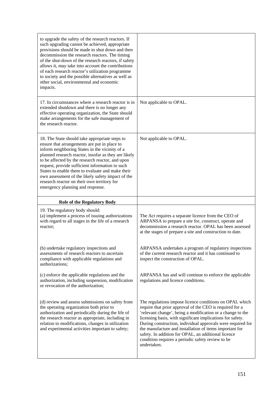| to upgrade the safety of the research reactors. If<br>such upgrading cannot be achieved, appropriate<br>provisions should be made to shut down and then<br>decommission the research reactors. The timing<br>of the shut-down of the research reactors, if safety<br>allows it, may take into account the contributions<br>of each research reactor's utilization programme<br>to society and the possible alternatives as well as<br>other social, environmental and economic<br>impacts.                  |                                                                                                                                                                                                                                      |
|-------------------------------------------------------------------------------------------------------------------------------------------------------------------------------------------------------------------------------------------------------------------------------------------------------------------------------------------------------------------------------------------------------------------------------------------------------------------------------------------------------------|--------------------------------------------------------------------------------------------------------------------------------------------------------------------------------------------------------------------------------------|
| 17. In circumstances where a research reactor is in<br>extended shutdown and there is no longer any<br>effective operating organization, the State should<br>make arrangements for the safe management of<br>the research reactor.                                                                                                                                                                                                                                                                          | Not applicable to OPAL.                                                                                                                                                                                                              |
| 18. The State should take appropriate steps to<br>ensure that arrangements are put in place to<br>inform neighboring States in the vicinity of a<br>planned research reactor, insofar as they are likely<br>to be affected by the research reactor, and upon<br>request, provide sufficient information to such<br>States to enable them to evaluate and make their<br>own assessment of the likely safety impact of the<br>research reactor on their own territory for<br>emergency planning and response. | Not applicable to OPAL.                                                                                                                                                                                                              |
| <b>Role of the Regulatory Body</b>                                                                                                                                                                                                                                                                                                                                                                                                                                                                          |                                                                                                                                                                                                                                      |
|                                                                                                                                                                                                                                                                                                                                                                                                                                                                                                             |                                                                                                                                                                                                                                      |
| 19. The regulatory body should:<br>(a) implement a process of issuing authorizations<br>with regard to all stages in the life of a research<br>reactor;                                                                                                                                                                                                                                                                                                                                                     | The Act requires a separate licence from the CEO of<br>ARPANSA to prepare a site for, construct, operate and<br>decommission a research reactor. OPAL has been assessed<br>at the stages of prepare a site and construction to date. |
| (b) undertake regulatory inspections and<br>assessments of research reactors to ascertain<br>compliance with applicable regulations and<br>authorizations;                                                                                                                                                                                                                                                                                                                                                  | ARPANSA undertakes a program of regulatory inspections<br>of the current research reactor and it has continued to<br>inspect the construction of OPAL.                                                                               |
| (c) enforce the applicable regulations and the<br>authorization, including suspension, modification<br>or revocation of the authorization;                                                                                                                                                                                                                                                                                                                                                                  | ARPANSA has and will continue to enforce the applicable<br>regulations and licence conditions.                                                                                                                                       |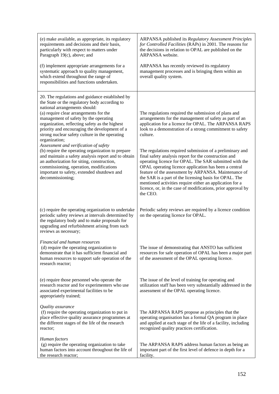| (e) make available, as appropriate, its regulatory<br>requirements and decisions and their basis,<br>particularly with respect to matters under<br>Paragraph 19(c), above; and<br>(f) implement appropriate arrangements for a                                                                                                                                                             | ARPANSA published its Regulatory Assessment Principles<br>for Controlled Facilities (RAPs) in 2001. The reasons for<br>the decisions in relation to OPAL are published on the<br>ARPANSA website.<br>ARPANSA has recently reviewed its regulatory                                                                                                                                                                                                                                              |
|--------------------------------------------------------------------------------------------------------------------------------------------------------------------------------------------------------------------------------------------------------------------------------------------------------------------------------------------------------------------------------------------|------------------------------------------------------------------------------------------------------------------------------------------------------------------------------------------------------------------------------------------------------------------------------------------------------------------------------------------------------------------------------------------------------------------------------------------------------------------------------------------------|
| systematic approach to quality management,<br>which extend throughout the range of<br>responsibilities and functions undertaken.                                                                                                                                                                                                                                                           | management processes and is bringing them within an<br>overall quality system.                                                                                                                                                                                                                                                                                                                                                                                                                 |
| 20. The regulations and guidance established by<br>the State or the regulatory body according to<br>national arrangements should:<br>(a) require clear arrangements for the<br>management of safety by the operating<br>organization, reflecting safety as the highest<br>priority and encouraging the development of a<br>strong nuclear safety culture in the operating<br>organization; | The regulations required the submission of plans and<br>arrangements for the management of safety as part of an<br>application for a licence for OPAL. The ARPANSA RAPS<br>look to a demonstration of a strong commitment to safety<br>culture.                                                                                                                                                                                                                                                |
| Assessment and verification of safety<br>(b) require the operating organization to prepare<br>and maintain a safety analysis report and to obtain<br>an authorization for siting, construction,<br>commissioning, operation, modifications<br>important to safety, extended shutdown and<br>decommissioning;                                                                               | The regulations required submission of a preliminary and<br>final safety analysis report for the construction and<br>operating licence for OPAL. The SAR submitted with the<br>OPAL operating licence application has been a central<br>feature of the assessment by ARPANSA. Maintenance of<br>the SAR is a part of the licensing basis for OPAL. The<br>mentioned activities require either an application for a<br>licence, or, in the case of modifications, prior approval by<br>the CEO. |
| (c) require the operating organization to undertake<br>periodic safety reviews at intervals determined by<br>the regulatory body and to make proposals for<br>upgrading and refurbishment arising from such<br>reviews as necessary;                                                                                                                                                       | Periodic safety reviews are required by a licence condition<br>on the operating licence for OPAL.                                                                                                                                                                                                                                                                                                                                                                                              |
| Financial and human resources<br>(d) require the operating organization to<br>demonstrate that it has sufficient financial and<br>human resources to support safe operation of the<br>research reactor;                                                                                                                                                                                    | The issue of demonstrating that ANSTO has sufficient<br>resources for safe operation of OPAL has been a major part<br>of the assessment of the OPAL operating licence.                                                                                                                                                                                                                                                                                                                         |
| (e) require those personnel who operate the<br>research reactor and for experimenters who use<br>associated experimental facilities to be<br>appropriately trained;                                                                                                                                                                                                                        | The issue of the level of training for operating and<br>utilization staff has been very substantially addressed in the<br>assessment of the OPAL operating licence.                                                                                                                                                                                                                                                                                                                            |
| Quality assurance<br>(f) require the operating organization to put in<br>place effective quality assurance programmes at<br>the different stages of the life of the research<br>reactor;                                                                                                                                                                                                   | The ARPANSA RAPS propose as principles that the<br>operating organisation has a formal QA program in place<br>and applied at each stage of the life of a facility, including<br>recognized quality practices certification.                                                                                                                                                                                                                                                                    |
| Human factors<br>(g) require the operating organization to take<br>human factors into account throughout the life of<br>the research reactor;                                                                                                                                                                                                                                              | The ARPANSA RAPS address human factors as being an<br>important part of the first level of defence in depth for a<br>facility.                                                                                                                                                                                                                                                                                                                                                                 |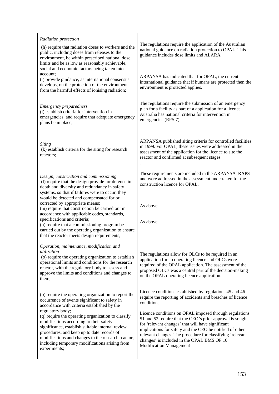| Radiation protection                                                                                                                                                                                                                                                                                                                                                                                                                                                                                                                                                    |                                                                                                                                                                                                                                                                                                                                                                                                                                                                                                                           |
|-------------------------------------------------------------------------------------------------------------------------------------------------------------------------------------------------------------------------------------------------------------------------------------------------------------------------------------------------------------------------------------------------------------------------------------------------------------------------------------------------------------------------------------------------------------------------|---------------------------------------------------------------------------------------------------------------------------------------------------------------------------------------------------------------------------------------------------------------------------------------------------------------------------------------------------------------------------------------------------------------------------------------------------------------------------------------------------------------------------|
| (h) require that radiation doses to workers and the<br>public, including doses from releases to the<br>environment, be within prescribed national dose<br>limits and be as low as reasonably achievable,<br>social and economic factors being taken into                                                                                                                                                                                                                                                                                                                | The regulations require the application of the Australian<br>national guidance on radiation protection to OPAL. This<br>guidance includes dose limits and ALARA.                                                                                                                                                                                                                                                                                                                                                          |
| account;<br>(i) provide guidance, as international consensus<br>develops, on the protection of the environment<br>from the harmful effects of ionising radiation;                                                                                                                                                                                                                                                                                                                                                                                                       | ARPANSA has indicated that for OPAL, the current<br>international guidance that if humans are protected then the<br>environment is protected applies.                                                                                                                                                                                                                                                                                                                                                                     |
| Emergency preparedness<br>(j) establish criteria for intervention in<br>emergencies, and require that adequate emergency<br>plans be in place;                                                                                                                                                                                                                                                                                                                                                                                                                          | The regulations require the submission of an emergency<br>plan for a facility as part of a application for a licence.<br>Australia has national criteria for intervention in<br>emergencies (RPS 7).                                                                                                                                                                                                                                                                                                                      |
| Siting<br>(k) establish criteria for the siting for research<br>reactors;                                                                                                                                                                                                                                                                                                                                                                                                                                                                                               | ARPANSA published siting criteria for controlled facilities<br>in 1999. For OPAL, these issues were addressed in the<br>assessment of the application for the licence to site the<br>reactor and confirmed at subsequent stages.                                                                                                                                                                                                                                                                                          |
| Design, construction and commissioning<br>(l) require that the design provide for defence in<br>depth and diversity and redundancy in safety<br>systems, so that if failures were to occur, they<br>would be detected and compensated for or<br>corrected by appropriate means;<br>(m) require that construction be carried out in<br>accordance with applicable codes, standards,<br>specifications and criteria;<br>(n) require that a commissioning program be<br>carried out by the operating organization to ensure<br>that the reactor meets design requirements; | These requirements are included in the ARPANSA RAPS<br>and were addressed in the assessment undertaken for the<br>construction licence for OPAL.<br>As above.<br>As above.                                                                                                                                                                                                                                                                                                                                                |
| Operation, maintenance, modification and<br>utilization<br>(o) require the operating organization to establish<br>operational limits and conditions for the research<br>reactor, with the regulatory body to assess and<br>approve the limits and conditions and changes to<br>them;                                                                                                                                                                                                                                                                                    | The regulations allow for OLCs to be required in an<br>application for an operating licence and OLCs were<br>required of the OPAL application. The assessment of the<br>proposed OLCs was a central part of the decision-making<br>on the OPAL operating licence application.                                                                                                                                                                                                                                             |
| (p) require the operating organization to report the<br>occurrence of events significant to safety in<br>accordance with criteria established by the<br>regulatory body;<br>(q) require the operating organization to classify<br>modifications according to their safety<br>significance, establish suitable internal review<br>procedures, and keep up to date records of<br>modifications and changes to the research reactor,<br>including temporary modifications arising from<br>experiments;                                                                     | Licence conditions established by regulations 45 and 46<br>require the reporting of accidents and breaches of licence<br>conditions.<br>Licence conditions on OPAL imposed through regulations<br>51 and 52 require that the CEO's prior approval is sought<br>for 'relevant changes' that will have significant<br>implications for safety and the CEO be notified of other<br>relevant changes. The procedure for classifying 'relevant<br>changes' is included in the OPAL BMS OP 10<br><b>Modification Management</b> |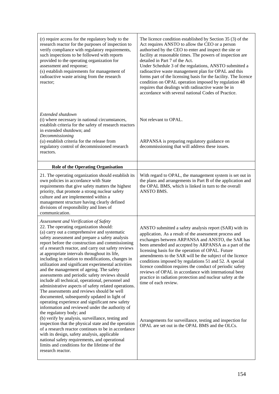| (r) require access for the regulatory body to the<br>research reactor for the purposes of inspection to<br>verify compliance with regulatory requirements,<br>such inspections to be followed with reports<br>provided to the operating organization for<br>assessment and response;<br>(s) establish requirements for management of<br>radioactive waste arising from the research<br>reactor;                                                                                                                                                                                                                                                                                                                                                                                                                         | The licence condition established by Section 35 (3) of the<br>Act requires ANSTO to allow the CEO or a person<br>authorised by the CEO to enter and inspect the site or<br>facility at reasonable times. The powers of inspection are<br>detailed in Part 7 of the Act.<br>Under Schedule 3 of the regulations, ANSTO submitted a<br>radioactive waste management plan for OPAL and this<br>forms part of the licensing basis for the facility. The licence<br>condition on OPAL operation imposed by regulation 48<br>requires that dealings with radioactive waste be in<br>accordance with several national Codes of Practice. |
|-------------------------------------------------------------------------------------------------------------------------------------------------------------------------------------------------------------------------------------------------------------------------------------------------------------------------------------------------------------------------------------------------------------------------------------------------------------------------------------------------------------------------------------------------------------------------------------------------------------------------------------------------------------------------------------------------------------------------------------------------------------------------------------------------------------------------|-----------------------------------------------------------------------------------------------------------------------------------------------------------------------------------------------------------------------------------------------------------------------------------------------------------------------------------------------------------------------------------------------------------------------------------------------------------------------------------------------------------------------------------------------------------------------------------------------------------------------------------|
| Extended shutdown<br>(t) where necessary in national circumstances,<br>establish criteria for the safety of research reactors<br>in extended shutdown; and<br>Decommissioning                                                                                                                                                                                                                                                                                                                                                                                                                                                                                                                                                                                                                                           | Not relevant to OPAL.                                                                                                                                                                                                                                                                                                                                                                                                                                                                                                                                                                                                             |
| (u) establish criteria for the release from<br>regulatory control of decommissioned research<br>reactors.                                                                                                                                                                                                                                                                                                                                                                                                                                                                                                                                                                                                                                                                                                               | ARPANSA is preparing regulatory guidance on<br>decommissioning that will address these issues.                                                                                                                                                                                                                                                                                                                                                                                                                                                                                                                                    |
| <b>Role of the Operating Organisation</b>                                                                                                                                                                                                                                                                                                                                                                                                                                                                                                                                                                                                                                                                                                                                                                               |                                                                                                                                                                                                                                                                                                                                                                                                                                                                                                                                                                                                                                   |
| 21. The operating organization should establish its<br>own policies in accordance with State<br>requirements that give safety matters the highest<br>priority, that promote a strong nuclear safety<br>culture and are implemented within a<br>management structure having clearly defined<br>divisions of responsibility and lines of<br>communication.                                                                                                                                                                                                                                                                                                                                                                                                                                                                | With regard to OPAL, the management system is set out in<br>the plans and arrangements in Part B of the application and<br>the OPAL BMS, which is linked in turn to the overall<br>ANSTO BMS.                                                                                                                                                                                                                                                                                                                                                                                                                                     |
| Assessment and Verification of Safety<br>22. The operating organization should:<br>(a) carry out a comprehensive and systematic<br>safety assessment and prepare a safety analysis<br>report before the construction and commissioning<br>of a research reactor, and carry out safety reviews<br>at appropriate intervals throughout its life,<br>including in relation to modifications, changes in<br>utilization and significant experimental activities<br>and the management of ageing. The safety<br>assessments and periodic safety reviews should<br>include all technical, operational, personnel and<br>administrative aspects of safety related operations.<br>The assessments and reviews should be well<br>documented, subsequently updated in light of<br>operating experience and significant new safety | ANSTO submitted a safety analysis report (SAR) with its<br>application. As a result of the assessment process and<br>exchanges between ARPANSA and ANSTO, the SAR has<br>been amended and accepted by ARPANSA as a part of the<br>licensing basis for the operation of OPAL. Future<br>amendments to the SAR will be the subject of the licence<br>conditions imposed by regulations 51 and 52. A special<br>licence condition requires the conduct of periodic safety<br>reviews of OPAL in accordance with international best<br>practice in radiation protection and nuclear safety at the<br>time of each review.             |
| information and reviewed under the authority of<br>the regulatory body; and<br>(b) verify by analysis, surveillance, testing and<br>inspection that the physical state and the operation<br>of a research reactor continues to be in accordance<br>with its design, safety analysis, applicable<br>national safety requirements, and operational<br>limits and conditions for the lifetime of the<br>research reactor.                                                                                                                                                                                                                                                                                                                                                                                                  | Arrangements for surveillance, testing and inspection for<br>OPAL are set out in the OPAL BMS and the OLCs.                                                                                                                                                                                                                                                                                                                                                                                                                                                                                                                       |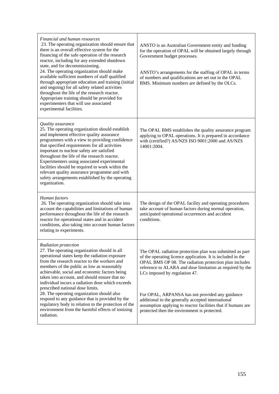| Financial and human resources<br>23. The operating organization should ensure that<br>there is an overall effective system for the<br>financing of the safe operation of the research<br>reactor, including for any extended shutdown<br>state, and for decommissioning.<br>24. The operating organization should make<br>available sufficient numbers of staff qualified<br>through appropriate education and training (initial<br>and ongoing) for all safety related activities<br>throughout the life of the research reactor.<br>Appropriate training should be provided for<br>experimenters that will use associated<br>experimental facilities. | ANSTO is an Australian Government entity and funding<br>for the operation of OPAL will be obtained largely through<br>Government budget processes.<br>ANSTO's arrangements for the staffing of OPAL in terms<br>of numbers and qualifications are set out in the OPAL<br>BMS. Minimum numbers are defined by the OLCs. |
|---------------------------------------------------------------------------------------------------------------------------------------------------------------------------------------------------------------------------------------------------------------------------------------------------------------------------------------------------------------------------------------------------------------------------------------------------------------------------------------------------------------------------------------------------------------------------------------------------------------------------------------------------------|------------------------------------------------------------------------------------------------------------------------------------------------------------------------------------------------------------------------------------------------------------------------------------------------------------------------|
| Quality assurance<br>25. The operating organization should establish<br>and implement effective quality assurance<br>programmes with a view to providing confidence<br>that specified requirements for all activities<br>important to nuclear safety are satisfied<br>throughout the life of the research reactor.<br>Experimenters using associated experimental<br>facilities should be required to work within the<br>relevant quality assurance programme and with<br>safety arrangements established by the operating<br>organization.                                                                                                             | The OPAL BMS establishes the quality assurance program<br>applying to OPAL operations. It is prepared in accordance<br>with (certified?) AS/NZS ISO 9001:2000 and AS/NZS<br>14001:2004.                                                                                                                                |
| Human factors<br>26. The operating organization should take into<br>account the capabilities and limitations of human<br>performance throughout the life of the research<br>reactor for operational states and in accident<br>conditions, also taking into account human factors<br>relating to experiments.                                                                                                                                                                                                                                                                                                                                            | The design of the OPAL facility and operating procedures<br>take account of human factors during normal operation,<br>anticipated operational occurrences and accident<br>conditions.                                                                                                                                  |
| Radiation protection<br>27. The operating organization should in all<br>operational states keep the radiation exposure<br>from the research reactor to the workers and<br>members of the public as low as reasonably<br>achievable, social and economic factors being<br>taken into account, and should ensure that no<br>individual incurs a radiation dose which exceeds<br>prescribed national dose limits.                                                                                                                                                                                                                                          | The OPAL radiation protection plan was submitted as part<br>of the operating licence application. It is included in the<br>OPAL BMS OP 08. The radiation protection plan includes<br>reference to ALARA and dose limitation as required by the<br>LCs imposed by regulation 47.                                        |
| 28. The operating organization should also<br>respond to any guidance that is provided by the<br>regulatory body in relation to the protection of the<br>environment from the harmful effects of ionizing<br>radiation.                                                                                                                                                                                                                                                                                                                                                                                                                                 | For OPAL, ARPANSA has not provided any guidance<br>additional to the generally accepted international<br>assumption applying to reactor facilities that if humans are<br>protected then the environment is protected.                                                                                                  |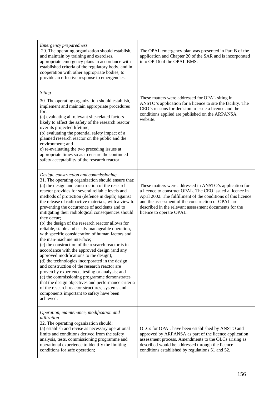| <b>Emergency preparedness</b><br>29. The operating organization should establish,<br>and maintain by training and exercises,<br>appropriate emergency plans in accordance with<br>established criteria of the regulatory body, and in<br>cooperation with other appropriate bodies, to<br>provide an effective response to emergencies.                                                                                                                                                                                                                                                                                                                                                                                                                                                                                                                                                                                                                                                                                                                                                                                                                  | The OPAL emergency plan was presented in Part B of the<br>application and Chapter 20 of the SAR and is incorporated<br>into OP 16 of the OPAL BMS.                                                                                                                                                                               |
|----------------------------------------------------------------------------------------------------------------------------------------------------------------------------------------------------------------------------------------------------------------------------------------------------------------------------------------------------------------------------------------------------------------------------------------------------------------------------------------------------------------------------------------------------------------------------------------------------------------------------------------------------------------------------------------------------------------------------------------------------------------------------------------------------------------------------------------------------------------------------------------------------------------------------------------------------------------------------------------------------------------------------------------------------------------------------------------------------------------------------------------------------------|----------------------------------------------------------------------------------------------------------------------------------------------------------------------------------------------------------------------------------------------------------------------------------------------------------------------------------|
| <b>Siting</b><br>30. The operating organization should establish,<br>implement and maintain appropriate procedures<br>for:<br>(a) evaluating all relevant site-related factors<br>likely to affect the safety of the research reactor<br>over its projected lifetime;<br>(b) evaluating the potential safety impact of a<br>planned research reactor on the public and the<br>environment; and<br>c) re-evaluating the two preceding issues at<br>appropriate times so as to ensure the continued<br>safety acceptability of the research reactor.                                                                                                                                                                                                                                                                                                                                                                                                                                                                                                                                                                                                       | These matters were addressed for OPAL siting in<br>ANSTO's application for a licence to site the facility. The<br>CEO's reasons for decision to issue a licence and the<br>conditions applied are published on the ARPANSA<br>website.                                                                                           |
| Design, construction and commissioning<br>31. The operating organization should ensure that:<br>(a) the design and construction of the research<br>reactor provides for several reliable levels and<br>methods of protection (defence in depth) against<br>the release of radioactive materials, with a view to<br>preventing the occurrence of accidents and to<br>mitigating their radiological consequences should<br>they occur;<br>(b) the design of the research reactor allows for<br>reliable, stable and easily manageable operation,<br>with specific consideration of human factors and<br>the man-machine interface;<br>(c) the construction of the research reactor is in<br>accordance with the approved design (and any<br>approved modifications to the design);<br>(d) the technologies incorporated in the design<br>and construction of the research reactor are<br>proven by experience, testing or analysis; and<br>(e) the commissioning programme demonstrates<br>that the design objectives and performance criteria<br>of the research reactor structures, systems and<br>components important to safety have been<br>achieved. | These matters were addressed in ANSTO's application for<br>a licence to construct OPAL. The CEO issued a licence in<br>April 2002. The fulfillment of the conditions of this licence<br>and the assessment of the construction of OPAL are<br>described in the relevant assessment documents for the<br>licence to operate OPAL. |
| Operation, maintenance, modification and<br>utilization<br>32. The operating organization should:<br>(a) establish and revise as necessary operational<br>limits and conditions derived from the safety<br>analysis, tests, commissioning programme and<br>operational experience to identify the limiting<br>conditions for safe operation;                                                                                                                                                                                                                                                                                                                                                                                                                                                                                                                                                                                                                                                                                                                                                                                                             | OLCs for OPAL have been established by ANSTO and<br>approved by ARPANSA as part of the licence application<br>assessment process. Amendments to the OLCs arising as<br>described would be addressed through the licence<br>conditions established by regulations 51 and 52.                                                      |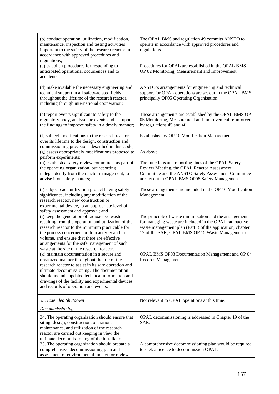| (b) conduct operation, utilization, modification,<br>maintenance, inspection and testing activities<br>important to the safety of the research reactor in<br>accordance with approved procedures and<br>regulations;                                                                                                                                  | The OPAL BMS and regulation 49 commits ANSTO to<br>operate in accordance with approved procedures and<br>regulations.                                                                                                                |
|-------------------------------------------------------------------------------------------------------------------------------------------------------------------------------------------------------------------------------------------------------------------------------------------------------------------------------------------------------|--------------------------------------------------------------------------------------------------------------------------------------------------------------------------------------------------------------------------------------|
| (c) establish procedures for responding to<br>anticipated operational occurrences and to<br>accidents;                                                                                                                                                                                                                                                | Procedures for OPAL are established in the OPAL BMS<br>OP 02 Monitoring, Measurement and Improvement.                                                                                                                                |
| (d) make available the necessary engineering and<br>technical support in all safety-related fields<br>throughout the lifetime of the research reactor,<br>including through international cooperation;                                                                                                                                                | ANSTO's arrangements for engineering and technical<br>support for OPAL operations are set out in the OPAL BMS,<br>principally OP05 Operating Organisation.                                                                           |
| (e) report events significant to safety to the<br>regulatory body, analyse the events and act upon<br>the findings to improve safety in a timely manner;                                                                                                                                                                                              | These arrangements are established by the OPAL BMS OP<br>05 Monitoring, Measurement and Improvement re-inforced<br>by regulations 45 and 46.                                                                                         |
| (f) subject modifications to the research reactor<br>over its lifetime to the design, construction and                                                                                                                                                                                                                                                | Established by OP 10 Modification Management.                                                                                                                                                                                        |
| commissioning provisions described in this Code;<br>(g) assess appropriately modifications proposed to<br>perform experiments;                                                                                                                                                                                                                        | As above.                                                                                                                                                                                                                            |
| (h) establish a safety review committee, as part of<br>the operating organization, but reporting<br>independently from the reactor management, to<br>advise it on safety matters;                                                                                                                                                                     | The functions and reporting lines of the OPAL Safety<br>Review Meeting, the OPAL Reactor Assessment<br>Committee and the ANSTO Safety Assessment Committee<br>are set out in OPAL BMS OP08 Safety Management.                        |
| (i) subject each utilization project having safety<br>significance, including any modification of the<br>research reactor, new construction or<br>experimental device, to an appropriate level of<br>safety assessment and approval; and                                                                                                              | These arrangements are included in the OP 10 Modification<br>Management.                                                                                                                                                             |
| (j) keep the generation of radioactive waste<br>resulting from the operation and utilization of the<br>research reactor to the minimum practicable for<br>the process concerned, both in activity and in<br>volume, and ensure that there are effective<br>arrangements for the safe management of such<br>waste at the site of the research reactor. | The principle of waste minimization and the arrangements<br>for managing waste are included in the OPAL radioactive<br>waste management plan (Part B of the application, chapter<br>12 of the SAR, OPAL BMS OP 15 Waste Management). |
| (k) maintain documentation in a secure and<br>organized manner throughout the life of the<br>research reactor to assist in its safe operation and<br>ultimate decommissioning. The documentation<br>should include updated technical information and<br>drawings of the facility and experimental devices,<br>and records of operation and events.    | OPAL BMS OP03 Documentation Management and OP 04<br>Records Management.                                                                                                                                                              |
| 33. Extended Shutdown                                                                                                                                                                                                                                                                                                                                 | Not relevant to OPAL operations at this time.                                                                                                                                                                                        |
| Decommissioning                                                                                                                                                                                                                                                                                                                                       |                                                                                                                                                                                                                                      |
| 34. The operating organization should ensure that<br>siting, design, construction, operation,<br>maintenance, and utilization of the research<br>reactor are carried out keeping in view the<br>ultimate decommissioning of the installation.                                                                                                         | OPAL decommissioning is addressed in Chapter 19 of the<br>SAR.                                                                                                                                                                       |
| 35. The operating organization should prepare a<br>comprehensive decommissioning plan and<br>assessment of environmental impact for review                                                                                                                                                                                                            | A comprehensive decommissioning plan would be required<br>to seek a licence to decommission OPAL.                                                                                                                                    |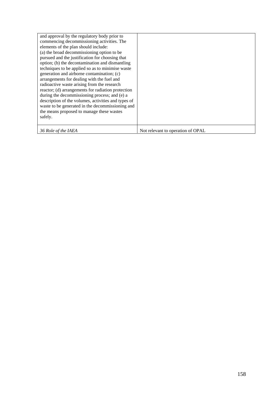| and approval by the regulatory body prior to<br>commencing decommissioning activities. The<br>elements of the plan should include:<br>(a) the broad decommissioning option to be<br>pursued and the justification for choosing that<br>option; (b) the decontamination and dismantling<br>techniques to be applied so as to minimise waste<br>generation and airborne contamination; (c)<br>arrangements for dealing with the fuel and<br>radioactive waste arising from the research<br>reactor; (d) arrangements for radiation protection<br>during the decommissioning process; and (e) a<br>description of the volumes, activities and types of<br>waste to be generated in the decommissioning and |                                   |
|---------------------------------------------------------------------------------------------------------------------------------------------------------------------------------------------------------------------------------------------------------------------------------------------------------------------------------------------------------------------------------------------------------------------------------------------------------------------------------------------------------------------------------------------------------------------------------------------------------------------------------------------------------------------------------------------------------|-----------------------------------|
| the means proposed to manage these wastes<br>safely.                                                                                                                                                                                                                                                                                                                                                                                                                                                                                                                                                                                                                                                    |                                   |
| 36 Role of the IAEA                                                                                                                                                                                                                                                                                                                                                                                                                                                                                                                                                                                                                                                                                     | Not relevant to operation of OPAL |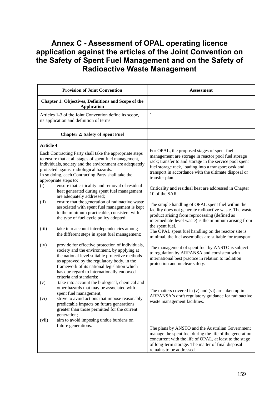## **Annex C - Assessment of OPAL operating licence application against the articles of the Joint Convention on the Safety of Spent Fuel Management and on the Safety of Radioactive Waste Management**

|                  | <b>Provision of Joint Convention</b>                                                                                                                                                                                                                                                                                    | <b>Assessment</b>                                                                                                                                                                                                                                                                                |
|------------------|-------------------------------------------------------------------------------------------------------------------------------------------------------------------------------------------------------------------------------------------------------------------------------------------------------------------------|--------------------------------------------------------------------------------------------------------------------------------------------------------------------------------------------------------------------------------------------------------------------------------------------------|
|                  | <b>Chapter 1: Objectives, Definitions and Scope of the</b><br><b>Application</b>                                                                                                                                                                                                                                        |                                                                                                                                                                                                                                                                                                  |
|                  | Articles 1-3 of the Joint Convention define its scope,<br>its application and definition of terms                                                                                                                                                                                                                       |                                                                                                                                                                                                                                                                                                  |
|                  | <b>Chapter 2: Safety of Spent Fuel</b>                                                                                                                                                                                                                                                                                  |                                                                                                                                                                                                                                                                                                  |
| <b>Article 4</b> |                                                                                                                                                                                                                                                                                                                         |                                                                                                                                                                                                                                                                                                  |
|                  | Each Contracting Party shall take the appropriate steps<br>to ensure that at all stages of spent fuel management,<br>individuals, society and the environment are adequately<br>protected against radiological hazards.<br>In so doing, each Contracting Party shall take the<br>appropriate steps to:                  | For OPAL, the proposed stages of spent fuel<br>management are storage in reactor pool fuel storage<br>rack; transfer to and storage in the service pool spent<br>fuel storage rack, loading into a transport cask and<br>transport in accordance with the ultimate disposal or<br>transfer plan. |
| (i)              | ensure that criticality and removal of residual<br>heat generated during spent fuel management<br>are adequately addressed;                                                                                                                                                                                             | Criticality and residual heat are addressed in Chapter<br>10 of the SAR.                                                                                                                                                                                                                         |
| (ii)             | ensure that the generation of radioactive waste<br>associated with spent fuel management is kept<br>to the minimum practicable, consistent with<br>the type of fuel cycle policy adopted;                                                                                                                               | The simple handling of OPAL spent fuel within the<br>facility does not generate radioactive waste. The waste<br>product arising from reprocessing (defined as<br>intermediate-level waste) is the minimum arising from                                                                           |
| (iii)            | take into account interdependencies among<br>the different steps in spent fuel management;                                                                                                                                                                                                                              | the spent fuel.<br>The OPAL spent fuel handling on the reactor site is<br>minimal, the fuel assemblies are suitable for transport.                                                                                                                                                               |
| (iv)             | provide for effective protection of individuals,<br>society and the environment, by applying at<br>the national level suitable protective methods<br>as approved by the regulatory body, in the<br>framework of its national legislation which<br>has due regard to internationally endorsed<br>criteria and standards; | The management of spent fuel by ANSTO is subject<br>to regulation by ARPANSA and consistent with<br>international best practice in relation to radiation<br>protection and nuclear safety.                                                                                                       |
| (v)              | take into account the biological, chemical and<br>other hazards that may be associated with<br>spent fuel management;                                                                                                                                                                                                   | The matters covered in $(v)$ and $(vi)$ are taken up in<br>ARPANSA's draft regulatory guidance for radioactive                                                                                                                                                                                   |
| (vi)             | strive to avoid actions that impose reasonably<br>predictable impacts on future generations<br>greater than those permitted for the current<br>generation;                                                                                                                                                              | waste management facilities.                                                                                                                                                                                                                                                                     |
| (vii)            | aim to avoid imposing undue burdens on<br>future generations.                                                                                                                                                                                                                                                           | The plans by ANSTO and the Australian Government<br>manage the spent fuel during the life of the generation<br>concurrent with the life of OPAL, at least to the stage<br>of long-term storage. The matter of final disposal<br>remains to be addressed.                                         |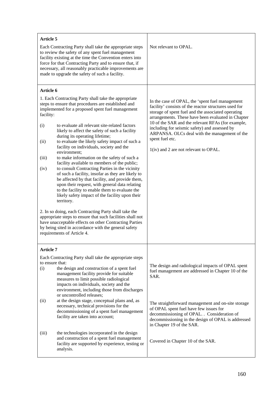| <b>Article 5</b>                                                                                                                                                                                                                                                                                                                                                                                                                                                                                                                                                                                                                                                                                                                                                                                                                                                                                                                                                                                                                                                                                                                                                     |                                                                                                                                                                                                                                                                                                                                                                                                                                         |
|----------------------------------------------------------------------------------------------------------------------------------------------------------------------------------------------------------------------------------------------------------------------------------------------------------------------------------------------------------------------------------------------------------------------------------------------------------------------------------------------------------------------------------------------------------------------------------------------------------------------------------------------------------------------------------------------------------------------------------------------------------------------------------------------------------------------------------------------------------------------------------------------------------------------------------------------------------------------------------------------------------------------------------------------------------------------------------------------------------------------------------------------------------------------|-----------------------------------------------------------------------------------------------------------------------------------------------------------------------------------------------------------------------------------------------------------------------------------------------------------------------------------------------------------------------------------------------------------------------------------------|
| Each Contracting Party shall take the appropriate steps<br>to review the safety of any spent fuel management<br>facility existing at the time the Convention enters into<br>force for that Contracting Party and to ensure that, if<br>necessary, all reasonably practicable improvements are<br>made to upgrade the safety of such a facility.                                                                                                                                                                                                                                                                                                                                                                                                                                                                                                                                                                                                                                                                                                                                                                                                                      | Not relevant to OPAL.                                                                                                                                                                                                                                                                                                                                                                                                                   |
| Article 6                                                                                                                                                                                                                                                                                                                                                                                                                                                                                                                                                                                                                                                                                                                                                                                                                                                                                                                                                                                                                                                                                                                                                            |                                                                                                                                                                                                                                                                                                                                                                                                                                         |
| 1. Each Contracting Party shall take the appropriate<br>steps to ensure that procedures are established and<br>implemented for a proposed spent fuel management<br>facility:<br>to evaluate all relevant site-related factors<br>(i)<br>likely to affect the safety of such a facility<br>during its operating lifetime;<br>to evaluate the likely safety impact of such a<br>(ii)<br>facility on individuals, society and the<br>environment;<br>to make information on the safety of such a<br>(iii)<br>facility available to members of the public;<br>to consult Contracting Parties in the vicinity<br>(iv)<br>of such a facility, insofar as they are likely to<br>be affected by that facility, and provide them,<br>upon their request, with general data relating<br>to the facility to enable them to evaluate the<br>likely safety impact of the facility upon their<br>territory.<br>2. In so doing, each Contracting Party shall take the<br>appropriate steps to ensure that such facilities shall not<br>have unacceptable effects on other Contracting Parties<br>by being sited in accordance with the general safety<br>requirements of Article 4. | In the case of OPAL, the 'spent fuel management<br>facility' consists of the reactor structures used for<br>storage of spent fuel and the associated operating<br>arrangements. These have been evaluated in Chapter<br>10 of the SAR and the relevant RFAs (for example,<br>including for seismic safety) and assessed by<br>ARPANSA. OLCs deal with the management of the<br>spent fuel etc.<br>1(iv) and 2 are not relevant to OPAL. |
| <b>Article 7</b>                                                                                                                                                                                                                                                                                                                                                                                                                                                                                                                                                                                                                                                                                                                                                                                                                                                                                                                                                                                                                                                                                                                                                     |                                                                                                                                                                                                                                                                                                                                                                                                                                         |
| Each Contracting Party shall take the appropriate steps<br>to ensure that:<br>(i)<br>the design and construction of a spent fuel<br>management facility provide for suitable<br>measures to limit possible radiological<br>impacts on individuals, society and the<br>environment, including those from discharges<br>or uncontrolled releases;                                                                                                                                                                                                                                                                                                                                                                                                                                                                                                                                                                                                                                                                                                                                                                                                                      | The design and radiological impacts of OPAL spent<br>fuel management are addressed in Chapter 10 of the<br>SAR.                                                                                                                                                                                                                                                                                                                         |
| at the design stage, conceptual plans and, as<br>(ii)<br>necessary, technical provisions for the<br>decommissioning of a spent fuel management<br>facility are taken into account;                                                                                                                                                                                                                                                                                                                                                                                                                                                                                                                                                                                                                                                                                                                                                                                                                                                                                                                                                                                   | The straightforward management and on-site storage<br>of OPAL spent fuel have few issues for<br>decommissioning of OPAL. . Consideration of<br>decommissioning in the design of OPAL is addressed<br>in Chapter 19 of the SAR.                                                                                                                                                                                                          |
| the technologies incorporated in the design<br>(iii)<br>and construction of a spent fuel management<br>facility are supported by experience, testing or<br>analysis.                                                                                                                                                                                                                                                                                                                                                                                                                                                                                                                                                                                                                                                                                                                                                                                                                                                                                                                                                                                                 | Covered in Chapter 10 of the SAR.                                                                                                                                                                                                                                                                                                                                                                                                       |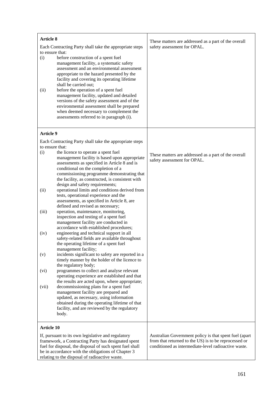| <b>Article 8</b>                                        |                                                                                                                 | These matters are addressed as a part of the overall                                                          |
|---------------------------------------------------------|-----------------------------------------------------------------------------------------------------------------|---------------------------------------------------------------------------------------------------------------|
| Each Contracting Party shall take the appropriate steps |                                                                                                                 | safety assessment for OPAL.                                                                                   |
| to ensure that:                                         |                                                                                                                 |                                                                                                               |
| (i)                                                     | before construction of a spent fuel                                                                             |                                                                                                               |
|                                                         | management facility, a systematic safety                                                                        |                                                                                                               |
|                                                         | assessment and an environmental assessment<br>appropriate to the hazard presented by the                        |                                                                                                               |
|                                                         | facility and covering its operating lifetime                                                                    |                                                                                                               |
|                                                         | shall be carried out;                                                                                           |                                                                                                               |
| (ii)                                                    | before the operation of a spent fuel                                                                            |                                                                                                               |
|                                                         | management facility, updated and detailed                                                                       |                                                                                                               |
|                                                         | versions of the safety assessment and of the                                                                    |                                                                                                               |
|                                                         | environmental assessment shall be prepared<br>when deemed necessary to complement the                           |                                                                                                               |
|                                                         | assessments referred to in paragraph (i).                                                                       |                                                                                                               |
|                                                         |                                                                                                                 |                                                                                                               |
| <b>Article 9</b>                                        |                                                                                                                 |                                                                                                               |
|                                                         | Each Contracting Party shall take the appropriate steps                                                         |                                                                                                               |
| to ensure that:                                         |                                                                                                                 |                                                                                                               |
| (i)                                                     | the licence to operate a spent fuel                                                                             | These matters are addressed as a part of the overall                                                          |
|                                                         | management facility is based upon appropriate                                                                   | safety assessment for OPAL.                                                                                   |
|                                                         | assessments as specified in Article 8 and is                                                                    |                                                                                                               |
|                                                         | conditional on the completion of a<br>commissioning programme demonstrating that                                |                                                                                                               |
|                                                         | the facility, as constructed, is consistent with                                                                |                                                                                                               |
|                                                         | design and safety requirements;                                                                                 |                                                                                                               |
| (ii)                                                    | operational limits and conditions derived from                                                                  |                                                                                                               |
|                                                         | tests, operational experience and the                                                                           |                                                                                                               |
|                                                         | assessments, as specified in Article 8, are<br>defined and revised as necessary;                                |                                                                                                               |
| (iii)                                                   | operation, maintenance, monitoring,                                                                             |                                                                                                               |
|                                                         | inspection and testing of a spent fuel                                                                          |                                                                                                               |
|                                                         | management facility are conducted in                                                                            |                                                                                                               |
|                                                         | accordance with established procedures;                                                                         |                                                                                                               |
| (iv)                                                    | engineering and technical support in all<br>safety-related fields are available throughout                      |                                                                                                               |
|                                                         | the operating lifetime of a spent fuel                                                                          |                                                                                                               |
|                                                         | management facility;                                                                                            |                                                                                                               |
| (v)                                                     | incidents significant to safety are reported in a                                                               |                                                                                                               |
|                                                         | timely manner by the holder of the licence to                                                                   |                                                                                                               |
| (vi)                                                    | the regulatory body;<br>programmes to collect and analyse relevant                                              |                                                                                                               |
|                                                         | operating experience are established and that                                                                   |                                                                                                               |
|                                                         | the results are acted upon, where appropriate;                                                                  |                                                                                                               |
| (vii)                                                   | decommissioning plans for a spent fuel                                                                          |                                                                                                               |
|                                                         | management facility are prepared and                                                                            |                                                                                                               |
|                                                         | updated, as necessary, using information<br>obtained during the operating lifetime of that                      |                                                                                                               |
|                                                         | facility, and are reviewed by the regulatory                                                                    |                                                                                                               |
|                                                         | body.                                                                                                           |                                                                                                               |
|                                                         |                                                                                                                 |                                                                                                               |
| <b>Article 10</b>                                       |                                                                                                                 |                                                                                                               |
|                                                         | If, pursuant to its own legislative and regulatory                                                              | Australian Government policy is that spent fuel (apart                                                        |
|                                                         | framework, a Contracting Party has designated spent<br>fuel for disposal, the disposal of such spent fuel shall | from that returned to the US) is to be reprocessed or<br>conditioned as intermediate-level radioactive waste. |
|                                                         | be in accordance with the obligations of Chapter 3                                                              |                                                                                                               |
| relating to the disposal of radioactive waste.          |                                                                                                                 |                                                                                                               |

r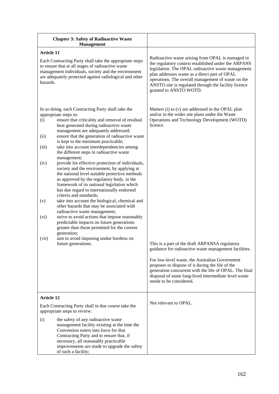| <b>Chapter 3: Safety of Radioactive Waste</b><br><b>Management</b>                                                                                                                                                                                                                                                                                                                                                                                                                                                                                                                                                                                                                                                                                                                                                                                                                                                                                                                                                                                                                                                                                                    |                                                                                                                                                                                                                                                                                                                                                                                                                                                                                                                               |
|-----------------------------------------------------------------------------------------------------------------------------------------------------------------------------------------------------------------------------------------------------------------------------------------------------------------------------------------------------------------------------------------------------------------------------------------------------------------------------------------------------------------------------------------------------------------------------------------------------------------------------------------------------------------------------------------------------------------------------------------------------------------------------------------------------------------------------------------------------------------------------------------------------------------------------------------------------------------------------------------------------------------------------------------------------------------------------------------------------------------------------------------------------------------------|-------------------------------------------------------------------------------------------------------------------------------------------------------------------------------------------------------------------------------------------------------------------------------------------------------------------------------------------------------------------------------------------------------------------------------------------------------------------------------------------------------------------------------|
| <b>Article 11</b><br>Each Contracting Party shall take the appropriate steps<br>to ensure that at all stages of radioactive waste<br>management individuals, society and the environment<br>are adequately protected against radiological and other<br>hazards.                                                                                                                                                                                                                                                                                                                                                                                                                                                                                                                                                                                                                                                                                                                                                                                                                                                                                                       | Radioactive waste arising from OPAL is managed in<br>the regulatory context established under the ARPANS<br>legislation. The OPAL radioactive waste management<br>plan addresses waste as a direct part of OPAL<br>operations. The overall management of waste on the<br>ANSTO site is regulated through the facility licence<br>granted to ANSTO WOTD.                                                                                                                                                                       |
| In so doing, each Contracting Party shall take the<br>appropriate steps to:<br>ensure that criticality and removal of residual<br>(i)<br>heat generated during radioactive waste<br>management are adequately addressed;<br>ensure that the generation of radioactive waste<br>(ii)<br>is kept to the minimum practicable;<br>take into account interdependencies among<br>(iii)<br>the different steps in radioactive waste<br>management;<br>provide for effective protection of individuals,<br>(iv)<br>society and the environment, by applying at<br>the national level suitable protective methods<br>as approved by the regulatory body, in the<br>framework of its national legislation which<br>has due regard to internationally endorsed<br>criteria and standards;<br>take into account the biological, chemical and<br>(v)<br>other hazards that may be associated with<br>radioactive waste management;<br>strive to avoid actions that impose reasonably<br>(vi)<br>predictable impacts on future generations<br>greater than those permitted for the current<br>generation;<br>aim to avoid imposing undue burdens on<br>(vii)<br>future generations. | Matters (i) to (v) are addressed in the OPAL plan<br>and/or in the wider site plans under the Waste<br>Operations and Technology Development (WOTD)<br>licence.<br>This is a part of the draft ARPANSA regulatory<br>guidance for radioactive waste management facilities.<br>For low-level waste, the Australian Government<br>proposes to dispose of it during the life of the<br>generation concurrent with the life of OPAL. The final<br>disposal of some long-lived intermediate level waste<br>needs to be considered. |
| <b>Article 12</b><br>Each Contracting Party shall in due course take the<br>appropriate steps to review:                                                                                                                                                                                                                                                                                                                                                                                                                                                                                                                                                                                                                                                                                                                                                                                                                                                                                                                                                                                                                                                              | Not relevant to OPAL.                                                                                                                                                                                                                                                                                                                                                                                                                                                                                                         |
| the safety of any radioactive waste<br>(i)<br>management facility existing at the time the<br>Convention enters into force for that<br>Contracting Party and to ensure that, if<br>necessary, all reasonably practicable<br>improvements are made to upgrade the safety<br>of such a facility;                                                                                                                                                                                                                                                                                                                                                                                                                                                                                                                                                                                                                                                                                                                                                                                                                                                                        |                                                                                                                                                                                                                                                                                                                                                                                                                                                                                                                               |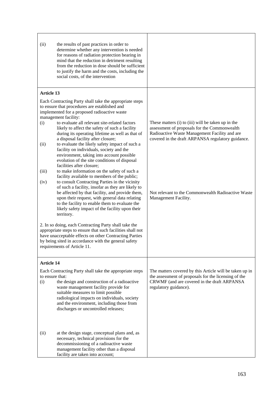| (ii)                                                                                                                                                                                                                                                                 | the results of past practices in order to<br>determine whether any intervention is needed<br>for reasons of radiation protection bearing in<br>mind that the reduction in detriment resulting<br>from the reduction in dose should be sufficient<br>to justify the harm and the costs, including the<br>social costs, of the intervention                                                                                                                                                                                                                                                                                                                                                   |                                                                                                                                                                                                          |
|----------------------------------------------------------------------------------------------------------------------------------------------------------------------------------------------------------------------------------------------------------------------|---------------------------------------------------------------------------------------------------------------------------------------------------------------------------------------------------------------------------------------------------------------------------------------------------------------------------------------------------------------------------------------------------------------------------------------------------------------------------------------------------------------------------------------------------------------------------------------------------------------------------------------------------------------------------------------------|----------------------------------------------------------------------------------------------------------------------------------------------------------------------------------------------------------|
| <b>Article 13</b>                                                                                                                                                                                                                                                    | Each Contracting Party shall take the appropriate steps                                                                                                                                                                                                                                                                                                                                                                                                                                                                                                                                                                                                                                     |                                                                                                                                                                                                          |
| (i)<br>(ii)<br>(iii)<br>(iv)                                                                                                                                                                                                                                         | to ensure that procedures are established and<br>implemented for a proposed radioactive waste<br>management facility:<br>to evaluate all relevant site-related factors<br>likely to affect the safety of such a facility<br>during its operating lifetime as well as that of<br>a disposal facility after closure;<br>to evaluate the likely safety impact of such a<br>facility on individuals, society and the<br>environment, taking into account possible<br>evolution of the site conditions of disposal<br>facilities after closure;<br>to make information on the safety of such a<br>facility available to members of the public;<br>to consult Contracting Parties in the vicinity | These matters (i) to (iii) will be taken up in the<br>assessment of proposals for the Commonwealth<br>Radioactive Waste Management Facility and are<br>covered in the draft ARPANSA regulatory guidance. |
|                                                                                                                                                                                                                                                                      | of such a facility, insofar as they are likely to<br>be affected by that facility, and provide them,<br>upon their request, with general data relating<br>to the facility to enable them to evaluate the<br>likely safety impact of the facility upon their<br>territory.                                                                                                                                                                                                                                                                                                                                                                                                                   | Not relevant to the Commonwealth Radioactive Waste<br>Management Facility.                                                                                                                               |
| 2. In so doing, each Contracting Party shall take the<br>appropriate steps to ensure that such facilities shall not<br>have unacceptable effects on other Contracting Parties<br>by being sited in accordance with the general safety<br>requirements of Article 11. |                                                                                                                                                                                                                                                                                                                                                                                                                                                                                                                                                                                                                                                                                             |                                                                                                                                                                                                          |
| Article 14                                                                                                                                                                                                                                                           |                                                                                                                                                                                                                                                                                                                                                                                                                                                                                                                                                                                                                                                                                             |                                                                                                                                                                                                          |
| to ensure that:<br>(i)                                                                                                                                                                                                                                               | Each Contracting Party shall take the appropriate steps<br>the design and construction of a radioactive<br>waste management facility provide for<br>suitable measures to limit possible<br>radiological impacts on individuals, society<br>and the environment, including those from<br>discharges or uncontrolled releases;                                                                                                                                                                                                                                                                                                                                                                | The matters covered by this Article will be taken up in<br>the assessment of proposals for the licensing of the<br>CRWMF (and are covered in the draft ARPANSA<br>regulatory guidance).                  |
| (ii)                                                                                                                                                                                                                                                                 | at the design stage, conceptual plans and, as<br>necessary, technical provisions for the<br>decommissioning of a radioactive waste<br>management facility other than a disposal<br>facility are taken into account;                                                                                                                                                                                                                                                                                                                                                                                                                                                                         |                                                                                                                                                                                                          |

Ė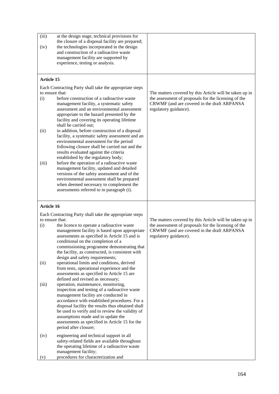| (iii)<br>(iv)                                                              | at the design stage, technical provisions for<br>the closure of a disposal facility are prepared;<br>the technologies incorporated in the design                                                              |                                                                                                                 |
|----------------------------------------------------------------------------|---------------------------------------------------------------------------------------------------------------------------------------------------------------------------------------------------------------|-----------------------------------------------------------------------------------------------------------------|
|                                                                            | and construction of a radioactive waste                                                                                                                                                                       |                                                                                                                 |
|                                                                            | management facility are supported by<br>experience, testing or analysis.                                                                                                                                      |                                                                                                                 |
|                                                                            |                                                                                                                                                                                                               |                                                                                                                 |
| <b>Article 15</b>                                                          |                                                                                                                                                                                                               |                                                                                                                 |
| Each Contracting Party shall take the appropriate steps<br>to ensure that: |                                                                                                                                                                                                               |                                                                                                                 |
| (i)                                                                        | before construction of a radioactive waste                                                                                                                                                                    | The matters covered by this Article will be taken up in<br>the assessment of proposals for the licensing of the |
|                                                                            | management facility, a systematic safety<br>assessment and an environmental assessment<br>appropriate to the hazard presented by the<br>facility and covering its operating lifetime<br>shall be carried out; | CRWMF (and are covered in the draft ARPANSA<br>regulatory guidance).                                            |
| (ii)                                                                       | in addition, before construction of a disposal<br>facility, a systematic safety assessment and an<br>environmental assessment for the period                                                                  |                                                                                                                 |
|                                                                            | following closure shall be carried out and the<br>results evaluated against the criteria                                                                                                                      |                                                                                                                 |
| (iii)                                                                      | established by the regulatory body;<br>before the operation of a radioactive waste                                                                                                                            |                                                                                                                 |
|                                                                            | management facility, updated and detailed                                                                                                                                                                     |                                                                                                                 |
|                                                                            | versions of the safety assessment and of the<br>environmental assessment shall be prepared                                                                                                                    |                                                                                                                 |
|                                                                            | when deemed necessary to complement the                                                                                                                                                                       |                                                                                                                 |
|                                                                            | assessments referred to in paragraph (i).                                                                                                                                                                     |                                                                                                                 |
|                                                                            |                                                                                                                                                                                                               |                                                                                                                 |
| <b>Article 16</b>                                                          |                                                                                                                                                                                                               |                                                                                                                 |
|                                                                            | Each Contracting Party shall take the appropriate steps                                                                                                                                                       |                                                                                                                 |
| to ensure that:                                                            |                                                                                                                                                                                                               | The matters covered by this Article will be taken up in                                                         |
| (i)                                                                        | the licence to operate a radioactive waste<br>management facility is based upon appropriate                                                                                                                   | the assessment of proposals for the licensing of the<br>CRWMF (and are covered in the draft ARPANSA             |
|                                                                            | assessments as specified in Article 15 and is                                                                                                                                                                 | regulatory guidance).                                                                                           |
|                                                                            | conditional on the completion of a<br>commissioning programme demonstrating that                                                                                                                              |                                                                                                                 |
|                                                                            | the facility, as constructed, is consistent with                                                                                                                                                              |                                                                                                                 |
|                                                                            | design and safety requirements;                                                                                                                                                                               |                                                                                                                 |
| (ii)                                                                       | operational limits and conditions, derived<br>from tests, operational experience and the                                                                                                                      |                                                                                                                 |
|                                                                            | assessments as specified in Article 15 are                                                                                                                                                                    |                                                                                                                 |
| (iii)                                                                      | defined and revised as necessary;<br>operation, maintenance, monitoring,                                                                                                                                      |                                                                                                                 |
|                                                                            | inspection and testing of a radioactive waste                                                                                                                                                                 |                                                                                                                 |
|                                                                            | management facility are conducted in                                                                                                                                                                          |                                                                                                                 |
|                                                                            | accordance with established procedures. For a<br>disposal facility the results thus obtained shall                                                                                                            |                                                                                                                 |
|                                                                            | be used to verify and to review the validity of                                                                                                                                                               |                                                                                                                 |
|                                                                            | assumptions made and to update the                                                                                                                                                                            |                                                                                                                 |
|                                                                            | assessments as specified in Article 15 for the<br>period after closure;                                                                                                                                       |                                                                                                                 |
| (iv)                                                                       | engineering and technical support in all                                                                                                                                                                      |                                                                                                                 |
|                                                                            | safety-related fields are available throughout                                                                                                                                                                |                                                                                                                 |
|                                                                            | the operating lifetime of a radioactive waste<br>management facility;                                                                                                                                         |                                                                                                                 |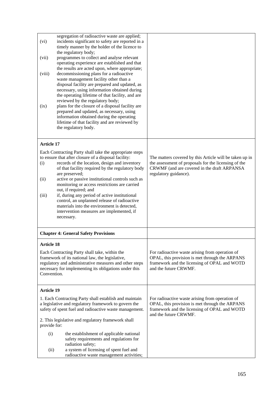| (vi)              | segregation of radioactive waste are applied;<br>incidents significant to safety are reported in a<br>timely manner by the holder of the licence to<br>the regulatory body;                                                                                                                                                                                                                                   |                                                                                                                                                                                         |
|-------------------|---------------------------------------------------------------------------------------------------------------------------------------------------------------------------------------------------------------------------------------------------------------------------------------------------------------------------------------------------------------------------------------------------------------|-----------------------------------------------------------------------------------------------------------------------------------------------------------------------------------------|
| (vii)             | programmes to collect and analyse relevant<br>operating experience are established and that                                                                                                                                                                                                                                                                                                                   |                                                                                                                                                                                         |
| (viii)            | the results are acted upon, where appropriate;<br>decommissioning plans for a radioactive<br>waste management facility other than a                                                                                                                                                                                                                                                                           |                                                                                                                                                                                         |
| (ix)              | disposal facility are prepared and updated, as<br>necessary, using information obtained during<br>the operating lifetime of that facility, and are<br>reviewed by the regulatory body;<br>plans for the closure of a disposal facility are<br>prepared and updated, as necessary, using<br>information obtained during the operating<br>lifetime of that facility and are reviewed by<br>the regulatory body. |                                                                                                                                                                                         |
| <b>Article 17</b> |                                                                                                                                                                                                                                                                                                                                                                                                               |                                                                                                                                                                                         |
| (i)               | Each Contracting Party shall take the appropriate steps<br>to ensure that after closure of a disposal facility:<br>records of the location, design and inventory<br>of that facility required by the regulatory body<br>are preserved;                                                                                                                                                                        | The matters covered by this Article will be taken up in<br>the assessment of proposals for the licensing of the<br>CRWMF (and are covered in the draft ARPANSA<br>regulatory guidance). |
| (ii)              | active or passive institutional controls such as<br>monitoring or access restrictions are carried<br>out, if required; and                                                                                                                                                                                                                                                                                    |                                                                                                                                                                                         |
| (iii)             | if, during any period of active institutional<br>control, an unplanned release of radioactive<br>materials into the environment is detected,<br>intervention measures are implemented, if<br>necessary.                                                                                                                                                                                                       |                                                                                                                                                                                         |
|                   | <b>Chapter 4: General Safety Provisions</b>                                                                                                                                                                                                                                                                                                                                                                   |                                                                                                                                                                                         |
| <b>Article 18</b> |                                                                                                                                                                                                                                                                                                                                                                                                               |                                                                                                                                                                                         |
| Convention.       | Each Contracting Party shall take, within the<br>framework of its national law, the legislative,<br>regulatory and administrative measures and other steps<br>necessary for implementing its obligations under this                                                                                                                                                                                           | For radioactive waste arising from operation of<br>OPAL, this provision is met through the ARPANS<br>framework and the licensing of OPAL and WOTD<br>and the future CRWMF.              |
| <b>Article 19</b> |                                                                                                                                                                                                                                                                                                                                                                                                               |                                                                                                                                                                                         |
|                   | 1. Each Contracting Party shall establish and maintain<br>a legislative and regulatory framework to govern the<br>safety of spent fuel and radioactive waste management.                                                                                                                                                                                                                                      | For radioactive waste arising from operation of<br>OPAL, this provision is met through the ARPANS<br>framework and the licensing of OPAL and WOTD<br>and the future CRWMF.              |
| provide for:      | 2. This legislative and regulatory framework shall                                                                                                                                                                                                                                                                                                                                                            |                                                                                                                                                                                         |
| (i)               | the establishment of applicable national<br>safety requirements and regulations for<br>radiation safety;                                                                                                                                                                                                                                                                                                      |                                                                                                                                                                                         |
| (ii)              | a system of licensing of spent fuel and<br>radioactive waste management activities;                                                                                                                                                                                                                                                                                                                           |                                                                                                                                                                                         |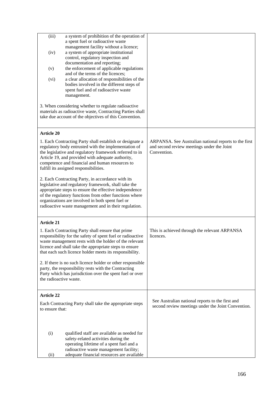| (iii)<br>a system of prohibition of the operation of<br>a spent fuel or radioactive waste<br>management facility without a licence;<br>a system of appropriate institutional<br>(iv)<br>control, regulatory inspection and<br>documentation and reporting;<br>the enforcement of applicable regulations<br>(v)<br>and of the terms of the licences;<br>a clear allocation of responsibilities of the<br>(vi)<br>bodies involved in the different steps of<br>spent fuel and of radioactive waste<br>management.<br>3. When considering whether to regulate radioactive<br>materials as radioactive waste, Contracting Parties shall<br>take due account of the objectives of this Convention.    |                                                                                                                    |
|--------------------------------------------------------------------------------------------------------------------------------------------------------------------------------------------------------------------------------------------------------------------------------------------------------------------------------------------------------------------------------------------------------------------------------------------------------------------------------------------------------------------------------------------------------------------------------------------------------------------------------------------------------------------------------------------------|--------------------------------------------------------------------------------------------------------------------|
| <b>Article 20</b><br>1. Each Contracting Party shall establish or designate a<br>regulatory body entrusted with the implementation of<br>the legislative and regulatory framework referred to in<br>Article 19, and provided with adequate authority,<br>competence and financial and human resources to<br>fulfill its assigned responsibilities.<br>2. Each Contracting Party, in accordance with its<br>legislative and regulatory framework, shall take the<br>appropriate steps to ensure the effective independence<br>of the regulatory functions from other functions where<br>organizations are involved in both spent fuel or<br>radioactive waste management and in their regulation. | ARPANSA. See Australian national reports to the first<br>and second review meetings under the Joint<br>Convention. |
| <b>Article 21</b><br>1. Each Contracting Party shall ensure that prime<br>responsibility for the safety of spent fuel or radioactive<br>waste management rests with the holder of the relevant<br>licence and shall take the appropriate steps to ensure<br>that each such licence holder meets its responsibility.<br>2. If there is no such licence holder or other responsible<br>party, the responsibility rests with the Contracting<br>Party which has jurisdiction over the spent fuel or over<br>the radioactive waste.                                                                                                                                                                  | This is achieved through the relevant ARPANSA<br>licences.                                                         |
| <b>Article 22</b><br>Each Contracting Party shall take the appropriate steps<br>to ensure that:<br>qualified staff are available as needed for<br>(i)<br>safety-related activities during the<br>operating lifetime of a spent fuel and a<br>radioactive waste management facility;<br>adequate financial resources are available<br>(ii)                                                                                                                                                                                                                                                                                                                                                        | See Australian national reports to the first and<br>second review meetings under the Joint Convention.             |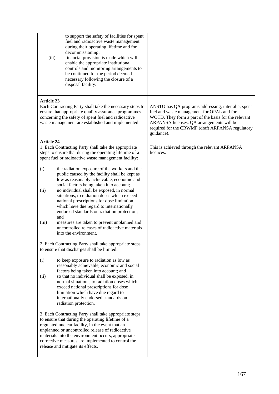| (iii)                | to support the safety of facilities for spent<br>fuel and radioactive waste management<br>during their operating lifetime and for<br>decommissioning;<br>financial provision is made which will<br>enable the appropriate institutional<br>controls and monitoring arrangements to<br>be continued for the period deemed<br>necessary following the closure of a<br>disposal facility.                                                                                                                                                 |                                                                                                                                                                                                                                                                          |
|----------------------|----------------------------------------------------------------------------------------------------------------------------------------------------------------------------------------------------------------------------------------------------------------------------------------------------------------------------------------------------------------------------------------------------------------------------------------------------------------------------------------------------------------------------------------|--------------------------------------------------------------------------------------------------------------------------------------------------------------------------------------------------------------------------------------------------------------------------|
| <b>Article 23</b>    | Each Contracting Party shall take the necessary steps to<br>ensure that appropriate quality assurance programmes<br>concerning the safety of spent fuel and radioactive<br>waste management are established and implemented.                                                                                                                                                                                                                                                                                                           | ANSTO has QA programs addressing, inter alia, spent<br>fuel and waste management for OPAL and for<br>WOTD. They form a part of the basis for the relevant<br>ARPANSA licenses. QA arrangements will be<br>required for the CRWMF (draft ARPANSA regulatory<br>guidance). |
| <b>Article 24</b>    | 1. Each Contracting Party shall take the appropriate<br>steps to ensure that during the operating lifetime of a<br>spent fuel or radioactive waste management facility:                                                                                                                                                                                                                                                                                                                                                                | This is achieved through the relevant ARPANSA<br>licences.                                                                                                                                                                                                               |
| (i)<br>(ii)<br>(iii) | the radiation exposure of the workers and the<br>public caused by the facility shall be kept as<br>low as reasonably achievable, economic and<br>social factors being taken into account;<br>no individual shall be exposed, in normal<br>situations, to radiation doses which exceed<br>national prescriptions for dose limitation<br>which have due regard to internationally<br>endorsed standards on radiation protection;<br>and<br>measures are taken to prevent unplanned and<br>uncontrolled releases of radioactive materials |                                                                                                                                                                                                                                                                          |
|                      | into the environment.<br>2. Each Contracting Party shall take appropriate steps<br>to ensure that discharges shall be limited:                                                                                                                                                                                                                                                                                                                                                                                                         |                                                                                                                                                                                                                                                                          |
| (i)<br>(ii)          | to keep exposure to radiation as low as<br>reasonably achievable, economic and social<br>factors being taken into account; and<br>so that no individual shall be exposed, in<br>normal situations, to radiation doses which<br>exceed national prescriptions for dose<br>limitation which have due regard to<br>internationally endorsed standards on<br>radiation protection.                                                                                                                                                         |                                                                                                                                                                                                                                                                          |
|                      | 3. Each Contracting Party shall take appropriate steps<br>to ensure that during the operating lifetime of a<br>regulated nuclear facility, in the event that an<br>unplanned or uncontrolled release of radioactive<br>materials into the environment occurs, appropriate<br>corrective measures are implemented to control the<br>release and mitigate its effects.                                                                                                                                                                   |                                                                                                                                                                                                                                                                          |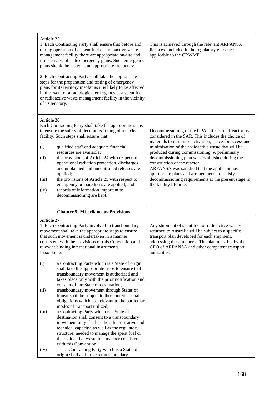| <b>Article 25</b><br>1. Each Contracting Party shall ensure that before and<br>during operation of a spent fuel or radioactive waste<br>management facility there are appropriate on-site and,<br>if necessary, off-site emergency plans. Such emergency<br>plans should be tested at an appropriate frequency.<br>2. Each Contracting Party shall take the appropriate<br>steps for the preparation and testing of emergency<br>plans for its territory insofar as it is likely to be affected<br>in the event of a radiological emergency at a spent fuel<br>or radioactive waste management facility in the vicinity<br>of its territory. |                                                                                                                                                                                                                                                                                                                                                                                                                                                                                                                                                            | This is achieved through the relevant ARPANSA<br>licences. Included in the regulatory guidance<br>applicable to the CRWMF.                                                                                                                                                                                                                                                                                                                                                                                                                   |
|----------------------------------------------------------------------------------------------------------------------------------------------------------------------------------------------------------------------------------------------------------------------------------------------------------------------------------------------------------------------------------------------------------------------------------------------------------------------------------------------------------------------------------------------------------------------------------------------------------------------------------------------|------------------------------------------------------------------------------------------------------------------------------------------------------------------------------------------------------------------------------------------------------------------------------------------------------------------------------------------------------------------------------------------------------------------------------------------------------------------------------------------------------------------------------------------------------------|----------------------------------------------------------------------------------------------------------------------------------------------------------------------------------------------------------------------------------------------------------------------------------------------------------------------------------------------------------------------------------------------------------------------------------------------------------------------------------------------------------------------------------------------|
| <b>Article 26</b><br>(i)<br>(ii)<br>(iii)<br>(iv)                                                                                                                                                                                                                                                                                                                                                                                                                                                                                                                                                                                            | Each Contracting Party shall take the appropriate steps<br>to ensure the safety of decommissioning of a nuclear<br>facility. Such steps shall ensure that:<br>qualified staff and adequate financial<br>resources are available;<br>the provisions of Article 24 with respect to<br>operational radiation protection, discharges<br>and unplanned and uncontrolled releases are<br>applied;<br>the provisions of Article 25 with respect to<br>emergency preparedness are applied; and<br>records of information important to<br>decommissioning are kept. | Decommissioning of the OPAL Research Reactor, is<br>considered in the SAR. This includes the choice of<br>materials to minimise activation, space for access and<br>minimisation of the radioactive waste that will be<br>produced during commissioning. A preliminary<br>decommissioning plan was established during the<br>construction of the reactor.<br>ARPANSA was satisfied that the applicant has<br>appropriate plans and arrangements to satisfy<br>decommissioning requirements at the present stage in<br>the facility lifetime. |
|                                                                                                                                                                                                                                                                                                                                                                                                                                                                                                                                                                                                                                              | <b>Chapter 5: Miscellaneous Provisions</b>                                                                                                                                                                                                                                                                                                                                                                                                                                                                                                                 |                                                                                                                                                                                                                                                                                                                                                                                                                                                                                                                                              |
| <b>Article 27</b><br>1. Each Contracting Party involved in transboundary<br>movement shall take the appropriate steps to ensure<br>that such movement is undertaken in a manner<br>consistent with the provisions of this Convention and<br>relevant binding international instruments.<br>In so doing:                                                                                                                                                                                                                                                                                                                                      |                                                                                                                                                                                                                                                                                                                                                                                                                                                                                                                                                            | Any shipment of spent fuel or radioactive wastes<br>returned to Australia will be subject to a specific<br>transport plan developed for each shipment,<br>addressing these matters. The plan must be by the<br>CEO of ARPANSA and other competent transport<br>authorities.                                                                                                                                                                                                                                                                  |
| (i)<br>(ii)                                                                                                                                                                                                                                                                                                                                                                                                                                                                                                                                                                                                                                  | a Contracting Party which is a State of origin<br>shall take the appropriate steps to ensure that<br>transboundary movement is authorized and<br>takes place only with the prior notification and<br>consent of the State of destination;<br>transboundary movement through States of<br>transit shall be subject to those international                                                                                                                                                                                                                   |                                                                                                                                                                                                                                                                                                                                                                                                                                                                                                                                              |
| (iii)<br>(iv)                                                                                                                                                                                                                                                                                                                                                                                                                                                                                                                                                                                                                                | obligations which are relevant to the particular<br>modes of transport utilized;<br>a Contracting Party which is a State of<br>destination shall consent to a transboundary<br>movement only if it has the administrative and<br>technical capacity, as well as the regulatory<br>structure, needed to manage the spent fuel or<br>the radioactive waste in a manner consistent<br>with this Convention;<br>a Contracting Party which is a State of<br>origin shall authorize a transboundary                                                              |                                                                                                                                                                                                                                                                                                                                                                                                                                                                                                                                              |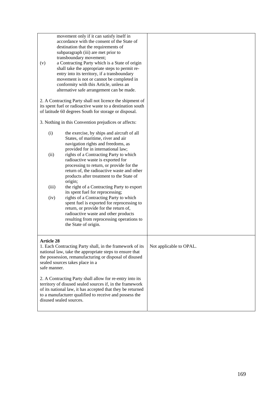| (v)                               | movement only if it can satisfy itself in<br>accordance with the consent of the State of<br>destination that the requirements of<br>subparagraph (iii) are met prior to<br>transboundary movement;<br>a Contracting Party which is a State of origin<br>shall take the appropriate steps to permit re-<br>entry into its territory, if a transboundary<br>movement is not or cannot be completed in<br>conformity with this Article, unless an<br>alternative safe arrangement can be made. |                         |
|-----------------------------------|---------------------------------------------------------------------------------------------------------------------------------------------------------------------------------------------------------------------------------------------------------------------------------------------------------------------------------------------------------------------------------------------------------------------------------------------------------------------------------------------|-------------------------|
|                                   | 2. A Contracting Party shall not licence the shipment of                                                                                                                                                                                                                                                                                                                                                                                                                                    |                         |
|                                   | its spent fuel or radioactive waste to a destination south                                                                                                                                                                                                                                                                                                                                                                                                                                  |                         |
|                                   | of latitude 60 degrees South for storage or disposal.                                                                                                                                                                                                                                                                                                                                                                                                                                       |                         |
|                                   | 3. Nothing in this Convention prejudices or affects:                                                                                                                                                                                                                                                                                                                                                                                                                                        |                         |
| (i)                               | the exercise, by ships and aircraft of all<br>States, of maritime, river and air<br>navigation rights and freedoms, as<br>provided for in international law;                                                                                                                                                                                                                                                                                                                                |                         |
| (ii)                              | rights of a Contracting Party to which<br>radioactive waste is exported for<br>processing to return, or provide for the<br>return of, the radioactive waste and other<br>products after treatment to the State of<br>origin;                                                                                                                                                                                                                                                                |                         |
| (iii)                             | the right of a Contracting Party to export<br>its spent fuel for reprocessing;                                                                                                                                                                                                                                                                                                                                                                                                              |                         |
| (iv)                              | rights of a Contracting Party to which<br>spent fuel is exported for reprocessing to<br>return, or provide for the return of,<br>radioactive waste and other products<br>resulting from reprocessing operations to<br>the State of origin.                                                                                                                                                                                                                                                  |                         |
| <b>Article 28</b><br>safe manner. | 1. Each Contracting Party shall, in the framework of its<br>national law, take the appropriate steps to ensure that<br>the possession, remanufacturing or disposal of disused<br>sealed sources takes place in a                                                                                                                                                                                                                                                                            | Not applicable to OPAL. |
|                                   | 2. A Contracting Party shall allow for re-entry into its<br>territory of disused sealed sources if, in the framework<br>of its national law, it has accepted that they be returned<br>to a manufacturer qualified to receive and possess the<br>disused sealed sources.                                                                                                                                                                                                                     |                         |